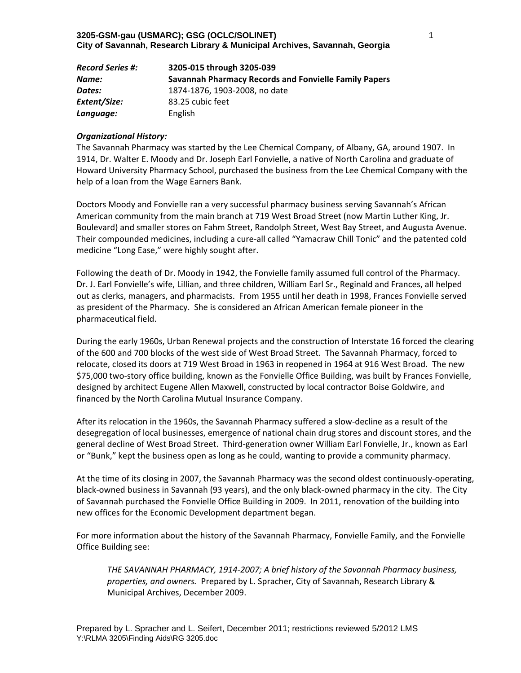| <b>Record Series #:</b> | 3205-015 through 3205-039                             |  |
|-------------------------|-------------------------------------------------------|--|
| Name:                   | Savannah Pharmacy Records and Fonvielle Family Papers |  |
| Dates:                  | 1874-1876, 1903-2008, no date                         |  |
| Extent/Size:            | 83.25 cubic feet                                      |  |
| Language:               | English                                               |  |

## *Organizational History:*

The Savannah Pharmacy was started by the Lee Chemical Company, of Albany, GA, around 1907. In 1914, Dr. Walter E. Moody and Dr. Joseph Earl Fonvielle, a native of North Carolina and graduate of Howard University Pharmacy School, purchased the business from the Lee Chemical Company with the help of a loan from the Wage Earners Bank.

Doctors Moody and Fonvielle ran a very successful pharmacy business serving Savannah's African American community from the main branch at 719 West Broad Street (now Martin Luther King, Jr. Boulevard) and smaller stores on Fahm Street, Randolph Street, West Bay Street, and Augusta Avenue. Their compounded medicines, including a cure‐all called "Yamacraw Chill Tonic" and the patented cold medicine "Long Ease," were highly sought after.

Following the death of Dr. Moody in 1942, the Fonvielle family assumed full control of the Pharmacy. Dr. J. Earl Fonvielle's wife, Lillian, and three children, William Earl Sr., Reginald and Frances, all helped out as clerks, managers, and pharmacists. From 1955 until her death in 1998, Frances Fonvielle served as president of the Pharmacy. She is considered an African American female pioneer in the pharmaceutical field.

During the early 1960s, Urban Renewal projects and the construction of Interstate 16 forced the clearing of the 600 and 700 blocks of the west side of West Broad Street. The Savannah Pharmacy, forced to relocate, closed its doors at 719 West Broad in 1963 in reopened in 1964 at 916 West Broad. The new \$75,000 two‐story office building, known as the Fonvielle Office Building, was built by Frances Fonvielle, designed by architect Eugene Allen Maxwell, constructed by local contractor Boise Goldwire, and financed by the North Carolina Mutual Insurance Company.

After its relocation in the 1960s, the Savannah Pharmacy suffered a slow‐decline as a result of the desegregation of local businesses, emergence of national chain drug stores and discount stores, and the general decline of West Broad Street. Third‐generation owner William Earl Fonvielle, Jr., known as Earl or "Bunk," kept the business open as long as he could, wanting to provide a community pharmacy.

At the time of its closing in 2007, the Savannah Pharmacy was the second oldest continuously‐operating, black‐owned business in Savannah (93 years), and the only black‐owned pharmacy in the city. The City of Savannah purchased the Fonvielle Office Building in 2009. In 2011, renovation of the building into new offices for the Economic Development department began.

For more information about the history of the Savannah Pharmacy, Fonvielle Family, and the Fonvielle Office Building see:

*THE SAVANNAH PHARMACY, 1914‐2007; A brief history of the Savannah Pharmacy business, properties, and owners.*Prepared by L. Spracher, City of Savannah, Research Library & Municipal Archives, December 2009.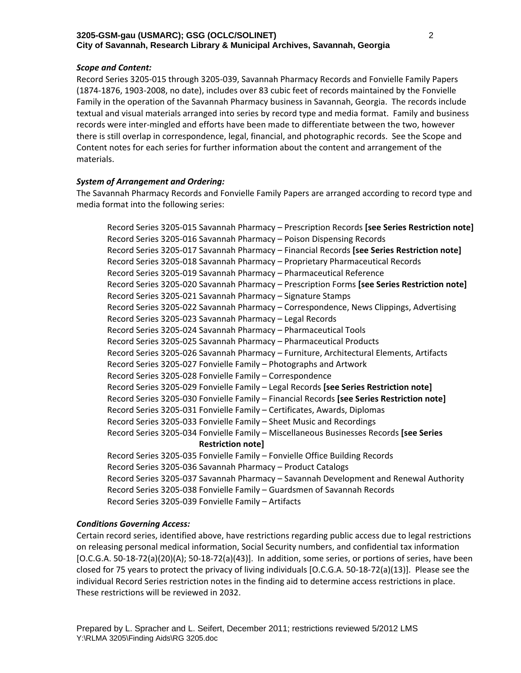## *Scope and Content:*

Record Series 3205‐015 through 3205‐039, Savannah Pharmacy Records and Fonvielle Family Papers (1874‐1876, 1903‐2008, no date), includes over 83 cubic feet of records maintained by the Fonvielle Family in the operation of the Savannah Pharmacy business in Savannah, Georgia. The records include textual and visual materials arranged into series by record type and media format. Family and business records were inter‐mingled and efforts have been made to differentiate between the two, however there is still overlap in correspondence, legal, financial, and photographic records. See the Scope and Content notes for each series for further information about the content and arrangement of the materials.

## *System of Arrangement and Ordering:*

The Savannah Pharmacy Records and Fonvielle Family Papers are arranged according to record type and media format into the following series:

Record Series 3205‐015 Savannah Pharmacy – Prescription Records **[see Series Restriction note]** Record Series 3205‐016 Savannah Pharmacy – Poison Dispensing Records Record Series 3205‐017 Savannah Pharmacy – Financial Records **[see Series Restriction note]** Record Series 3205‐018 Savannah Pharmacy – Proprietary Pharmaceutical Records Record Series 3205‐019 Savannah Pharmacy – Pharmaceutical Reference Record Series 3205‐020 Savannah Pharmacy – Prescription Forms **[see Series Restriction note]** Record Series 3205‐021 Savannah Pharmacy – Signature Stamps Record Series 3205‐022 Savannah Pharmacy – Correspondence, News Clippings, Advertising Record Series 3205‐023 Savannah Pharmacy – Legal Records Record Series 3205‐024 Savannah Pharmacy – Pharmaceutical Tools Record Series 3205‐025 Savannah Pharmacy – Pharmaceutical Products Record Series 3205‐026 Savannah Pharmacy – Furniture, Architectural Elements, Artifacts Record Series 3205‐027 Fonvielle Family – Photographs and Artwork Record Series 3205‐028 Fonvielle Family – Correspondence Record Series 3205‐029 Fonvielle Family – Legal Records **[see Series Restriction note]** Record Series 3205‐030 Fonvielle Family – Financial Records **[see Series Restriction note]** Record Series 3205‐031 Fonvielle Family – Certificates, Awards, Diplomas Record Series 3205‐033 Fonvielle Family – Sheet Music and Recordings Record Series 3205‐034 Fonvielle Family – Miscellaneous Businesses Records **[see Series Restriction note]** Record Series 3205‐035 Fonvielle Family – Fonvielle Office Building Records Record Series 3205‐036 Savannah Pharmacy – Product Catalogs Record Series 3205‐037 Savannah Pharmacy – Savannah Development and Renewal Authority Record Series 3205‐038 Fonvielle Family – Guardsmen of Savannah Records Record Series 3205‐039 Fonvielle Family – Artifacts

## *Conditions Governing Access:*

Certain record series, identified above, have restrictions regarding public access due to legal restrictions on releasing personal medical information, Social Security numbers, and confidential tax information [O.C.G.A. 50‐18‐72(a)(20)(A); 50‐18‐72(a)(43)]. In addition, some series, or portions of series, have been closed for 75 years to protect the privacy of living individuals [O.C.G.A. 50‐18‐72(a)(13)]. Please see the individual Record Series restriction notes in the finding aid to determine access restrictions in place. These restrictions will be reviewed in 2032.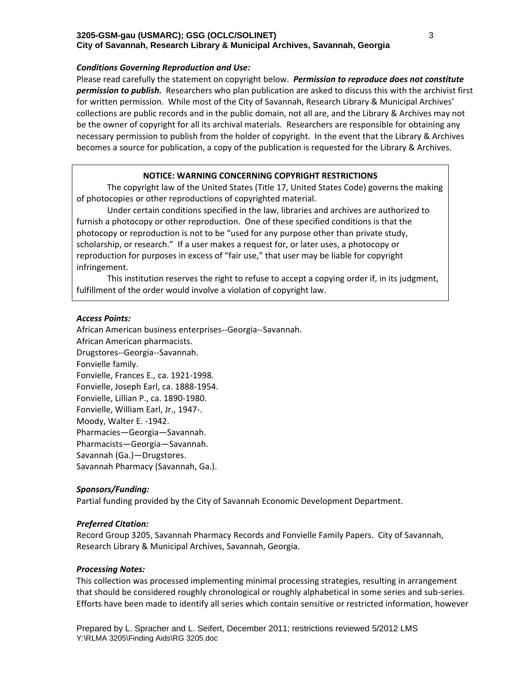### *Conditions Governing Reproduction and Use:*

Please read carefully the statement on copyright below. *Permission to reproduce does not constitute permission to publish.* Researchers who plan publication are asked to discuss this with the archivist first for written permission. While most of the City of Savannah, Research Library & Municipal Archives' collections are public records and in the public domain, not all are, and the Library & Archives may not be the owner of copyright for all its archival materials. Researchers are responsible for obtaining any necessary permission to publish from the holder of copyright. In the event that the Library & Archives becomes a source for publication, a copy of the publication is requested for the Library & Archives.

## **NOTICE: WARNING CONCERNING COPYRIGHT RESTRICTIONS**

The copyright law of the United States (Title 17, United States Code) governs the making of photocopies or other reproductions of copyrighted material.

Under certain conditions specified in the law, libraries and archives are authorized to furnish a photocopy or other reproduction. One of these specified conditions is that the photocopy or reproduction is not to be "used for any purpose other than private study, scholarship, or research." If a user makes a request for, or later uses, a photocopy or reproduction for purposes in excess of "fair use," that user may be liable for copyright infringement.

This institution reserves the right to refuse to accept a copying order if, in its judgment, fulfillment of the order would involve a violation of copyright law.

## *Access Points:*

African American business enterprises‐‐Georgia‐‐Savannah. African American pharmacists. Drugstores‐‐Georgia‐‐Savannah. Fonvielle family. Fonvielle, Frances E., ca. 1921‐1998. Fonvielle, Joseph Earl, ca. 1888‐1954. Fonvielle, Lillian P., ca. 1890‐1980. Fonvielle, William Earl, Jr., 1947‐. Moody, Walter E. ‐1942. Pharmacies—Georgia—Savannah. Pharmacists—Georgia—Savannah. Savannah (Ga.)—Drugstores. Savannah Pharmacy (Savannah, Ga.).

#### *Sponsors/Funding:*

Partial funding provided by the City of Savannah Economic Development Department.

## *Preferred Citation:*

Record Group 3205, Savannah Pharmacy Records and Fonvielle Family Papers. City of Savannah, Research Library & Municipal Archives, Savannah, Georgia.

## *Processing Notes:*

This collection was processed implementing minimal processing strategies, resulting in arrangement that should be considered roughly chronological or roughly alphabetical in some series and sub‐series. Efforts have been made to identify all series which contain sensitive or restricted information, however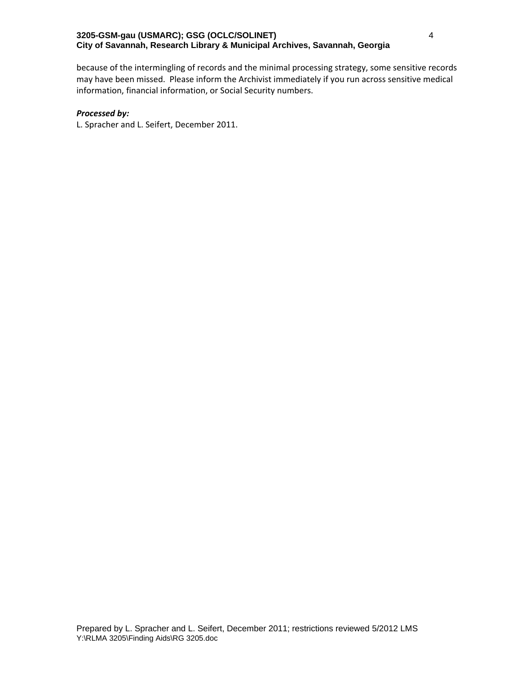because of the intermingling of records and the minimal processing strategy, some sensitive records may have been missed. Please inform the Archivist immediately if you run across sensitive medical information, financial information, or Social Security numbers.

#### *Processed by:*

L. Spracher and L. Seifert, December 2011.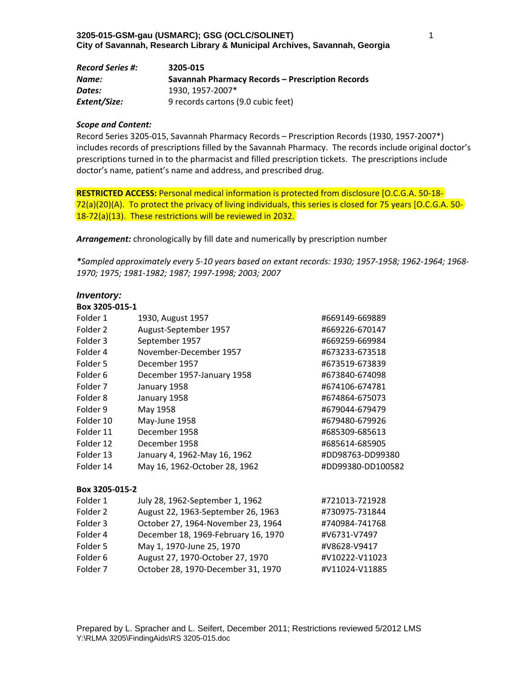| <b>Record Series #:</b> | 3205-015                                                |
|-------------------------|---------------------------------------------------------|
| Name:                   | <b>Savannah Pharmacy Records - Prescription Records</b> |
| Dates:                  | 1930. 1957-2007*                                        |
| Extent/Size:            | 9 records cartons (9.0 cubic feet)                      |

#### *Scope and Content:*

Record Series 3205‐015, Savannah Pharmacy Records – Prescription Records (1930, 1957‐2007\*) includes records of prescriptions filled by the Savannah Pharmacy. The records include original doctor's prescriptions turned in to the pharmacist and filled prescription tickets. The prescriptions include doctor's name, patient's name and address, and prescribed drug.

**RESTRICTED ACCESS:** Personal medical information is protected from disclosure [O.C.G.A. 50‐18‐ 72(a)(20)(A). To protect the privacy of living individuals, this series is closed for 75 years [O.C.G.A. 50‐ 18‐72(a)(13). These restrictions will be reviewed in 2032.

*Arrangement:* chronologically by fill date and numerically by prescription number

\*Sampled approximately every 5-10 years based on extant records: 1930; 1957-1958; 1962-1964; 1968-*1970; 1975; 1981‐1982; 1987; 1997‐1998; 2003; 2007*

# *Inventory:*

| Folder 1       | 1930, August 1957                  | #669149-669889    |
|----------------|------------------------------------|-------------------|
| Folder 2       | August-September 1957              | #669226-670147    |
| Folder 3       | September 1957                     | #669259-669984    |
| Folder 4       | November-December 1957             | #673233-673518    |
| Folder 5       | December 1957                      | #673519-673839    |
| Folder 6       | December 1957-January 1958         | #673840-674098    |
| Folder 7       | January 1958                       | #674106-674781    |
| Folder 8       | January 1958                       | #674864-675073    |
| Folder 9       | May 1958                           | #679044-679479    |
| Folder 10      | May-June 1958                      | #679480-679926    |
| Folder 11      | December 1958                      | #685309-685613    |
| Folder 12      | December 1958                      | #685614-685905    |
| Folder 13      | January 4, 1962-May 16, 1962       | #DD98763-DD99380  |
| Folder 14      | May 16, 1962-October 28, 1962      | #DD99380-DD100582 |
| Box 3205-015-2 |                                    |                   |
| Folder 1       | July 28, 1962-September 1, 1962    | #721013-721928    |
| Folder 2       | August 22, 1963-September 26, 1963 | #730975-731844    |

| Folder 2 | August 22, 1963-September 26, 1963  | #730975-731844 |
|----------|-------------------------------------|----------------|
| Folder 3 | October 27, 1964-November 23, 1964  | #740984-741768 |
| Folder 4 | December 18, 1969-February 16, 1970 | #V6731-V7497   |
| Folder 5 | May 1, 1970-June 25, 1970           | #V8628-V9417   |
| Folder 6 | August 27, 1970-October 27, 1970    | #V10222-V11023 |
| Folder 7 | October 28, 1970-December 31, 1970  | #V11024-V11885 |
|          |                                     |                |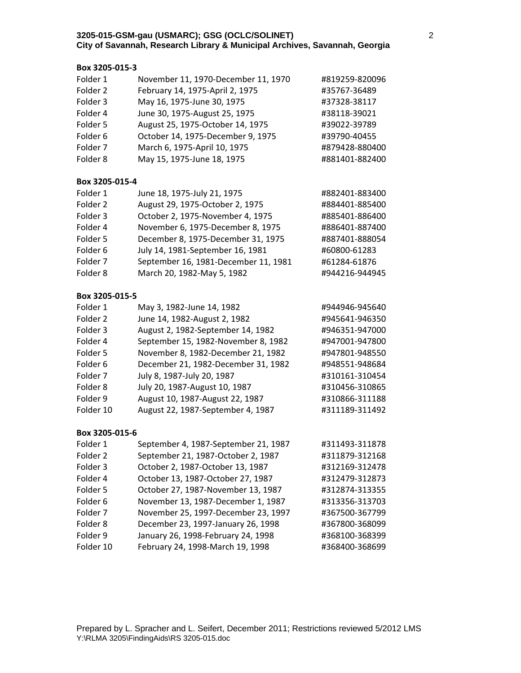# **Box 3205‐015‐3**

| Folder 1            | November 11, 1970-December 11, 1970  | #819259-820096 |
|---------------------|--------------------------------------|----------------|
| Folder <sub>2</sub> | February 14, 1975-April 2, 1975      | #35767-36489   |
| Folder <sub>3</sub> | May 16, 1975-June 30, 1975           | #37328-38117   |
| Folder 4            | June 30, 1975-August 25, 1975        | #38118-39021   |
| Folder 5            | August 25, 1975-October 14, 1975     | #39022-39789   |
| Folder <sub>6</sub> | October 14, 1975-December 9, 1975    | #39790-40455   |
| Folder 7            | March 6, 1975-April 10, 1975         | #879428-880400 |
| Folder <sub>8</sub> | May 15, 1975-June 18, 1975           | #881401-882400 |
| Box 3205-015-4      |                                      |                |
| Folder 1            | June 18, 1975-July 21, 1975          | #882401-883400 |
| Folder <sub>2</sub> | August 29, 1975-October 2, 1975      | #884401-885400 |
| Folder 3            | October 2, 1975-November 4, 1975     | #885401-886400 |
| Folder 4            | November 6, 1975-December 8, 1975    | #886401-887400 |
| Folder 5            | December 8, 1975-December 31, 1975   | #887401-888054 |
| Folder <sub>6</sub> | July 14, 1981-September 16, 1981     | #60800-61283   |
| Folder 7            | September 16, 1981-December 11, 1981 | #61284-61876   |
| Folder 8            | March 20, 1982-May 5, 1982           | #944216-944945 |
| Box 3205-015-5      |                                      |                |
| Folder 1            | May 3, 1982-June 14, 1982            | #944946-945640 |
| Folder <sub>2</sub> | June 14, 1982-August 2, 1982         | #945641-946350 |
| Folder 3            | August 2, 1982-September 14, 1982    | #946351-947000 |
| Folder 4            | September 15, 1982-November 8, 1982  | #947001-947800 |
| Folder 5            | November 8, 1982-December 21, 1982   | #947801-948550 |
| Folder <sub>6</sub> | December 21, 1982-December 31, 1982  | #948551-948684 |
| Folder 7            | July 8, 1987-July 20, 1987           | #310161-310454 |
| Folder <sub>8</sub> | July 20, 1987-August 10, 1987        | #310456-310865 |
| Folder 9            | August 10, 1987-August 22, 1987      | #310866-311188 |
| Folder 10           | August 22, 1987-September 4, 1987    | #311189-311492 |
| Box 3205-015-6      |                                      |                |
| Folder 1            | September 4, 1987-September 21, 1987 | #311493-311878 |
| Folder 2            | September 21, 1987-October 2, 1987   | #311879-312168 |
| Folder 3            | October 2, 1987-October 13, 1987     | #312169-312478 |
| Folder 4            | October 13, 1987-October 27, 1987    | #312479-312873 |
| Folder 5            | October 27, 1987-November 13, 1987   | #312874-313355 |
| Folder 6            | November 13, 1987-December 1, 1987   | #313356-313703 |
| Folder <sub>7</sub> | November 25, 1997-December 23, 1997  | #367500-367799 |
| Folder <sub>8</sub> | December 23, 1997-January 26, 1998   | #367800-368099 |

Folder 9 January 26, 1998‐February 24, 1998 #368100‐368399 Folder 10 February 24, 1998‐March 19, 1998 #368400‐368699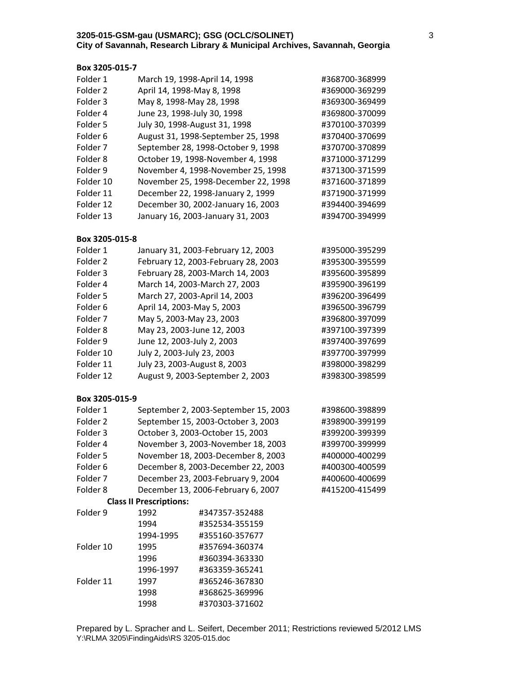## **Box 3205‐015‐7**

| Folder 1            | March 19, 1998-April 14, 1998       | #368700-368999 |
|---------------------|-------------------------------------|----------------|
| Folder <sub>2</sub> | April 14, 1998-May 8, 1998          | #369000-369299 |
| Folder 3            | May 8, 1998-May 28, 1998            | #369300-369499 |
| Folder 4            | June 23, 1998-July 30, 1998         | #369800-370099 |
| Folder 5            | July 30, 1998-August 31, 1998       | #370100-370399 |
| Folder 6            | August 31, 1998-September 25, 1998  | #370400-370699 |
| Folder <sub>7</sub> | September 28, 1998-October 9, 1998  | #370700-370899 |
| Folder 8            | October 19, 1998-November 4, 1998   | #371000-371299 |
| Folder 9            | November 4, 1998-November 25, 1998  | #371300-371599 |
| Folder 10           | November 25, 1998-December 22, 1998 | #371600-371899 |
| Folder 11           | December 22, 1998-January 2, 1999   | #371900-371999 |
| Folder 12           | December 30, 2002-January 16, 2003  | #394400-394699 |
| Folder 13           | January 16, 2003-January 31, 2003   | #394700-394999 |
|                     |                                     |                |

## **Box 3205‐015‐8**

| Folder 1  | January 31, 2003-February 12, 2003  | #395000-395299 |
|-----------|-------------------------------------|----------------|
| Folder 2  | February 12, 2003-February 28, 2003 | #395300-395599 |
| Folder 3  | February 28, 2003-March 14, 2003    | #395600-395899 |
| Folder 4  | March 14, 2003-March 27, 2003       | #395900-396199 |
| Folder 5  | March 27, 2003-April 14, 2003       | #396200-396499 |
| Folder 6  | April 14, 2003-May 5, 2003          | #396500-396799 |
| Folder 7  | May 5, 2003-May 23, 2003            | #396800-397099 |
| Folder 8  | May 23, 2003-June 12, 2003          | #397100-397399 |
| Folder 9  | June 12, 2003-July 2, 2003          | #397400-397699 |
| Folder 10 | July 2, 2003-July 23, 2003          | #397700-397999 |
| Folder 11 | July 23, 2003-August 8, 2003        | #398000-398299 |
| Folder 12 | August 9, 2003-September 2, 2003    | #398300-398599 |

| Folder 1            |                                | September 2, 2003-September 15, 2003 | #398600-398899 |
|---------------------|--------------------------------|--------------------------------------|----------------|
| Folder 2            |                                | September 15, 2003-October 3, 2003   | #398900-399199 |
| Folder 3            |                                | October 3, 2003-October 15, 2003     | #399200-399399 |
| Folder 4            |                                | November 3, 2003-November 18, 2003   | #399700-399999 |
| Folder 5            |                                | November 18, 2003-December 8, 2003   | #400000-400299 |
| Folder 6            |                                | December 8, 2003-December 22, 2003   | #400300-400599 |
| Folder <sub>7</sub> |                                | December 23, 2003-February 9, 2004   | #400600-400699 |
| Folder 8            |                                | December 13, 2006-February 6, 2007   | #415200-415499 |
|                     | <b>Class II Prescriptions:</b> |                                      |                |
| Folder 9            | 1992                           | #347357-352488                       |                |
|                     | 1994                           | #352534-355159                       |                |

| Folder 9  | 1992      | #347357-352488 |
|-----------|-----------|----------------|
|           | 1994      | #352534-355159 |
|           | 1994-1995 | #355160-357677 |
| Folder 10 | 1995      | #357694-360374 |
|           | 1996      | #360394-363330 |
|           | 1996-1997 | #363359-365241 |
| Folder 11 | 1997      | #365246-367830 |
|           | 1998      | #368625-369996 |
|           | 1998      | #370303-371602 |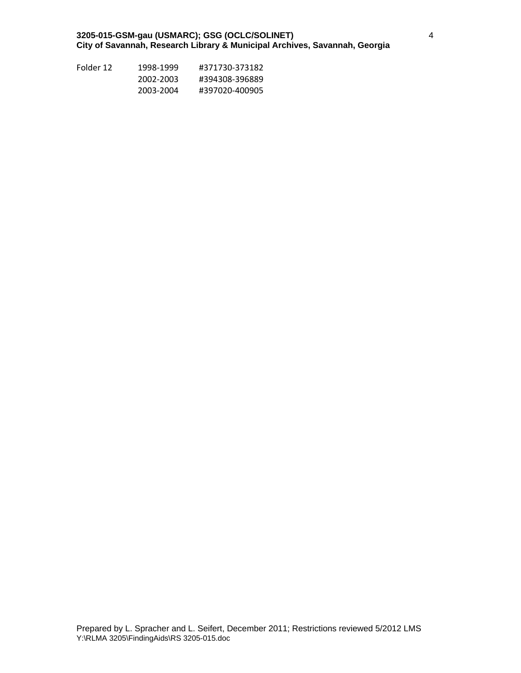| Folder 12 | 1998-1999 | #371730-373182 |
|-----------|-----------|----------------|
|           | 2002-2003 | #394308-396889 |
|           | 2003-2004 | #397020-400905 |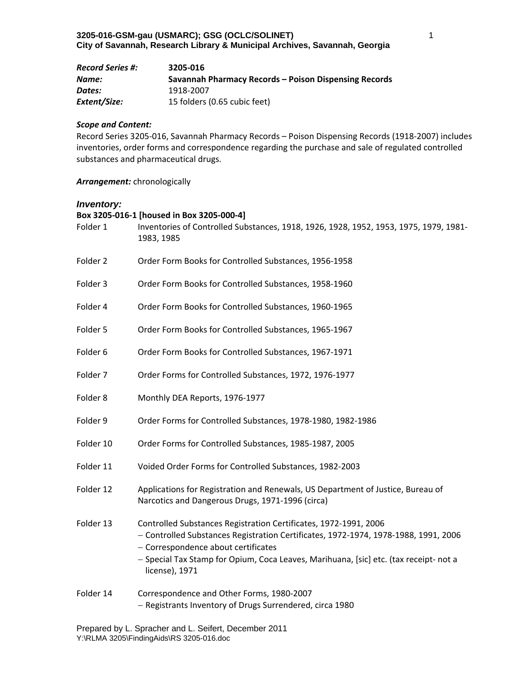| <b>Record Series #:</b> | 3205-016                                              |
|-------------------------|-------------------------------------------------------|
| Name:                   | Savannah Pharmacy Records – Poison Dispensing Records |
| Dates:                  | 1918-2007                                             |
| Extent/Size:            | 15 folders (0.65 cubic feet)                          |

#### *Scope and Content:*

Record Series 3205‐016, Savannah Pharmacy Records – Poison Dispensing Records (1918‐2007) includes inventories, order forms and correspondence regarding the purchase and sale of regulated controlled substances and pharmaceutical drugs.

## *Arrangement:* chronologically

## *Inventory:*

| Folder 1            | Box 3205-016-1 [housed in Box 3205-000-4]<br>Inventories of Controlled Substances, 1918, 1926, 1928, 1952, 1953, 1975, 1979, 1981-<br>1983, 1985                                                                                                                                                          |
|---------------------|-----------------------------------------------------------------------------------------------------------------------------------------------------------------------------------------------------------------------------------------------------------------------------------------------------------|
| Folder 2            | Order Form Books for Controlled Substances, 1956-1958                                                                                                                                                                                                                                                     |
| Folder 3            | Order Form Books for Controlled Substances, 1958-1960                                                                                                                                                                                                                                                     |
| Folder 4            | Order Form Books for Controlled Substances, 1960-1965                                                                                                                                                                                                                                                     |
| Folder 5            | Order Form Books for Controlled Substances, 1965-1967                                                                                                                                                                                                                                                     |
| Folder 6            | Order Form Books for Controlled Substances, 1967-1971                                                                                                                                                                                                                                                     |
| Folder 7            | Order Forms for Controlled Substances, 1972, 1976-1977                                                                                                                                                                                                                                                    |
| Folder <sub>8</sub> | Monthly DEA Reports, 1976-1977                                                                                                                                                                                                                                                                            |
| Folder 9            | Order Forms for Controlled Substances, 1978-1980, 1982-1986                                                                                                                                                                                                                                               |
| Folder 10           | Order Forms for Controlled Substances, 1985-1987, 2005                                                                                                                                                                                                                                                    |
| Folder 11           | Voided Order Forms for Controlled Substances, 1982-2003                                                                                                                                                                                                                                                   |
| Folder 12           | Applications for Registration and Renewals, US Department of Justice, Bureau of<br>Narcotics and Dangerous Drugs, 1971-1996 (circa)                                                                                                                                                                       |
| Folder 13           | Controlled Substances Registration Certificates, 1972-1991, 2006<br>- Controlled Substances Registration Certificates, 1972-1974, 1978-1988, 1991, 2006<br>- Correspondence about certificates<br>- Special Tax Stamp for Opium, Coca Leaves, Marihuana, [sic] etc. (tax receipt- not a<br>license), 1971 |
| Folder 14           | Correspondence and Other Forms, 1980-2007                                                                                                                                                                                                                                                                 |

- Registrants Inventory of Drugs Surrendered, circa 1980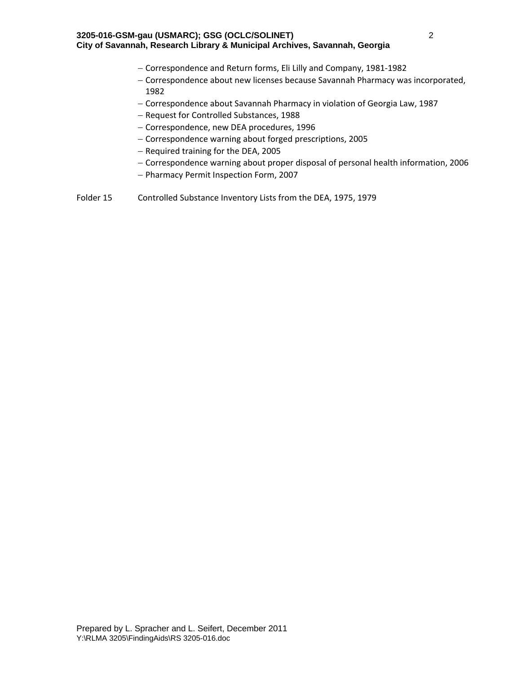- Correspondence and Return forms, Eli Lilly and Company, 1981‐1982
- Correspondence about new licenses because Savannah Pharmacy was incorporated, 1982
- Correspondence about Savannah Pharmacy in violation of Georgia Law, 1987
- Request for Controlled Substances, 1988
- Correspondence, new DEA procedures, 1996
- Correspondence warning about forged prescriptions, 2005
- $-$  Required training for the DEA, 2005
- Correspondence warning about proper disposal of personal health information, 2006
- Pharmacy Permit Inspection Form, 2007
- Folder 15 Controlled Substance Inventory Lists from the DEA, 1975, 1979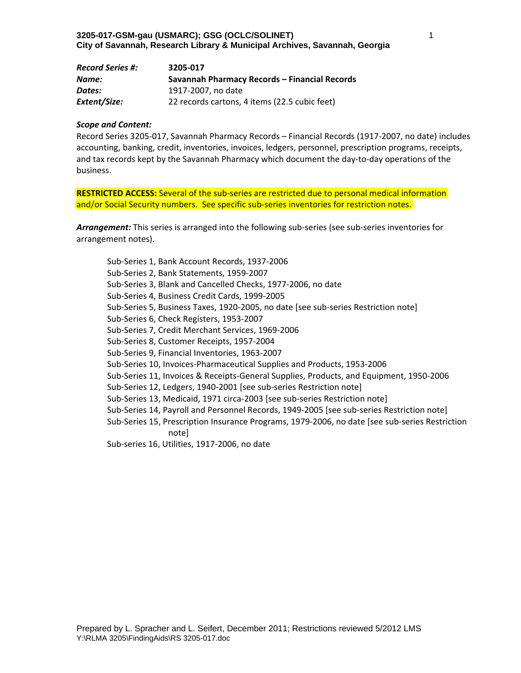| <b>Record Series #:</b> | 3205-017                                      |
|-------------------------|-----------------------------------------------|
| Name:                   | Savannah Pharmacy Records - Financial Records |
| Dates:                  | 1917-2007, no date                            |
| Extent/Size:            | 22 records cartons, 4 items (22.5 cubic feet) |

#### *Scope and Content:*

Record Series 3205‐017, Savannah Pharmacy Records – Financial Records (1917‐2007, no date) includes accounting, banking, credit, inventories, invoices, ledgers, personnel, prescription programs, receipts, and tax records kept by the Savannah Pharmacy which document the day‐to‐day operations of the business.

**RESTRICTED ACCESS:** Several of the sub-series are restricted due to personal medical information and/or Social Security numbers. See specific sub-series inventories for restriction notes.

*Arrangement:* This series is arranged into the following sub‐series (see sub‐series inventories for arrangement notes).

Sub‐Series 1, Bank Account Records, 1937‐2006 Sub‐Series 2, Bank Statements, 1959‐2007 Sub‐Series 3, Blank and Cancelled Checks, 1977‐2006, no date Sub‐Series 4, Business Credit Cards, 1999‐2005 Sub-Series 5, Business Taxes, 1920-2005, no date [see sub-series Restriction note] Sub‐Series 6, Check Registers, 1953‐2007 Sub‐Series 7, Credit Merchant Services, 1969‐2006 Sub‐Series 8, Customer Receipts, 1957‐2004 Sub‐Series 9, Financial Inventories, 1963‐2007 Sub‐Series 10, Invoices‐Pharmaceutical Supplies and Products, 1953‐2006 Sub‐Series 11, Invoices & Receipts‐General Supplies, Products, and Equipment, 1950‐2006 Sub-Series 12, Ledgers, 1940-2001 [see sub-series Restriction note] Sub-Series 13, Medicaid, 1971 circa-2003 [see sub-series Restriction note] Sub‐Series 14, Payroll and Personnel Records, 1949‐2005 [see sub‐series Restriction note] Sub‐Series 15, Prescription Insurance Programs, 1979‐2006, no date [see sub‐series Restriction note] Sub‐series 16, Utilities, 1917‐2006, no date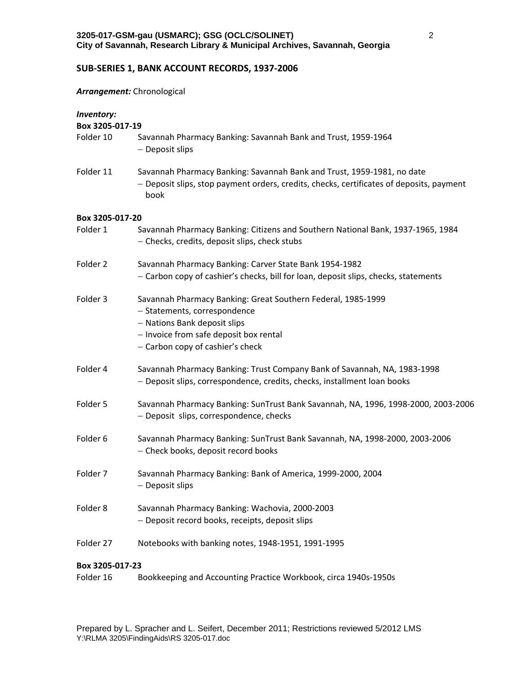# **SUB‐SERIES 1, BANK ACCOUNT RECORDS, 1937‐2006**

#### *Arrangement:* Chronological

| Inventory:<br>Box 3205-017-19 |                                                                                                                                                                                                            |
|-------------------------------|------------------------------------------------------------------------------------------------------------------------------------------------------------------------------------------------------------|
| Folder 10                     | Savannah Pharmacy Banking: Savannah Bank and Trust, 1959-1964<br>- Deposit slips                                                                                                                           |
| Folder 11                     | Savannah Pharmacy Banking: Savannah Bank and Trust, 1959-1981, no date<br>- Deposit slips, stop payment orders, credits, checks, certificates of deposits, payment<br>book                                 |
| Box 3205-017-20               |                                                                                                                                                                                                            |
| Folder 1                      | Savannah Pharmacy Banking: Citizens and Southern National Bank, 1937-1965, 1984<br>- Checks, credits, deposit slips, check stubs                                                                           |
| Folder 2                      | Savannah Pharmacy Banking: Carver State Bank 1954-1982<br>- Carbon copy of cashier's checks, bill for loan, deposit slips, checks, statements                                                              |
| Folder 3                      | Savannah Pharmacy Banking: Great Southern Federal, 1985-1999<br>- Statements, correspondence<br>- Nations Bank deposit slips<br>- Invoice from safe deposit box rental<br>- Carbon copy of cashier's check |
| Folder 4                      | Savannah Pharmacy Banking: Trust Company Bank of Savannah, NA, 1983-1998<br>- Deposit slips, correspondence, credits, checks, installment loan books                                                       |
| Folder 5                      | Savannah Pharmacy Banking: SunTrust Bank Savannah, NA, 1996, 1998-2000, 2003-2006<br>- Deposit slips, correspondence, checks                                                                               |
| Folder <sub>6</sub>           | Savannah Pharmacy Banking: SunTrust Bank Savannah, NA, 1998-2000, 2003-2006<br>- Check books, deposit record books                                                                                         |
| Folder 7                      | Savannah Pharmacy Banking: Bank of America, 1999-2000, 2004<br>- Deposit slips                                                                                                                             |
| Folder 8                      | Savannah Pharmacy Banking: Wachovia, 2000-2003<br>- Deposit record books, receipts, deposit slips                                                                                                          |
| Folder 27                     | Notebooks with banking notes, 1948-1951, 1991-1995                                                                                                                                                         |
| Box 3205-017-23               |                                                                                                                                                                                                            |
| Folder 16                     | Bookkeeping and Accounting Practice Workbook, circa 1940s-1950s                                                                                                                                            |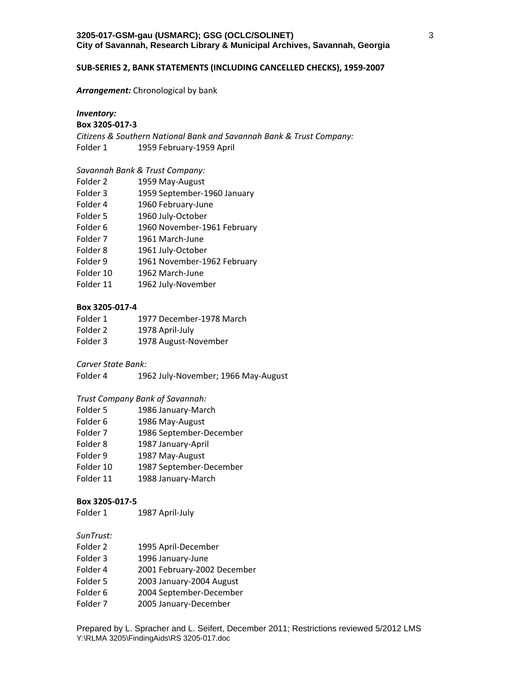#### **SUB‐SERIES 2, BANK STATEMENTS (INCLUDING CANCELLED CHECKS), 1959‐2007**

#### *Arrangement:* Chronological by bank

# *Inventory:*

# **Box 3205‐017‐3**

*Citizens & Southern National Bank and Savannah Bank & Trust Company:* Folder 1 1959 February-1959 April

## *Savannah Bank & Trust Company:*

| Folder 2            | 1959 May-August             |
|---------------------|-----------------------------|
| Folder 3            | 1959 September-1960 January |
| Folder 4            | 1960 February-June          |
| Folder 5            | 1960 July-October           |
| Folder 6            | 1960 November-1961 February |
| Folder <sub>7</sub> | 1961 March-June             |
| Folder 8            | 1961 July-October           |
| Folder 9            | 1961 November-1962 February |
| Folder 10           | 1962 March-June             |
| Folder 11           | 1962 July-November          |
|                     |                             |

## **Box 3205‐017‐4**

| Folder 1 | 1977 December-1978 March |
|----------|--------------------------|
| Folder 2 | 1978 April-July          |
| Folder 3 | 1978 August-November     |

## *Carver State Bank:*

Folder 4 1962 July-November; 1966 May-August

## *Trust Company Bank of Savannah:*

- Folder 5 1986 January-March
- Folder 6 1986 May-August
- Folder 7 1986 September‐December
- Folder 8 1987 January-April
- Folder 9 1987 May-August
- Folder 10 1987 September-December
- Folder 11 1988 January-March

#### **Box 3205‐017‐5**

Folder 1 1987 April-July

## *SunTrust:*

- Folder 2 1995 April-December
- Folder 3 1996 January-June
- Folder 4 2001 February‐2002 December
- Folder 5 2003 January‐2004 August
- Folder 6 2004 September-December
- Folder 7 2005 January-December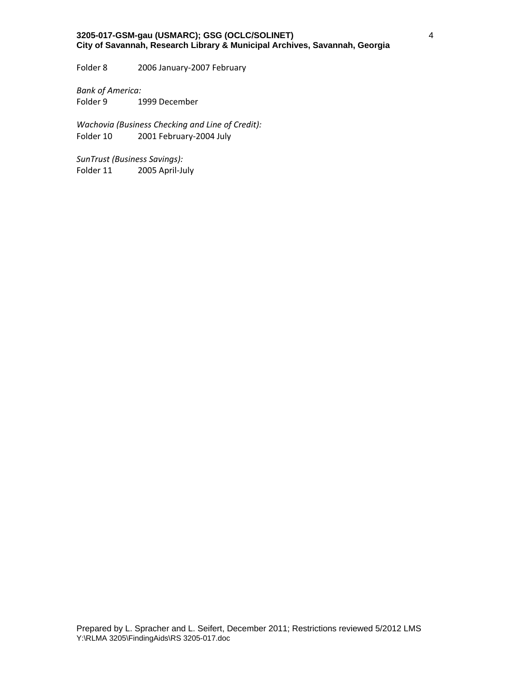Folder 8 2006 January-2007 February

*Bank of America:* Folder 9 1999 December

*Wachovia (Business Checking and Line of Credit):* 2001 February-2004 July

*SunTrust (Business Savings):* Folder 11 2005 April-July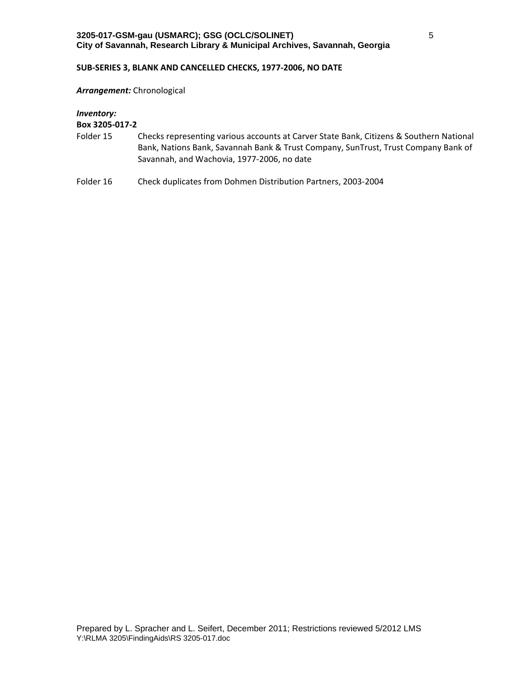### **SUB‐SERIES 3, BLANK AND CANCELLED CHECKS, 1977‐2006, NO DATE**

*Arrangement:* Chronological

*Inventory:*

- Folder 15 Checks representing various accounts at Carver State Bank, Citizens & Southern National Bank, Nations Bank, Savannah Bank & Trust Company, SunTrust, Trust Company Bank of Savannah, and Wachovia, 1977‐2006, no date
- Folder 16 Check duplicates from Dohmen Distribution Partners, 2003-2004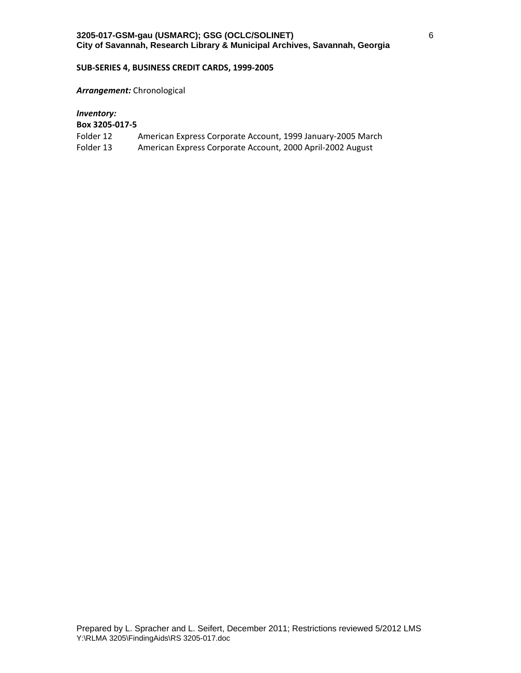## **SUB‐SERIES 4, BUSINESS CREDIT CARDS, 1999‐2005**

#### *Arrangement:* Chronological

# *Inventory:*

- Folder 12 American Express Corporate Account, 1999 January-2005 March
- Folder 13 American Express Corporate Account, 2000 April-2002 August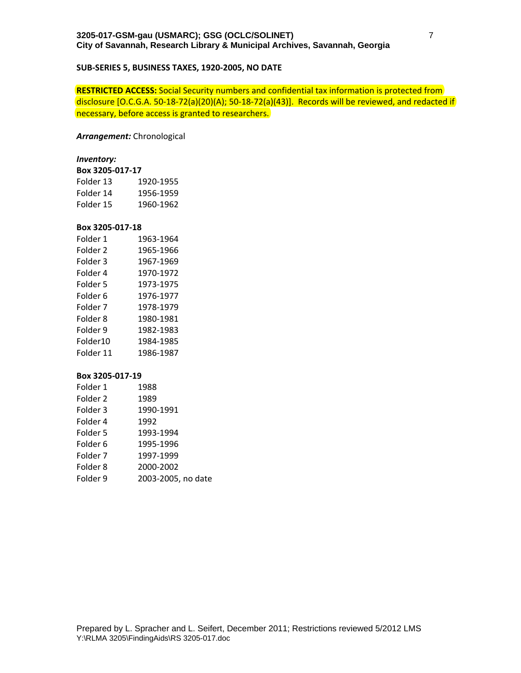## **SUB‐SERIES 5, BUSINESS TAXES, 1920‐2005, NO DATE**

**RESTRICTED ACCESS:** Social Security numbers and confidential tax information is protected from disclosure [O.C.G.A. 50‐18‐72(a)(20)(A); 50‐18‐72(a)(43)]. Records will be reviewed, and redacted if necessary, before access is granted to researchers.

#### *Arrangement:* Chronological

#### *Inventory:*

| Box 3205-017-17 |           |  |
|-----------------|-----------|--|
| Folder 13       | 1920-1955 |  |
| Folder 14       | 1956-1959 |  |
| Folder 15       | 1960-1962 |  |

#### **Box 3205‐017‐18**

| Folder 1  | 1963-1964 |
|-----------|-----------|
| Folder 2  | 1965-1966 |
| Folder 3  | 1967-1969 |
| Folder 4  | 1970-1972 |
| Folder 5  | 1973-1975 |
| Folder 6  | 1976-1977 |
| Folder 7  | 1978-1979 |
| Folder 8  | 1980-1981 |
| Folder 9  | 1982-1983 |
| Folder10  | 1984-1985 |
| Folder 11 | 1986-1987 |

| Folder 1            | 1988               |
|---------------------|--------------------|
| Folder 2            | 1989               |
| Folder 3            | 1990-1991          |
| Folder 4            | 1992               |
| Folder 5            | 1993-1994          |
| Folder 6            | 1995-1996          |
| Folder <sub>7</sub> | 1997-1999          |
| Folder 8            | 2000-2002          |
| Folder 9            | 2003-2005, no date |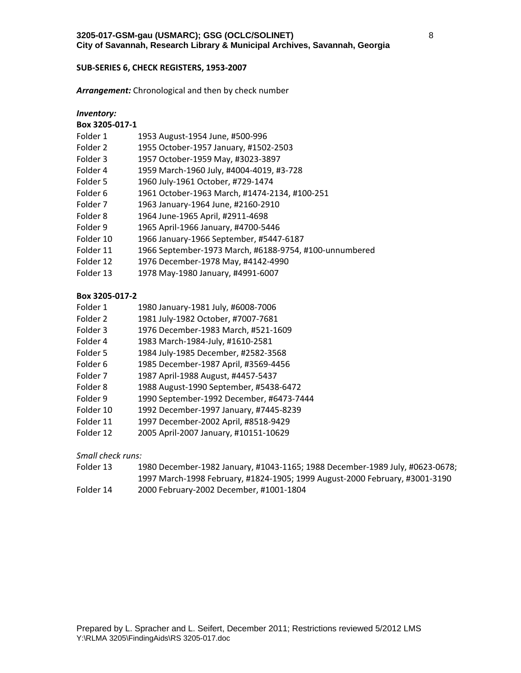#### **SUB‐SERIES 6, CHECK REGISTERS, 1953‐2007**

*Arrangement:* Chronological and then by check number

| <i>Inventory:</i>   |                                                        |
|---------------------|--------------------------------------------------------|
| Box 3205-017-1      |                                                        |
| Folder 1            | 1953 August-1954 June, #500-996                        |
| Folder 2            | 1955 October-1957 January, #1502-2503                  |
| Folder 3            | 1957 October-1959 May, #3023-3897                      |
| Folder 4            | 1959 March-1960 July, #4004-4019, #3-728               |
| Folder 5            | 1960 July-1961 October, #729-1474                      |
| Folder 6            | 1961 October-1963 March, #1474-2134, #100-251          |
| Folder <sub>7</sub> | 1963 January-1964 June, #2160-2910                     |
| Folder 8            | 1964 June-1965 April, #2911-4698                       |
| Folder 9            | 1965 April-1966 January, #4700-5446                    |
| Folder 10           | 1966 January-1966 September, #5447-6187                |
| Folder 11           | 1966 September-1973 March, #6188-9754, #100-unnumbered |
| Folder 12           | 1976 December-1978 May, #4142-4990                     |
| Folder 13           | 1978 May-1980 January, #4991-6007                      |

## **Box 3205‐017‐2**

| Folder 1 | 1980 January-1981 July, #6008-7006 |
|----------|------------------------------------|
|----------|------------------------------------|

- Folder 2 1981 July‐1982 October, #7007‐7681
- Folder 3 1976 December‐1983 March, #521‐1609
- Folder 4 1983 March‐1984‐July, #1610‐2581
- Folder 5 1984 July‐1985 December, #2582‐3568
- Folder 6 1985 December-1987 April, #3569-4456<br>Folder 7 1987 April-1988 August, #4457-5437
- 1987 April-1988 August, #4457-5437
- Folder 8 1988 August‐1990 September, #5438‐6472
- Folder 9 1990 September‐1992 December, #6473‐7444
- Folder 10 1992 December‐1997 January, #7445‐8239
- Folder 11 1997 December‐2002 April, #8518‐9429
- Folder 12 2005 April‐2007 January, #10151‐10629

*Small check runs:*

| Folder 13 | 1980 December-1982 January, #1043-1165; 1988 December-1989 July, #0623-0678; |
|-----------|------------------------------------------------------------------------------|
|           | 1997 March-1998 February, #1824-1905; 1999 August-2000 February, #3001-3190  |
| Folder 14 | 2000 February-2002 December, #1001-1804                                      |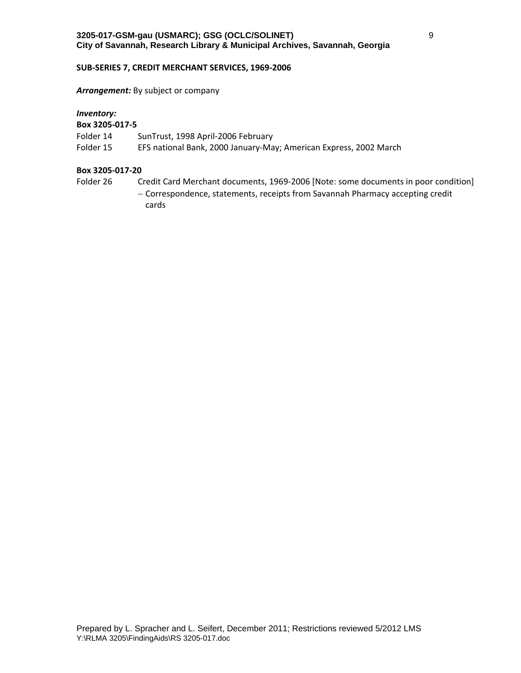#### **SUB‐SERIES 7, CREDIT MERCHANT SERVICES, 1969‐2006**

## *Arrangement:* By subject or company

## *Inventory:*

# **Box 3205‐017‐5**

- Folder 14 SunTrust, 1998 April-2006 February
- Folder 15 EFS national Bank, 2000 January-May; American Express, 2002 March

#### **Box 3205‐017‐20**

Folder 26 Credit Card Merchant documents, 1969-2006 [Note: some documents in poor condition] - Correspondence, statements, receipts from Savannah Pharmacy accepting credit cards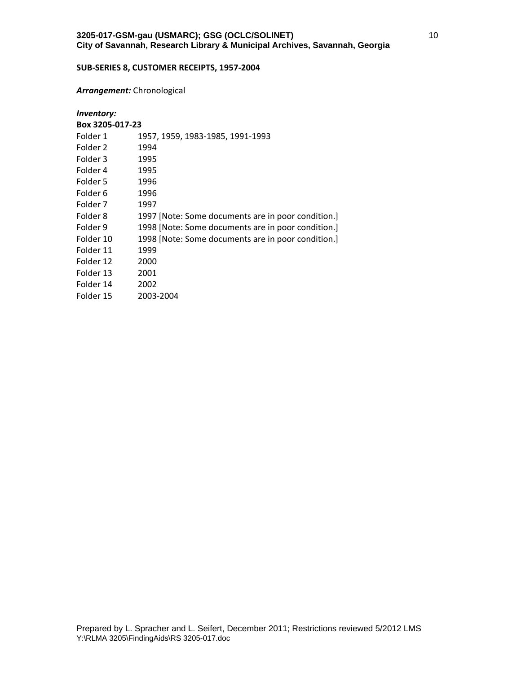## **SUB‐SERIES 8, CUSTOMER RECEIPTS, 1957‐2004**

#### *Arrangement:* Chronological

# *Inventory:*

| Box 3205-017-23 |                                                    |
|-----------------|----------------------------------------------------|
| Folder 1        | 1957, 1959, 1983-1985, 1991-1993                   |
| Folder 2        | 1994                                               |
| Folder 3        | 1995                                               |
| Folder 4        | 1995                                               |
| Folder 5        | 1996                                               |
| Folder 6        | 1996                                               |
| Folder 7        | 1997                                               |
| Folder 8        | 1997 [Note: Some documents are in poor condition.] |
| Folder 9        | 1998 [Note: Some documents are in poor condition.] |
| Folder 10       | 1998 [Note: Some documents are in poor condition.] |
| Folder 11       | 1999                                               |
| Folder 12       | 2000                                               |
| Folder 13       | 2001                                               |
| Folder 14       | 2002                                               |
| Folder 15       | 2003-2004                                          |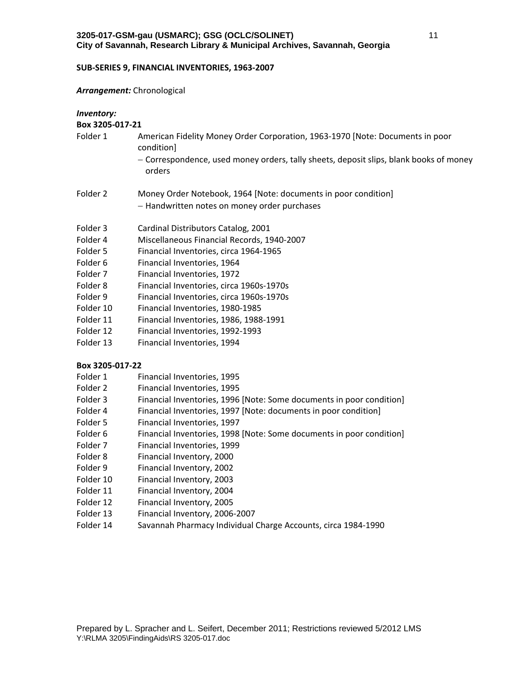#### **SUB‐SERIES 9, FINANCIAL INVENTORIES, 1963‐2007**

#### *Arrangement:* Chronological

| Inventory: |  |
|------------|--|
|------------|--|

## **Box 3205‐017‐21**

- Folder 1 American Fidelity Money Order Corporation, 1963-1970 [Note: Documents in poor condition]
	- Correspondence, used money orders, tally sheets, deposit slips, blank books of money orders
- Folder 2 Money Order Notebook, 1964 [Note: documents in poor condition] - Handwritten notes on money order purchases
- Folder 3 Cardinal Distributors Catalog, 2001
- Folder 4 Miscellaneous Financial Records, 1940‐2007
- Folder 5 Financial Inventories, circa 1964‐1965
- Folder 6 Financial Inventories, 1964
- Folder 7 Financial Inventories, 1972
- Folder 8 Financial Inventories, circa 1960s‐1970s
- Folder 9 Financial Inventories, circa 1960s-1970s
- Folder 10 Financial Inventories, 1980-1985
- Folder 11 Financial Inventories, 1986, 1988‐1991
- Folder 12 Financial Inventories, 1992‐1993
- Folder 13 Financial Inventories, 1994

- Folder 1 Financial Inventories, 1995
- Folder 2 Financial Inventories, 1995
- Folder 3 Financial Inventories, 1996 [Note: Some documents in poor condition]
- Folder 4 Financial Inventories, 1997 [Note: documents in poor condition]
- Folder 5 Financial Inventories, 1997
- Folder 6 Financial Inventories, 1998 [Note: Some documents in poor condition]
- Folder 7 Financial Inventories, 1999
- Folder 8 Financial Inventory, 2000
- Folder 9 Financial Inventory, 2002
- Folder 10 Financial Inventory, 2003
- Folder 11 Financial Inventory, 2004
- Folder 12 Financial Inventory, 2005
- Folder 13 Financial Inventory, 2006‐2007
- Folder 14 Savannah Pharmacy Individual Charge Accounts, circa 1984‐1990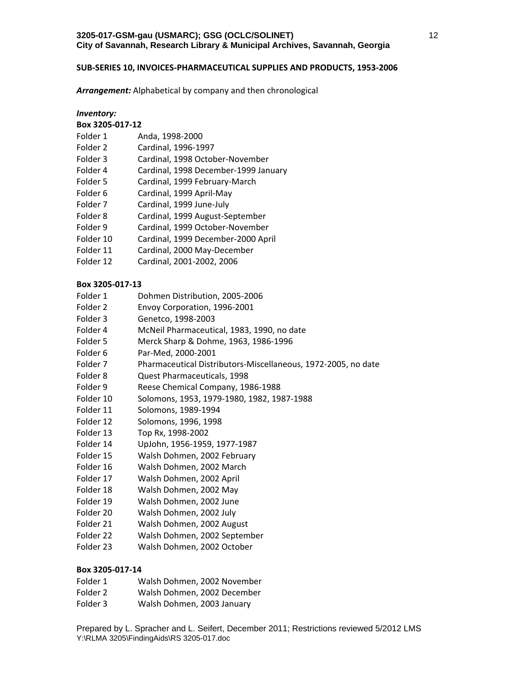#### **SUB‐SERIES 10, INVOICES‐PHARMACEUTICAL SUPPLIES AND PRODUCTS, 1953‐2006**

*Arrangement:* Alphabetical by company and then chronological

| <i>Inventory:</i> |                                      |  |
|-------------------|--------------------------------------|--|
| Box 3205-017-12   |                                      |  |
| Folder 1          | Anda, 1998-2000                      |  |
| Folder 2          | Cardinal, 1996-1997                  |  |
| Folder 3          | Cardinal, 1998 October-November      |  |
| Folder 4          | Cardinal, 1998 December-1999 January |  |
| Folder 5          | Cardinal, 1999 February-March        |  |
| Folder 6          | Cardinal, 1999 April-May             |  |
| Folder 7          | Cardinal, 1999 June-July             |  |
| Folder 8          | Cardinal, 1999 August-September      |  |
| Folder 9          | Cardinal, 1999 October-November      |  |
| Folder 10         | Cardinal, 1999 December-2000 April   |  |
| Folder 11         | Cardinal, 2000 May-December          |  |
| Folder 12         | Cardinal, 2001-2002, 2006            |  |

#### **Box 3205‐017‐13**

- Folder 1 Dohmen Distribution, 2005-2006
- Folder 2 Envoy Corporation, 1996-2001
- Folder 3 Genetco, 1998‐2003
- Folder 4 McNeil Pharmaceutical, 1983, 1990, no date
- Folder 5 Merck Sharp & Dohme, 1963, 1986‐1996
- Folder 6 Par‐Med, 2000‐2001
- Folder 7 Pharmaceutical Distributors-Miscellaneous, 1972-2005, no date
- Folder 8 Quest Pharmaceuticals, 1998
- Folder 9 Reese Chemical Company, 1986-1988
- Folder 10 Solomons, 1953, 1979‐1980, 1982, 1987‐1988
- Folder 11 Solomons, 1989‐1994
- Folder 12 Solomons, 1996, 1998
- Folder 13 Top Rx, 1998‐2002
- Folder 14 UpJohn, 1956‐1959, 1977‐1987
- Folder 15 Walsh Dohmen, 2002 February
- Folder 16 Walsh Dohmen, 2002 March
- Folder 17 Walsh Dohmen, 2002 April
- Folder 18 Walsh Dohmen, 2002 May
- Folder 19 Walsh Dohmen, 2002 June
- Folder 20 Walsh Dohmen, 2002 July
- Folder 21 Walsh Dohmen, 2002 August
- Folder 22 Walsh Dohmen, 2002 September
- Folder 23 Walsh Dohmen, 2002 October

- Folder 1 Walsh Dohmen, 2002 November
- Folder 2 Walsh Dohmen, 2002 December
- Folder 3 Walsh Dohmen, 2003 January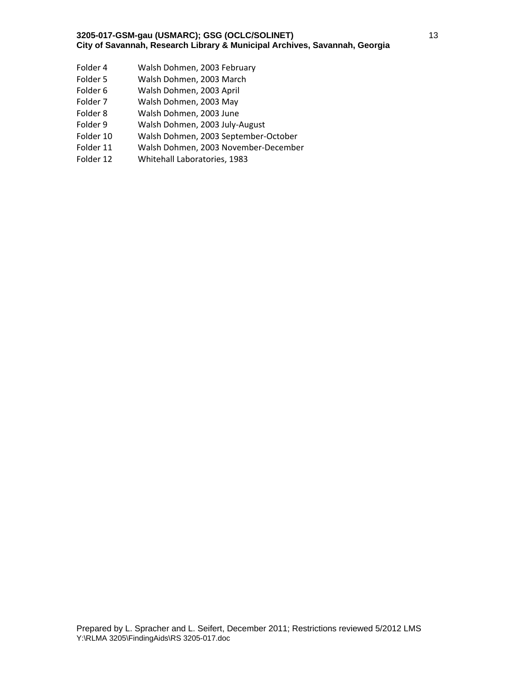- Folder 4 Walsh Dohmen, 2003 February
- Folder 5 Walsh Dohmen, 2003 March
- Folder 6 Walsh Dohmen, 2003 April
- Folder 7 Walsh Dohmen, 2003 May
- Folder 8 Walsh Dohmen, 2003 June
- Folder 9 Walsh Dohmen, 2003 July-August
- Folder 10 Walsh Dohmen, 2003 September‐October
- Folder 11 Walsh Dohmen, 2003 November‐December
- Folder 12 Whitehall Laboratories, 1983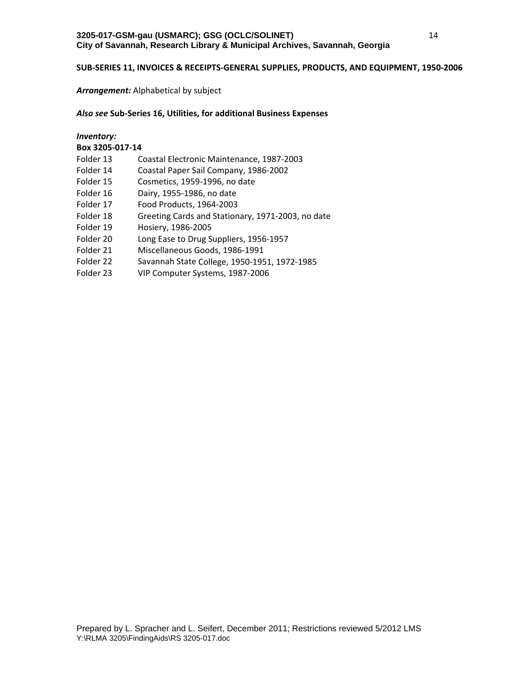## **SUB‐SERIES 11, INVOICES & RECEIPTS‐GENERAL SUPPLIES, PRODUCTS, AND EQUIPMENT, 1950‐2006**

## *Arrangement:* Alphabetical by subject

## *Also see* **Sub‐Series 16, Utilities, for additional Business Expenses**

# *Inventory:* **Box 3205‐017‐14** Folder 13 Coastal Electronic Maintenance, 1987‐2003 Folder 14 Coastal Paper Sail Company, 1986‐2002 Folder 15 Cosmetics, 1959-1996, no date Folder 16 Dairy, 1955‐1986, no date Folder 17 Food Products, 1964‐2003 Folder 18 Greeting Cards and Stationary, 1971-2003, no date Folder 19 Hosiery, 1986‐2005 Folder 20 Long Ease to Drug Suppliers, 1956-1957 Folder 21 Miscellaneous Goods, 1986‐1991 Folder 22 Savannah State College, 1950‐1951, 1972‐1985 Folder 23 VIP Computer Systems, 1987‐2006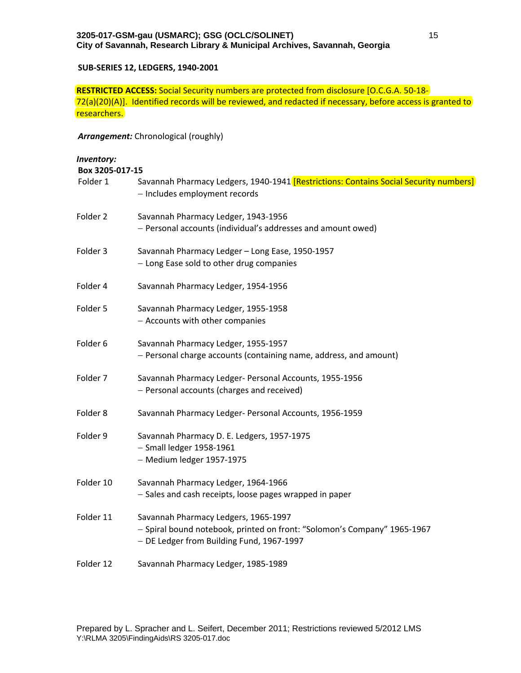## **SUB‐SERIES 12, LEDGERS, 1940‐2001**

**RESTRICTED ACCESS:** Social Security numbers are protected from disclosure [O.C.G.A. 50‐18‐ 72(a)(20)(A)]. Identified records will be reviewed, and redacted if necessary, before access is granted to researchers.

*Arrangement:* Chronological (roughly)

| Inventory:<br>Box 3205-017-15 |                                                                                                                                                               |
|-------------------------------|---------------------------------------------------------------------------------------------------------------------------------------------------------------|
| Folder 1                      | Savannah Pharmacy Ledgers, 1940-1941 [Restrictions: Contains Social Security numbers]<br>- Includes employment records                                        |
| Folder 2                      | Savannah Pharmacy Ledger, 1943-1956<br>- Personal accounts (individual's addresses and amount owed)                                                           |
| Folder 3                      | Savannah Pharmacy Ledger - Long Ease, 1950-1957<br>- Long Ease sold to other drug companies                                                                   |
| Folder 4                      | Savannah Pharmacy Ledger, 1954-1956                                                                                                                           |
| Folder 5                      | Savannah Pharmacy Ledger, 1955-1958<br>- Accounts with other companies                                                                                        |
| Folder 6                      | Savannah Pharmacy Ledger, 1955-1957<br>- Personal charge accounts (containing name, address, and amount)                                                      |
| Folder 7                      | Savannah Pharmacy Ledger- Personal Accounts, 1955-1956<br>- Personal accounts (charges and received)                                                          |
| Folder 8                      | Savannah Pharmacy Ledger- Personal Accounts, 1956-1959                                                                                                        |
| Folder 9                      | Savannah Pharmacy D. E. Ledgers, 1957-1975<br>$-$ Small ledger 1958-1961<br>- Medium ledger 1957-1975                                                         |
| Folder 10                     | Savannah Pharmacy Ledger, 1964-1966<br>- Sales and cash receipts, loose pages wrapped in paper                                                                |
| Folder 11                     | Savannah Pharmacy Ledgers, 1965-1997<br>- Spiral bound notebook, printed on front: "Solomon's Company" 1965-1967<br>- DE Ledger from Building Fund, 1967-1997 |
| Folder 12                     | Savannah Pharmacy Ledger, 1985-1989                                                                                                                           |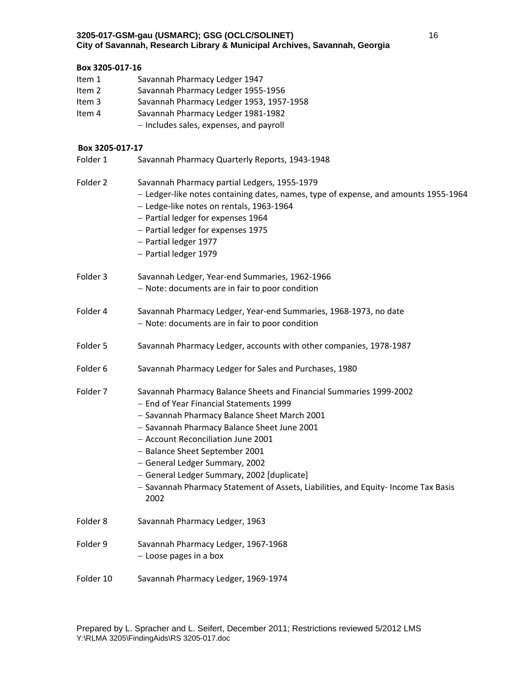## **Box 3205‐017‐16**

- Item 1 Savannah Pharmacy Ledger 1947
- Item 2 Savannah Pharmacy Ledger 1955-1956
- Item 3 Savannah Pharmacy Ledger 1953, 1957-1958
- Item 4 Savannah Pharmacy Ledger 1981-1982
	- Includes sales, expenses, and payroll

## **Box 3205‐017‐17**

Folder 1 Savannah Pharmacy Quarterly Reports, 1943-1948 Folder 2 Savannah Pharmacy partial Ledgers, 1955-1979 Ledger‐like notes containing dates, names, type of expense, and amounts 1955‐1964 Ledge‐like notes on rentals, 1963‐1964 - Partial ledger for expenses 1964 - Partial ledger for expenses 1975 - Partial ledger 1977 - Partial ledger 1979 Folder 3 Savannah Ledger, Year-end Summaries, 1962-1966 Note: documents are in fair to poor condition Folder 4 Savannah Pharmacy Ledger, Year‐end Summaries, 1968‐1973, no date Note: documents are in fair to poor condition Folder 5 Savannah Pharmacy Ledger, accounts with other companies, 1978-1987 Folder 6 Savannah Pharmacy Ledger for Sales and Purchases, 1980 Folder 7 Savannah Pharmacy Balance Sheets and Financial Summaries 1999-2002 - End of Year Financial Statements 1999 - Savannah Pharmacy Balance Sheet March 2001 - Savannah Pharmacy Balance Sheet June 2001 - Account Reconciliation June 2001 - Balance Sheet September 2001 - General Ledger Summary, 2002 General Ledger Summary, 2002 [duplicate] - Savannah Pharmacy Statement of Assets, Liabilities, and Equity- Income Tax Basis 2002 Folder 8 Savannah Pharmacy Ledger, 1963 Folder 9 Savannah Pharmacy Ledger, 1967-1968 Loose pages in a box Folder 10 Savannah Pharmacy Ledger, 1969‐1974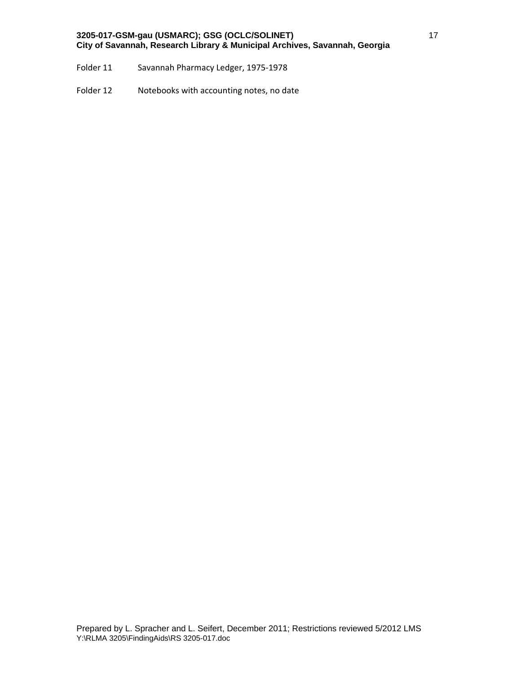- Folder 11 Savannah Pharmacy Ledger, 1975‐1978
- Folder 12 Notebooks with accounting notes, no date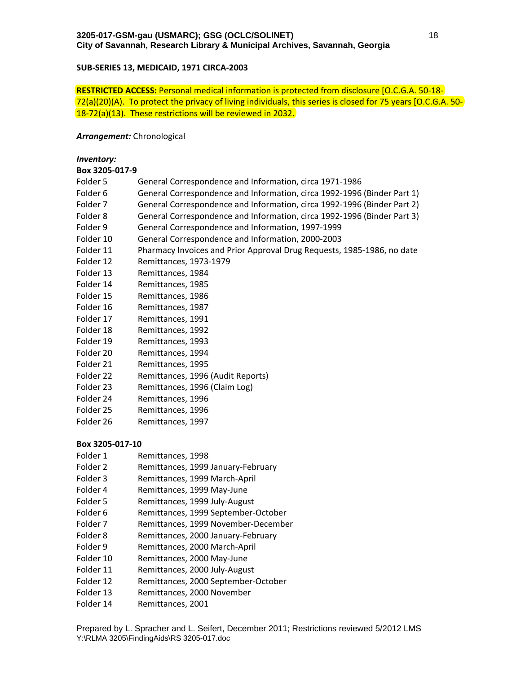## **SUB‐SERIES 13, MEDICAID, 1971 CIRCA‐2003**

**RESTRICTED ACCESS:** Personal medical information is protected from disclosure [O.C.G.A. 50‐18‐ 72(a)(20)(A). To protect the privacy of living individuals, this series is closed for 75 years [O.C.G.A. 50‐ 18‐72(a)(13). These restrictions will be reviewed in 2032.

#### *Arrangement:* Chronological

# *Inventory:* **Box 3205‐017‐9** Folder 5 General Correspondence and Information, circa 1971-1986 Folder 6 General Correspondence and Information, circa 1992‐1996 (Binder Part 1) Folder 7 General Correspondence and Information, circa 1992‐1996 (Binder Part 2) Folder 8 General Correspondence and Information, circa 1992‐1996 (Binder Part 3) Folder 9 General Correspondence and Information, 1997-1999 Folder 10 General Correspondence and Information, 2000-2003 Folder 11 Pharmacy Invoices and Prior Approval Drug Requests, 1985-1986, no date Folder 12 Remittances, 1973‐1979 Folder 13 Remittances, 1984 Folder 14 Remittances, 1985 Folder 15 Remittances, 1986 Folder 16 Remittances, 1987 Folder 17 Remittances, 1991 Folder 18 Remittances, 1992 Folder 19 Remittances, 1993 Folder 20 Remittances, 1994 Folder 21 Remittances, 1995 Folder 22 Remittances, 1996 (Audit Reports) Folder 23 Remittances, 1996 (Claim Log) Folder 24 Remittances, 1996 Folder 25 Remittances, 1996 Folder 26 Remittances, 1997 **Box 3205‐017‐10**

- Folder 1 Remittances, 1998
- Folder 2 Remittances, 1999 January-February
- Folder 3 Remittances, 1999 March‐April
- Folder 4 Remittances, 1999 May-June
- Folder 5 Remittances, 1999 July-August
- Folder 6 Remittances, 1999 September‐October
- Folder 7 Remittances, 1999 November‐December
- Folder 8 Remittances, 2000 January-February
- Folder 9 Remittances, 2000 March-April
- Folder 10 Remittances, 2000 May-June
- Folder 11 Remittances, 2000 July-August
- Folder 12 Remittances, 2000 September‐October
- Folder 13 Remittances, 2000 November
- Folder 14 Remittances, 2001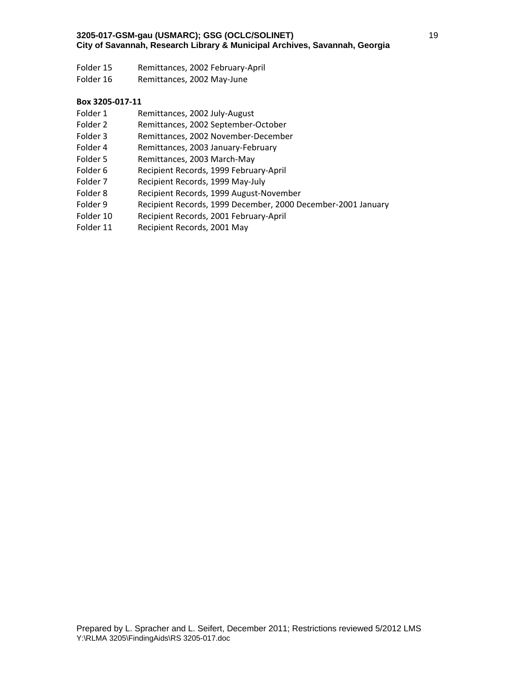- Folder 15 Remittances, 2002 February-April
- Folder 16 Remittances, 2002 May-June

- Folder 1 Remittances, 2002 July-August
- Folder 2 Remittances, 2002 September‐October
- Folder 3 Remittances, 2002 November‐December
- Folder 4 Remittances, 2003 January‐February
- Folder 5 Remittances, 2003 March-May
- Folder 6 Recipient Records, 1999 February-April
- Folder 7 Recipient Records, 1999 May-July
- Folder 8 Recipient Records, 1999 August‐November
- Folder 9 Recipient Records, 1999 December, 2000 December-2001 January
- Folder 10 Recipient Records, 2001 February‐April
- Folder 11 Recipient Records, 2001 May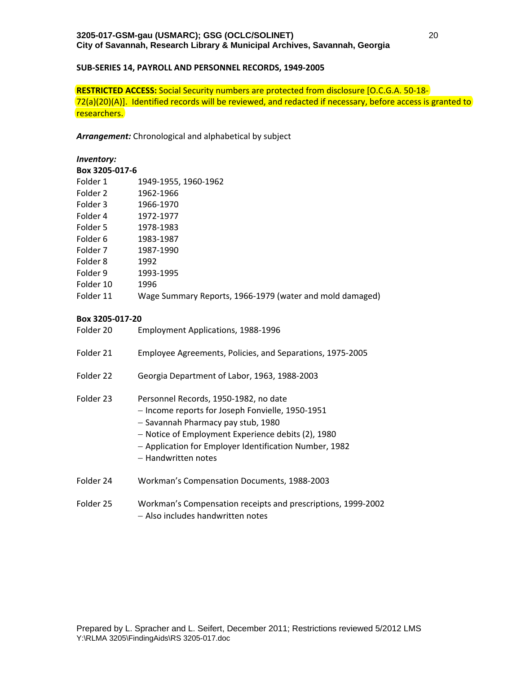## **SUB‐SERIES 14, PAYROLL AND PERSONNEL RECORDS, 1949‐2005**

**RESTRICTED ACCESS:** Social Security numbers are protected from disclosure [O.C.G.A. 50‐18‐ 72(a)(20)(A)]. Identified records will be reviewed, and redacted if necessary, before access is granted to researchers.

*Arrangement:* Chronological and alphabetical by subject

# *Inventory:*

| Box 3205-017-6 |                                                          |
|----------------|----------------------------------------------------------|
| Folder 1       | 1949-1955, 1960-1962                                     |
| Folder 2       | 1962-1966                                                |
| Folder 3       | 1966-1970                                                |
| Folder 4       | 1972-1977                                                |
| Folder 5       | 1978-1983                                                |
| Folder 6       | 1983-1987                                                |
| Folder 7       | 1987-1990                                                |
| Folder 8       | 1992                                                     |
| Folder 9       | 1993-1995                                                |
| Folder 10      | 1996                                                     |
| Folder 11      | Wage Summary Reports, 1966-1979 (water and mold damaged) |
|                |                                                          |

## **Box 3205‐017‐20**

| Folder 20 | <b>Employment Applications, 1988-1996</b>                                                                                                                                                                                                                              |
|-----------|------------------------------------------------------------------------------------------------------------------------------------------------------------------------------------------------------------------------------------------------------------------------|
| Folder 21 | Employee Agreements, Policies, and Separations, 1975-2005                                                                                                                                                                                                              |
| Folder 22 | Georgia Department of Labor, 1963, 1988-2003                                                                                                                                                                                                                           |
| Folder 23 | Personnel Records, 1950-1982, no date<br>- Income reports for Joseph Fonvielle, 1950-1951<br>- Savannah Pharmacy pay stub, 1980<br>- Notice of Employment Experience debits (2), 1980<br>- Application for Employer Identification Number, 1982<br>- Handwritten notes |
| Folder 24 | Workman's Compensation Documents, 1988-2003                                                                                                                                                                                                                            |
| Folder 25 | Workman's Compensation receipts and prescriptions, 1999-2002                                                                                                                                                                                                           |

Also includes handwritten notes

Prepared by L. Spracher and L. Seifert, December 2011; Restrictions reviewed 5/2012 LMS Y:\RLMA 3205\FindingAids\RS 3205-017.doc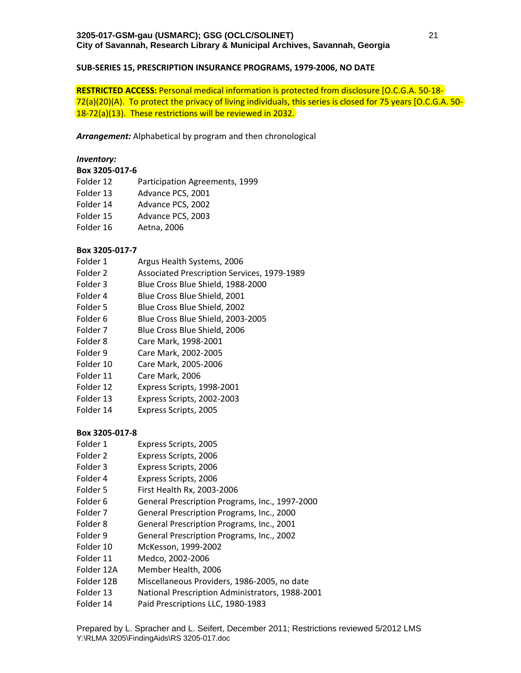## **SUB‐SERIES 15, PRESCRIPTION INSURANCE PROGRAMS, 1979‐2006, NO DATE**

**RESTRICTED ACCESS:** Personal medical information is protected from disclosure [O.C.G.A. 50‐18‐ 72(a)(20)(A). To protect the privacy of living individuals, this series is closed for 75 years [O.C.G.A. 50‐ 18‐72(a)(13). These restrictions will be reviewed in 2032.

*Arrangement:* Alphabetical by program and then chronological

## *Inventory:*

#### **Box 3205‐017‐6**

- Folder 12 Participation Agreements, 1999
- Folder 13 Advance PCS, 2001
- Folder 14 Advance PCS, 2002
- Folder 15 Advance PCS, 2003
- Folder 16 Aetna, 2006

## **Box 3205‐017‐7**

- Folder 1 Argus Health Systems, 2006
- Folder 2 Associated Prescription Services, 1979‐1989
- Folder 3 Blue Cross Blue Shield, 1988-2000
- Folder 4 Blue Cross Blue Shield, 2001
- Folder 5 Blue Cross Blue Shield, 2002
- Folder 6 Blue Cross Blue Shield, 2003-2005
- Folder 7 Blue Cross Blue Shield, 2006
- Folder 8 Care Mark, 1998‐2001
- Folder 9 Care Mark, 2002‐2005
- Folder 10 Care Mark, 2005‐2006
- Folder 11 Care Mark, 2006
- Folder 12 Express Scripts, 1998-2001
- Folder 13 Express Scripts, 2002-2003
- Folder 14 Express Scripts, 2005

- Folder 1 Express Scripts, 2005
- Folder 2 Express Scripts, 2006
- Folder 3 Express Scripts, 2006
- Folder 4 Express Scripts, 2006
- Folder 5 First Health Rx, 2003-2006
- Folder 6 General Prescription Programs, Inc., 1997-2000
- Folder 7 General Prescription Programs, Inc., 2000
- Folder 8 General Prescription Programs, Inc., 2001
- Folder 9 General Prescription Programs, Inc., 2002
- Folder 10 McKesson, 1999‐2002
- Folder 11 Medco, 2002‐2006
- Folder 12A Member Health, 2006
- Folder 12B Miscellaneous Providers, 1986‐2005, no date
- Folder 13 National Prescription Administrators, 1988‐2001
- Folder 14 Paid Prescriptions LLC, 1980-1983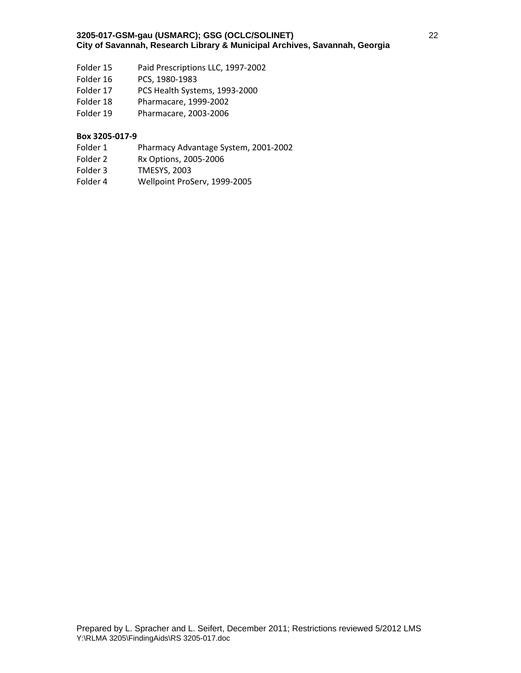- Folder 15 Paid Prescriptions LLC, 1997-2002
- Folder 16 PCS, 1980-1983
- Folder 17 PCS Health Systems, 1993-2000
- Folder 18 Pharmacare, 1999-2002
- Folder 19 Pharmacare, 2003-2006

- Folder 1 Pharmacy Advantage System, 2001-2002
- Folder 2 Rx Options, 2005-2006
- Folder 3 TMESYS, 2003
- Folder 4 Wellpoint ProServ, 1999-2005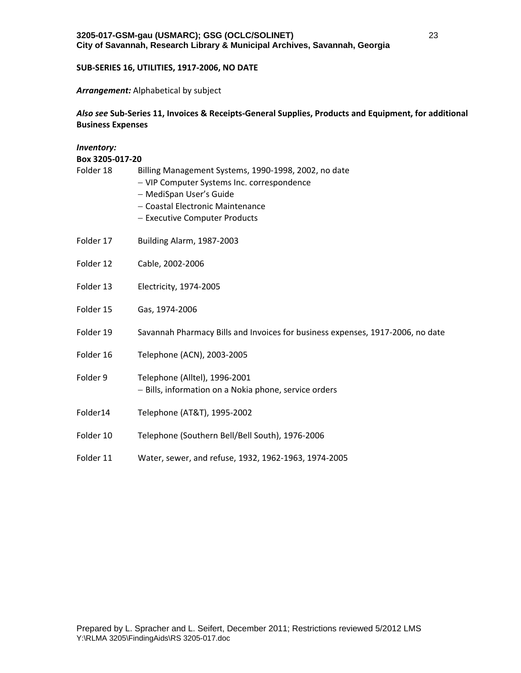## **SUB‐SERIES 16, UTILITIES, 1917‐2006, NO DATE**

#### *Arrangement:* Alphabetical by subject

# *Also see* **Sub‐Series 11, Invoices & Receipts‐General Supplies, Products and Equipment, for additional Business Expenses**

| Inventory:<br>Box 3205-017-20 |                                                                                                                                                                                                    |  |
|-------------------------------|----------------------------------------------------------------------------------------------------------------------------------------------------------------------------------------------------|--|
| Folder 18                     | Billing Management Systems, 1990-1998, 2002, no date<br>- VIP Computer Systems Inc. correspondence<br>- MediSpan User's Guide<br>- Coastal Electronic Maintenance<br>- Executive Computer Products |  |
| Folder 17                     | Building Alarm, 1987-2003                                                                                                                                                                          |  |
| Folder 12                     | Cable, 2002-2006                                                                                                                                                                                   |  |
| Folder 13                     | Electricity, 1974-2005                                                                                                                                                                             |  |
| Folder 15                     | Gas, 1974-2006                                                                                                                                                                                     |  |
| Folder 19                     | Savannah Pharmacy Bills and Invoices for business expenses, 1917-2006, no date                                                                                                                     |  |
| Folder 16                     | Telephone (ACN), 2003-2005                                                                                                                                                                         |  |
| Folder 9                      | Telephone (Alltel), 1996-2001<br>- Bills, information on a Nokia phone, service orders                                                                                                             |  |
| Folder14                      | Telephone (AT&T), 1995-2002                                                                                                                                                                        |  |
| Folder 10                     | Telephone (Southern Bell/Bell South), 1976-2006                                                                                                                                                    |  |
| Folder 11                     | Water, sewer, and refuse, 1932, 1962-1963, 1974-2005                                                                                                                                               |  |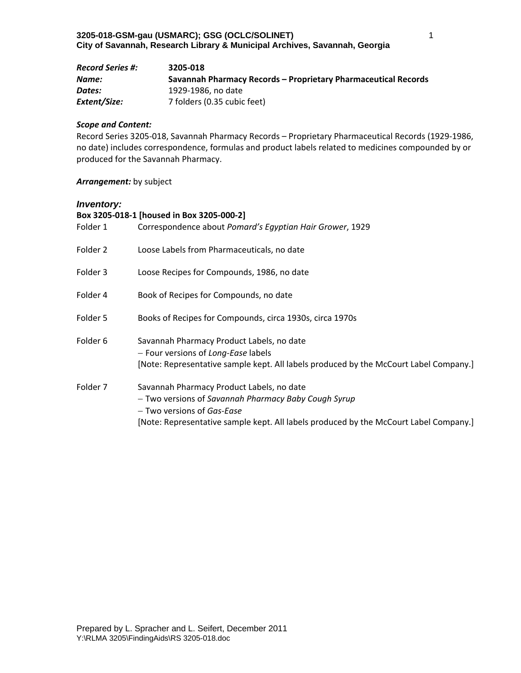| <b>Record Series #:</b> | 3205-018                                                       |
|-------------------------|----------------------------------------------------------------|
| Name:                   | Savannah Pharmacy Records – Proprietary Pharmaceutical Records |
| Dates:                  | 1929-1986. no date                                             |
| Extent/Size:            | 7 folders (0.35 cubic feet)                                    |

#### *Scope and Content:*

Record Series 3205‐018, Savannah Pharmacy Records – Proprietary Pharmaceutical Records (1929‐1986, no date) includes correspondence, formulas and product labels related to medicines compounded by or produced for the Savannah Pharmacy.

## *Arrangement:* by subject

#### *Inventory:*

| Box 3205-018-1 [housed in Box 3205-000-2] |                                                                                                                                                                                                                          |  |
|-------------------------------------------|--------------------------------------------------------------------------------------------------------------------------------------------------------------------------------------------------------------------------|--|
| Folder 1                                  | Correspondence about Pomard's Egyptian Hair Grower, 1929                                                                                                                                                                 |  |
| Folder 2                                  | Loose Labels from Pharmaceuticals, no date                                                                                                                                                                               |  |
| Folder 3                                  | Loose Recipes for Compounds, 1986, no date                                                                                                                                                                               |  |
| Folder 4                                  | Book of Recipes for Compounds, no date                                                                                                                                                                                   |  |
| Folder 5                                  | Books of Recipes for Compounds, circa 1930s, circa 1970s                                                                                                                                                                 |  |
| Folder 6                                  | Savannah Pharmacy Product Labels, no date<br>- Four versions of Long-Ease labels<br>[Note: Representative sample kept. All labels produced by the McCourt Label Company.]                                                |  |
| Folder 7                                  | Savannah Pharmacy Product Labels, no date<br>- Two versions of Savannah Pharmacy Baby Cough Syrup<br>- Two versions of Gas-Ease<br>[Note: Representative sample kept. All labels produced by the McCourt Label Company.] |  |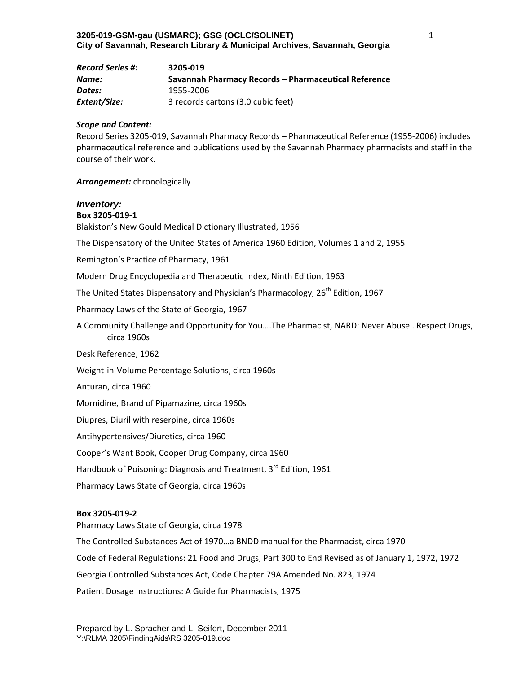| <b>Record Series #:</b> | 3205-019                                             |
|-------------------------|------------------------------------------------------|
| Name:                   | Savannah Pharmacy Records – Pharmaceutical Reference |
| Dates:                  | 1955-2006                                            |
| Extent/Size:            | 3 records cartons (3.0 cubic feet)                   |

#### *Scope and Content:*

Record Series 3205‐019, Savannah Pharmacy Records – Pharmaceutical Reference (1955‐2006) includes pharmaceutical reference and publications used by the Savannah Pharmacy pharmacists and staff in the course of their work.

#### *Arrangement:* chronologically

## *Inventory:*

**Box 3205‐019‐1** Blakiston's New Gould Medical Dictionary Illustrated, 1956

The Dispensatory of the United States of America 1960 Edition, Volumes 1 and 2, 1955

Remington's Practice of Pharmacy, 1961

Modern Drug Encyclopedia and Therapeutic Index, Ninth Edition, 1963

The United States Dispensatory and Physician's Pharmacology, 26<sup>th</sup> Edition, 1967

Pharmacy Laws of the State of Georgia, 1967

A Community Challenge and Opportunity for You….The Pharmacist, NARD: Never Abuse…Respect Drugs, circa 1960s

Desk Reference, 1962

Weight‐in‐Volume Percentage Solutions, circa 1960s

Anturan, circa 1960

Mornidine, Brand of Pipamazine, circa 1960s

Diupres, Diuril with reserpine, circa 1960s

Antihypertensives/Diuretics, circa 1960

Cooper's Want Book, Cooper Drug Company, circa 1960

Handbook of Poisoning: Diagnosis and Treatment, 3rd Edition, 1961

Pharmacy Laws State of Georgia, circa 1960s

#### **Box 3205‐019‐2**

Pharmacy Laws State of Georgia, circa 1978

The Controlled Substances Act of 1970…a BNDD manual for the Pharmacist, circa 1970 Code of Federal Regulations: 21 Food and Drugs, Part 300 to End Revised as of January 1, 1972, 1972 Georgia Controlled Substances Act, Code Chapter 79A Amended No. 823, 1974

Patient Dosage Instructions: A Guide for Pharmacists, 1975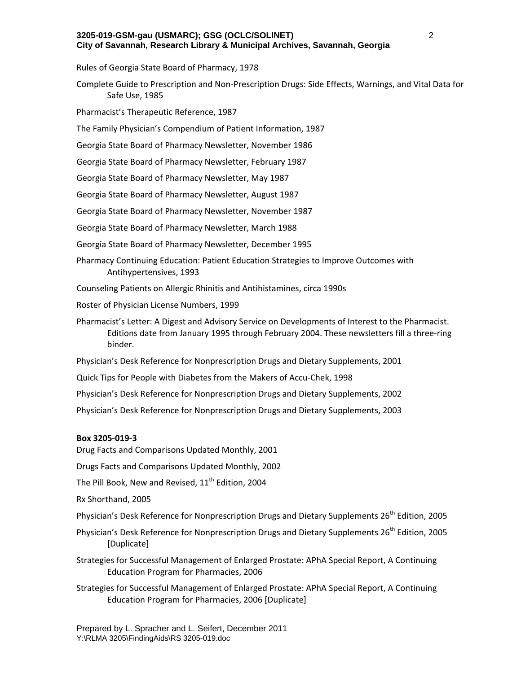Rules of Georgia State Board of Pharmacy, 1978

- Complete Guide to Prescription and Non‐Prescription Drugs: Side Effects, Warnings, and Vital Data for Safe Use, 1985
- Pharmacist's Therapeutic Reference, 1987
- The Family Physician's Compendium of Patient Information, 1987
- Georgia State Board of Pharmacy Newsletter, November 1986
- Georgia State Board of Pharmacy Newsletter, February 1987
- Georgia State Board of Pharmacy Newsletter, May 1987
- Georgia State Board of Pharmacy Newsletter, August 1987
- Georgia State Board of Pharmacy Newsletter, November 1987
- Georgia State Board of Pharmacy Newsletter, March 1988
- Georgia State Board of Pharmacy Newsletter, December 1995
- Pharmacy Continuing Education: Patient Education Strategies to Improve Outcomes with Antihypertensives, 1993
- Counseling Patients on Allergic Rhinitis and Antihistamines, circa 1990s
- Roster of Physician License Numbers, 1999
- Pharmacist's Letter: A Digest and Advisory Service on Developments of Interest to the Pharmacist. Editions date from January 1995 through February 2004. These newsletters fill a three‐ring binder.
- Physician's Desk Reference for Nonprescription Drugs and Dietary Supplements, 2001
- Quick Tips for People with Diabetes from the Makers of Accu‐Chek, 1998
- Physician's Desk Reference for Nonprescription Drugs and Dietary Supplements, 2002
- Physician's Desk Reference for Nonprescription Drugs and Dietary Supplements, 2003

#### **Box 3205‐019‐3**

Drug Facts and Comparisons Updated Monthly, 2001

Drugs Facts and Comparisons Updated Monthly, 2002

The Pill Book, New and Revised,  $11<sup>th</sup>$  Edition, 2004

Rx Shorthand, 2005

Physician's Desk Reference for Nonprescription Drugs and Dietary Supplements 26<sup>th</sup> Edition, 2005

- Physician's Desk Reference for Nonprescription Drugs and Dietary Supplements 26<sup>th</sup> Edition, 2005 [Duplicate]
- Strategies for Successful Management of Enlarged Prostate: APhA Special Report, A Continuing Education Program for Pharmacies, 2006
- Strategies for Successful Management of Enlarged Prostate: APhA Special Report, A Continuing Education Program for Pharmacies, 2006 [Duplicate]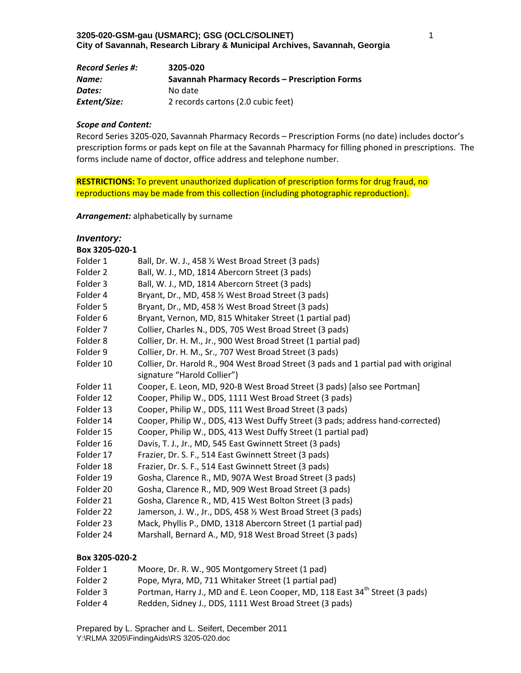| <b>Record Series #:</b> | 3205-020                                       |
|-------------------------|------------------------------------------------|
| Name:                   | Savannah Pharmacy Records – Prescription Forms |
| Dates:                  | No date                                        |
| Extent/Size:            | 2 records cartons (2.0 cubic feet)             |

Record Series 3205‐020, Savannah Pharmacy Records – Prescription Forms (no date) includes doctor's prescription forms or pads kept on file at the Savannah Pharmacy for filling phoned in prescriptions. The forms include name of doctor, office address and telephone number.

**RESTRICTIONS:** To prevent unauthorized duplication of prescription forms for drug fraud, no reproductions may be made from this collection (including photographic reproduction).

*Arrangement:* alphabetically by surname

# *Inventory:*

| Box 3205-020-1 |                                                                                       |
|----------------|---------------------------------------------------------------------------------------|
| Folder 1       | Ball, Dr. W. J., 458 % West Broad Street (3 pads)                                     |
| Folder 2       | Ball, W. J., MD, 1814 Abercorn Street (3 pads)                                        |
| Folder 3       | Ball, W. J., MD, 1814 Abercorn Street (3 pads)                                        |
| Folder 4       | Bryant, Dr., MD, 458 1/2 West Broad Street (3 pads)                                   |
| Folder 5       | Bryant, Dr., MD, 458 1/2 West Broad Street (3 pads)                                   |
| Folder 6       | Bryant, Vernon, MD, 815 Whitaker Street (1 partial pad)                               |
| Folder 7       | Collier, Charles N., DDS, 705 West Broad Street (3 pads)                              |
| Folder 8       | Collier, Dr. H. M., Jr., 900 West Broad Street (1 partial pad)                        |
| Folder 9       | Collier, Dr. H. M., Sr., 707 West Broad Street (3 pads)                               |
| Folder 10      | Collier, Dr. Harold R., 904 West Broad Street (3 pads and 1 partial pad with original |
|                | signature "Harold Collier")                                                           |
| Folder 11      | Cooper, E. Leon, MD, 920-B West Broad Street (3 pads) [also see Portman]              |
| Folder 12      | Cooper, Philip W., DDS, 1111 West Broad Street (3 pads)                               |
| Folder 13      | Cooper, Philip W., DDS, 111 West Broad Street (3 pads)                                |
| Folder 14      | Cooper, Philip W., DDS, 413 West Duffy Street (3 pads; address hand-corrected)        |
| Folder 15      | Cooper, Philip W., DDS, 413 West Duffy Street (1 partial pad)                         |
| Folder 16      | Davis, T. J., Jr., MD, 545 East Gwinnett Street (3 pads)                              |
| Folder 17      | Frazier, Dr. S. F., 514 East Gwinnett Street (3 pads)                                 |
| Folder 18      | Frazier, Dr. S. F., 514 East Gwinnett Street (3 pads)                                 |
| Folder 19      | Gosha, Clarence R., MD, 907A West Broad Street (3 pads)                               |
| Folder 20      | Gosha, Clarence R., MD, 909 West Broad Street (3 pads)                                |
| Folder 21      | Gosha, Clarence R., MD, 415 West Bolton Street (3 pads)                               |
| Folder 22      | Jamerson, J. W., Jr., DDS, 458 1/2 West Broad Street (3 pads)                         |
| Folder 23      | Mack, Phyllis P., DMD, 1318 Abercorn Street (1 partial pad)                           |
| Folder 24      | Marshall, Bernard A., MD, 918 West Broad Street (3 pads)                              |

#### **Box 3205‐020‐2**

| Folder 1 | Moore, Dr. R. W., 905 Montgomery Street (1 pad)                                         |
|----------|-----------------------------------------------------------------------------------------|
| Folder 2 | Pope, Myra, MD, 711 Whitaker Street (1 partial pad)                                     |
| Folder 3 | Portman, Harry J., MD and E. Leon Cooper, MD, 118 East 34 <sup>th</sup> Street (3 pads) |
| Folder 4 | Redden, Sidney J., DDS, 1111 West Broad Street (3 pads)                                 |

Prepared by L. Spracher and L. Seifert, December 2011 Y:\RLMA 3205\FindingAids\RS 3205-020.doc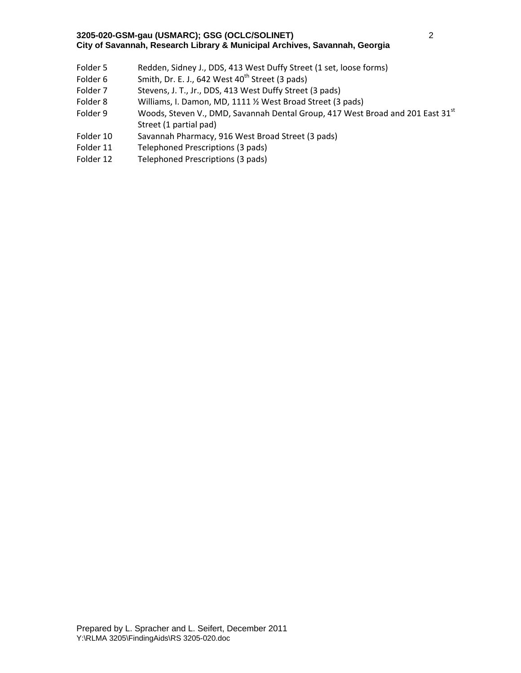- Folder 5 Redden, Sidney J., DDS, 413 West Duffy Street (1 set, loose forms)
- Folder 6 Smith, Dr. E. J., 642 West  $40<sup>th</sup>$  Street (3 pads)
- Folder 7 Stevens, J. T., Jr., DDS, 413 West Duffy Street (3 pads)
- Folder 8 Williams, I. Damon, MD, 1111 % West Broad Street (3 pads)
- Folder 9 Woods, Steven V., DMD, Savannah Dental Group, 417 West Broad and 201 East 31<sup>st</sup> Street (1 partial pad)
- Folder 10 Savannah Pharmacy, 916 West Broad Street (3 pads)
- Folder 11 Telephoned Prescriptions (3 pads)
- Folder 12 Telephoned Prescriptions (3 pads)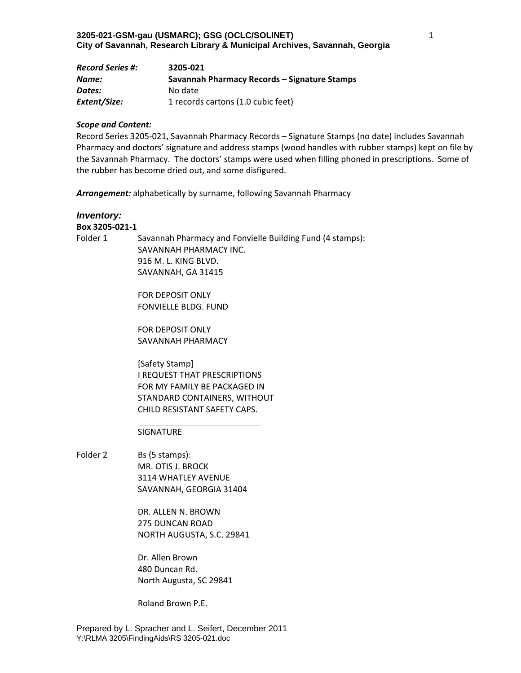| <b>Record Series #:</b> | 3205-021                                     |
|-------------------------|----------------------------------------------|
| Name:                   | Savannah Pharmacy Records – Signature Stamps |
| Dates:                  | No date                                      |
| Extent/Size:            | 1 records cartons (1.0 cubic feet)           |

Record Series 3205‐021, Savannah Pharmacy Records – Signature Stamps (no date) includes Savannah Pharmacy and doctors' signature and address stamps (wood handles with rubber stamps) kept on file by the Savannah Pharmacy. The doctors' stamps were used when filling phoned in prescriptions. Some of the rubber has become dried out, and some disfigured.

*Arrangement:* alphabetically by surname, following Savannah Pharmacy

## *Inventory:*

## **Box 3205‐021‐1**

Folder 1 Savannah Pharmacy and Fonvielle Building Fund (4 stamps): SAVANNAH PHARMACY INC. 916 M. L. KING BLVD. SAVANNAH, GA 31415

> FOR DEPOSIT ONLY FONVIELLE BLDG. FUND

> FOR DEPOSIT ONLY SAVANNAH PHARMACY

[Safety Stamp] I REQUEST THAT PRESCRIPTIONS FOR MY FAMILY BE PACKAGED IN STANDARD CONTAINERS, WITHOUT CHILD RESISTANT SAFETY CAPS.

#### SIGNATURE

Folder 2 Bs (5 stamps): MR. OTIS J. BROCK 3114 WHATLEY AVENUE SAVANNAH, GEORGIA 31404

> DR. ALLEN N. BROWN 275 DUNCAN ROAD NORTH AUGUSTA, S.C. 29841

Dr. Allen Brown 480 Duncan Rd. North Augusta, SC 29841

Roland Brown P.E.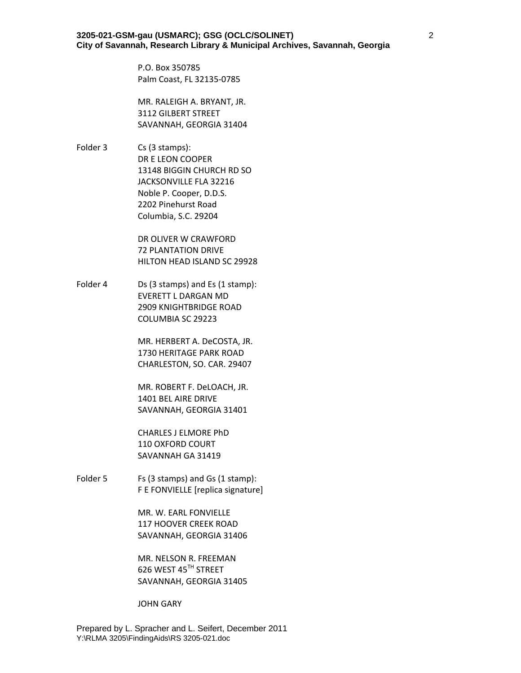P.O. Box 350785 Palm Coast, FL 32135‐0785

MR. RALEIGH A. BRYANT, JR. 3112 GILBERT STREET SAVANNAH, GEORGIA 31404

Folder 3 Cs (3 stamps): DR E LEON COOPER 13148 BIGGIN CHURCH RD SO JACKSONVILLE FLA 32216 Noble P. Cooper, D.D.S. 2202 Pinehurst Road Columbia, S.C. 29204

> DR OLIVER W CRAWFORD 72 PLANTATION DRIVE HILTON HEAD ISLAND SC 29928

Folder 4 Ds (3 stamps) and Es (1 stamp): EVERETT L DARGAN MD 2909 KNIGHTBRIDGE ROAD COLUMBIA SC 29223

> MR. HERBERT A. DeCOSTA, JR. 1730 HERITAGE PARK ROAD CHARLESTON, SO. CAR. 29407

MR. ROBERT F. DeLOACH, JR. 1401 BEL AIRE DRIVE SAVANNAH, GEORGIA 31401

CHARLES J ELMORE PhD 110 OXFORD COURT SAVANNAH GA 31419

Folder 5 Fs (3 stamps) and Gs (1 stamp): F E FONVIELLE [replica signature]

> MR. W. EARL FONVIELLE 117 HOOVER CREEK ROAD SAVANNAH, GEORGIA 31406

> MR. NELSON R. FREEMAN 626 WEST 45TH STREET SAVANNAH, GEORGIA 31405

JOHN GARY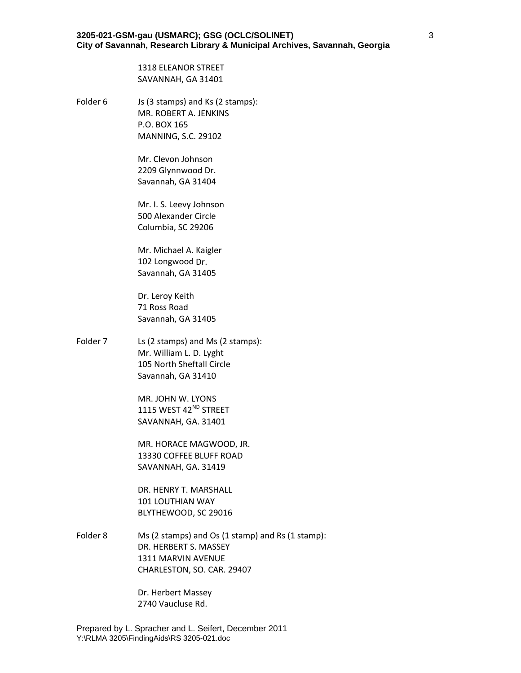1318 ELEANOR STREET SAVANNAH, GA 31401

Folder 6 Js (3 stamps) and Ks (2 stamps): MR. ROBERT A. JENKINS P.O. BOX 165 MANNING, S.C. 29102

> Mr. Clevon Johnson 2209 Glynnwood Dr. Savannah, GA 31404

Mr. I. S. Leevy Johnson 500 Alexander Circle Columbia, SC 29206

Mr. Michael A. Kaigler 102 Longwood Dr. Savannah, GA 31405

Dr. Leroy Keith 71 Ross Road Savannah, GA 31405

Folder 7 Ls (2 stamps) and Ms (2 stamps): Mr. William L. D. Lyght 105 North Sheftall Circle Savannah, GA 31410

> MR. JOHN W. LYONS 1115 WEST 42<sup>ND</sup> STREET SAVANNAH, GA. 31401

MR. HORACE MAGWOOD, JR. 13330 COFFEE BLUFF ROAD SAVANNAH, GA. 31419

DR. HENRY T. MARSHALL 101 LOUTHIAN WAY BLYTHEWOOD, SC 29016

Folder 8 Ms (2 stamps) and Os (1 stamp) and Rs (1 stamp): DR. HERBERT S. MASSEY 1311 MARVIN AVENUE CHARLESTON, SO. CAR. 29407

> Dr. Herbert Massey 2740 Vaucluse Rd.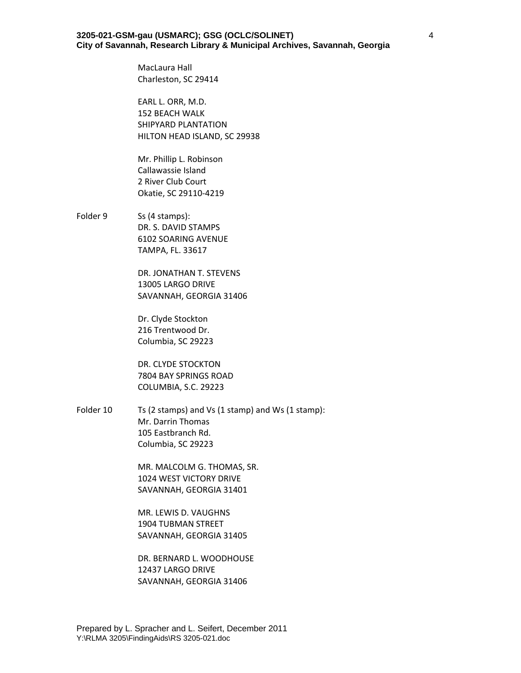MacLaura Hall Charleston, SC 29414

EARL L. ORR, M.D. 152 BEACH WALK SHIPYARD PLANTATION HILTON HEAD ISLAND, SC 29938

Mr. Phillip L. Robinson Callawassie Island 2 River Club Court Okatie, SC 29110‐4219

Folder 9 Ss (4 stamps): DR. S. DAVID STAMPS 6102 SOARING AVENUE TAMPA, FL. 33617

> DR. JONATHAN T. STEVENS 13005 LARGO DRIVE SAVANNAH, GEORGIA 31406

Dr. Clyde Stockton 216 Trentwood Dr. Columbia, SC 29223

DR. CLYDE STOCKTON 7804 BAY SPRINGS ROAD COLUMBIA, S.C. 29223

Folder 10 Ts (2 stamps) and Vs (1 stamp) and Ws (1 stamp): Mr. Darrin Thomas 105 Eastbranch Rd. Columbia, SC 29223

> MR. MALCOLM G. THOMAS, SR. 1024 WEST VICTORY DRIVE SAVANNAH, GEORGIA 31401

MR. LEWIS D. VAUGHNS 1904 TUBMAN STREET SAVANNAH, GEORGIA 31405

DR. BERNARD L. WOODHOUSE 12437 LARGO DRIVE SAVANNAH, GEORGIA 31406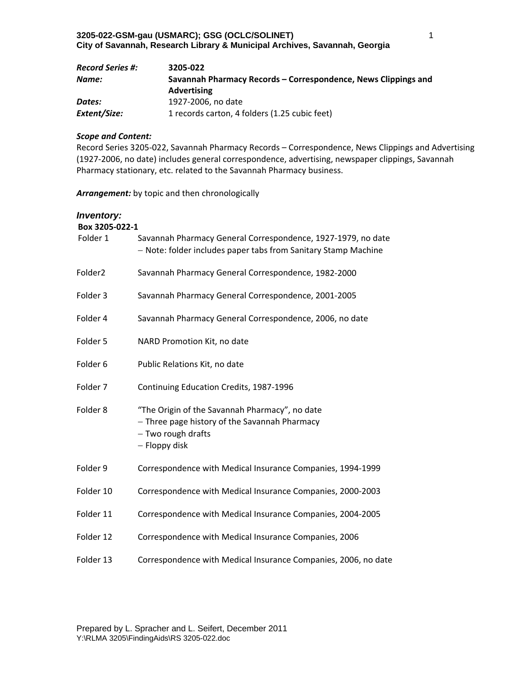| <b>Record Series #:</b> | 3205-022                                                       |
|-------------------------|----------------------------------------------------------------|
| Name:                   | Savannah Pharmacy Records – Correspondence, News Clippings and |
|                         | <b>Advertising</b>                                             |
| Dates:                  | 1927-2006, no date                                             |
| Extent/Size:            | 1 records carton, 4 folders (1.25 cubic feet)                  |

Record Series 3205‐022, Savannah Pharmacy Records – Correspondence, News Clippings and Advertising (1927‐2006, no date) includes general correspondence, advertising, newspaper clippings, Savannah Pharmacy stationary, etc. related to the Savannah Pharmacy business.

*Arrangement:* by topic and then chronologically

# *Inventory:*

| Box 3205-022-1 |                                                                                                                                        |
|----------------|----------------------------------------------------------------------------------------------------------------------------------------|
| Folder 1       | Savannah Pharmacy General Correspondence, 1927-1979, no date<br>- Note: folder includes paper tabs from Sanitary Stamp Machine         |
| Folder2        | Savannah Pharmacy General Correspondence, 1982-2000                                                                                    |
| Folder 3       | Savannah Pharmacy General Correspondence, 2001-2005                                                                                    |
| Folder 4       | Savannah Pharmacy General Correspondence, 2006, no date                                                                                |
| Folder 5       | NARD Promotion Kit, no date                                                                                                            |
| Folder 6       | Public Relations Kit, no date                                                                                                          |
| Folder 7       | Continuing Education Credits, 1987-1996                                                                                                |
| Folder 8       | "The Origin of the Savannah Pharmacy", no date<br>- Three page history of the Savannah Pharmacy<br>- Two rough drafts<br>- Floppy disk |
| Folder 9       | Correspondence with Medical Insurance Companies, 1994-1999                                                                             |
| Folder 10      | Correspondence with Medical Insurance Companies, 2000-2003                                                                             |
| Folder 11      | Correspondence with Medical Insurance Companies, 2004-2005                                                                             |
| Folder 12      | Correspondence with Medical Insurance Companies, 2006                                                                                  |
| Folder 13      | Correspondence with Medical Insurance Companies, 2006, no date                                                                         |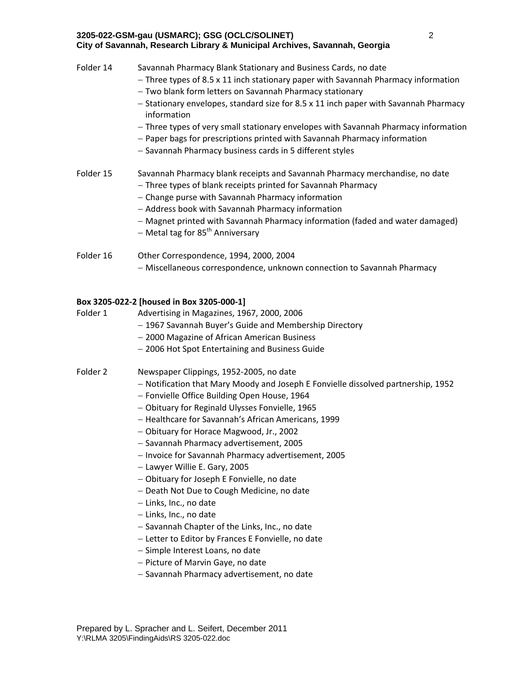- Three types of 8.5 x 11 inch stationary paper with Savannah Pharmacy information
- Two blank form letters on Savannah Pharmacy stationary
- $-$  Stationary envelopes, standard size for 8.5 x 11 inch paper with Savannah Pharmacy information
- Three types of very small stationary envelopes with Savannah Pharmacy information
- Paper bags for prescriptions printed with Savannah Pharmacy information
- Savannah Pharmacy business cards in 5 different styles

## Folder 15 Savannah Pharmacy blank receipts and Savannah Pharmacy merchandise, no date

- Three types of blank receipts printed for Savannah Pharmacy
- Change purse with Savannah Pharmacy information
- Address book with Savannah Pharmacy information
- Magnet printed with Savannah Pharmacy information (faded and water damaged)
- $-$  Metal tag for 85<sup>th</sup> Anniversary
- Folder 16 Other Correspondence, 1994, 2000, 2004 - Miscellaneous correspondence, unknown connection to Savannah Pharmacy

#### **Box 3205‐022‐2 [housed in Box 3205‐000‐1]**

- Folder 1 Advertising in Magazines, 1967, 2000, 2006
	- 1967 Savannah Buyer's Guide and Membership Directory
	- 2000 Magazine of African American Business
	- 2006 Hot Spot Entertaining and Business Guide

#### Folder 2 Newspaper Clippings, 1952‐2005, no date

- Notification that Mary Moody and Joseph E Fonvielle dissolved partnership, 1952
- Fonvielle Office Building Open House, 1964
- Obituary for Reginald Ulysses Fonvielle, 1965
- Healthcare for Savannah's African Americans, 1999
- Obituary for Horace Magwood, Jr., 2002
- Savannah Pharmacy advertisement, 2005
- Invoice for Savannah Pharmacy advertisement, 2005
- Lawyer Willie E. Gary, 2005
- Obituary for Joseph E Fonvielle, no date
- Death Not Due to Cough Medicine, no date
- $-$  Links, Inc., no date
- Links, Inc., no date
- $-$  Savannah Chapter of the Links, Inc., no date
- Letter to Editor by Frances E Fonvielle, no date
- Simple Interest Loans, no date
- Picture of Marvin Gaye, no date
- Savannah Pharmacy advertisement, no date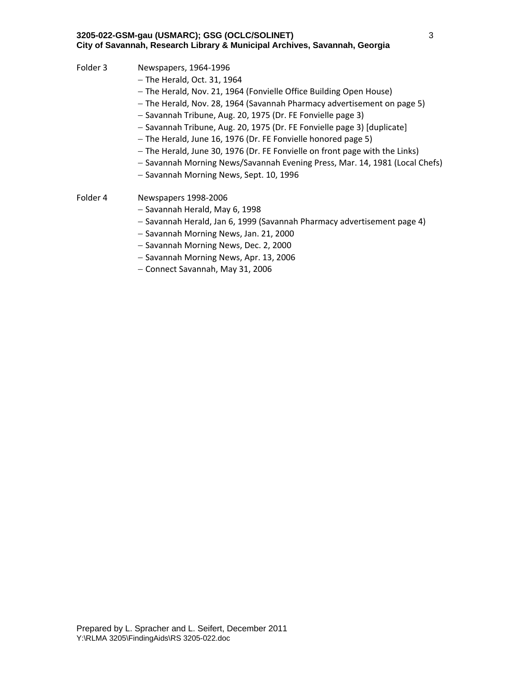- Folder 3 Newspapers, 1964-1996
	- $-$  The Herald, Oct. 31, 1964
	- The Herald, Nov. 21, 1964 (Fonvielle Office Building Open House)
	- The Herald, Nov. 28, 1964 (Savannah Pharmacy advertisement on page 5)
	- Savannah Tribune, Aug. 20, 1975 (Dr. FE Fonvielle page 3)
	- Savannah Tribune, Aug. 20, 1975 (Dr. FE Fonvielle page 3) [duplicate]
	- The Herald, June 16, 1976 (Dr. FE Fonvielle honored page 5)
	- The Herald, June 30, 1976 (Dr. FE Fonvielle on front page with the Links)
	- Savannah Morning News/Savannah Evening Press, Mar. 14, 1981 (Local Chefs)
	- Savannah Morning News, Sept. 10, 1996
- Folder 4 Newspapers 1998-2006
	- Savannah Herald, May 6, 1998
	- $-$  Savannah Herald, Jan 6, 1999 (Savannah Pharmacy advertisement page 4)
	- Savannah Morning News, Jan. 21, 2000
	- Savannah Morning News, Dec. 2, 2000
	- Savannah Morning News, Apr. 13, 2006
	- Connect Savannah, May 31, 2006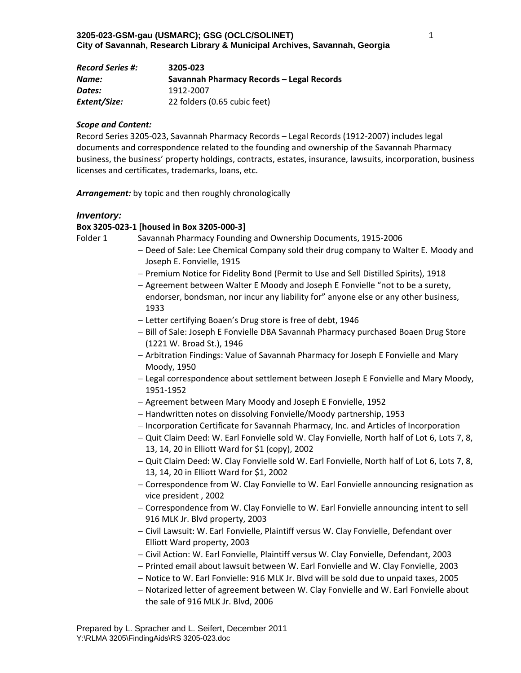| <b>Record Series #:</b> | 3205-023                                  |
|-------------------------|-------------------------------------------|
| Name:                   | Savannah Pharmacy Records – Legal Records |
| Dates:                  | 1912-2007                                 |
| Extent/Size:            | 22 folders (0.65 cubic feet)              |

Record Series 3205‐023, Savannah Pharmacy Records – Legal Records (1912‐2007) includes legal documents and correspondence related to the founding and ownership of the Savannah Pharmacy business, the business' property holdings, contracts, estates, insurance, lawsuits, incorporation, business licenses and certificates, trademarks, loans, etc.

*Arrangement:* by topic and then roughly chronologically

#### *Inventory:*

#### **Box 3205‐023‐1 [housed in Box 3205‐000‐3]**

Folder 1 Savannah Pharmacy Founding and Ownership Documents, 1915-2006

- Deed of Sale: Lee Chemical Company sold their drug company to Walter E. Moody and Joseph E. Fonvielle, 1915
- Premium Notice for Fidelity Bond (Permit to Use and Sell Distilled Spirits), 1918
- Agreement between Walter E Moody and Joseph E Fonvielle "not to be a surety, endorser, bondsman, nor incur any liability for" anyone else or any other business, 1933
- Letter certifying Boaen's Drug store is free of debt, 1946
- Bill of Sale: Joseph E Fonvielle DBA Savannah Pharmacy purchased Boaen Drug Store (1221 W. Broad St.), 1946
- Arbitration Findings: Value of Savannah Pharmacy for Joseph E Fonvielle and Mary Moody, 1950
- Legal correspondence about settlement between Joseph E Fonvielle and Mary Moody, 1951‐1952
- Agreement between Mary Moody and Joseph E Fonvielle, 1952
- Handwritten notes on dissolving Fonvielle/Moody partnership, 1953
- $-$  Incorporation Certificate for Savannah Pharmacy, Inc. and Articles of Incorporation
- $-$  Quit Claim Deed: W. Earl Fonvielle sold W. Clay Fonvielle, North half of Lot 6, Lots 7, 8, 13, 14, 20 in Elliott Ward for \$1 (copy), 2002
- Quit Claim Deed: W. Clay Fonvielle sold W. Earl Fonvielle, North half of Lot 6, Lots 7, 8, 13, 14, 20 in Elliott Ward for \$1, 2002
- Correspondence from W. Clay Fonvielle to W. Earl Fonvielle announcing resignation as vice president , 2002
- Correspondence from W. Clay Fonvielle to W. Earl Fonvielle announcing intent to sell 916 MLK Jr. Blvd property, 2003
- Civil Lawsuit: W. Earl Fonvielle, Plaintiff versus W. Clay Fonvielle, Defendant over Elliott Ward property, 2003
- Civil Action: W. Earl Fonvielle, Plaintiff versus W. Clay Fonvielle, Defendant, 2003
- Printed email about lawsuit between W. Earl Fonvielle and W. Clay Fonvielle, 2003
- Notice to W. Earl Fonvielle: 916 MLK Jr. Blvd will be sold due to unpaid taxes, 2005
- Notarized letter of agreement between W. Clay Fonvielle and W. Earl Fonvielle about the sale of 916 MLK Jr. Blvd, 2006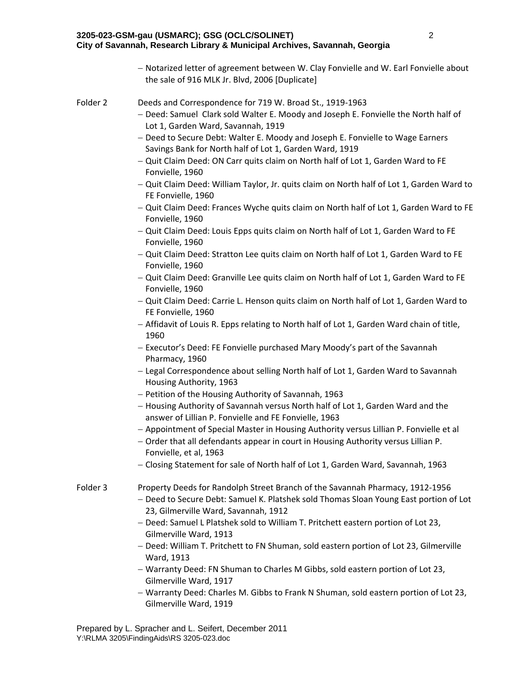- 2
- Notarized letter of agreement between W. Clay Fonvielle and W. Earl Fonvielle about the sale of 916 MLK Jr. Blvd, 2006 [Duplicate]

#### Folder 2 Deeds and Correspondence for 719 W. Broad St., 1919-1963

- Deed: Samuel Clark sold Walter E. Moody and Joseph E. Fonvielle the North half of Lot 1, Garden Ward, Savannah, 1919
- Deed to Secure Debt: Walter E. Moody and Joseph E. Fonvielle to Wage Earners Savings Bank for North half of Lot 1, Garden Ward, 1919
- Quit Claim Deed: ON Carr quits claim on North half of Lot 1, Garden Ward to FE Fonvielle, 1960
- Quit Claim Deed: William Taylor, Jr. quits claim on North half of Lot 1, Garden Ward to FE Fonvielle, 1960
- $-$  Quit Claim Deed: Frances Wyche quits claim on North half of Lot 1, Garden Ward to FE Fonvielle, 1960
- Quit Claim Deed: Louis Epps quits claim on North half of Lot 1, Garden Ward to FE Fonvielle, 1960
- Quit Claim Deed: Stratton Lee quits claim on North half of Lot 1, Garden Ward to FE Fonvielle, 1960
- Quit Claim Deed: Granville Lee quits claim on North half of Lot 1, Garden Ward to FE Fonvielle, 1960
- Quit Claim Deed: Carrie L. Henson quits claim on North half of Lot 1, Garden Ward to FE Fonvielle, 1960
- Affidavit of Louis R. Epps relating to North half of Lot 1, Garden Ward chain of title, 1960
- Executor's Deed: FE Fonvielle purchased Mary Moody's part of the Savannah Pharmacy, 1960
- Legal Correspondence about selling North half of Lot 1, Garden Ward to Savannah Housing Authority, 1963
- Petition of the Housing Authority of Savannah, 1963
- Housing Authority of Savannah versus North half of Lot 1, Garden Ward and the answer of Lillian P. Fonvielle and FE Fonvielle, 1963
- Appointment of Special Master in Housing Authority versus Lillian P. Fonvielle et al
- Order that all defendants appear in court in Housing Authority versus Lillian P. Fonvielle, et al, 1963
- Closing Statement for sale of North half of Lot 1, Garden Ward, Savannah, 1963
- Folder 3 Property Deeds for Randolph Street Branch of the Savannah Pharmacy, 1912-1956
	- Deed to Secure Debt: Samuel K. Platshek sold Thomas Sloan Young East portion of Lot 23, Gilmerville Ward, Savannah, 1912
	- Deed: Samuel L Platshek sold to William T. Pritchett eastern portion of Lot 23, Gilmerville Ward, 1913
	- Deed: William T. Pritchett to FN Shuman, sold eastern portion of Lot 23, Gilmerville Ward, 1913
	- Warranty Deed: FN Shuman to Charles M Gibbs, sold eastern portion of Lot 23, Gilmerville Ward, 1917
	- Warranty Deed: Charles M. Gibbs to Frank N Shuman, sold eastern portion of Lot 23, Gilmerville Ward, 1919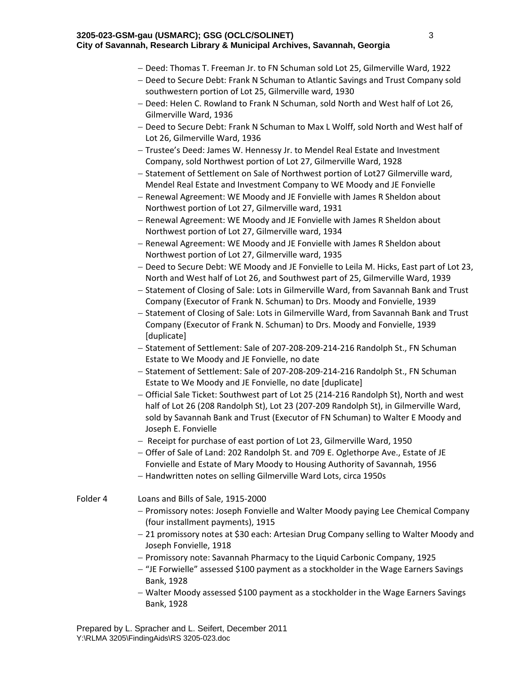- Deed: Thomas T. Freeman Jr. to FN Schuman sold Lot 25, Gilmerville Ward, 1922
- Deed to Secure Debt: Frank N Schuman to Atlantic Savings and Trust Company sold southwestern portion of Lot 25, Gilmerville ward, 1930
- Deed: Helen C. Rowland to Frank N Schuman, sold North and West half of Lot 26, Gilmerville Ward, 1936
- Deed to Secure Debt: Frank N Schuman to Max L Wolff, sold North and West half of Lot 26, Gilmerville Ward, 1936
- $-$  Trustee's Deed: James W. Hennessy Jr. to Mendel Real Estate and Investment Company, sold Northwest portion of Lot 27, Gilmerville Ward, 1928
- Statement of Settlement on Sale of Northwest portion of Lot27 Gilmerville ward, Mendel Real Estate and Investment Company to WE Moody and JE Fonvielle
- Renewal Agreement: WE Moody and JE Fonvielle with James R Sheldon about Northwest portion of Lot 27, Gilmerville ward, 1931
- Renewal Agreement: WE Moody and JE Fonvielle with James R Sheldon about Northwest portion of Lot 27, Gilmerville ward, 1934
- Renewal Agreement: WE Moody and JE Fonvielle with James R Sheldon about Northwest portion of Lot 27, Gilmerville ward, 1935
- Deed to Secure Debt: WE Moody and JE Fonvielle to Leila M. Hicks, East part of Lot 23, North and West half of Lot 26, and Southwest part of 25, Gilmerville Ward, 1939
- Statement of Closing of Sale: Lots in Gilmerville Ward, from Savannah Bank and Trust Company (Executor of Frank N. Schuman) to Drs. Moody and Fonvielle, 1939
- Statement of Closing of Sale: Lots in Gilmerville Ward, from Savannah Bank and Trust Company (Executor of Frank N. Schuman) to Drs. Moody and Fonvielle, 1939 [duplicate]
- Statement of Settlement: Sale of 207-208-209-214-216 Randolph St., FN Schuman Estate to We Moody and JE Fonvielle, no date
- Statement of Settlement: Sale of 207-208-209-214-216 Randolph St., FN Schuman Estate to We Moody and JE Fonvielle, no date [duplicate]
- Official Sale Ticket: Southwest part of Lot 25 (214‐216 Randolph St), North and west half of Lot 26 (208 Randolph St), Lot 23 (207‐209 Randolph St), in Gilmerville Ward, sold by Savannah Bank and Trust (Executor of FN Schuman) to Walter E Moody and Joseph E. Fonvielle
- Receipt for purchase of east portion of Lot 23, Gilmerville Ward, 1950
- Offer of Sale of Land: 202 Randolph St. and 709 E. Oglethorpe Ave., Estate of JE Fonvielle and Estate of Mary Moody to Housing Authority of Savannah, 1956
- Handwritten notes on selling Gilmerville Ward Lots, circa 1950s
- Folder 4 Loans and Bills of Sale, 1915‐2000
	- Promissory notes: Joseph Fonvielle and Walter Moody paying Lee Chemical Company (four installment payments), 1915
	- 21 promissory notes at \$30 each: Artesian Drug Company selling to Walter Moody and Joseph Fonvielle, 1918
	- Promissory note: Savannah Pharmacy to the Liquid Carbonic Company, 1925
	- "JE Forwielle" assessed \$100 payment as a stockholder in the Wage Earners Savings Bank, 1928
	- Walter Moody assessed \$100 payment as a stockholder in the Wage Earners Savings Bank, 1928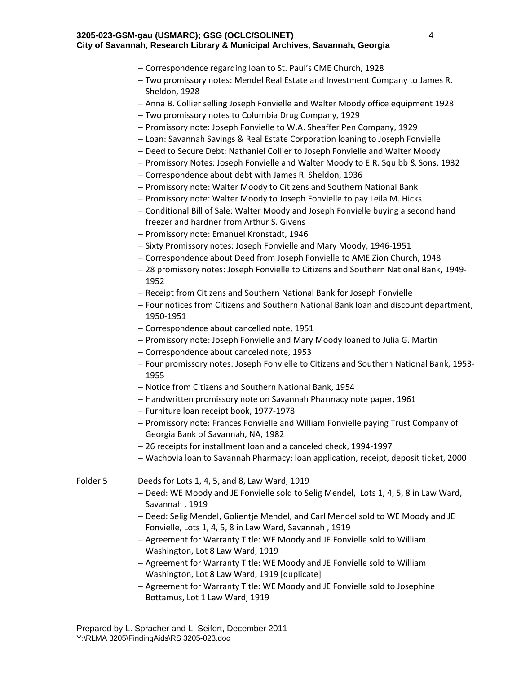- Correspondence regarding loan to St. Paul's CME Church, 1928
- Two promissory notes: Mendel Real Estate and Investment Company to James R. Sheldon, 1928
- Anna B. Collier selling Joseph Fonvielle and Walter Moody office equipment 1928
- Two promissory notes to Columbia Drug Company, 1929
- Promissory note: Joseph Fonvielle to W.A. Sheaffer Pen Company, 1929
- Loan: Savannah Savings & Real Estate Corporation loaning to Joseph Fonvielle
- Deed to Secure Debt: Nathaniel Collier to Joseph Fonvielle and Walter Moody
- Promissory Notes: Joseph Fonvielle and Walter Moody to E.R. Squibb & Sons, 1932
- Correspondence about debt with James R. Sheldon, 1936
- Promissory note: Walter Moody to Citizens and Southern National Bank
- Promissory note: Walter Moody to Joseph Fonvielle to pay Leila M. Hicks
- Conditional Bill of Sale: Walter Moody and Joseph Fonvielle buying a second hand freezer and hardner from Arthur S. Givens
- Promissory note: Emanuel Kronstadt, 1946
- Sixty Promissory notes: Joseph Fonvielle and Mary Moody, 1946-1951
- Correspondence about Deed from Joseph Fonvielle to AME Zion Church, 1948
- 28 promissory notes: Joseph Fonvielle to Citizens and Southern National Bank, 1949‐ 1952
- Receipt from Citizens and Southern National Bank for Joseph Fonvielle
- Four notices from Citizens and Southern National Bank loan and discount department, 1950‐1951
- Correspondence about cancelled note, 1951
- Promissory note: Joseph Fonvielle and Mary Moody loaned to Julia G. Martin
- Correspondence about canceled note, 1953
- Four promissory notes: Joseph Fonvielle to Citizens and Southern National Bank, 1953‐ 1955
- Notice from Citizens and Southern National Bank, 1954
- $-$  Handwritten promissory note on Savannah Pharmacy note paper, 1961
- Furniture loan receipt book, 1977‐1978
- Promissory note: Frances Fonvielle and William Fonvielle paying Trust Company of Georgia Bank of Savannah, NA, 1982
- 26 receipts for installment loan and a canceled check, 1994‐1997
- Wachovia loan to Savannah Pharmacy: loan application, receipt, deposit ticket, 2000

Folder 5 Deeds for Lots 1, 4, 5, and 8, Law Ward, 1919

- Deed: WE Moody and JE Fonvielle sold to Selig Mendel, Lots 1, 4, 5, 8 in Law Ward, Savannah , 1919
- Deed: Selig Mendel, Golientje Mendel, and Carl Mendel sold to WE Moody and JE Fonvielle, Lots 1, 4, 5, 8 in Law Ward, Savannah , 1919
- Agreement for Warranty Title: WE Moody and JE Fonvielle sold to William Washington, Lot 8 Law Ward, 1919
- Agreement for Warranty Title: WE Moody and JE Fonvielle sold to William Washington, Lot 8 Law Ward, 1919 [duplicate]
- Agreement for Warranty Title: WE Moody and JE Fonvielle sold to Josephine Bottamus, Lot 1 Law Ward, 1919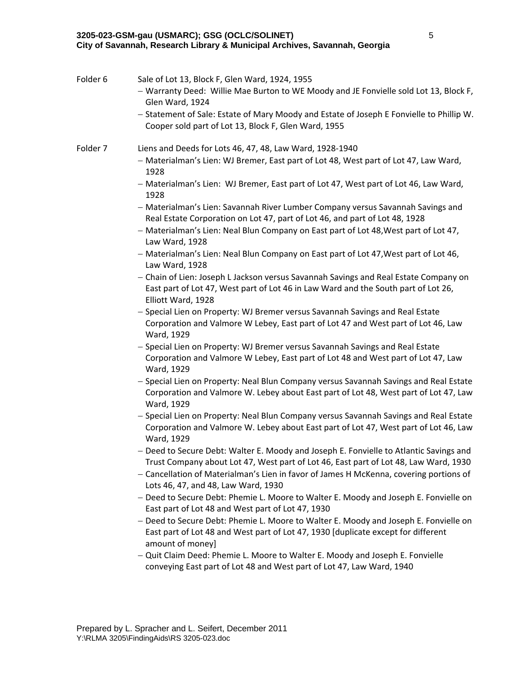| Folder 6 | Sale of Lot 13, Block F, Glen Ward, 1924, 1955<br>- Warranty Deed: Willie Mae Burton to WE Moody and JE Fonvielle sold Lot 13, Block F,<br>Glen Ward, 1924<br>- Statement of Sale: Estate of Mary Moody and Estate of Joseph E Fonvielle to Phillip W.<br>Cooper sold part of Lot 13, Block F, Glen Ward, 1955 |
|----------|----------------------------------------------------------------------------------------------------------------------------------------------------------------------------------------------------------------------------------------------------------------------------------------------------------------|
|          |                                                                                                                                                                                                                                                                                                                |
| Folder 7 | Liens and Deeds for Lots 46, 47, 48, Law Ward, 1928-1940<br>- Materialman's Lien: WJ Bremer, East part of Lot 48, West part of Lot 47, Law Ward,                                                                                                                                                               |
|          | 1928<br>- Materialman's Lien: WJ Bremer, East part of Lot 47, West part of Lot 46, Law Ward,<br>1928                                                                                                                                                                                                           |
|          | - Materialman's Lien: Savannah River Lumber Company versus Savannah Savings and<br>Real Estate Corporation on Lot 47, part of Lot 46, and part of Lot 48, 1928                                                                                                                                                 |
|          | - Materialman's Lien: Neal Blun Company on East part of Lot 48, West part of Lot 47,<br>Law Ward, 1928                                                                                                                                                                                                         |
|          | - Materialman's Lien: Neal Blun Company on East part of Lot 47, West part of Lot 46,<br>Law Ward, 1928                                                                                                                                                                                                         |
|          | - Chain of Lien: Joseph L Jackson versus Savannah Savings and Real Estate Company on<br>East part of Lot 47, West part of Lot 46 in Law Ward and the South part of Lot 26,<br>Elliott Ward, 1928                                                                                                               |
|          | - Special Lien on Property: WJ Bremer versus Savannah Savings and Real Estate<br>Corporation and Valmore W Lebey, East part of Lot 47 and West part of Lot 46, Law<br>Ward, 1929                                                                                                                               |
|          | - Special Lien on Property: WJ Bremer versus Savannah Savings and Real Estate<br>Corporation and Valmore W Lebey, East part of Lot 48 and West part of Lot 47, Law<br>Ward, 1929                                                                                                                               |
|          | - Special Lien on Property: Neal Blun Company versus Savannah Savings and Real Estate<br>Corporation and Valmore W. Lebey about East part of Lot 48, West part of Lot 47, Law<br>Ward, 1929                                                                                                                    |
|          | - Special Lien on Property: Neal Blun Company versus Savannah Savings and Real Estate<br>Corporation and Valmore W. Lebey about East part of Lot 47, West part of Lot 46, Law<br>Ward, 1929                                                                                                                    |
|          | - Deed to Secure Debt: Walter E. Moody and Joseph E. Fonvielle to Atlantic Savings and<br>Trust Company about Lot 47, West part of Lot 46, East part of Lot 48, Law Ward, 1930                                                                                                                                 |
|          | - Cancellation of Materialman's Lien in favor of James H McKenna, covering portions of<br>Lots 46, 47, and 48, Law Ward, 1930                                                                                                                                                                                  |
|          | - Deed to Secure Debt: Phemie L. Moore to Walter E. Moody and Joseph E. Fonvielle on<br>East part of Lot 48 and West part of Lot 47, 1930                                                                                                                                                                      |
|          | - Deed to Secure Debt: Phemie L. Moore to Walter E. Moody and Joseph E. Fonvielle on<br>East part of Lot 48 and West part of Lot 47, 1930 [duplicate except for different<br>amount of money]                                                                                                                  |
|          | - Quit Claim Deed: Phemie L. Moore to Walter E. Moody and Joseph E. Fonvielle<br>conveying East part of Lot 48 and West part of Lot 47, Law Ward, 1940                                                                                                                                                         |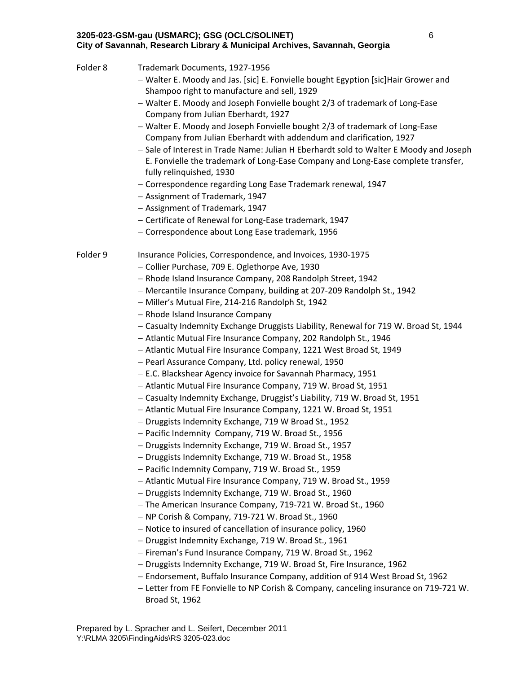| Folder 8 | Trademark Documents, 1927-1956<br>- Walter E. Moody and Jas. [sic] E. Fonvielle bought Egyption [sic]Hair Grower and<br>Shampoo right to manufacture and sell, 1929<br>- Walter E. Moody and Joseph Fonvielle bought 2/3 of trademark of Long-Ease<br>Company from Julian Eberhardt, 1927<br>- Walter E. Moody and Joseph Fonvielle bought 2/3 of trademark of Long-Ease<br>Company from Julian Eberhardt with addendum and clarification, 1927<br>- Sale of Interest in Trade Name: Julian H Eberhardt sold to Walter E Moody and Joseph<br>E. Fonvielle the trademark of Long-Ease Company and Long-Ease complete transfer,<br>fully relinquished, 1930<br>- Correspondence regarding Long Ease Trademark renewal, 1947<br>- Assignment of Trademark, 1947<br>- Assignment of Trademark, 1947<br>- Certificate of Renewal for Long-Ease trademark, 1947<br>- Correspondence about Long Ease trademark, 1956                                                                                                                                                                                                                                                                                                                                                                                                                                                                                                                                                                                                                                                                                                                                                                                                                                                                                                                                                                                                                             |
|----------|-------------------------------------------------------------------------------------------------------------------------------------------------------------------------------------------------------------------------------------------------------------------------------------------------------------------------------------------------------------------------------------------------------------------------------------------------------------------------------------------------------------------------------------------------------------------------------------------------------------------------------------------------------------------------------------------------------------------------------------------------------------------------------------------------------------------------------------------------------------------------------------------------------------------------------------------------------------------------------------------------------------------------------------------------------------------------------------------------------------------------------------------------------------------------------------------------------------------------------------------------------------------------------------------------------------------------------------------------------------------------------------------------------------------------------------------------------------------------------------------------------------------------------------------------------------------------------------------------------------------------------------------------------------------------------------------------------------------------------------------------------------------------------------------------------------------------------------------------------------------------------------------------------------------------------------------|
| Folder 9 | Insurance Policies, Correspondence, and Invoices, 1930-1975<br>- Collier Purchase, 709 E. Oglethorpe Ave, 1930<br>- Rhode Island Insurance Company, 208 Randolph Street, 1942<br>- Mercantile Insurance Company, building at 207-209 Randolph St., 1942<br>- Miller's Mutual Fire, 214-216 Randolph St, 1942<br>- Rhode Island Insurance Company<br>- Casualty Indemnity Exchange Druggists Liability, Renewal for 719 W. Broad St, 1944<br>- Atlantic Mutual Fire Insurance Company, 202 Randolph St., 1946<br>- Atlantic Mutual Fire Insurance Company, 1221 West Broad St, 1949<br>- Pearl Assurance Company, Ltd. policy renewal, 1950<br>- E.C. Blackshear Agency invoice for Savannah Pharmacy, 1951<br>- Atlantic Mutual Fire Insurance Company, 719 W. Broad St, 1951<br>- Casualty Indemnity Exchange, Druggist's Liability, 719 W. Broad St, 1951<br>- Atlantic Mutual Fire Insurance Company, 1221 W. Broad St, 1951<br>- Druggists Indemnity Exchange, 719 W Broad St., 1952<br>- Pacific Indemnity Company, 719 W. Broad St., 1956<br>- Druggists Indemnity Exchange, 719 W. Broad St., 1957<br>- Druggists Indemnity Exchange, 719 W. Broad St., 1958<br>- Pacific Indemnity Company, 719 W. Broad St., 1959<br>- Atlantic Mutual Fire Insurance Company, 719 W. Broad St., 1959<br>- Druggists Indemnity Exchange, 719 W. Broad St., 1960<br>- The American Insurance Company, 719-721 W. Broad St., 1960<br>- NP Corish & Company, 719-721 W. Broad St., 1960<br>- Notice to insured of cancellation of insurance policy, 1960<br>- Druggist Indemnity Exchange, 719 W. Broad St., 1961<br>- Fireman's Fund Insurance Company, 719 W. Broad St., 1962<br>- Druggists Indemnity Exchange, 719 W. Broad St, Fire Insurance, 1962<br>- Endorsement, Buffalo Insurance Company, addition of 914 West Broad St, 1962<br>- Letter from FE Fonvielle to NP Corish & Company, canceling insurance on 719-721 W.<br>Broad St, 1962 |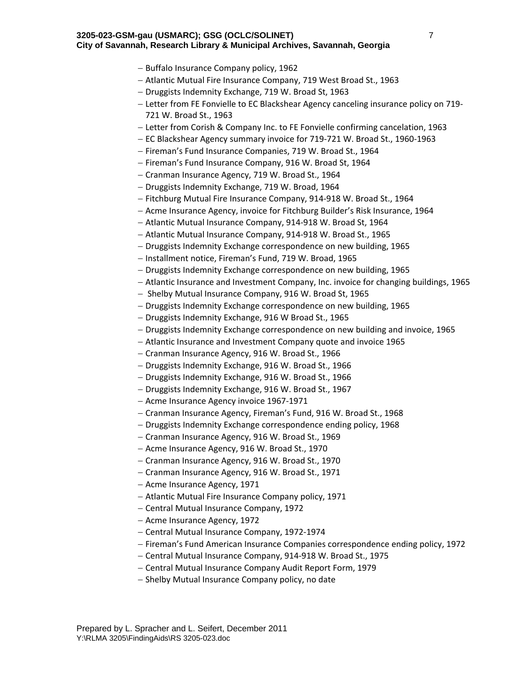- Buffalo Insurance Company policy, 1962
- Atlantic Mutual Fire Insurance Company, 719 West Broad St., 1963
- Druggists Indemnity Exchange, 719 W. Broad St, 1963
- Letter from FE Fonvielle to EC Blackshear Agency canceling insurance policy on 719‐ 721 W. Broad St., 1963
- Letter from Corish & Company Inc. to FE Fonvielle confirming cancelation, 1963
- EC Blackshear Agency summary invoice for 719‐721 W. Broad St., 1960‐1963
- Fireman's Fund Insurance Companies, 719 W. Broad St., 1964
- Fireman's Fund Insurance Company, 916 W. Broad St, 1964
- Cranman Insurance Agency, 719 W. Broad St., 1964
- Druggists Indemnity Exchange, 719 W. Broad, 1964
- Fitchburg Mutual Fire Insurance Company, 914‐918 W. Broad St., 1964
- Acme Insurance Agency, invoice for Fitchburg Builder's Risk Insurance, 1964
- Atlantic Mutual Insurance Company, 914-918 W. Broad St, 1964
- Atlantic Mutual Insurance Company, 914-918 W. Broad St., 1965
- Druggists Indemnity Exchange correspondence on new building, 1965
- Installment notice, Fireman's Fund, 719 W. Broad, 1965
- Druggists Indemnity Exchange correspondence on new building, 1965
- Atlantic Insurance and Investment Company, Inc. invoice for changing buildings, 1965
- Shelby Mutual Insurance Company, 916 W. Broad St, 1965
- Druggists Indemnity Exchange correspondence on new building, 1965
- Druggists Indemnity Exchange, 916 W Broad St., 1965
- Druggists Indemnity Exchange correspondence on new building and invoice, 1965
- Atlantic Insurance and Investment Company quote and invoice 1965
- Cranman Insurance Agency, 916 W. Broad St., 1966
- Druggists Indemnity Exchange, 916 W. Broad St., 1966
- Druggists Indemnity Exchange, 916 W. Broad St., 1966
- Druggists Indemnity Exchange, 916 W. Broad St., 1967
- Acme Insurance Agency invoice 1967-1971
- Cranman Insurance Agency, Fireman's Fund, 916 W. Broad St., 1968
- Druggists Indemnity Exchange correspondence ending policy, 1968
- Cranman Insurance Agency, 916 W. Broad St., 1969
- Acme Insurance Agency, 916 W. Broad St., 1970
- Cranman Insurance Agency, 916 W. Broad St., 1970
- Cranman Insurance Agency, 916 W. Broad St., 1971
- Acme Insurance Agency, 1971
- Atlantic Mutual Fire Insurance Company policy, 1971
- Central Mutual Insurance Company, 1972
- Acme Insurance Agency, 1972
- Central Mutual Insurance Company, 1972‐1974
- Fireman's Fund American Insurance Companies correspondence ending policy, 1972
- Central Mutual Insurance Company, 914‐918 W. Broad St., 1975
- Central Mutual Insurance Company Audit Report Form, 1979
- Shelby Mutual Insurance Company policy, no date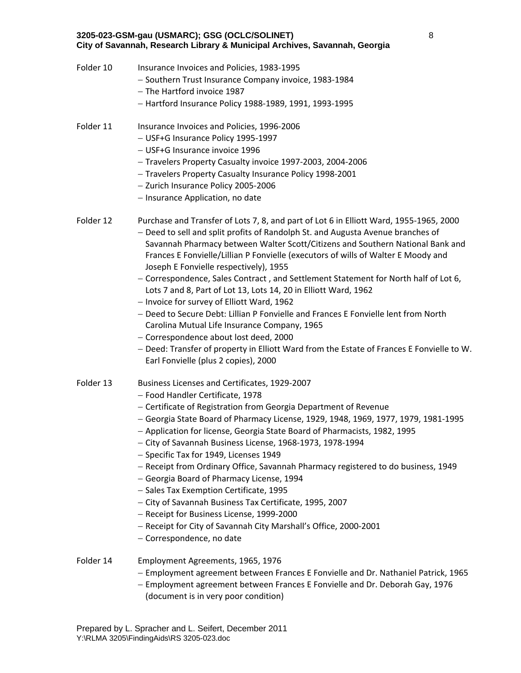## **3205-023-GSM-gau (USMARC); GSG (OCLC/SOLINET) City of Savannah, Research Library & Municipal Archives, Savannah, Georgia**  8 Folder 10 Insurance Invoices and Policies, 1983-1995 - Southern Trust Insurance Company invoice, 1983-1984 - The Hartford invoice 1987 Hartford Insurance Policy 1988‐1989, 1991, 1993‐1995 Folder 11 Insurance Invoices and Policies, 1996-2006 USF+G Insurance Policy 1995‐1997 USF+G Insurance invoice 1996 Travelers Property Casualty invoice 1997‐2003, 2004‐2006 Travelers Property Casualty Insurance Policy 1998‐2001 - Zurich Insurance Policy 2005-2006 - Insurance Application, no date Folder 12 Purchase and Transfer of Lots 7, 8, and part of Lot 6 in Elliott Ward, 1955-1965, 2000 Deed to sell and split profits of Randolph St. and Augusta Avenue branches of Savannah Pharmacy between Walter Scott/Citizens and Southern National Bank and Frances E Fonvielle/Lillian P Fonvielle (executors of wills of Walter E Moody and Joseph E Fonvielle respectively), 1955 - Correspondence, Sales Contract, and Settlement Statement for North half of Lot 6, Lots 7 and 8, Part of Lot 13, Lots 14, 20 in Elliott Ward, 1962 - Invoice for survey of Elliott Ward, 1962 - Deed to Secure Debt: Lillian P Fonvielle and Frances E Fonvielle lent from North Carolina Mutual Life Insurance Company, 1965 Correspondence about lost deed, 2000 - Deed: Transfer of property in Elliott Ward from the Estate of Frances E Fonvielle to W. Earl Fonvielle (plus 2 copies), 2000 Folder 13 Business Licenses and Certificates, 1929-2007 - Food Handler Certificate, 1978 - Certificate of Registration from Georgia Department of Revenue Georgia State Board of Pharmacy License, 1929, 1948, 1969, 1977, 1979, 1981‐1995 - Application for license, Georgia State Board of Pharmacists, 1982, 1995 City of Savannah Business License, 1968‐1973, 1978‐1994 - Specific Tax for 1949, Licenses 1949 - Receipt from Ordinary Office, Savannah Pharmacy registered to do business, 1949 Georgia Board of Pharmacy License, 1994 - Sales Tax Exemption Certificate, 1995 City of Savannah Business Tax Certificate, 1995, 2007 Receipt for Business License, 1999‐2000 - Receipt for City of Savannah City Marshall's Office, 2000-2001 - Correspondence, no date Folder 14 Employment Agreements, 1965, 1976 Employment agreement between Frances E Fonvielle and Dr. Nathaniel Patrick, 1965 - Employment agreement between Frances E Fonvielle and Dr. Deborah Gay, 1976 (document is in very poor condition)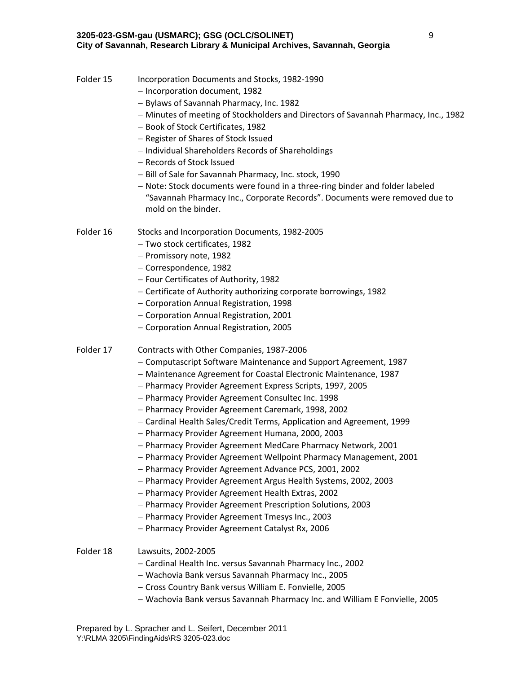| Folder 15 | Incorporation Documents and Stocks, 1982-1990<br>- Incorporation document, 1982<br>- Bylaws of Savannah Pharmacy, Inc. 1982<br>- Minutes of meeting of Stockholders and Directors of Savannah Pharmacy, Inc., 1982<br>- Book of Stock Certificates, 1982<br>- Register of Shares of Stock Issued<br>- Individual Shareholders Records of Shareholdings<br>- Records of Stock Issued<br>- Bill of Sale for Savannah Pharmacy, Inc. stock, 1990<br>- Note: Stock documents were found in a three-ring binder and folder labeled<br>"Savannah Pharmacy Inc., Corporate Records". Documents were removed due to<br>mold on the binder.                                                                                                                                                                                                                                                                                                                                              |
|-----------|---------------------------------------------------------------------------------------------------------------------------------------------------------------------------------------------------------------------------------------------------------------------------------------------------------------------------------------------------------------------------------------------------------------------------------------------------------------------------------------------------------------------------------------------------------------------------------------------------------------------------------------------------------------------------------------------------------------------------------------------------------------------------------------------------------------------------------------------------------------------------------------------------------------------------------------------------------------------------------|
| Folder 16 | Stocks and Incorporation Documents, 1982-2005<br>- Two stock certificates, 1982<br>- Promissory note, 1982<br>- Correspondence, 1982<br>- Four Certificates of Authority, 1982<br>- Certificate of Authority authorizing corporate borrowings, 1982<br>- Corporation Annual Registration, 1998<br>- Corporation Annual Registration, 2001<br>- Corporation Annual Registration, 2005                                                                                                                                                                                                                                                                                                                                                                                                                                                                                                                                                                                            |
| Folder 17 | Contracts with Other Companies, 1987-2006<br>- Computascript Software Maintenance and Support Agreement, 1987<br>- Maintenance Agreement for Coastal Electronic Maintenance, 1987<br>- Pharmacy Provider Agreement Express Scripts, 1997, 2005<br>- Pharmacy Provider Agreement Consultec Inc. 1998<br>- Pharmacy Provider Agreement Caremark, 1998, 2002<br>- Cardinal Health Sales/Credit Terms, Application and Agreement, 1999<br>- Pharmacy Provider Agreement Humana, 2000, 2003<br>- Pharmacy Provider Agreement MedCare Pharmacy Network, 2001<br>- Pharmacy Provider Agreement Wellpoint Pharmacy Management, 2001<br>- Pharmacy Provider Agreement Advance PCS, 2001, 2002<br>- Pharmacy Provider Agreement Argus Health Systems, 2002, 2003<br>- Pharmacy Provider Agreement Health Extras, 2002<br>- Pharmacy Provider Agreement Prescription Solutions, 2003<br>- Pharmacy Provider Agreement Tmesys Inc., 2003<br>- Pharmacy Provider Agreement Catalyst Rx, 2006 |
| Folder 18 | Lawsuits, 2002-2005<br>- Cardinal Health Inc. versus Savannah Pharmacy Inc., 2002<br>- Wachovia Bank versus Savannah Pharmacy Inc., 2005<br>- Cross Country Bank versus William E. Fonvielle, 2005<br>- Wachovia Bank versus Savannah Pharmacy Inc. and William E Fonvielle, 2005                                                                                                                                                                                                                                                                                                                                                                                                                                                                                                                                                                                                                                                                                               |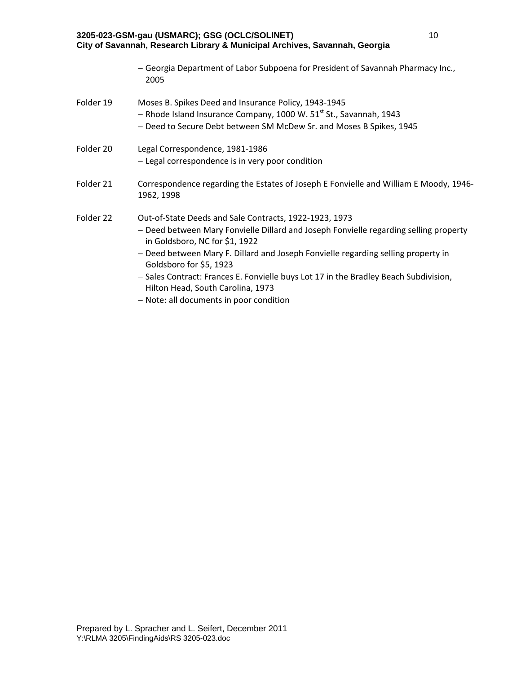| 2005                                                                                                                                                                                                                                                                                                                                                                                                                           |
|--------------------------------------------------------------------------------------------------------------------------------------------------------------------------------------------------------------------------------------------------------------------------------------------------------------------------------------------------------------------------------------------------------------------------------|
| Moses B. Spikes Deed and Insurance Policy, 1943-1945<br>- Rhode Island Insurance Company, 1000 W. 51 <sup>st</sup> St., Savannah, 1943<br>- Deed to Secure Debt between SM McDew Sr. and Moses B Spikes, 1945                                                                                                                                                                                                                  |
| Legal Correspondence, 1981-1986<br>- Legal correspondence is in very poor condition                                                                                                                                                                                                                                                                                                                                            |
| Correspondence regarding the Estates of Joseph E Fonvielle and William E Moody, 1946-<br>1962, 1998                                                                                                                                                                                                                                                                                                                            |
| Out-of-State Deeds and Sale Contracts, 1922-1923, 1973<br>- Deed between Mary Fonvielle Dillard and Joseph Fonvielle regarding selling property<br>in Goldsboro, NC for \$1, 1922<br>- Deed between Mary F. Dillard and Joseph Fonvielle regarding selling property in<br>Goldsboro for \$5, 1923<br>- Sales Contract: Frances E. Fonvielle buys Lot 17 in the Bradley Beach Subdivision,<br>Hilton Head, South Carolina, 1973 |
|                                                                                                                                                                                                                                                                                                                                                                                                                                |

Georgia Department of Labor Subpoena for President of Savannah Pharmacy Inc.,

- Note: all documents in poor condition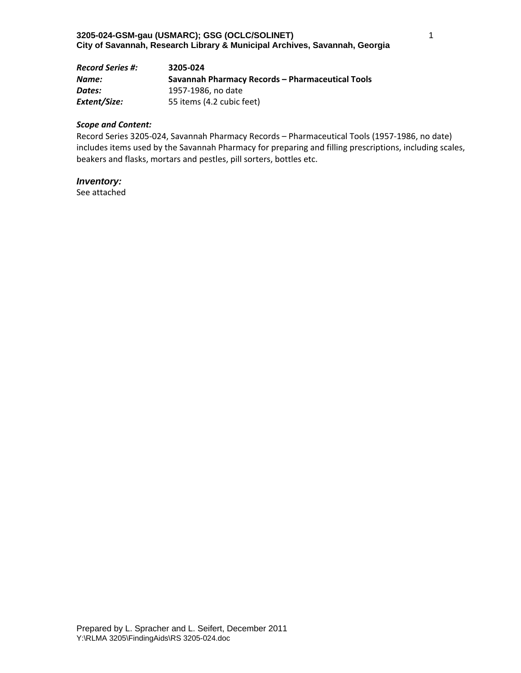| <b>Record Series #:</b> | 3205-024                                         |
|-------------------------|--------------------------------------------------|
| Name:                   | Savannah Pharmacy Records – Pharmaceutical Tools |
| Dates:                  | 1957-1986, no date                               |
| Extent/Size:            | 55 items (4.2 cubic feet)                        |

Record Series 3205‐024, Savannah Pharmacy Records – Pharmaceutical Tools (1957‐1986, no date) includes items used by the Savannah Pharmacy for preparing and filling prescriptions, including scales, beakers and flasks, mortars and pestles, pill sorters, bottles etc.

## *Inventory:*

See attached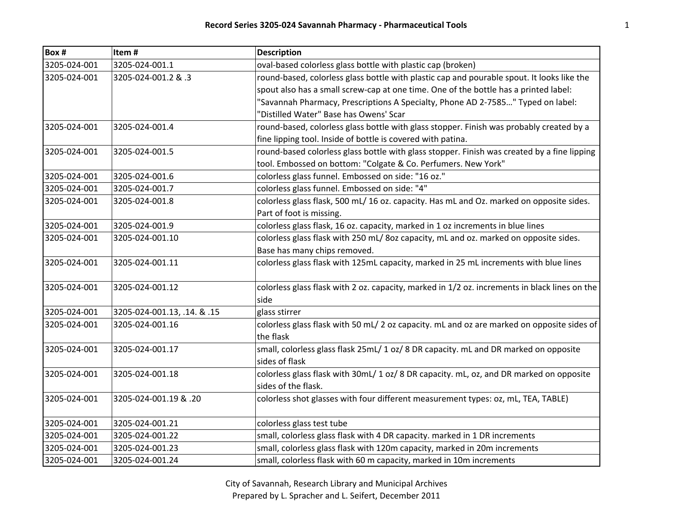| Box #        | Item#                       | <b>Description</b>                                                                            |
|--------------|-----------------------------|-----------------------------------------------------------------------------------------------|
| 3205-024-001 | 3205-024-001.1              | oval-based colorless glass bottle with plastic cap (broken)                                   |
| 3205-024-001 | 3. 8. 1.2 3205-024-001      | round-based, colorless glass bottle with plastic cap and pourable spout. It looks like the    |
|              |                             | spout also has a small screw-cap at one time. One of the bottle has a printed label:          |
|              |                             | "Savannah Pharmacy, Prescriptions A Specialty, Phone AD 2-7585" Typed on label:               |
|              |                             | "Distilled Water" Base has Owens' Scar                                                        |
| 3205-024-001 | 3205-024-001.4              | round-based, colorless glass bottle with glass stopper. Finish was probably created by a      |
|              |                             | fine lipping tool. Inside of bottle is covered with patina.                                   |
| 3205-024-001 | 3205-024-001.5              | round-based colorless glass bottle with glass stopper. Finish was created by a fine lipping   |
|              |                             | tool. Embossed on bottom: "Colgate & Co. Perfumers. New York"                                 |
| 3205-024-001 | 3205-024-001.6              | colorless glass funnel. Embossed on side: "16 oz."                                            |
| 3205-024-001 | 3205-024-001.7              | colorless glass funnel. Embossed on side: "4"                                                 |
| 3205-024-001 | 3205-024-001.8              | colorless glass flask, 500 mL/ 16 oz. capacity. Has mL and Oz. marked on opposite sides.      |
|              |                             | Part of foot is missing.                                                                      |
| 3205-024-001 | 3205-024-001.9              | colorless glass flask, 16 oz. capacity, marked in 1 oz increments in blue lines               |
| 3205-024-001 | 3205-024-001.10             | colorless glass flask with 250 mL/80z capacity, mL and oz. marked on opposite sides.          |
|              |                             | Base has many chips removed.                                                                  |
| 3205-024-001 | 3205-024-001.11             | colorless glass flask with 125mL capacity, marked in 25 mL increments with blue lines         |
| 3205-024-001 | 3205-024-001.12             | colorless glass flask with 2 oz. capacity, marked in 1/2 oz. increments in black lines on the |
|              |                             | side                                                                                          |
| 3205-024-001 | 3205-024-001.13, .14. & .15 | glass stirrer                                                                                 |
| 3205-024-001 | 3205-024-001.16             | colorless glass flask with 50 mL/ 2 oz capacity. mL and oz are marked on opposite sides of    |
|              |                             | the flask                                                                                     |
| 3205-024-001 | 3205-024-001.17             | small, colorless glass flask 25mL/ 1 oz/ 8 DR capacity. mL and DR marked on opposite          |
|              |                             | sides of flask                                                                                |
| 3205-024-001 | 3205-024-001.18             | colorless glass flask with 30mL/ 1 oz/ 8 DR capacity. mL, oz, and DR marked on opposite       |
|              |                             | sides of the flask.                                                                           |
| 3205-024-001 | 3205-024-001.19 & .20       | colorless shot glasses with four different measurement types: oz, mL, TEA, TABLE)             |
| 3205-024-001 | 3205-024-001.21             | colorless glass test tube                                                                     |
| 3205-024-001 | 3205-024-001.22             | small, colorless glass flask with 4 DR capacity. marked in 1 DR increments                    |
| 3205-024-001 | 3205-024-001.23             | small, colorless glass flask with 120m capacity, marked in 20m increments                     |
| 3205-024-001 | 3205-024-001.24             | small, colorless flask with 60 m capacity, marked in 10m increments                           |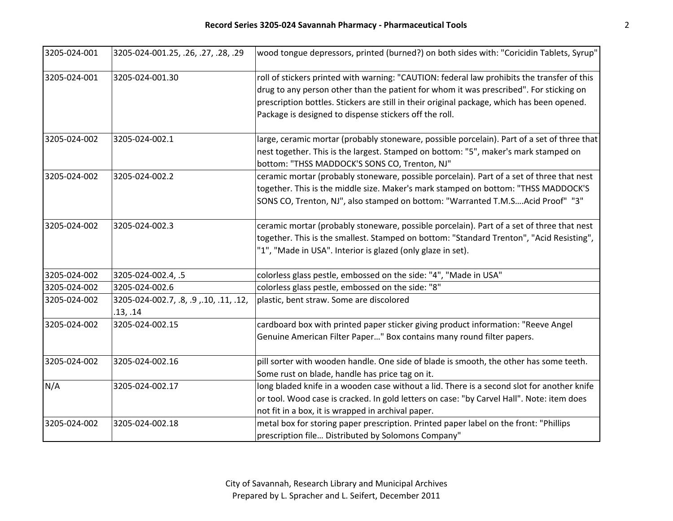| 3205-024-001 | 3205-024-001.25, .26, .27, .28, .29                | wood tongue depressors, printed (burned?) on both sides with: "Coricidin Tablets, Syrup"                                                                                                                                                                                                                                                      |
|--------------|----------------------------------------------------|-----------------------------------------------------------------------------------------------------------------------------------------------------------------------------------------------------------------------------------------------------------------------------------------------------------------------------------------------|
| 3205-024-001 | 3205-024-001.30                                    | roll of stickers printed with warning: "CAUTION: federal law prohibits the transfer of this<br>drug to any person other than the patient for whom it was prescribed". For sticking on<br>prescription bottles. Stickers are still in their original package, which has been opened.<br>Package is designed to dispense stickers off the roll. |
| 3205-024-002 | 3205-024-002.1                                     | large, ceramic mortar (probably stoneware, possible porcelain). Part of a set of three that<br>nest together. This is the largest. Stamped on bottom: "5", maker's mark stamped on<br>bottom: "THSS MADDOCK'S SONS CO, Trenton, NJ"                                                                                                           |
| 3205-024-002 | 3205-024-002.2                                     | ceramic mortar (probably stoneware, possible porcelain). Part of a set of three that nest<br>together. This is the middle size. Maker's mark stamped on bottom: "THSS MADDOCK'S<br>SONS CO, Trenton, NJ", also stamped on bottom: "Warranted T.M.SAcid Proof" "3"                                                                             |
| 3205-024-002 | 3205-024-002.3                                     | ceramic mortar (probably stoneware, possible porcelain). Part of a set of three that nest<br>together. This is the smallest. Stamped on bottom: "Standard Trenton", "Acid Resisting",<br>"1", "Made in USA". Interior is glazed (only glaze in set).                                                                                          |
| 3205-024-002 | 3205-024-002.4, .5                                 | colorless glass pestle, embossed on the side: "4", "Made in USA"                                                                                                                                                                                                                                                                              |
| 3205-024-002 | 3205-024-002.6                                     | colorless glass pestle, embossed on the side: "8"                                                                                                                                                                                                                                                                                             |
| 3205-024-002 | 3205-024-002.7, .8, .9, .10, .11, .12,<br>.13, .14 | plastic, bent straw. Some are discolored                                                                                                                                                                                                                                                                                                      |
| 3205-024-002 | 3205-024-002.15                                    | cardboard box with printed paper sticker giving product information: "Reeve Angel<br>Genuine American Filter Paper" Box contains many round filter papers.                                                                                                                                                                                    |
| 3205-024-002 | 3205-024-002.16                                    | pill sorter with wooden handle. One side of blade is smooth, the other has some teeth.<br>Some rust on blade, handle has price tag on it.                                                                                                                                                                                                     |
| N/A          | 3205-024-002.17                                    | long bladed knife in a wooden case without a lid. There is a second slot for another knife<br>or tool. Wood case is cracked. In gold letters on case: "by Carvel Hall". Note: item does<br>not fit in a box, it is wrapped in archival paper.                                                                                                 |
| 3205-024-002 | 3205-024-002.18                                    | metal box for storing paper prescription. Printed paper label on the front: "Phillips<br>prescription file Distributed by Solomons Company"                                                                                                                                                                                                   |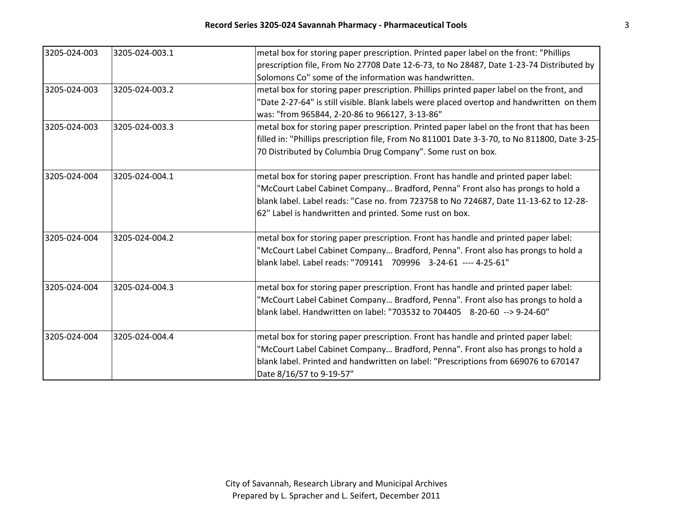| 3205-024-003 | 3205-024-003.1 | metal box for storing paper prescription. Printed paper label on the front: "Phillips        |
|--------------|----------------|----------------------------------------------------------------------------------------------|
|              |                | prescription file, From No 27708 Date 12-6-73, to No 28487, Date 1-23-74 Distributed by      |
|              |                | Solomons Co" some of the information was handwritten.                                        |
| 3205-024-003 | 3205-024-003.2 | metal box for storing paper prescription. Phillips printed paper label on the front, and     |
|              |                | "Date 2-27-64" is still visible. Blank labels were placed overtop and handwritten on them    |
|              |                | was: "from 965844, 2-20-86 to 966127, 3-13-86"                                               |
| 3205-024-003 | 3205-024-003.3 | metal box for storing paper prescription. Printed paper label on the front that has been     |
|              |                | filled in: "Phillips prescription file, From No 811001 Date 3-3-70, to No 811800, Date 3-25- |
|              |                | 70 Distributed by Columbia Drug Company". Some rust on box.                                  |
| 3205-024-004 | 3205-024-004.1 | metal box for storing paper prescription. Front has handle and printed paper label:          |
|              |                | "McCourt Label Cabinet Company Bradford, Penna" Front also has prongs to hold a              |
|              |                | blank label. Label reads: "Case no. from 723758 to No 724687, Date 11-13-62 to 12-28-        |
|              |                | 62" Label is handwritten and printed. Some rust on box.                                      |
| 3205-024-004 | 3205-024-004.2 | metal box for storing paper prescription. Front has handle and printed paper label:          |
|              |                | "McCourt Label Cabinet Company Bradford, Penna". Front also has prongs to hold a             |
|              |                | blank label. Label reads: "709141 709996 3-24-61 ---- 4-25-61"                               |
| 3205-024-004 | 3205-024-004.3 | metal box for storing paper prescription. Front has handle and printed paper label:          |
|              |                | "McCourt Label Cabinet Company Bradford, Penna". Front also has prongs to hold a             |
|              |                | blank label. Handwritten on label: "703532 to 704405 8-20-60 --> 9-24-60"                    |
| 3205-024-004 | 3205-024-004.4 | metal box for storing paper prescription. Front has handle and printed paper label:          |
|              |                | "McCourt Label Cabinet Company Bradford, Penna". Front also has prongs to hold a             |
|              |                | blank label. Printed and handwritten on label: "Prescriptions from 669076 to 670147          |
|              |                | Date 8/16/57 to 9-19-57"                                                                     |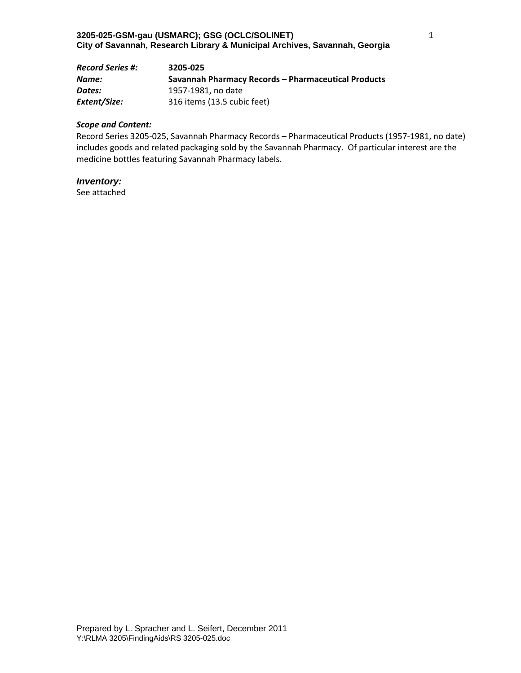| <b>Record Series #:</b> | 3205-025                                            |
|-------------------------|-----------------------------------------------------|
| Name:                   | Savannah Pharmacy Records - Pharmaceutical Products |
| Dates:                  | 1957-1981. no date                                  |
| Extent/Size:            | 316 items (13.5 cubic feet)                         |

Record Series 3205‐025, Savannah Pharmacy Records – Pharmaceutical Products (1957‐1981, no date) includes goods and related packaging sold by the Savannah Pharmacy. Of particular interest are the medicine bottles featuring Savannah Pharmacy labels.

## *Inventory:*

See attached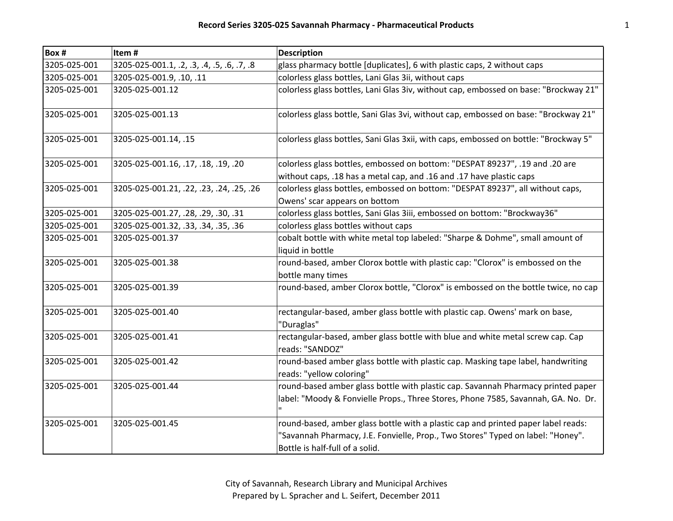| Box #        | Item#                                      | <b>Description</b>                                                                                                                                                                                      |
|--------------|--------------------------------------------|---------------------------------------------------------------------------------------------------------------------------------------------------------------------------------------------------------|
| 3205-025-001 | 3205-025-001.1, .2, .3, .4, .5, .6, .7, .8 | glass pharmacy bottle [duplicates], 6 with plastic caps, 2 without caps                                                                                                                                 |
| 3205-025-001 | 3205-025-001.9, .10, .11                   | colorless glass bottles, Lani Glas 3ii, without caps                                                                                                                                                    |
| 3205-025-001 | 3205-025-001.12                            | colorless glass bottles, Lani Glas 3iv, without cap, embossed on base: "Brockway 21"                                                                                                                    |
| 3205-025-001 | 3205-025-001.13                            | colorless glass bottle, Sani Glas 3vi, without cap, embossed on base: "Brockway 21"                                                                                                                     |
| 3205-025-001 | 3205-025-001.14, .15                       | colorless glass bottles, Sani Glas 3xii, with caps, embossed on bottle: "Brockway 5"                                                                                                                    |
| 3205-025-001 | 3205-025-001.16, .17, .18, .19, .20        | colorless glass bottles, embossed on bottom: "DESPAT 89237", .19 and .20 are<br>without caps, .18 has a metal cap, and .16 and .17 have plastic caps                                                    |
| 3205-025-001 | 3205-025-001.21, .22, .23, .24, .25, .26   | colorless glass bottles, embossed on bottom: "DESPAT 89237", all without caps,<br>Owens' scar appears on bottom                                                                                         |
| 3205-025-001 | 3205-025-001.27, .28, .29, .30, .31        | colorless glass bottles, Sani Glas 3iii, embossed on bottom: "Brockway36"                                                                                                                               |
| 3205-025-001 | 3205-025-001.32, .33, .34, .35, .36        | colorless glass bottles without caps                                                                                                                                                                    |
| 3205-025-001 | 3205-025-001.37                            | cobalt bottle with white metal top labeled: "Sharpe & Dohme", small amount of<br>liquid in bottle                                                                                                       |
| 3205-025-001 | 3205-025-001.38                            | round-based, amber Clorox bottle with plastic cap: "Clorox" is embossed on the<br>bottle many times                                                                                                     |
| 3205-025-001 | 3205-025-001.39                            | round-based, amber Clorox bottle, "Clorox" is embossed on the bottle twice, no cap                                                                                                                      |
| 3205-025-001 | 3205-025-001.40                            | rectangular-based, amber glass bottle with plastic cap. Owens' mark on base,<br>"Duraglas"                                                                                                              |
| 3205-025-001 | 3205-025-001.41                            | rectangular-based, amber glass bottle with blue and white metal screw cap. Cap<br>reads: "SANDOZ"                                                                                                       |
| 3205-025-001 | 3205-025-001.42                            | round-based amber glass bottle with plastic cap. Masking tape label, handwriting<br>reads: "yellow coloring"                                                                                            |
| 3205-025-001 | 3205-025-001.44                            | round-based amber glass bottle with plastic cap. Savannah Pharmacy printed paper<br>label: "Moody & Fonvielle Props., Three Stores, Phone 7585, Savannah, GA. No. Dr.                                   |
| 3205-025-001 | 3205-025-001.45                            | round-based, amber glass bottle with a plastic cap and printed paper label reads:<br>"Savannah Pharmacy, J.E. Fonvielle, Prop., Two Stores" Typed on label: "Honey".<br>Bottle is half-full of a solid. |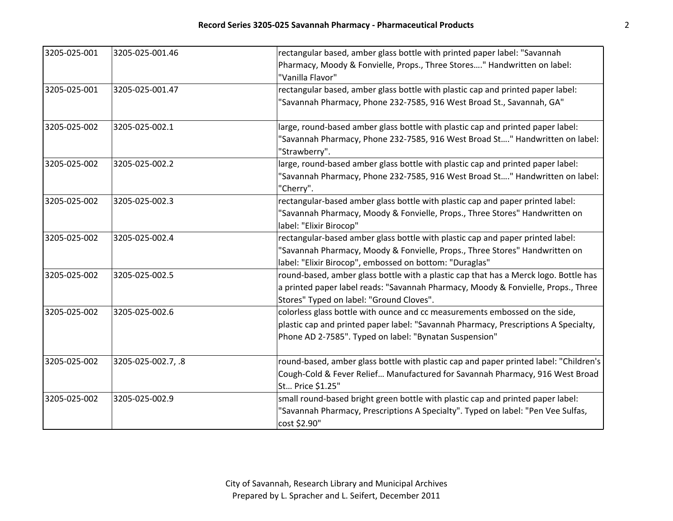| 3205-025-001 | 3205-025-001.46    | rectangular based, amber glass bottle with printed paper label: "Savannah             |
|--------------|--------------------|---------------------------------------------------------------------------------------|
|              |                    | Pharmacy, Moody & Fonvielle, Props., Three Stores" Handwritten on label:              |
|              |                    | "Vanilla Flavor"                                                                      |
| 3205-025-001 | 3205-025-001.47    | rectangular based, amber glass bottle with plastic cap and printed paper label:       |
|              |                    | "Savannah Pharmacy, Phone 232-7585, 916 West Broad St., Savannah, GA"                 |
| 3205-025-002 | 3205-025-002.1     | large, round-based amber glass bottle with plastic cap and printed paper label:       |
|              |                    | "Savannah Pharmacy, Phone 232-7585, 916 West Broad St" Handwritten on label:          |
|              |                    | "Strawberry".                                                                         |
| 3205-025-002 | 3205-025-002.2     | large, round-based amber glass bottle with plastic cap and printed paper label:       |
|              |                    | "Savannah Pharmacy, Phone 232-7585, 916 West Broad St" Handwritten on label:          |
|              |                    | "Cherry".                                                                             |
| 3205-025-002 | 3205-025-002.3     | rectangular-based amber glass bottle with plastic cap and paper printed label:        |
|              |                    | "Savannah Pharmacy, Moody & Fonvielle, Props., Three Stores" Handwritten on           |
|              |                    | label: "Elixir Birocop"                                                               |
| 3205-025-002 | 3205-025-002.4     | rectangular-based amber glass bottle with plastic cap and paper printed label:        |
|              |                    | "Savannah Pharmacy, Moody & Fonvielle, Props., Three Stores" Handwritten on           |
|              |                    | label: "Elixir Birocop", embossed on bottom: "Duraglas"                               |
| 3205-025-002 | 3205-025-002.5     | round-based, amber glass bottle with a plastic cap that has a Merck logo. Bottle has  |
|              |                    | a printed paper label reads: "Savannah Pharmacy, Moody & Fonvielle, Props., Three     |
|              |                    | Stores" Typed on label: "Ground Cloves".                                              |
| 3205-025-002 | 3205-025-002.6     | colorless glass bottle with ounce and cc measurements embossed on the side,           |
|              |                    | plastic cap and printed paper label: "Savannah Pharmacy, Prescriptions A Specialty,   |
|              |                    | Phone AD 2-7585". Typed on label: "Bynatan Suspension"                                |
| 3205-025-002 | 3205-025-002.7, .8 | round-based, amber glass bottle with plastic cap and paper printed label: "Children's |
|              |                    | Cough-Cold & Fever Relief Manufactured for Savannah Pharmacy, 916 West Broad          |
|              |                    | St Price \$1.25"                                                                      |
| 3205-025-002 | 3205-025-002.9     | small round-based bright green bottle with plastic cap and printed paper label:       |
|              |                    | "Savannah Pharmacy, Prescriptions A Specialty". Typed on label: "Pen Vee Sulfas,      |
|              |                    | cost \$2.90"                                                                          |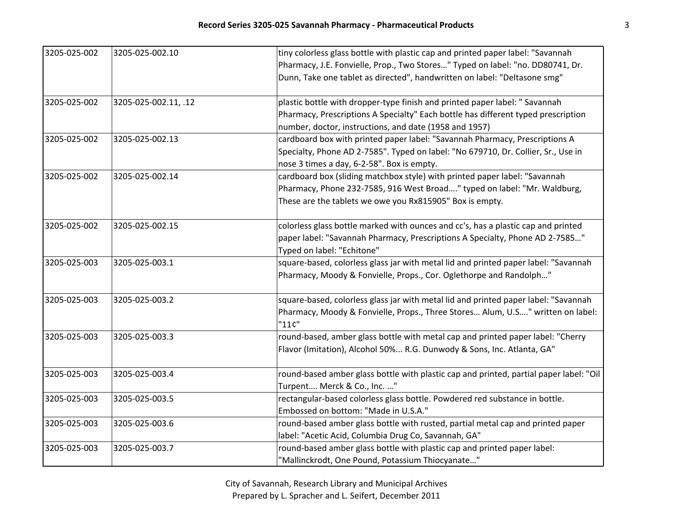| 3205-025-002 | 3205-025-002.10      | tiny colorless glass bottle with plastic cap and printed paper label: "Savannah<br>Pharmacy, J.E. Fonvielle, Prop., Two Stores" Typed on label: "no. DD80741, Dr.<br>Dunn, Take one tablet as directed", handwritten on label: "Deltasone smg" |
|--------------|----------------------|------------------------------------------------------------------------------------------------------------------------------------------------------------------------------------------------------------------------------------------------|
| 3205-025-002 | 3205-025-002.11, .12 | plastic bottle with dropper-type finish and printed paper label: " Savannah<br>Pharmacy, Prescriptions A Specialty" Each bottle has different typed prescription<br>number, doctor, instructions, and date (1958 and 1957)                     |
| 3205-025-002 | 3205-025-002.13      | cardboard box with printed paper label: "Savannah Pharmacy, Prescriptions A<br>Specialty, Phone AD 2-7585". Typed on label: "No 679710, Dr. Collier, Sr., Use in<br>nose 3 times a day, 6-2-58". Box is empty.                                 |
| 3205-025-002 | 3205-025-002.14      | cardboard box (sliding matchbox style) with printed paper label: "Savannah<br>Pharmacy, Phone 232-7585, 916 West Broad" typed on label: "Mr. Waldburg,<br>These are the tablets we owe you Rx815905" Box is empty.                             |
| 3205-025-002 | 3205-025-002.15      | colorless glass bottle marked with ounces and cc's, has a plastic cap and printed<br>paper label: "Savannah Pharmacy, Prescriptions A Specialty, Phone AD 2-7585"<br>Typed on label: "Echitone"                                                |
| 3205-025-003 | 3205-025-003.1       | square-based, colorless glass jar with metal lid and printed paper label: "Savannah<br>Pharmacy, Moody & Fonvielle, Props., Cor. Oglethorpe and Randolph"                                                                                      |
| 3205-025-003 | 3205-025-003.2       | square-based, colorless glass jar with metal lid and printed paper label: "Savannah<br>Pharmacy, Moody & Fonvielle, Props., Three Stores Alum, U.S" written on label:<br>"11C"                                                                 |
| 3205-025-003 | 3205-025-003.3       | round-based, amber glass bottle with metal cap and printed paper label: "Cherry<br>Flavor (Imitation), Alcohol 50% R.G. Dunwody & Sons, Inc. Atlanta, GA"                                                                                      |
| 3205-025-003 | 3205-025-003.4       | round-based amber glass bottle with plastic cap and printed, partial paper label: "Oil<br>Turpent Merck & Co., Inc. "                                                                                                                          |
| 3205-025-003 | 3205-025-003.5       | rectangular-based colorless glass bottle. Powdered red substance in bottle.<br>Embossed on bottom: "Made in U.S.A."                                                                                                                            |
| 3205-025-003 | 3205-025-003.6       | round-based amber glass bottle with rusted, partial metal cap and printed paper<br>label: "Acetic Acid, Columbia Drug Co, Savannah, GA"                                                                                                        |
| 3205-025-003 | 3205-025-003.7       | round-based amber glass bottle with plastic cap and printed paper label:<br>"Mallinckrodt, One Pound, Potassium Thiocyanate"                                                                                                                   |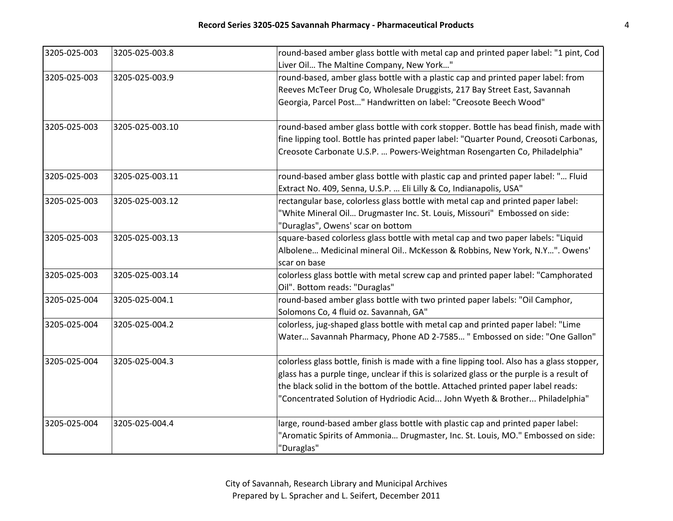| 3205-025-003 | 3205-025-003.8  | round-based amber glass bottle with metal cap and printed paper label: "1 pint, Cod        |
|--------------|-----------------|--------------------------------------------------------------------------------------------|
|              |                 | Liver Oil The Maltine Company, New York"                                                   |
| 3205-025-003 | 3205-025-003.9  | round-based, amber glass bottle with a plastic cap and printed paper label: from           |
|              |                 | Reeves McTeer Drug Co, Wholesale Druggists, 217 Bay Street East, Savannah                  |
|              |                 | Georgia, Parcel Post" Handwritten on label: "Creosote Beech Wood"                          |
| 3205-025-003 | 3205-025-003.10 | round-based amber glass bottle with cork stopper. Bottle has bead finish, made with        |
|              |                 | fine lipping tool. Bottle has printed paper label: "Quarter Pound, Creosoti Carbonas,      |
|              |                 | Creosote Carbonate U.S.P.  Powers-Weightman Rosengarten Co, Philadelphia"                  |
| 3205-025-003 | 3205-025-003.11 | round-based amber glass bottle with plastic cap and printed paper label: " Fluid           |
|              |                 | Extract No. 409, Senna, U.S.P.  Eli Lilly & Co, Indianapolis, USA"                         |
| 3205-025-003 | 3205-025-003.12 | rectangular base, colorless glass bottle with metal cap and printed paper label:           |
|              |                 | "White Mineral Oil Drugmaster Inc. St. Louis, Missouri" Embossed on side:                  |
|              |                 | "Duraglas", Owens' scar on bottom                                                          |
| 3205-025-003 | 3205-025-003.13 | square-based colorless glass bottle with metal cap and two paper labels: "Liquid           |
|              |                 | Albolene Medicinal mineral Oil McKesson & Robbins, New York, N.Y". Owens'                  |
|              |                 | scar on base                                                                               |
| 3205-025-003 | 3205-025-003.14 | colorless glass bottle with metal screw cap and printed paper label: "Camphorated          |
|              |                 | Oil". Bottom reads: "Duraglas"                                                             |
| 3205-025-004 | 3205-025-004.1  | round-based amber glass bottle with two printed paper labels: "Oil Camphor,                |
|              |                 | Solomons Co, 4 fluid oz. Savannah, GA"                                                     |
| 3205-025-004 | 3205-025-004.2  | colorless, jug-shaped glass bottle with metal cap and printed paper label: "Lime           |
|              |                 | Water Savannah Pharmacy, Phone AD 2-7585 " Embossed on side: "One Gallon"                  |
| 3205-025-004 | 3205-025-004.3  | colorless glass bottle, finish is made with a fine lipping tool. Also has a glass stopper, |
|              |                 | glass has a purple tinge, unclear if this is solarized glass or the purple is a result of  |
|              |                 | the black solid in the bottom of the bottle. Attached printed paper label reads:           |
|              |                 | "Concentrated Solution of Hydriodic Acid John Wyeth & Brother Philadelphia"                |
| 3205-025-004 | 3205-025-004.4  | large, round-based amber glass bottle with plastic cap and printed paper label:            |
|              |                 | "Aromatic Spirits of Ammonia Drugmaster, Inc. St. Louis, MO." Embossed on side:            |
|              |                 | "Duraglas"                                                                                 |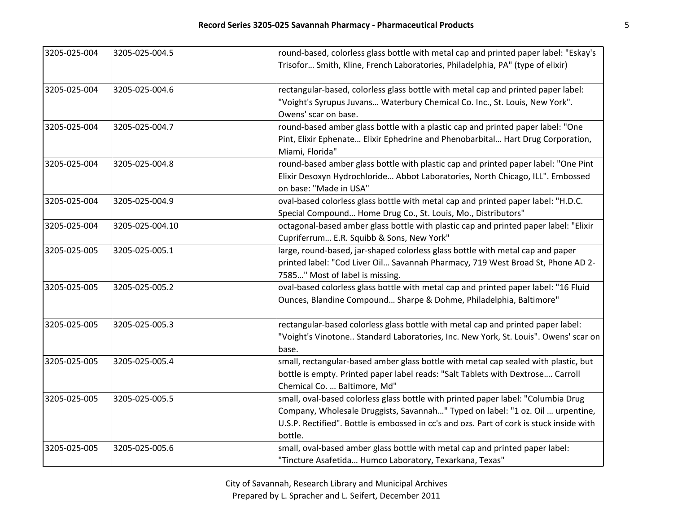| 3205-025-004 | 3205-025-004.5  | round-based, colorless glass bottle with metal cap and printed paper label: "Eskay's     |
|--------------|-----------------|------------------------------------------------------------------------------------------|
|              |                 | Trisofor Smith, Kline, French Laboratories, Philadelphia, PA" (type of elixir)           |
| 3205-025-004 | 3205-025-004.6  | rectangular-based, colorless glass bottle with metal cap and printed paper label:        |
|              |                 | "Voight's Syrupus Juvans Waterbury Chemical Co. Inc., St. Louis, New York".              |
|              |                 | Owens' scar on base.                                                                     |
| 3205-025-004 | 3205-025-004.7  | round-based amber glass bottle with a plastic cap and printed paper label: "One          |
|              |                 | Pint, Elixir Ephenate Elixir Ephedrine and Phenobarbital Hart Drug Corporation,          |
|              |                 | Miami, Florida"                                                                          |
| 3205-025-004 | 3205-025-004.8  | round-based amber glass bottle with plastic cap and printed paper label: "One Pint       |
|              |                 | Elixir Desoxyn Hydrochloride Abbot Laboratories, North Chicago, ILL". Embossed           |
|              |                 | on base: "Made in USA"                                                                   |
| 3205-025-004 | 3205-025-004.9  | oval-based colorless glass bottle with metal cap and printed paper label: "H.D.C.        |
|              |                 | Special Compound Home Drug Co., St. Louis, Mo., Distributors"                            |
| 3205-025-004 | 3205-025-004.10 | octagonal-based amber glass bottle with plastic cap and printed paper label: "Elixir     |
|              |                 | Cupriferrum E.R. Squibb & Sons, New York"                                                |
| 3205-025-005 | 3205-025-005.1  | large, round-based, jar-shaped colorless glass bottle with metal cap and paper           |
|              |                 | printed label: "Cod Liver Oil Savannah Pharmacy, 719 West Broad St, Phone AD 2-          |
|              |                 | 7585" Most of label is missing.                                                          |
| 3205-025-005 | 3205-025-005.2  | oval-based colorless glass bottle with metal cap and printed paper label: "16 Fluid      |
|              |                 | Ounces, Blandine Compound Sharpe & Dohme, Philadelphia, Baltimore"                       |
| 3205-025-005 | 3205-025-005.3  | rectangular-based colorless glass bottle with metal cap and printed paper label:         |
|              |                 | "Voight's Vinotone Standard Laboratories, Inc. New York, St. Louis". Owens' scar on      |
|              |                 | base.                                                                                    |
| 3205-025-005 | 3205-025-005.4  | small, rectangular-based amber glass bottle with metal cap sealed with plastic, but      |
|              |                 | bottle is empty. Printed paper label reads: "Salt Tablets with Dextrose Carroll          |
|              |                 | Chemical Co.  Baltimore, Md"                                                             |
| 3205-025-005 | 3205-025-005.5  | small, oval-based colorless glass bottle with printed paper label: "Columbia Drug        |
|              |                 | Company, Wholesale Druggists, Savannah" Typed on label: "1 oz. Oil  urpentine,           |
|              |                 | U.S.P. Rectified". Bottle is embossed in cc's and ozs. Part of cork is stuck inside with |
|              |                 | bottle.                                                                                  |
| 3205-025-005 | 3205-025-005.6  | small, oval-based amber glass bottle with metal cap and printed paper label:             |
|              |                 | "Tincture Asafetida Humco Laboratory, Texarkana, Texas"                                  |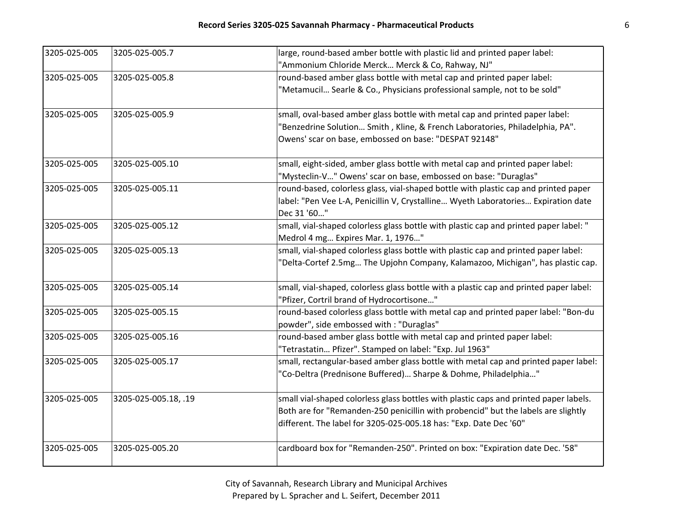| 3205-025-005 | 3205-025-005.7       | large, round-based amber bottle with plastic lid and printed paper label:              |
|--------------|----------------------|----------------------------------------------------------------------------------------|
|              |                      | "Ammonium Chloride Merck Merck & Co, Rahway, NJ"                                       |
| 3205-025-005 | 3205-025-005.8       | round-based amber glass bottle with metal cap and printed paper label:                 |
|              |                      | "Metamucil Searle & Co., Physicians professional sample, not to be sold"               |
| 3205-025-005 | 3205-025-005.9       | small, oval-based amber glass bottle with metal cap and printed paper label:           |
|              |                      | "Benzedrine Solution Smith, Kline, & French Laboratories, Philadelphia, PA".           |
|              |                      | Owens' scar on base, embossed on base: "DESPAT 92148"                                  |
| 3205-025-005 | 3205-025-005.10      | small, eight-sided, amber glass bottle with metal cap and printed paper label:         |
|              |                      | "Mysteclin-V" Owens' scar on base, embossed on base: "Duraglas"                        |
| 3205-025-005 | 3205-025-005.11      | round-based, colorless glass, vial-shaped bottle with plastic cap and printed paper    |
|              |                      | label: "Pen Vee L-A, Penicillin V, Crystalline Wyeth Laboratories Expiration date      |
|              |                      | Dec 31 '60"                                                                            |
| 3205-025-005 | 3205-025-005.12      | small, vial-shaped colorless glass bottle with plastic cap and printed paper label: "  |
|              |                      | Medrol 4 mg Expires Mar. 1, 1976"                                                      |
| 3205-025-005 | 3205-025-005.13      | small, vial-shaped colorless glass bottle with plastic cap and printed paper label:    |
|              |                      | "Delta-Cortef 2.5mg The Upjohn Company, Kalamazoo, Michigan", has plastic cap.         |
| 3205-025-005 | 3205-025-005.14      | small, vial-shaped, colorless glass bottle with a plastic cap and printed paper label: |
|              |                      | "Pfizer, Cortril brand of Hydrocortisone"                                              |
| 3205-025-005 | 3205-025-005.15      | round-based colorless glass bottle with metal cap and printed paper label: "Bon-du     |
|              |                      | powder", side embossed with : "Duraglas"                                               |
| 3205-025-005 | 3205-025-005.16      | round-based amber glass bottle with metal cap and printed paper label:                 |
|              |                      | "Tetrastatin Pfizer". Stamped on label: "Exp. Jul 1963"                                |
| 3205-025-005 | 3205-025-005.17      | small, rectangular-based amber glass bottle with metal cap and printed paper label:    |
|              |                      | "Co-Deltra (Prednisone Buffered) Sharpe & Dohme, Philadelphia"                         |
| 3205-025-005 | 3205-025-005.18, .19 | small vial-shaped colorless glass bottles with plastic caps and printed paper labels.  |
|              |                      | Both are for "Remanden-250 penicillin with probencid" but the labels are slightly      |
|              |                      | different. The label for 3205-025-005.18 has: "Exp. Date Dec '60"                      |
| 3205-025-005 | 3205-025-005.20      | cardboard box for "Remanden-250". Printed on box: "Expiration date Dec. '58"           |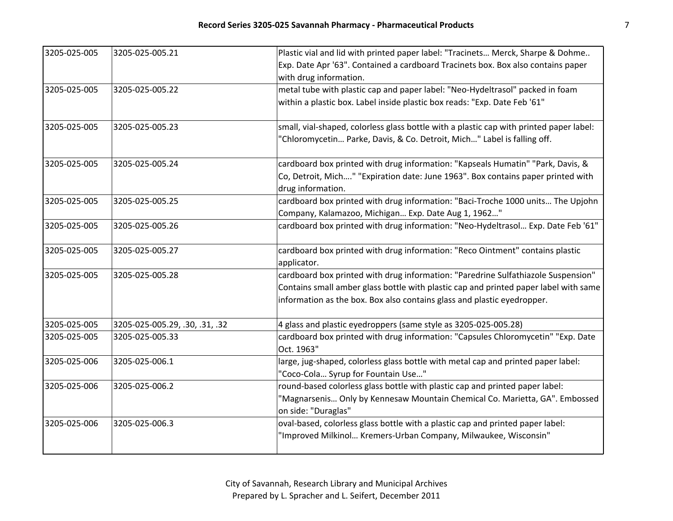| 3205-025-005 | 3205-025-005.21                | Plastic vial and lid with printed paper label: "Tracinets Merck, Sharpe & Dohme                                         |
|--------------|--------------------------------|-------------------------------------------------------------------------------------------------------------------------|
|              |                                | Exp. Date Apr '63". Contained a cardboard Tracinets box. Box also contains paper                                        |
|              |                                | with drug information.                                                                                                  |
| 3205-025-005 | 3205-025-005.22                | metal tube with plastic cap and paper label: "Neo-Hydeltrasol" packed in foam                                           |
|              |                                | within a plastic box. Label inside plastic box reads: "Exp. Date Feb '61"                                               |
| 3205-025-005 | 3205-025-005.23                | small, vial-shaped, colorless glass bottle with a plastic cap with printed paper label:                                 |
|              |                                | "Chloromycetin Parke, Davis, & Co. Detroit, Mich" Label is falling off.                                                 |
| 3205-025-005 | 3205-025-005.24                | cardboard box printed with drug information: "Kapseals Humatin" "Park, Davis, &                                         |
|              |                                | Co, Detroit, Mich" "Expiration date: June 1963". Box contains paper printed with<br>drug information.                   |
| 3205-025-005 | 3205-025-005.25                | cardboard box printed with drug information: "Baci-Troche 1000 units The Upjohn                                         |
|              |                                | Company, Kalamazoo, Michigan Exp. Date Aug 1, 1962"                                                                     |
| 3205-025-005 | 3205-025-005.26                | cardboard box printed with drug information: "Neo-Hydeltrasol Exp. Date Feb '61"                                        |
| 3205-025-005 | 3205-025-005.27                | cardboard box printed with drug information: "Reco Ointment" contains plastic                                           |
|              |                                | applicator.                                                                                                             |
| 3205-025-005 | 3205-025-005.28                | cardboard box printed with drug information: "Paredrine Sulfathiazole Suspension"                                       |
|              |                                | Contains small amber glass bottle with plastic cap and printed paper label with same                                    |
|              |                                | information as the box. Box also contains glass and plastic eyedropper.                                                 |
| 3205-025-005 | 3205-025-005.29, .30, .31, .32 | 4 glass and plastic eyedroppers (same style as 3205-025-005.28)                                                         |
| 3205-025-005 | 3205-025-005.33                | cardboard box printed with drug information: "Capsules Chloromycetin" "Exp. Date<br>Oct. 1963"                          |
| 3205-025-006 | 3205-025-006.1                 | large, jug-shaped, colorless glass bottle with metal cap and printed paper label:<br>"Coco-Cola Syrup for Fountain Use" |
| 3205-025-006 | 3205-025-006.2                 | round-based colorless glass bottle with plastic cap and printed paper label:                                            |
|              |                                | "Magnarsenis Only by Kennesaw Mountain Chemical Co. Marietta, GA". Embossed                                             |
|              |                                | on side: "Duraglas"                                                                                                     |
| 3205-025-006 | 3205-025-006.3                 | oval-based, colorless glass bottle with a plastic cap and printed paper label:                                          |
|              |                                | "Improved Milkinol Kremers-Urban Company, Milwaukee, Wisconsin"                                                         |
|              |                                |                                                                                                                         |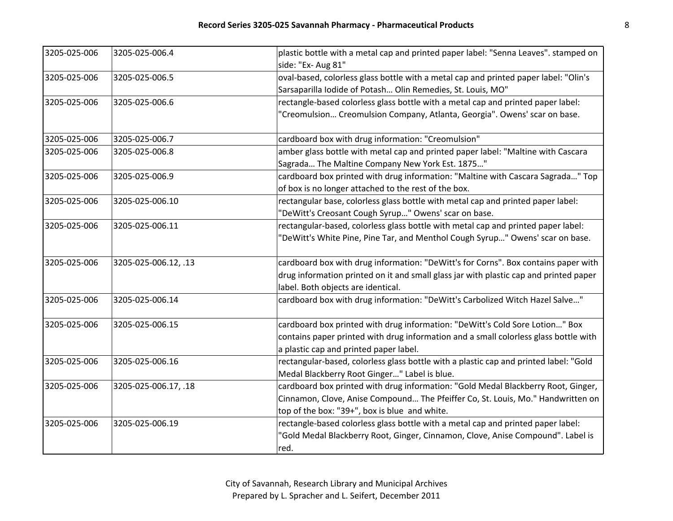| 3205-025-006 | 3205-025-006.4       | plastic bottle with a metal cap and printed paper label: "Senna Leaves". stamped on   |
|--------------|----------------------|---------------------------------------------------------------------------------------|
|              |                      | side: "Ex- Aug 81"                                                                    |
| 3205-025-006 | 3205-025-006.5       | oval-based, colorless glass bottle with a metal cap and printed paper label: "Olin's  |
|              |                      | Sarsaparilla Iodide of Potash Olin Remedies, St. Louis, MO"                           |
| 3205-025-006 | 3205-025-006.6       | rectangle-based colorless glass bottle with a metal cap and printed paper label:      |
|              |                      | "Creomulsion Creomulsion Company, Atlanta, Georgia". Owens' scar on base.             |
| 3205-025-006 | 3205-025-006.7       | cardboard box with drug information: "Creomulsion"                                    |
| 3205-025-006 | 3205-025-006.8       | amber glass bottle with metal cap and printed paper label: "Maltine with Cascara      |
|              |                      | Sagrada The Maltine Company New York Est. 1875"                                       |
| 3205-025-006 | 3205-025-006.9       | cardboard box printed with drug information: "Maltine with Cascara Sagrada" Top       |
|              |                      | of box is no longer attached to the rest of the box.                                  |
| 3205-025-006 | 3205-025-006.10      | rectangular base, colorless glass bottle with metal cap and printed paper label:      |
|              |                      | "DeWitt's Creosant Cough Syrup" Owens' scar on base.                                  |
| 3205-025-006 | 3205-025-006.11      | rectangular-based, colorless glass bottle with metal cap and printed paper label:     |
|              |                      | "DeWitt's White Pine, Pine Tar, and Menthol Cough Syrup" Owens' scar on base.         |
| 3205-025-006 | 3205-025-006.12, .13 | cardboard box with drug information: "DeWitt's for Corns". Box contains paper with    |
|              |                      | drug information printed on it and small glass jar with plastic cap and printed paper |
|              |                      | label. Both objects are identical.                                                    |
| 3205-025-006 | 3205-025-006.14      | cardboard box with drug information: "DeWitt's Carbolized Witch Hazel Salve"          |
| 3205-025-006 | 3205-025-006.15      | cardboard box printed with drug information: "DeWitt's Cold Sore Lotion" Box          |
|              |                      | contains paper printed with drug information and a small colorless glass bottle with  |
|              |                      | a plastic cap and printed paper label.                                                |
| 3205-025-006 | 3205-025-006.16      | rectangular-based, colorless glass bottle with a plastic cap and printed label: "Gold |
|              |                      | Medal Blackberry Root Ginger" Label is blue.                                          |
| 3205-025-006 | 3205-025-006.17, .18 | cardboard box printed with drug information: "Gold Medal Blackberry Root, Ginger,     |
|              |                      | Cinnamon, Clove, Anise Compound The Pfeiffer Co, St. Louis, Mo." Handwritten on       |
|              |                      | top of the box: "39+", box is blue and white.                                         |
| 3205-025-006 | 3205-025-006.19      | rectangle-based colorless glass bottle with a metal cap and printed paper label:      |
|              |                      | "Gold Medal Blackberry Root, Ginger, Cinnamon, Clove, Anise Compound". Label is       |
|              |                      | red.                                                                                  |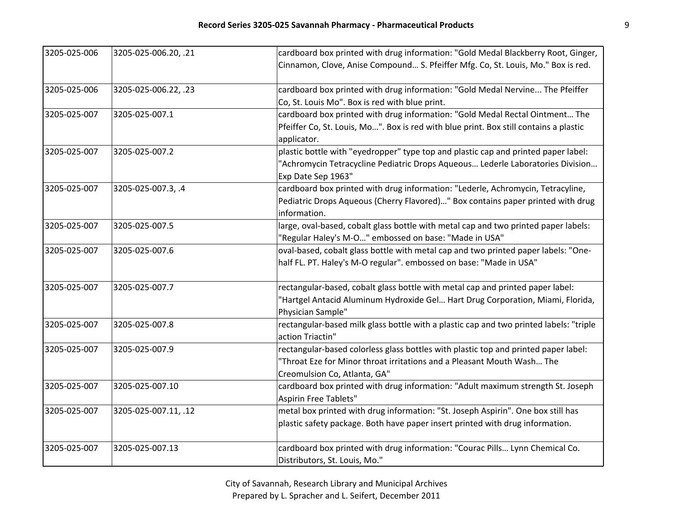| 3205-025-006 | 3205-025-006.20, .21 | cardboard box printed with drug information: "Gold Medal Blackberry Root, Ginger,                   |
|--------------|----------------------|-----------------------------------------------------------------------------------------------------|
|              |                      | Cinnamon, Clove, Anise Compound S. Pfeiffer Mfg. Co, St. Louis, Mo." Box is red.                    |
| 3205-025-006 | 3205-025-006.22, .23 | cardboard box printed with drug information: "Gold Medal Nervine The Pfeiffer                       |
|              |                      | Co, St. Louis Mo". Box is red with blue print.                                                      |
| 3205-025-007 | 3205-025-007.1       | cardboard box printed with drug information: "Gold Medal Rectal Ointment The                        |
|              |                      | Pfeiffer Co, St. Louis, Mo". Box is red with blue print. Box still contains a plastic               |
|              |                      | applicator.                                                                                         |
| 3205-025-007 | 3205-025-007.2       | plastic bottle with "eyedropper" type top and plastic cap and printed paper label:                  |
|              |                      | "Achromycin Tetracycline Pediatric Drops Aqueous Lederle Laboratories Division                      |
|              |                      | Exp Date Sep 1963"                                                                                  |
| 3205-025-007 | 3205-025-007.3, .4   | cardboard box printed with drug information: "Lederle, Achromycin, Tetracyline,                     |
|              |                      | Pediatric Drops Aqueous (Cherry Flavored)" Box contains paper printed with drug                     |
|              |                      | information.                                                                                        |
| 3205-025-007 | 3205-025-007.5       | large, oval-based, cobalt glass bottle with metal cap and two printed paper labels:                 |
|              |                      | "Regular Haley's M-O" embossed on base: "Made in USA"                                               |
| 3205-025-007 | 3205-025-007.6       | oval-based, cobalt glass bottle with metal cap and two printed paper labels: "One-                  |
|              |                      | half FL. PT. Haley's M-O regular". embossed on base: "Made in USA"                                  |
| 3205-025-007 | 3205-025-007.7       | rectangular-based, cobalt glass bottle with metal cap and printed paper label:                      |
|              |                      | "Hartgel Antacid Aluminum Hydroxide Gel Hart Drug Corporation, Miami, Florida,<br>Physician Sample" |
| 3205-025-007 | 3205-025-007.8       | rectangular-based milk glass bottle with a plastic cap and two printed labels: "triple              |
|              |                      | action Triactin"                                                                                    |
| 3205-025-007 | 3205-025-007.9       | rectangular-based colorless glass bottles with plastic top and printed paper label:                 |
|              |                      | "Throat Eze for Minor throat irritations and a Pleasant Mouth Wash The                              |
|              |                      | Creomulsion Co, Atlanta, GA"                                                                        |
| 3205-025-007 | 3205-025-007.10      | cardboard box printed with drug information: "Adult maximum strength St. Joseph                     |
|              |                      | Aspirin Free Tablets"                                                                               |
| 3205-025-007 | 3205-025-007.11, .12 | metal box printed with drug information: "St. Joseph Aspirin". One box still has                    |
|              |                      | plastic safety package. Both have paper insert printed with drug information.                       |
|              |                      |                                                                                                     |
| 3205-025-007 | 3205-025-007.13      | cardboard box printed with drug information: "Courac Pills Lynn Chemical Co.                        |
|              |                      | Distributors, St. Louis, Mo."                                                                       |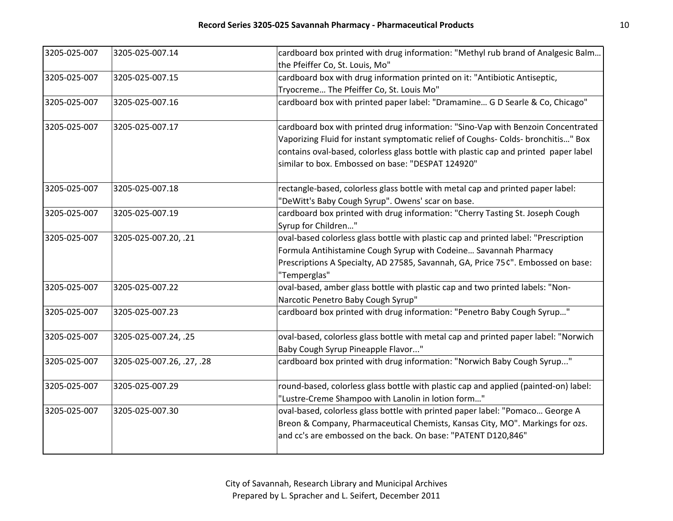| 3205-025-007 | 3205-025-007.14           | cardboard box printed with drug information: "Methyl rub brand of Analgesic Balm     |
|--------------|---------------------------|--------------------------------------------------------------------------------------|
|              |                           | the Pfeiffer Co, St. Louis, Mo"                                                      |
| 3205-025-007 | 3205-025-007.15           | cardboard box with drug information printed on it: "Antibiotic Antiseptic,           |
|              |                           | Tryocreme The Pfeiffer Co, St. Louis Mo"                                             |
| 3205-025-007 | 3205-025-007.16           | cardboard box with printed paper label: "Dramamine G D Searle & Co, Chicago"         |
| 3205-025-007 | 3205-025-007.17           | cardboard box with printed drug information: "Sino-Vap with Benzoin Concentrated     |
|              |                           | Vaporizing Fluid for instant symptomatic relief of Coughs- Colds- bronchitis" Box    |
|              |                           | contains oval-based, colorless glass bottle with plastic cap and printed paper label |
|              |                           | similar to box. Embossed on base: "DESPAT 124920"                                    |
| 3205-025-007 | 3205-025-007.18           | rectangle-based, colorless glass bottle with metal cap and printed paper label:      |
|              |                           | "DeWitt's Baby Cough Syrup". Owens' scar on base.                                    |
| 3205-025-007 | 3205-025-007.19           | cardboard box printed with drug information: "Cherry Tasting St. Joseph Cough        |
|              |                           | Syrup for Children"                                                                  |
| 3205-025-007 | 3205-025-007.20, .21      | oval-based colorless glass bottle with plastic cap and printed label: "Prescription  |
|              |                           | Formula Antihistamine Cough Syrup with Codeine Savannah Pharmacy                     |
|              |                           | Prescriptions A Specialty, AD 27585, Savannah, GA, Price 75¢". Embossed on base:     |
|              |                           | "Temperglas"                                                                         |
| 3205-025-007 | 3205-025-007.22           | oval-based, amber glass bottle with plastic cap and two printed labels: "Non-        |
|              |                           | Narcotic Penetro Baby Cough Syrup"                                                   |
| 3205-025-007 | 3205-025-007.23           | cardboard box printed with drug information: "Penetro Baby Cough Syrup"              |
| 3205-025-007 | 3205-025-007.24, .25      | oval-based, colorless glass bottle with metal cap and printed paper label: "Norwich  |
|              |                           | Baby Cough Syrup Pineapple Flavor"                                                   |
| 3205-025-007 | 3205-025-007.26, .27, .28 | cardboard box printed with drug information: "Norwich Baby Cough Syrup"              |
| 3205-025-007 | 3205-025-007.29           | round-based, colorless glass bottle with plastic cap and applied (painted-on) label: |
|              |                           | "Lustre-Creme Shampoo with Lanolin in lotion form"                                   |
| 3205-025-007 | 3205-025-007.30           | oval-based, colorless glass bottle with printed paper label: "Pomaco George A        |
|              |                           | Breon & Company, Pharmaceutical Chemists, Kansas City, MO". Markings for ozs.        |
|              |                           | and cc's are embossed on the back. On base: "PATENT D120,846"                        |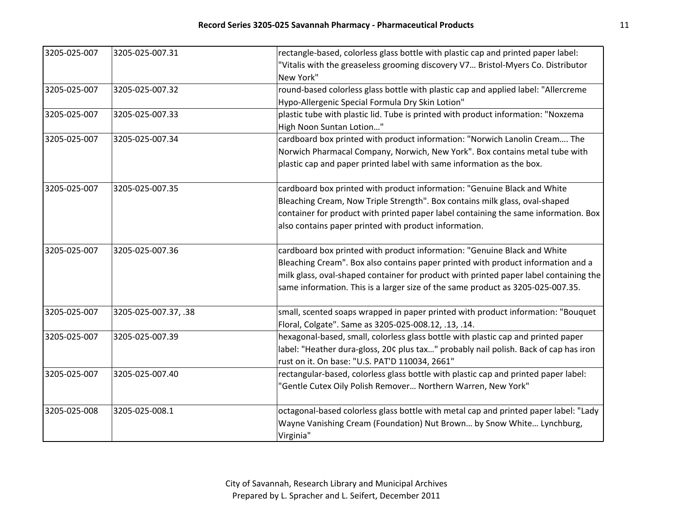| 3205-025-007 | 3205-025-007.31      | rectangle-based, colorless glass bottle with plastic cap and printed paper label:     |
|--------------|----------------------|---------------------------------------------------------------------------------------|
|              |                      | "Vitalis with the greaseless grooming discovery V7 Bristol-Myers Co. Distributor      |
|              |                      | New York"                                                                             |
| 3205-025-007 | 3205-025-007.32      | round-based colorless glass bottle with plastic cap and applied label: "Allercreme    |
|              |                      | Hypo-Allergenic Special Formula Dry Skin Lotion"                                      |
| 3205-025-007 | 3205-025-007.33      | plastic tube with plastic lid. Tube is printed with product information: "Noxzema     |
|              |                      | High Noon Suntan Lotion"                                                              |
| 3205-025-007 | 3205-025-007.34      | cardboard box printed with product information: "Norwich Lanolin Cream The            |
|              |                      | Norwich Pharmacal Company, Norwich, New York". Box contains metal tube with           |
|              |                      | plastic cap and paper printed label with same information as the box.                 |
| 3205-025-007 | 3205-025-007.35      | cardboard box printed with product information: "Genuine Black and White              |
|              |                      | Bleaching Cream, Now Triple Strength". Box contains milk glass, oval-shaped           |
|              |                      | container for product with printed paper label containing the same information. Box   |
|              |                      | also contains paper printed with product information.                                 |
| 3205-025-007 | 3205-025-007.36      | cardboard box printed with product information: "Genuine Black and White              |
|              |                      | Bleaching Cream". Box also contains paper printed with product information and a      |
|              |                      | milk glass, oval-shaped container for product with printed paper label containing the |
|              |                      | same information. This is a larger size of the same product as 3205-025-007.35.       |
| 3205-025-007 | 3205-025-007.37, .38 | small, scented soaps wrapped in paper printed with product information: "Bouquet      |
|              |                      | Floral, Colgate". Same as 3205-025-008.12, .13, .14.                                  |
| 3205-025-007 | 3205-025-007.39      | hexagonal-based, small, colorless glass bottle with plastic cap and printed paper     |
|              |                      | label: "Heather dura-gloss, 20¢ plus tax" probably nail polish. Back of cap has iron  |
|              |                      | rust on it. On base: "U.S. PAT'D 110034, 2661"                                        |
| 3205-025-007 | 3205-025-007.40      | rectangular-based, colorless glass bottle with plastic cap and printed paper label:   |
|              |                      | "Gentle Cutex Oily Polish Remover Northern Warren, New York"                          |
| 3205-025-008 | 3205-025-008.1       | octagonal-based colorless glass bottle with metal cap and printed paper label: "Lady  |
|              |                      | Wayne Vanishing Cream (Foundation) Nut Brown by Snow White Lynchburg,                 |
|              |                      | Virginia"                                                                             |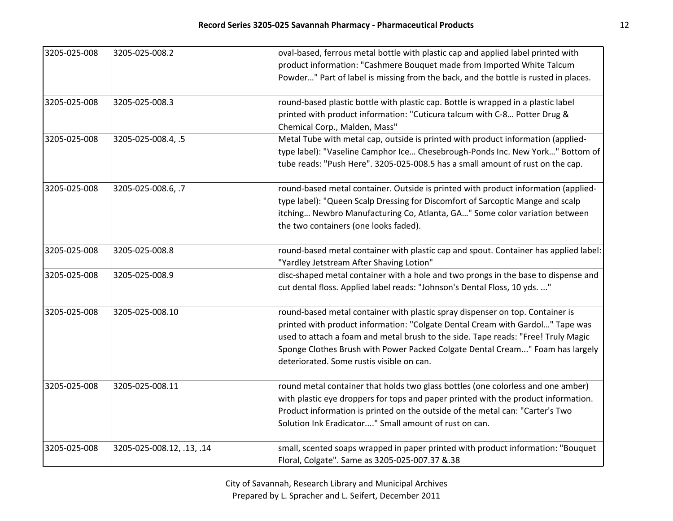| 3205-025-008 | 3205-025-008.2            | oval-based, ferrous metal bottle with plastic cap and applied label printed with<br>product information: "Cashmere Bouquet made from Imported White Talcum<br>Powder" Part of label is missing from the back, and the bottle is rusted in places.                                                                                                                                 |
|--------------|---------------------------|-----------------------------------------------------------------------------------------------------------------------------------------------------------------------------------------------------------------------------------------------------------------------------------------------------------------------------------------------------------------------------------|
| 3205-025-008 | 3205-025-008.3            | round-based plastic bottle with plastic cap. Bottle is wrapped in a plastic label<br>printed with product information: "Cuticura talcum with C-8 Potter Drug &<br>Chemical Corp., Malden, Mass"                                                                                                                                                                                   |
| 3205-025-008 | 3205-025-008.4, .5        | Metal Tube with metal cap, outside is printed with product information (applied-<br>type label): "Vaseline Camphor Ice Chesebrough-Ponds Inc. New York" Bottom of<br>tube reads: "Push Here". 3205-025-008.5 has a small amount of rust on the cap.                                                                                                                               |
| 3205-025-008 | 3205-025-008.6, .7        | round-based metal container. Outside is printed with product information (applied-<br>type label): "Queen Scalp Dressing for Discomfort of Sarcoptic Mange and scalp<br>itching Newbro Manufacturing Co, Atlanta, GA" Some color variation between<br>the two containers (one looks faded).                                                                                       |
| 3205-025-008 | 3205-025-008.8            | round-based metal container with plastic cap and spout. Container has applied label:<br>"Yardley Jetstream After Shaving Lotion"                                                                                                                                                                                                                                                  |
| 3205-025-008 | 3205-025-008.9            | disc-shaped metal container with a hole and two prongs in the base to dispense and<br>cut dental floss. Applied label reads: "Johnson's Dental Floss, 10 yds. "                                                                                                                                                                                                                   |
| 3205-025-008 | 3205-025-008.10           | round-based metal container with plastic spray dispenser on top. Container is<br>printed with product information: "Colgate Dental Cream with Gardol" Tape was<br>used to attach a foam and metal brush to the side. Tape reads: "Free! Truly Magic<br>Sponge Clothes Brush with Power Packed Colgate Dental Cream" Foam has largely<br>deteriorated. Some rustis visible on can. |
| 3205-025-008 | 3205-025-008.11           | round metal container that holds two glass bottles (one colorless and one amber)<br>with plastic eye droppers for tops and paper printed with the product information.<br>Product information is printed on the outside of the metal can: "Carter's Two<br>Solution Ink Eradicator" Small amount of rust on can.                                                                  |
| 3205-025-008 | 3205-025-008.12, .13, .14 | small, scented soaps wrapped in paper printed with product information: "Bouquet<br>Floral, Colgate". Same as 3205-025-007.37 &.38                                                                                                                                                                                                                                                |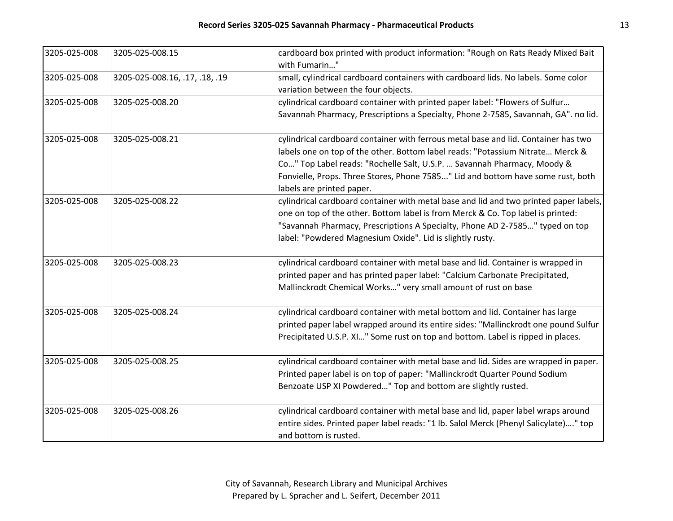| 3205-025-008 | 3205-025-008.15                | cardboard box printed with product information: "Rough on Rats Ready Mixed Bait       |
|--------------|--------------------------------|---------------------------------------------------------------------------------------|
|              |                                | with Fumarin"                                                                         |
| 3205-025-008 | 3205-025-008.16, .17, .18, .19 | small, cylindrical cardboard containers with cardboard lids. No labels. Some color    |
|              |                                | variation between the four objects.                                                   |
| 3205-025-008 | 3205-025-008.20                | cylindrical cardboard container with printed paper label: "Flowers of Sulfur          |
|              |                                | Savannah Pharmacy, Prescriptions a Specialty, Phone 2-7585, Savannah, GA". no lid.    |
| 3205-025-008 | 3205-025-008.21                | cylindrical cardboard container with ferrous metal base and lid. Container has two    |
|              |                                | labels one on top of the other. Bottom label reads: "Potassium Nitrate Merck &        |
|              |                                | Co" Top Label reads: "Rochelle Salt, U.S.P.  Savannah Pharmacy, Moody &               |
|              |                                | Fonvielle, Props. Three Stores, Phone 7585" Lid and bottom have some rust, both       |
|              |                                | labels are printed paper.                                                             |
| 3205-025-008 | 3205-025-008.22                | cylindrical cardboard container with metal base and lid and two printed paper labels, |
|              |                                | one on top of the other. Bottom label is from Merck & Co. Top label is printed:       |
|              |                                | "Savannah Pharmacy, Prescriptions A Specialty, Phone AD 2-7585" typed on top          |
|              |                                | label: "Powdered Magnesium Oxide". Lid is slightly rusty.                             |
| 3205-025-008 | 3205-025-008.23                | cylindrical cardboard container with metal base and lid. Container is wrapped in      |
|              |                                | printed paper and has printed paper label: "Calcium Carbonate Precipitated,           |
|              |                                | Mallinckrodt Chemical Works" very small amount of rust on base                        |
| 3205-025-008 | 3205-025-008.24                | cylindrical cardboard container with metal bottom and lid. Container has large        |
|              |                                | printed paper label wrapped around its entire sides: "Mallinckrodt one pound Sulfur   |
|              |                                | Precipitated U.S.P. XI" Some rust on top and bottom. Label is ripped in places.       |
| 3205-025-008 | 3205-025-008.25                | cylindrical cardboard container with metal base and lid. Sides are wrapped in paper.  |
|              |                                | Printed paper label is on top of paper: "Mallinckrodt Quarter Pound Sodium            |
|              |                                | Benzoate USP XI Powdered" Top and bottom are slightly rusted.                         |
| 3205-025-008 | 3205-025-008.26                | cylindrical cardboard container with metal base and lid, paper label wraps around     |
|              |                                | entire sides. Printed paper label reads: "1 lb. Salol Merck (Phenyl Salicylate)" top  |
|              |                                | and bottom is rusted.                                                                 |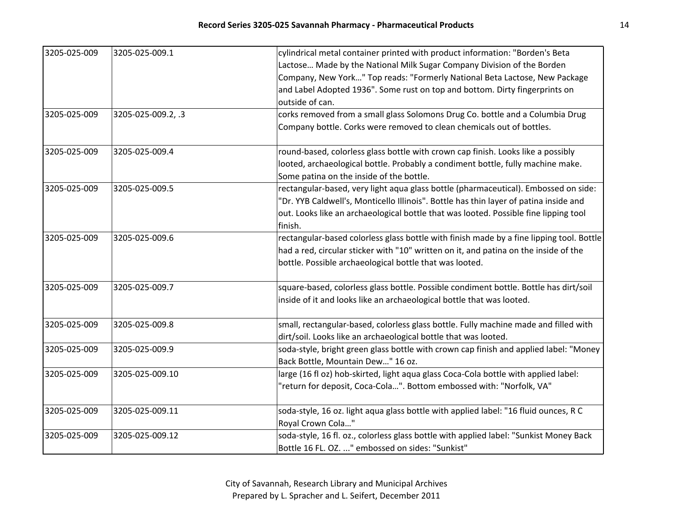| 3205-025-009 | 3205-025-009.1     | cylindrical metal container printed with product information: "Borden's Beta             |
|--------------|--------------------|------------------------------------------------------------------------------------------|
|              |                    | Lactose Made by the National Milk Sugar Company Division of the Borden                   |
|              |                    | Company, New York" Top reads: "Formerly National Beta Lactose, New Package               |
|              |                    | and Label Adopted 1936". Some rust on top and bottom. Dirty fingerprints on              |
|              |                    | outside of can.                                                                          |
| 3205-025-009 | 3205-025-009.2, .3 | corks removed from a small glass Solomons Drug Co. bottle and a Columbia Drug            |
|              |                    | Company bottle. Corks were removed to clean chemicals out of bottles.                    |
| 3205-025-009 | 3205-025-009.4     | round-based, colorless glass bottle with crown cap finish. Looks like a possibly         |
|              |                    | looted, archaeological bottle. Probably a condiment bottle, fully machine make.          |
|              |                    | Some patina on the inside of the bottle.                                                 |
| 3205-025-009 | 3205-025-009.5     | rectangular-based, very light aqua glass bottle (pharmaceutical). Embossed on side:      |
|              |                    | "Dr. YYB Caldwell's, Monticello Illinois". Bottle has thin layer of patina inside and    |
|              |                    | out. Looks like an archaeological bottle that was looted. Possible fine lipping tool     |
|              |                    | finish.                                                                                  |
| 3205-025-009 | 3205-025-009.6     | rectangular-based colorless glass bottle with finish made by a fine lipping tool. Bottle |
|              |                    | had a red, circular sticker with "10" written on it, and patina on the inside of the     |
|              |                    | bottle. Possible archaeological bottle that was looted.                                  |
| 3205-025-009 | 3205-025-009.7     | square-based, colorless glass bottle. Possible condiment bottle. Bottle has dirt/soil    |
|              |                    | inside of it and looks like an archaeological bottle that was looted.                    |
| 3205-025-009 | 3205-025-009.8     | small, rectangular-based, colorless glass bottle. Fully machine made and filled with     |
|              |                    | dirt/soil. Looks like an archaeological bottle that was looted.                          |
| 3205-025-009 | 3205-025-009.9     | soda-style, bright green glass bottle with crown cap finish and applied label: "Money    |
|              |                    | Back Bottle, Mountain Dew" 16 oz.                                                        |
| 3205-025-009 | 3205-025-009.10    | large (16 fl oz) hob-skirted, light aqua glass Coca-Cola bottle with applied label:      |
|              |                    | "return for deposit, Coca-Cola". Bottom embossed with: "Norfolk, VA"                     |
| 3205-025-009 | 3205-025-009.11    | soda-style, 16 oz. light aqua glass bottle with applied label: "16 fluid ounces, R C     |
|              |                    | Royal Crown Cola"                                                                        |
| 3205-025-009 | 3205-025-009.12    | soda-style, 16 fl. oz., colorless glass bottle with applied label: "Sunkist Money Back   |
|              |                    | Bottle 16 FL. OZ. " embossed on sides: "Sunkist"                                         |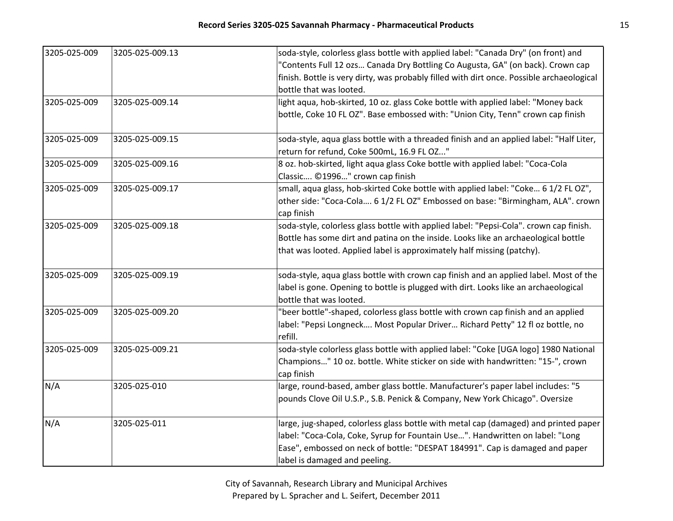| 3205-025-009 | 3205-025-009.13 | soda-style, colorless glass bottle with applied label: "Canada Dry" (on front) and                                |
|--------------|-----------------|-------------------------------------------------------------------------------------------------------------------|
|              |                 | "Contents Full 12 ozs Canada Dry Bottling Co Augusta, GA" (on back). Crown cap                                    |
|              |                 | finish. Bottle is very dirty, was probably filled with dirt once. Possible archaeological                         |
|              |                 | bottle that was looted.                                                                                           |
| 3205-025-009 | 3205-025-009.14 | light aqua, hob-skirted, 10 oz. glass Coke bottle with applied label: "Money back                                 |
|              |                 | bottle, Coke 10 FL OZ". Base embossed with: "Union City, Tenn" crown cap finish                                   |
| 3205-025-009 | 3205-025-009.15 | soda-style, aqua glass bottle with a threaded finish and an applied label: "Half Liter,                           |
|              |                 | return for refund, Coke 500mL, 16.9 FL OZ"                                                                        |
| 3205-025-009 | 3205-025-009.16 | 8 oz. hob-skirted, light aqua glass Coke bottle with applied label: "Coca-Cola<br>Classic ©1996" crown cap finish |
| 3205-025-009 | 3205-025-009.17 | small, aqua glass, hob-skirted Coke bottle with applied label: "Coke 6 1/2 FL OZ",                                |
|              |                 | other side: "Coca-Cola 6 1/2 FL OZ" Embossed on base: "Birmingham, ALA". crown                                    |
|              |                 | cap finish                                                                                                        |
| 3205-025-009 | 3205-025-009.18 | soda-style, colorless glass bottle with applied label: "Pepsi-Cola". crown cap finish.                            |
|              |                 | Bottle has some dirt and patina on the inside. Looks like an archaeological bottle                                |
|              |                 | that was looted. Applied label is approximately half missing (patchy).                                            |
| 3205-025-009 | 3205-025-009.19 | soda-style, aqua glass bottle with crown cap finish and an applied label. Most of the                             |
|              |                 | label is gone. Opening to bottle is plugged with dirt. Looks like an archaeological                               |
|              |                 | bottle that was looted.                                                                                           |
| 3205-025-009 | 3205-025-009.20 | "beer bottle"-shaped, colorless glass bottle with crown cap finish and an applied                                 |
|              |                 | label: "Pepsi Longneck Most Popular Driver Richard Petty" 12 fl oz bottle, no                                     |
|              |                 | refill.                                                                                                           |
| 3205-025-009 | 3205-025-009.21 | soda-style colorless glass bottle with applied label: "Coke [UGA logo] 1980 National                              |
|              |                 | Champions" 10 oz. bottle. White sticker on side with handwritten: "15-", crown                                    |
|              |                 | cap finish                                                                                                        |
| N/A          | 3205-025-010    | large, round-based, amber glass bottle. Manufacturer's paper label includes: "5                                   |
|              |                 | pounds Clove Oil U.S.P., S.B. Penick & Company, New York Chicago". Oversize                                       |
| N/A          | 3205-025-011    | large, jug-shaped, colorless glass bottle with metal cap (damaged) and printed paper                              |
|              |                 | label: "Coca-Cola, Coke, Syrup for Fountain Use". Handwritten on label: "Long                                     |
|              |                 | Ease", embossed on neck of bottle: "DESPAT 184991". Cap is damaged and paper                                      |
|              |                 | label is damaged and peeling.                                                                                     |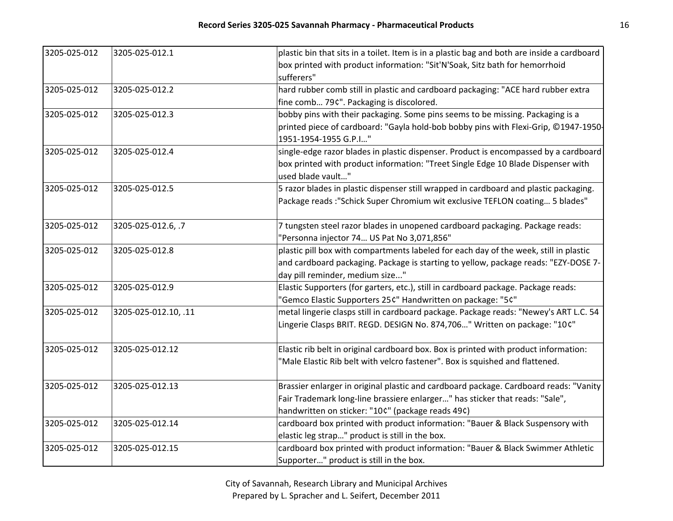| 3205-025-012 | 3205-025-012.1       | plastic bin that sits in a toilet. Item is in a plastic bag and both are inside a cardboard<br>box printed with product information: "Sit'N'Soak, Sitz bath for hemorrhoid<br>sufferers"                        |
|--------------|----------------------|-----------------------------------------------------------------------------------------------------------------------------------------------------------------------------------------------------------------|
| 3205-025-012 | 3205-025-012.2       | hard rubber comb still in plastic and cardboard packaging: "ACE hard rubber extra                                                                                                                               |
|              |                      | fine comb 79¢". Packaging is discolored.                                                                                                                                                                        |
| 3205-025-012 | 3205-025-012.3       | bobby pins with their packaging. Some pins seems to be missing. Packaging is a                                                                                                                                  |
|              |                      | printed piece of cardboard: "Gayla hold-bob bobby pins with Flexi-Grip, ©1947-1950-<br>1951-1954-1955 G.P.I"                                                                                                    |
| 3205-025-012 | 3205-025-012.4       | single-edge razor blades in plastic dispenser. Product is encompassed by a cardboard                                                                                                                            |
|              |                      | box printed with product information: "Treet Single Edge 10 Blade Dispenser with<br>used blade vault"                                                                                                           |
| 3205-025-012 | 3205-025-012.5       | 5 razor blades in plastic dispenser still wrapped in cardboard and plastic packaging.<br>Package reads : "Schick Super Chromium wit exclusive TEFLON coating 5 blades"                                          |
| 3205-025-012 | 3205-025-012.6, .7   | 7 tungsten steel razor blades in unopened cardboard packaging. Package reads:<br>"Personna injector 74 US Pat No 3,071,856"                                                                                     |
| 3205-025-012 | 3205-025-012.8       | plastic pill box with compartments labeled for each day of the week, still in plastic<br>and cardboard packaging. Package is starting to yellow, package reads: "EZY-DOSE 7-<br>day pill reminder, medium size" |
| 3205-025-012 | 3205-025-012.9       | Elastic Supporters (for garters, etc.), still in cardboard package. Package reads:                                                                                                                              |
|              |                      | "Gemco Elastic Supporters 25¢" Handwritten on package: "5¢"                                                                                                                                                     |
| 3205-025-012 | 3205-025-012.10, .11 | metal lingerie clasps still in cardboard package. Package reads: "Newey's ART L.C. 54<br>Lingerie Clasps BRIT. REGD. DESIGN No. 874,706" Written on package: "10¢"                                              |
| 3205-025-012 | 3205-025-012.12      | Elastic rib belt in original cardboard box. Box is printed with product information:                                                                                                                            |
|              |                      | "Male Elastic Rib belt with velcro fastener". Box is squished and flattened.                                                                                                                                    |
| 3205-025-012 | 3205-025-012.13      | Brassier enlarger in original plastic and cardboard package. Cardboard reads: "Vanity                                                                                                                           |
|              |                      | Fair Trademark long-line brassiere enlarger" has sticker that reads: "Sale",                                                                                                                                    |
|              |                      | handwritten on sticker: "10¢" (package reads 49¢)                                                                                                                                                               |
| 3205-025-012 | 3205-025-012.14      | cardboard box printed with product information: "Bauer & Black Suspensory with                                                                                                                                  |
|              |                      | elastic leg strap" product is still in the box.                                                                                                                                                                 |
| 3205-025-012 | 3205-025-012.15      | cardboard box printed with product information: "Bauer & Black Swimmer Athletic                                                                                                                                 |
|              |                      | Supporter" product is still in the box.                                                                                                                                                                         |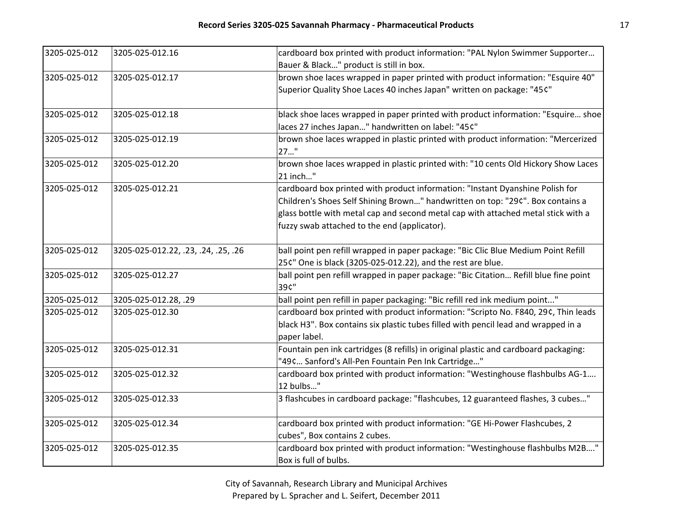| 3205-025-012 | 3205-025-012.16                     | cardboard box printed with product information: "PAL Nylon Swimmer Supporter         |
|--------------|-------------------------------------|--------------------------------------------------------------------------------------|
|              |                                     | Bauer & Black" product is still in box.                                              |
| 3205-025-012 | 3205-025-012.17                     | brown shoe laces wrapped in paper printed with product information: "Esquire 40"     |
|              |                                     | Superior Quality Shoe Laces 40 inches Japan" written on package: "45¢"               |
|              |                                     |                                                                                      |
| 3205-025-012 | 3205-025-012.18                     | black shoe laces wrapped in paper printed with product information: "Esquire shoe    |
|              |                                     | laces 27 inches Japan" handwritten on label: "45¢"                                   |
| 3205-025-012 | 3205-025-012.19                     | brown shoe laces wrapped in plastic printed with product information: "Mercerized    |
|              |                                     | $27$ "                                                                               |
| 3205-025-012 | 3205-025-012.20                     | brown shoe laces wrapped in plastic printed with: "10 cents Old Hickory Show Laces   |
|              |                                     | 21 inch"                                                                             |
| 3205-025-012 | 3205-025-012.21                     | cardboard box printed with product information: "Instant Dyanshine Polish for        |
|              |                                     | Children's Shoes Self Shining Brown" handwritten on top: "29¢". Box contains a       |
|              |                                     | glass bottle with metal cap and second metal cap with attached metal stick with a    |
|              |                                     | fuzzy swab attached to the end (applicator).                                         |
| 3205-025-012 | 3205-025-012.22, .23, .24, .25, .26 | ball point pen refill wrapped in paper package: "Bic Clic Blue Medium Point Refill   |
|              |                                     | 25¢" One is black (3205-025-012.22), and the rest are blue.                          |
| 3205-025-012 | 3205-025-012.27                     | ball point pen refill wrapped in paper package: "Bic Citation Refill blue fine point |
|              |                                     | 39¢"                                                                                 |
| 3205-025-012 | 3205-025-012.28, .29                | ball point pen refill in paper packaging: "Bic refill red ink medium point"          |
| 3205-025-012 | 3205-025-012.30                     | cardboard box printed with product information: "Scripto No. F840, 29¢, Thin leads   |
|              |                                     | black H3". Box contains six plastic tubes filled with pencil lead and wrapped in a   |
|              |                                     | paper label.                                                                         |
| 3205-025-012 | 3205-025-012.31                     | Fountain pen ink cartridges (8 refills) in original plastic and cardboard packaging: |
|              |                                     | "49¢ Sanford's All-Pen Fountain Pen Ink Cartridge"                                   |
| 3205-025-012 | 3205-025-012.32                     | cardboard box printed with product information: "Westinghouse flashbulbs AG-1        |
|              |                                     | 12 bulbs"                                                                            |
| 3205-025-012 | 3205-025-012.33                     | 3 flashcubes in cardboard package: "flashcubes, 12 guaranteed flashes, 3 cubes"      |
| 3205-025-012 | 3205-025-012.34                     | cardboard box printed with product information: "GE Hi-Power Flashcubes, 2           |
|              |                                     | cubes", Box contains 2 cubes.                                                        |
| 3205-025-012 | 3205-025-012.35                     | cardboard box printed with product information: "Westinghouse flashbulbs M2B"        |
|              |                                     | Box is full of bulbs.                                                                |
|              |                                     |                                                                                      |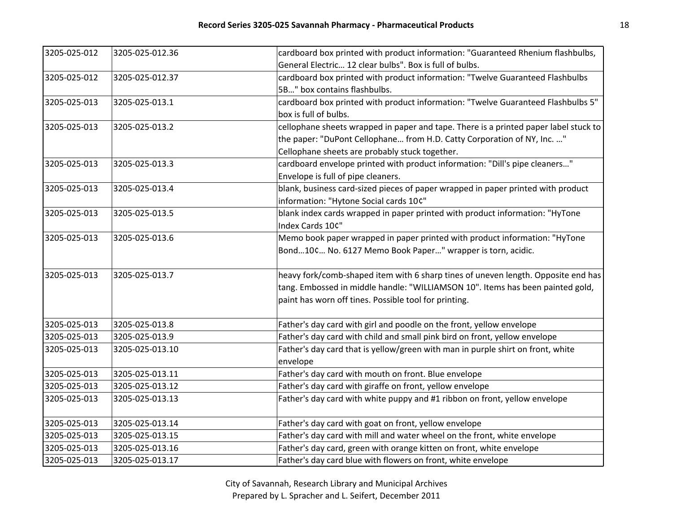| 3205-025-012 | 3205-025-012.36 | cardboard box printed with product information: "Guaranteed Rhenium flashbulbs,      |
|--------------|-----------------|--------------------------------------------------------------------------------------|
|              |                 | General Electric 12 clear bulbs". Box is full of bulbs.                              |
| 3205-025-012 | 3205-025-012.37 | cardboard box printed with product information: "Twelve Guaranteed Flashbulbs        |
|              |                 | 5B" box contains flashbulbs.                                                         |
| 3205-025-013 | 3205-025-013.1  | cardboard box printed with product information: "Twelve Guaranteed Flashbulbs 5"     |
|              |                 | box is full of bulbs.                                                                |
| 3205-025-013 | 3205-025-013.2  | cellophane sheets wrapped in paper and tape. There is a printed paper label stuck to |
|              |                 | the paper: "DuPont Cellophane from H.D. Catty Corporation of NY, Inc. "              |
|              |                 | Cellophane sheets are probably stuck together.                                       |
| 3205-025-013 | 3205-025-013.3  | cardboard envelope printed with product information: "Dill's pipe cleaners"          |
|              |                 | Envelope is full of pipe cleaners.                                                   |
| 3205-025-013 | 3205-025-013.4  | blank, business card-sized pieces of paper wrapped in paper printed with product     |
|              |                 | information: "Hytone Social cards 10¢"                                               |
| 3205-025-013 | 3205-025-013.5  | blank index cards wrapped in paper printed with product information: "HyTone         |
|              |                 | Index Cards 10¢"                                                                     |
| 3205-025-013 | 3205-025-013.6  | Memo book paper wrapped in paper printed with product information: "HyTone           |
|              |                 | Bond10¢ No. 6127 Memo Book Paper" wrapper is torn, acidic.                           |
|              |                 |                                                                                      |
| 3205-025-013 | 3205-025-013.7  | heavy fork/comb-shaped item with 6 sharp tines of uneven length. Opposite end has    |
|              |                 | tang. Embossed in middle handle: "WILLIAMSON 10". Items has been painted gold,       |
|              |                 | paint has worn off tines. Possible tool for printing.                                |
| 3205-025-013 | 3205-025-013.8  | Father's day card with girl and poodle on the front, yellow envelope                 |
| 3205-025-013 | 3205-025-013.9  | Father's day card with child and small pink bird on front, yellow envelope           |
| 3205-025-013 | 3205-025-013.10 | Father's day card that is yellow/green with man in purple shirt on front, white      |
|              |                 | envelope                                                                             |
| 3205-025-013 | 3205-025-013.11 | Father's day card with mouth on front. Blue envelope                                 |
| 3205-025-013 | 3205-025-013.12 | Father's day card with giraffe on front, yellow envelope                             |
| 3205-025-013 | 3205-025-013.13 | Father's day card with white puppy and #1 ribbon on front, yellow envelope           |
|              |                 |                                                                                      |
| 3205-025-013 | 3205-025-013.14 | Father's day card with goat on front, yellow envelope                                |
| 3205-025-013 | 3205-025-013.15 | Father's day card with mill and water wheel on the front, white envelope             |
| 3205-025-013 | 3205-025-013.16 | Father's day card, green with orange kitten on front, white envelope                 |
| 3205-025-013 | 3205-025-013.17 | Father's day card blue with flowers on front, white envelope                         |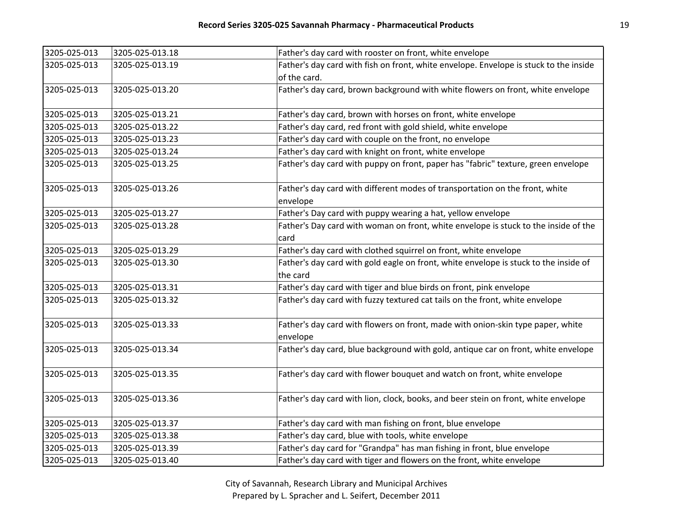| 3205-025-013 | 3205-025-013.18 | Father's day card with rooster on front, white envelope                                  |
|--------------|-----------------|------------------------------------------------------------------------------------------|
| 3205-025-013 | 3205-025-013.19 | Father's day card with fish on front, white envelope. Envelope is stuck to the inside    |
|              |                 | of the card.                                                                             |
| 3205-025-013 | 3205-025-013.20 | Father's day card, brown background with white flowers on front, white envelope          |
| 3205-025-013 | 3205-025-013.21 | Father's day card, brown with horses on front, white envelope                            |
| 3205-025-013 | 3205-025-013.22 | Father's day card, red front with gold shield, white envelope                            |
| 3205-025-013 | 3205-025-013.23 | Father's day card with couple on the front, no envelope                                  |
| 3205-025-013 | 3205-025-013.24 | Father's day card with knight on front, white envelope                                   |
| 3205-025-013 | 3205-025-013.25 | Father's day card with puppy on front, paper has "fabric" texture, green envelope        |
| 3205-025-013 | 3205-025-013.26 | Father's day card with different modes of transportation on the front, white<br>envelope |
| 3205-025-013 | 3205-025-013.27 | Father's Day card with puppy wearing a hat, yellow envelope                              |
| 3205-025-013 | 3205-025-013.28 | Father's Day card with woman on front, white envelope is stuck to the inside of the      |
|              |                 | card                                                                                     |
| 3205-025-013 | 3205-025-013.29 | Father's day card with clothed squirrel on front, white envelope                         |
| 3205-025-013 | 3205-025-013.30 | Father's day card with gold eagle on front, white envelope is stuck to the inside of     |
|              |                 | the card                                                                                 |
| 3205-025-013 | 3205-025-013.31 | Father's day card with tiger and blue birds on front, pink envelope                      |
| 3205-025-013 | 3205-025-013.32 | Father's day card with fuzzy textured cat tails on the front, white envelope             |
| 3205-025-013 | 3205-025-013.33 | Father's day card with flowers on front, made with onion-skin type paper, white          |
|              |                 | envelope                                                                                 |
| 3205-025-013 | 3205-025-013.34 | Father's day card, blue background with gold, antique car on front, white envelope       |
| 3205-025-013 | 3205-025-013.35 | Father's day card with flower bouquet and watch on front, white envelope                 |
| 3205-025-013 | 3205-025-013.36 | Father's day card with lion, clock, books, and beer stein on front, white envelope       |
| 3205-025-013 | 3205-025-013.37 | Father's day card with man fishing on front, blue envelope                               |
| 3205-025-013 | 3205-025-013.38 | Father's day card, blue with tools, white envelope                                       |
| 3205-025-013 | 3205-025-013.39 | Father's day card for "Grandpa" has man fishing in front, blue envelope                  |
| 3205-025-013 | 3205-025-013.40 | Father's day card with tiger and flowers on the front, white envelope                    |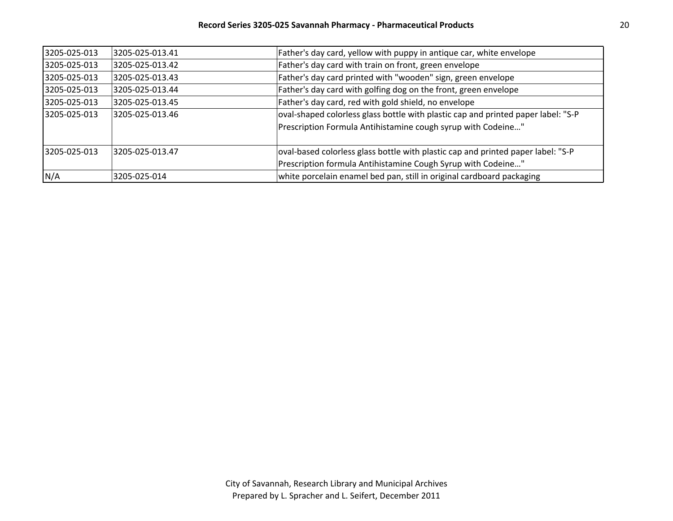| 3205-025-013 | 3205-025-013.41 | Father's day card, yellow with puppy in antique car, white envelope               |
|--------------|-----------------|-----------------------------------------------------------------------------------|
| 3205-025-013 | 3205-025-013.42 | Father's day card with train on front, green envelope                             |
| 3205-025-013 | 3205-025-013.43 | Father's day card printed with "wooden" sign, green envelope                      |
| 3205-025-013 | 3205-025-013.44 | Father's day card with golfing dog on the front, green envelope                   |
| 3205-025-013 | 3205-025-013.45 | Father's day card, red with gold shield, no envelope                              |
| 3205-025-013 | 3205-025-013.46 | oval-shaped colorless glass bottle with plastic cap and printed paper label: "S-P |
|              |                 | Prescription Formula Antihistamine cough syrup with Codeine"                      |
| 3205-025-013 | 3205-025-013.47 | oval-based colorless glass bottle with plastic cap and printed paper label: "S-P  |
|              |                 | Prescription formula Antihistamine Cough Syrup with Codeine"                      |
| N/A          | 3205-025-014    | white porcelain enamel bed pan, still in original cardboard packaging             |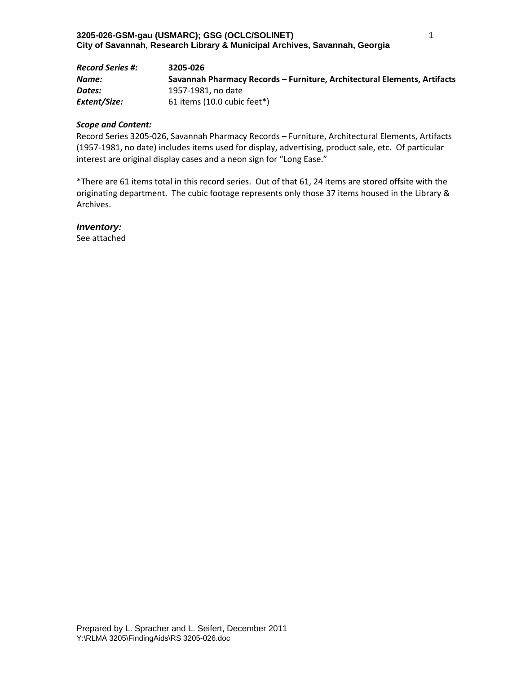| <b>Record Series #:</b> | 3205-026                                                                 |
|-------------------------|--------------------------------------------------------------------------|
| Name:                   | Savannah Pharmacy Records – Furniture, Architectural Elements, Artifacts |
| Dates:                  | 1957-1981. no date                                                       |
| Extent/Size:            | 61 items (10.0 cubic feet*)                                              |

Record Series 3205‐026, Savannah Pharmacy Records – Furniture, Architectural Elements, Artifacts (1957‐1981, no date) includes items used for display, advertising, product sale, etc. Of particular interest are original display cases and a neon sign for "Long Ease."

\*There are 61 items total in this record series. Out of that 61, 24 items are stored offsite with the originating department. The cubic footage represents only those 37 items housed in the Library & Archives.

#### *Inventory:*

See attached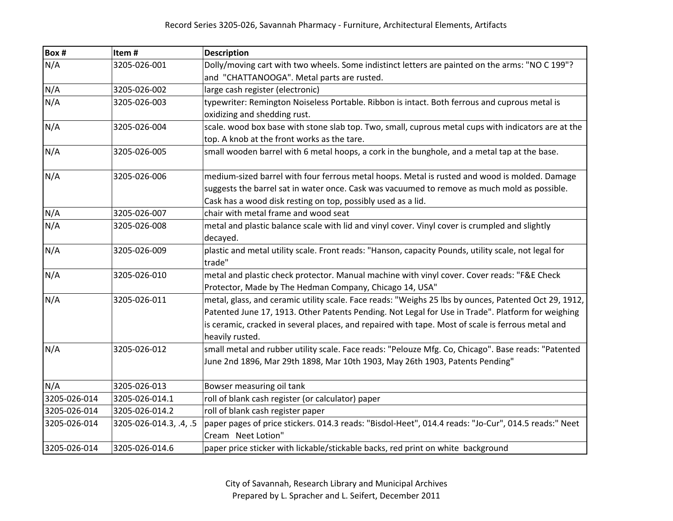| Box #        | Item#                  | <b>Description</b>                                                                                             |
|--------------|------------------------|----------------------------------------------------------------------------------------------------------------|
| N/A          | 3205-026-001           | Dolly/moving cart with two wheels. Some indistinct letters are painted on the arms: "NO C 199"?                |
|              |                        | and "CHATTANOOGA". Metal parts are rusted.                                                                     |
| N/A          | 3205-026-002           | large cash register (electronic)                                                                               |
| N/A          | 3205-026-003           | typewriter: Remington Noiseless Portable. Ribbon is intact. Both ferrous and cuprous metal is                  |
|              |                        | oxidizing and shedding rust.                                                                                   |
| N/A          | 3205-026-004           | scale. wood box base with stone slab top. Two, small, cuprous metal cups with indicators are at the            |
|              |                        | top. A knob at the front works as the tare.                                                                    |
| N/A          | 3205-026-005           | small wooden barrel with 6 metal hoops, a cork in the bunghole, and a metal tap at the base.                   |
| N/A          | 3205-026-006           | medium-sized barrel with four ferrous metal hoops. Metal is rusted and wood is molded. Damage                  |
|              |                        | suggests the barrel sat in water once. Cask was vacuumed to remove as much mold as possible.                   |
|              |                        | Cask has a wood disk resting on top, possibly used as a lid.                                                   |
| N/A          | 3205-026-007           | chair with metal frame and wood seat                                                                           |
| N/A          | 3205-026-008           | metal and plastic balance scale with lid and vinyl cover. Vinyl cover is crumpled and slightly                 |
|              |                        | decayed.                                                                                                       |
| N/A          | 3205-026-009           | plastic and metal utility scale. Front reads: "Hanson, capacity Pounds, utility scale, not legal for<br>trade" |
| N/A          | 3205-026-010           | metal and plastic check protector. Manual machine with vinyl cover. Cover reads: "F&E Check                    |
|              |                        | Protector, Made by The Hedman Company, Chicago 14, USA"                                                        |
| N/A          | 3205-026-011           | metal, glass, and ceramic utility scale. Face reads: "Weighs 25 lbs by ounces, Patented Oct 29, 1912,          |
|              |                        | Patented June 17, 1913. Other Patents Pending. Not Legal for Use in Trade". Platform for weighing              |
|              |                        | is ceramic, cracked in several places, and repaired with tape. Most of scale is ferrous metal and              |
|              |                        | heavily rusted.                                                                                                |
| N/A          | 3205-026-012           | small metal and rubber utility scale. Face reads: "Pelouze Mfg. Co, Chicago". Base reads: "Patented            |
|              |                        | June 2nd 1896, Mar 29th 1898, Mar 10th 1903, May 26th 1903, Patents Pending"                                   |
| N/A          | 3205-026-013           | Bowser measuring oil tank                                                                                      |
| 3205-026-014 | 3205-026-014.1         | roll of blank cash register (or calculator) paper                                                              |
| 3205-026-014 | 3205-026-014.2         | roll of blank cash register paper                                                                              |
| 3205-026-014 | 3205-026-014.3, .4, .5 | paper pages of price stickers. 014.3 reads: "Bisdol-Heet", 014.4 reads: "Jo-Cur", 014.5 reads:" Neet           |
|              |                        | Cream Neet Lotion"                                                                                             |
| 3205-026-014 | 3205-026-014.6         | paper price sticker with lickable/stickable backs, red print on white background                               |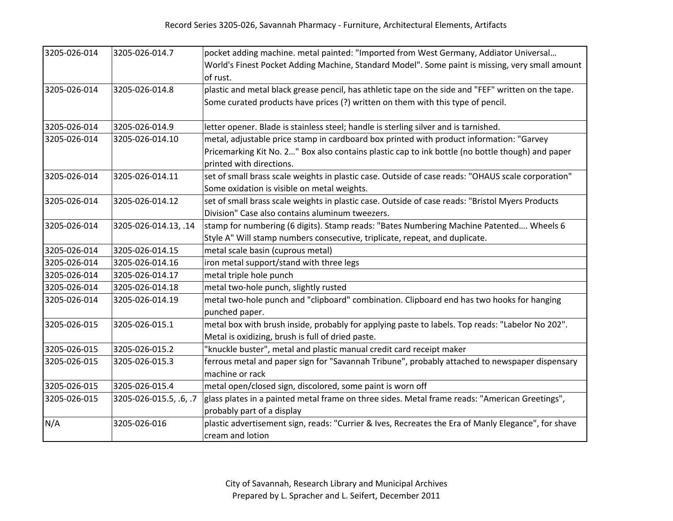| 3205-026-014 | 3205-026-014.7         | pocket adding machine. metal painted: "Imported from West Germany, Addiator Universal               |
|--------------|------------------------|-----------------------------------------------------------------------------------------------------|
|              |                        | World's Finest Pocket Adding Machine, Standard Model". Some paint is missing, very small amount     |
|              |                        | of rust.                                                                                            |
| 3205-026-014 | 3205-026-014.8         | plastic and metal black grease pencil, has athletic tape on the side and "FEF" written on the tape. |
|              |                        | Some curated products have prices (?) written on them with this type of pencil.                     |
|              |                        |                                                                                                     |
| 3205-026-014 | 3205-026-014.9         | letter opener. Blade is stainless steel; handle is sterling silver and is tarnished.                |
| 3205-026-014 | 3205-026-014.10        | metal, adjustable price stamp in cardboard box printed with product information: "Garvey            |
|              |                        | Pricemarking Kit No. 2" Box also contains plastic cap to ink bottle (no bottle though) and paper    |
|              |                        | printed with directions.                                                                            |
| 3205-026-014 | 3205-026-014.11        | set of small brass scale weights in plastic case. Outside of case reads: "OHAUS scale corporation"  |
|              |                        | Some oxidation is visible on metal weights.                                                         |
| 3205-026-014 | 3205-026-014.12        | set of small brass scale weights in plastic case. Outside of case reads: "Bristol Myers Products    |
|              |                        | Division" Case also contains aluminum tweezers.                                                     |
| 3205-026-014 | 3205-026-014.13, .14   | stamp for numbering (6 digits). Stamp reads: "Bates Numbering Machine Patented Wheels 6             |
|              |                        | Style A" Will stamp numbers consecutive, triplicate, repeat, and duplicate.                         |
| 3205-026-014 | 3205-026-014.15        | metal scale basin (cuprous metal)                                                                   |
| 3205-026-014 | 3205-026-014.16        | iron metal support/stand with three legs                                                            |
| 3205-026-014 | 3205-026-014.17        | metal triple hole punch                                                                             |
| 3205-026-014 | 3205-026-014.18        | metal two-hole punch, slightly rusted                                                               |
| 3205-026-014 | 3205-026-014.19        | metal two-hole punch and "clipboard" combination. Clipboard end has two hooks for hanging           |
|              |                        | punched paper.                                                                                      |
| 3205-026-015 | 3205-026-015.1         | metal box with brush inside, probably for applying paste to labels. Top reads: "Labelor No 202".    |
|              |                        | Metal is oxidizing, brush is full of dried paste.                                                   |
| 3205-026-015 | 3205-026-015.2         | "knuckle buster", metal and plastic manual credit card receipt maker                                |
| 3205-026-015 | 3205-026-015.3         | ferrous metal and paper sign for "Savannah Tribune", probably attached to newspaper dispensary      |
|              |                        | machine or rack                                                                                     |
| 3205-026-015 | 3205-026-015.4         | metal open/closed sign, discolored, some paint is worn off                                          |
| 3205-026-015 | 3205-026-015.5, .6, .7 | glass plates in a painted metal frame on three sides. Metal frame reads: "American Greetings",      |
|              |                        | probably part of a display                                                                          |
| N/A          | 3205-026-016           | plastic advertisement sign, reads: "Currier & Ives, Recreates the Era of Manly Elegance", for shave |
|              |                        | cream and lotion                                                                                    |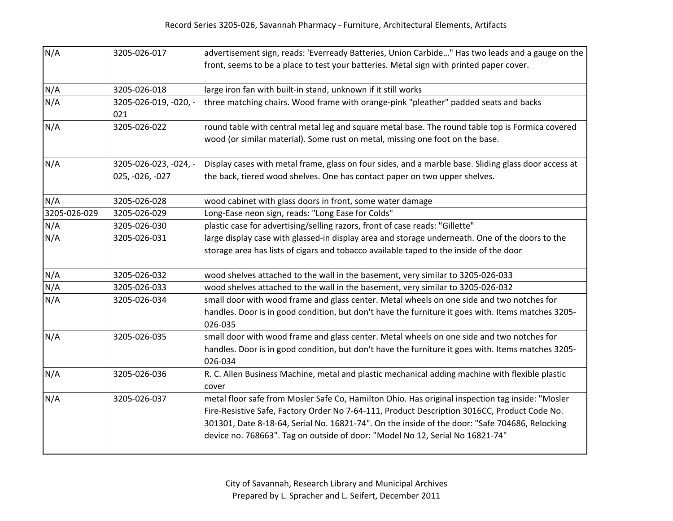| N/A          | 3205-026-017                             | advertisement sign, reads: 'Everready Batteries, Union Carbide" Has two leads and a gauge on the                                                                                                                                                                                                                                                                                    |
|--------------|------------------------------------------|-------------------------------------------------------------------------------------------------------------------------------------------------------------------------------------------------------------------------------------------------------------------------------------------------------------------------------------------------------------------------------------|
|              |                                          | front, seems to be a place to test your batteries. Metal sign with printed paper cover.                                                                                                                                                                                                                                                                                             |
| N/A          | 3205-026-018                             | large iron fan with built-in stand, unknown if it still works                                                                                                                                                                                                                                                                                                                       |
| N/A          | 3205-026-019, -020, -<br>021             | three matching chairs. Wood frame with orange-pink "pleather" padded seats and backs                                                                                                                                                                                                                                                                                                |
| N/A          | 3205-026-022                             | round table with central metal leg and square metal base. The round table top is Formica covered<br>wood (or similar material). Some rust on metal, missing one foot on the base.                                                                                                                                                                                                   |
| N/A          | 3205-026-023, -024, -<br>025, -026, -027 | Display cases with metal frame, glass on four sides, and a marble base. Sliding glass door access at<br>the back, tiered wood shelves. One has contact paper on two upper shelves.                                                                                                                                                                                                  |
| N/A          | 3205-026-028                             | wood cabinet with glass doors in front, some water damage                                                                                                                                                                                                                                                                                                                           |
| 3205-026-029 | 3205-026-029                             | Long-Ease neon sign, reads: "Long Ease for Colds"                                                                                                                                                                                                                                                                                                                                   |
| N/A          | 3205-026-030                             | plastic case for advertising/selling razors, front of case reads: "Gillette"                                                                                                                                                                                                                                                                                                        |
| N/A          | 3205-026-031                             | large display case with glassed-in display area and storage underneath. One of the doors to the<br>storage area has lists of cigars and tobacco available taped to the inside of the door                                                                                                                                                                                           |
| N/A          | 3205-026-032                             | wood shelves attached to the wall in the basement, very similar to 3205-026-033                                                                                                                                                                                                                                                                                                     |
| N/A          | 3205-026-033                             | wood shelves attached to the wall in the basement, very similar to 3205-026-032                                                                                                                                                                                                                                                                                                     |
| N/A          | 3205-026-034                             | small door with wood frame and glass center. Metal wheels on one side and two notches for<br>handles. Door is in good condition, but don't have the furniture it goes with. Items matches 3205-<br>026-035                                                                                                                                                                          |
| N/A          | 3205-026-035                             | small door with wood frame and glass center. Metal wheels on one side and two notches for<br>handles. Door is in good condition, but don't have the furniture it goes with. Items matches 3205-<br>026-034                                                                                                                                                                          |
| N/A          | 3205-026-036                             | R. C. Allen Business Machine, metal and plastic mechanical adding machine with flexible plastic<br>cover                                                                                                                                                                                                                                                                            |
| N/A          | 3205-026-037                             | metal floor safe from Mosler Safe Co, Hamilton Ohio. Has original inspection tag inside: "Mosler<br>Fire-Resistive Safe, Factory Order No 7-64-111, Product Description 3016CC, Product Code No.<br>301301, Date 8-18-64, Serial No. 16821-74". On the inside of the door: "Safe 704686, Relocking<br>device no. 768663". Tag on outside of door: "Model No 12, Serial No 16821-74" |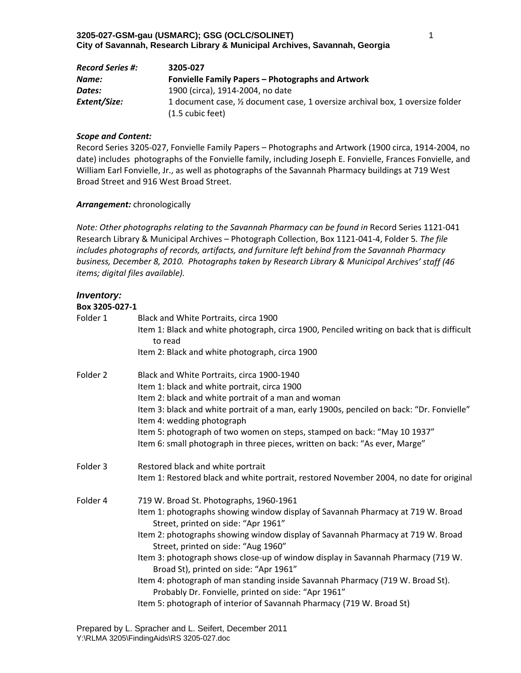| <b>Record Series #:</b> | 3205-027                                                                                                     |
|-------------------------|--------------------------------------------------------------------------------------------------------------|
| Name:                   | Fonvielle Family Papers – Photographs and Artwork                                                            |
| Dates:                  | 1900 (circa), 1914-2004, no date                                                                             |
| Extent/Size:            | 1 document case, 1/2 document case, 1 oversize archival box, 1 oversize folder<br>$(1.5 \text{ cubic feet})$ |

Record Series 3205‐027, Fonvielle Family Papers – Photographs and Artwork (1900 circa, 1914‐2004, no date) includes photographs of the Fonvielle family, including Joseph E. Fonvielle, Frances Fonvielle, and William Earl Fonvielle, Jr., as well as photographs of the Savannah Pharmacy buildings at 719 West Broad Street and 916 West Broad Street.

### *Arrangement:* chronologically

*Note: Other photographs relating to the Savannah Pharmacy can be found in* Record Series 1121‐041 Research Library & Municipal Archives – Photograph Collection, Box 1121‐041‐4, Folder 5*. The file includes photographs of records, artifacts, and furniture left behind from the Savannah Pharmacy business, December 8, 2010. Photographs taken by Research Library & Municipal Archives' staff (46 items; digital files available).*

## *Inventory:*

| Box 3205-027-1 |                                                                                                                                       |
|----------------|---------------------------------------------------------------------------------------------------------------------------------------|
| Folder 1       | Black and White Portraits, circa 1900                                                                                                 |
|                | Item 1: Black and white photograph, circa 1900, Penciled writing on back that is difficult<br>to read                                 |
|                | Item 2: Black and white photograph, circa 1900                                                                                        |
| Folder 2       | Black and White Portraits, circa 1900-1940                                                                                            |
|                | Item 1: black and white portrait, circa 1900                                                                                          |
|                | Item 2: black and white portrait of a man and woman                                                                                   |
|                | Item 3: black and white portrait of a man, early 1900s, penciled on back: "Dr. Fonvielle"<br>Item 4: wedding photograph               |
|                | Item 5: photograph of two women on steps, stamped on back: "May 10 1937"                                                              |
|                | Item 6: small photograph in three pieces, written on back: "As ever, Marge"                                                           |
| Folder 3       | Restored black and white portrait                                                                                                     |
|                | Item 1: Restored black and white portrait, restored November 2004, no date for original                                               |
| Folder 4       | 719 W. Broad St. Photographs, 1960-1961                                                                                               |
|                | Item 1: photographs showing window display of Savannah Pharmacy at 719 W. Broad<br>Street, printed on side: "Apr 1961"                |
|                | Item 2: photographs showing window display of Savannah Pharmacy at 719 W. Broad<br>Street, printed on side: "Aug 1960"                |
|                | Item 3: photograph shows close-up of window display in Savannah Pharmacy (719 W.<br>Broad St), printed on side: "Apr 1961"            |
|                | Item 4: photograph of man standing inside Savannah Pharmacy (719 W. Broad St).<br>Probably Dr. Fonvielle, printed on side: "Apr 1961" |
|                | Item 5: photograph of interior of Savannah Pharmacy (719 W. Broad St)                                                                 |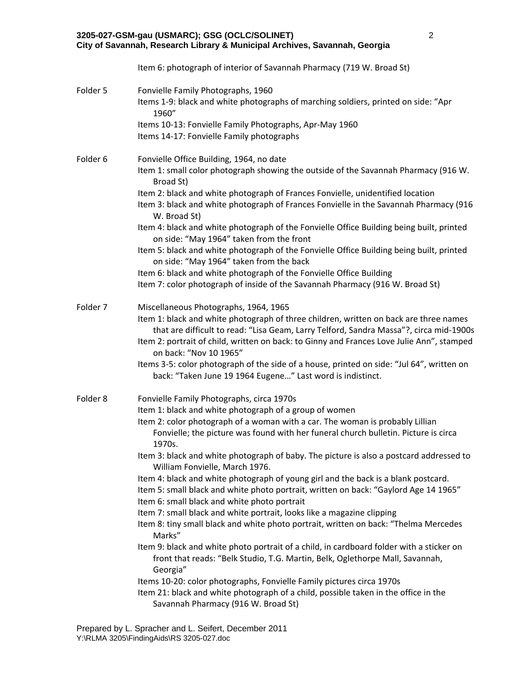|          | 3205-027-GSM-gau (USMARC); GSG (OCLC/SOLINET)<br>City of Savannah, Research Library & Municipal Archives, Savannah, Georgia                                                                                                                                                                                                                     | $\overline{2}$ |
|----------|-------------------------------------------------------------------------------------------------------------------------------------------------------------------------------------------------------------------------------------------------------------------------------------------------------------------------------------------------|----------------|
|          | Item 6: photograph of interior of Savannah Pharmacy (719 W. Broad St)                                                                                                                                                                                                                                                                           |                |
| Folder 5 | Fonvielle Family Photographs, 1960<br>Items 1-9: black and white photographs of marching soldiers, printed on side: "Apr<br>1960"                                                                                                                                                                                                               |                |
|          | Items 10-13: Fonvielle Family Photographs, Apr-May 1960<br>Items 14-17: Fonvielle Family photographs                                                                                                                                                                                                                                            |                |
| Folder 6 | Fonvielle Office Building, 1964, no date<br>Item 1: small color photograph showing the outside of the Savannah Pharmacy (916 W.<br>Broad St)                                                                                                                                                                                                    |                |
|          | Item 2: black and white photograph of Frances Fonvielle, unidentified location<br>Item 3: black and white photograph of Frances Fonvielle in the Savannah Pharmacy (916<br>W. Broad St)                                                                                                                                                         |                |
|          | Item 4: black and white photograph of the Fonvielle Office Building being built, printed<br>on side: "May 1964" taken from the front                                                                                                                                                                                                            |                |
|          | Item 5: black and white photograph of the Fonvielle Office Building being built, printed<br>on side: "May 1964" taken from the back                                                                                                                                                                                                             |                |
|          | Item 6: black and white photograph of the Fonvielle Office Building<br>Item 7: color photograph of inside of the Savannah Pharmacy (916 W. Broad St)                                                                                                                                                                                            |                |
| Folder 7 | Miscellaneous Photographs, 1964, 1965<br>Item 1: black and white photograph of three children, written on back are three names<br>that are difficult to read: "Lisa Geam, Larry Telford, Sandra Massa"?, circa mid-1900s<br>Item 2: portrait of child, written on back: to Ginny and Frances Love Julie Ann", stamped<br>on back: "Nov 10 1965" |                |
|          | Items 3-5: color photograph of the side of a house, printed on side: "Jul 64", written on<br>back: "Taken June 19 1964 Eugene" Last word is indistinct.                                                                                                                                                                                         |                |
| Folder 8 | Fonvielle Family Photographs, circa 1970s<br>Item 1: black and white photograph of a group of women<br>Item 2: color photograph of a woman with a car. The woman is probably Lillian<br>Fonvielle; the picture was found with her funeral church bulletin. Picture is circa<br>1970s.                                                           |                |
|          | Item 3: black and white photograph of baby. The picture is also a postcard addressed to<br>William Fonvielle, March 1976.                                                                                                                                                                                                                       |                |
|          | Item 4: black and white photograph of young girl and the back is a blank postcard.<br>Item 5: small black and white photo portrait, written on back: "Gaylord Age 14 1965"<br>Item 6: small black and white photo portrait                                                                                                                      |                |
|          | Item 7: small black and white portrait, looks like a magazine clipping<br>Item 8: tiny small black and white photo portrait, written on back: "Thelma Mercedes<br>Marks"                                                                                                                                                                        |                |
|          | Item 9: black and white photo portrait of a child, in cardboard folder with a sticker on<br>front that reads: "Belk Studio, T.G. Martin, Belk, Oglethorpe Mall, Savannah,<br>Georgia"                                                                                                                                                           |                |
|          | Items 10-20: color photographs, Fonvielle Family pictures circa 1970s<br>Item 21: black and white photograph of a child, possible taken in the office in the<br>Savannah Pharmacy (916 W. Broad St)                                                                                                                                             |                |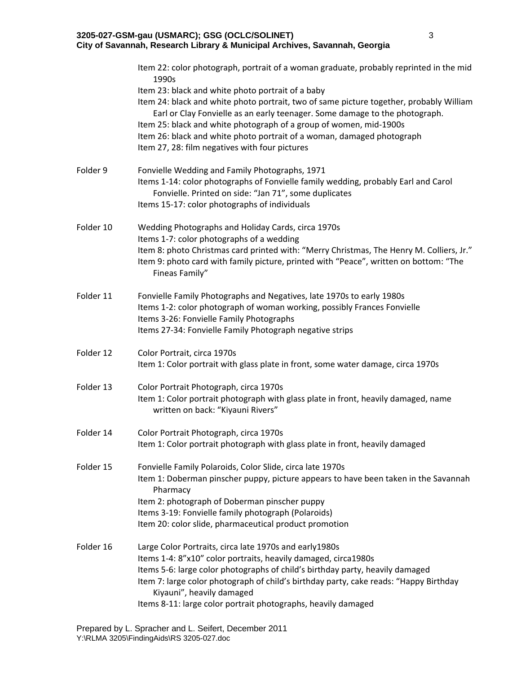|           | Item 22: color photograph, portrait of a woman graduate, probably reprinted in the mid<br>1990s                                                                                                                                                |
|-----------|------------------------------------------------------------------------------------------------------------------------------------------------------------------------------------------------------------------------------------------------|
|           | Item 23: black and white photo portrait of a baby<br>Item 24: black and white photo portrait, two of same picture together, probably William<br>Earl or Clay Fonvielle as an early teenager. Some damage to the photograph.                    |
|           | Item 25: black and white photograph of a group of women, mid-1900s<br>Item 26: black and white photo portrait of a woman, damaged photograph                                                                                                   |
|           | Item 27, 28: film negatives with four pictures                                                                                                                                                                                                 |
| Folder 9  | Fonvielle Wedding and Family Photographs, 1971<br>Items 1-14: color photographs of Fonvielle family wedding, probably Earl and Carol<br>Fonvielle. Printed on side: "Jan 71", some duplicates<br>Items 15-17: color photographs of individuals |
|           |                                                                                                                                                                                                                                                |
| Folder 10 | Wedding Photographs and Holiday Cards, circa 1970s<br>Items 1-7: color photographs of a wedding                                                                                                                                                |
|           | Item 8: photo Christmas card printed with: "Merry Christmas, The Henry M. Colliers, Jr."<br>Item 9: photo card with family picture, printed with "Peace", written on bottom: "The<br>Fineas Family"                                            |
| Folder 11 | Fonvielle Family Photographs and Negatives, late 1970s to early 1980s<br>Items 1-2: color photograph of woman working, possibly Frances Fonvielle                                                                                              |
|           | Items 3-26: Fonvielle Family Photographs<br>Items 27-34: Fonvielle Family Photograph negative strips                                                                                                                                           |
| Folder 12 | Color Portrait, circa 1970s                                                                                                                                                                                                                    |
|           | Item 1: Color portrait with glass plate in front, some water damage, circa 1970s                                                                                                                                                               |
| Folder 13 | Color Portrait Photograph, circa 1970s                                                                                                                                                                                                         |
|           | Item 1: Color portrait photograph with glass plate in front, heavily damaged, name<br>written on back: "Kiyauni Rivers"                                                                                                                        |
| Folder 14 | Color Portrait Photograph, circa 1970s                                                                                                                                                                                                         |
|           | Item 1: Color portrait photograph with glass plate in front, heavily damaged                                                                                                                                                                   |
| Folder 15 | Fonvielle Family Polaroids, Color Slide, circa late 1970s                                                                                                                                                                                      |
|           | Item 1: Doberman pinscher puppy, picture appears to have been taken in the Savannah<br>Pharmacy                                                                                                                                                |
|           | Item 2: photograph of Doberman pinscher puppy<br>Items 3-19: Fonvielle family photograph (Polaroids)                                                                                                                                           |
|           | Item 20: color slide, pharmaceutical product promotion                                                                                                                                                                                         |
| Folder 16 | Large Color Portraits, circa late 1970s and early1980s                                                                                                                                                                                         |
|           | Items 1-4: 8"x10" color portraits, heavily damaged, circa1980s<br>Items 5-6: large color photographs of child's birthday party, heavily damaged                                                                                                |
|           | Item 7: large color photograph of child's birthday party, cake reads: "Happy Birthday<br>Kiyauni", heavily damaged                                                                                                                             |
|           | Items 8-11: large color portrait photographs, heavily damaged                                                                                                                                                                                  |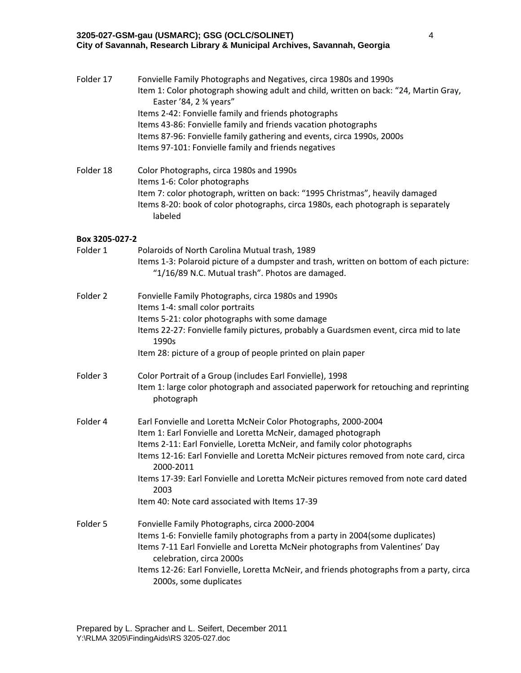| Folder 17      | Fonvielle Family Photographs and Negatives, circa 1980s and 1990s<br>Item 1: Color photograph showing adult and child, written on back: "24, Martin Gray,<br>Easter '84, 2 3/4 years"<br>Items 2-42: Fonvielle family and friends photographs<br>Items 43-86: Fonvielle family and friends vacation photographs<br>Items 87-96: Fonvielle family gathering and events, circa 1990s, 2000s<br>Items 97-101: Fonvielle family and friends negatives                   |
|----------------|---------------------------------------------------------------------------------------------------------------------------------------------------------------------------------------------------------------------------------------------------------------------------------------------------------------------------------------------------------------------------------------------------------------------------------------------------------------------|
| Folder 18      | Color Photographs, circa 1980s and 1990s<br>Items 1-6: Color photographs<br>Item 7: color photograph, written on back: "1995 Christmas", heavily damaged<br>Items 8-20: book of color photographs, circa 1980s, each photograph is separately<br>labeled                                                                                                                                                                                                            |
| Box 3205-027-2 |                                                                                                                                                                                                                                                                                                                                                                                                                                                                     |
| Folder 1       | Polaroids of North Carolina Mutual trash, 1989<br>Items 1-3: Polaroid picture of a dumpster and trash, written on bottom of each picture:<br>"1/16/89 N.C. Mutual trash". Photos are damaged.                                                                                                                                                                                                                                                                       |
| Folder 2       | Fonvielle Family Photographs, circa 1980s and 1990s<br>Items 1-4: small color portraits<br>Items 5-21: color photographs with some damage<br>Items 22-27: Fonvielle family pictures, probably a Guardsmen event, circa mid to late<br>1990s                                                                                                                                                                                                                         |
|                | Item 28: picture of a group of people printed on plain paper                                                                                                                                                                                                                                                                                                                                                                                                        |
| Folder 3       | Color Portrait of a Group (includes Earl Fonvielle), 1998<br>Item 1: large color photograph and associated paperwork for retouching and reprinting<br>photograph                                                                                                                                                                                                                                                                                                    |
| Folder 4       | Earl Fonvielle and Loretta McNeir Color Photographs, 2000-2004<br>Item 1: Earl Fonvielle and Loretta McNeir, damaged photograph<br>Items 2-11: Earl Fonvielle, Loretta McNeir, and family color photographs<br>Items 12-16: Earl Fonvielle and Loretta McNeir pictures removed from note card, circa<br>2000-2011<br>Items 17-39: Earl Fonvielle and Loretta McNeir pictures removed from note card dated<br>2003<br>Item 40: Note card associated with Items 17-39 |
| Folder 5       | Fonvielle Family Photographs, circa 2000-2004<br>Items 1-6: Fonvielle family photographs from a party in 2004(some duplicates)<br>Items 7-11 Earl Fonvielle and Loretta McNeir photographs from Valentines' Day<br>celebration, circa 2000s<br>Items 12-26: Earl Fonvielle, Loretta McNeir, and friends photographs from a party, circa<br>2000s, some duplicates                                                                                                   |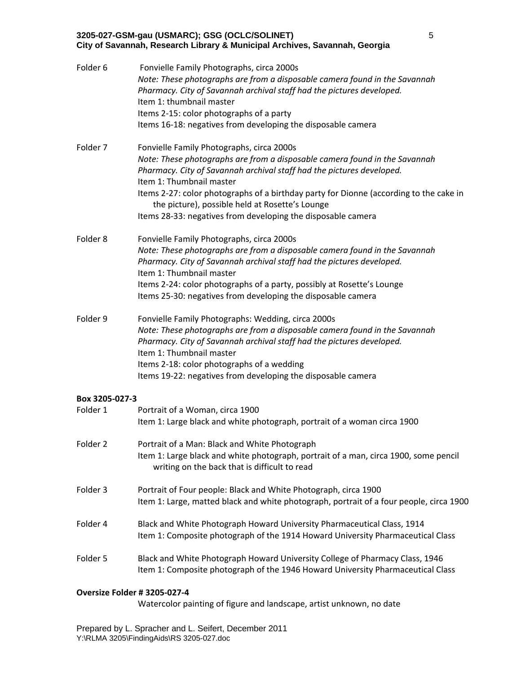| Folder 6       | Fonvielle Family Photographs, circa 2000s<br>Note: These photographs are from a disposable camera found in the Savannah<br>Pharmacy. City of Savannah archival staff had the pictures developed.<br>Item 1: thumbnail master<br>Items 2-15: color photographs of a party<br>Items 16-18: negatives from developing the disposable camera                                                                                                  |
|----------------|-------------------------------------------------------------------------------------------------------------------------------------------------------------------------------------------------------------------------------------------------------------------------------------------------------------------------------------------------------------------------------------------------------------------------------------------|
| Folder 7       | Fonvielle Family Photographs, circa 2000s<br>Note: These photographs are from a disposable camera found in the Savannah<br>Pharmacy. City of Savannah archival staff had the pictures developed.<br>Item 1: Thumbnail master<br>Items 2-27: color photographs of a birthday party for Dionne (according to the cake in<br>the picture), possible held at Rosette's Lounge<br>Items 28-33: negatives from developing the disposable camera |
| Folder 8       | Fonvielle Family Photographs, circa 2000s<br>Note: These photographs are from a disposable camera found in the Savannah<br>Pharmacy. City of Savannah archival staff had the pictures developed.<br>Item 1: Thumbnail master<br>Items 2-24: color photographs of a party, possibly at Rosette's Lounge<br>Items 25-30: negatives from developing the disposable camera                                                                    |
| Folder 9       | Fonvielle Family Photographs: Wedding, circa 2000s<br>Note: These photographs are from a disposable camera found in the Savannah<br>Pharmacy. City of Savannah archival staff had the pictures developed.<br>Item 1: Thumbnail master<br>Items 2-18: color photographs of a wedding<br>Items 19-22: negatives from developing the disposable camera                                                                                       |
| Box 3205-027-3 |                                                                                                                                                                                                                                                                                                                                                                                                                                           |
| Folder 1       | Portrait of a Woman, circa 1900<br>Item 1: Large black and white photograph, portrait of a woman circa 1900                                                                                                                                                                                                                                                                                                                               |
| Folder 2       | Portrait of a Man: Black and White Photograph<br>Item 1: Large black and white photograph, portrait of a man, circa 1900, some pencil<br>writing on the back that is difficult to read                                                                                                                                                                                                                                                    |
| Folder 3       | Portrait of Four people: Black and White Photograph, circa 1900<br>Item 1: Large, matted black and white photograph, portrait of a four people, circa 1900                                                                                                                                                                                                                                                                                |
| Folder 4       | Black and White Photograph Howard University Pharmaceutical Class, 1914<br>Item 1: Composite photograph of the 1914 Howard University Pharmaceutical Class                                                                                                                                                                                                                                                                                |
| Folder 5       | Black and White Photograph Howard University College of Pharmacy Class, 1946<br>Item 1: Composite photograph of the 1946 Howard University Pharmaceutical Class                                                                                                                                                                                                                                                                           |
|                |                                                                                                                                                                                                                                                                                                                                                                                                                                           |

### **Oversize Folder # 3205‐027‐4**

Watercolor painting of figure and landscape, artist unknown, no date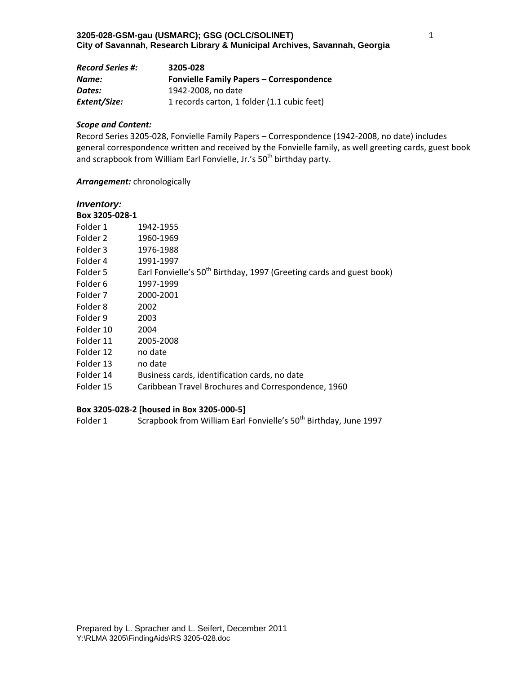| <b>Record Series #:</b> | 3205-028                                        |
|-------------------------|-------------------------------------------------|
| Name:                   | <b>Fonvielle Family Papers - Correspondence</b> |
| Dates:                  | 1942-2008, no date                              |
| Extent/Size:            | 1 records carton, 1 folder (1.1 cubic feet)     |

Record Series 3205‐028, Fonvielle Family Papers – Correspondence (1942‐2008, no date) includes general correspondence written and received by the Fonvielle family, as well greeting cards, guest book and scrapbook from William Earl Fonvielle, Jr.'s 50<sup>th</sup> birthday party.

### *Arrangement:* chronologically

## *Inventory:*

| Box 3205-028-1 |                                                                                  |
|----------------|----------------------------------------------------------------------------------|
| Folder 1       | 1942-1955                                                                        |
| Folder 2       | 1960-1969                                                                        |
| Folder 3       | 1976-1988                                                                        |
| Folder 4       | 1991-1997                                                                        |
| Folder 5       | Earl Fonvielle's 50 <sup>th</sup> Birthday, 1997 (Greeting cards and guest book) |
| Folder 6       | 1997-1999                                                                        |
| Folder 7       | 2000-2001                                                                        |
| Folder 8       | 2002                                                                             |
| Folder 9       | 2003                                                                             |
| Folder 10      | 2004                                                                             |
| Folder 11      | 2005-2008                                                                        |
| Folder 12      | no date                                                                          |
| Folder 13      | no date                                                                          |
| Folder 14      | Business cards, identification cards, no date                                    |
| Folder 15      | Caribbean Travel Brochures and Correspondence, 1960                              |

### **Box 3205‐028‐2 [housed in Box 3205‐000‐5]**

Folder 1 Scrapbook from William Earl Fonvielle's 50<sup>th</sup> Birthday, June 1997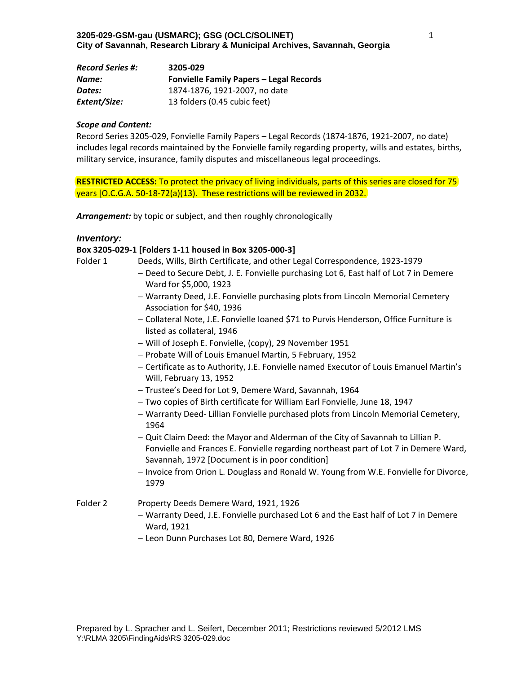| <b>Record Series #:</b> | 3205-029                                       |
|-------------------------|------------------------------------------------|
| Name:                   | <b>Fonvielle Family Papers - Legal Records</b> |
| Dates:                  | 1874-1876, 1921-2007, no date                  |
| Extent/Size:            | 13 folders (0.45 cubic feet)                   |

Record Series 3205‐029, Fonvielle Family Papers – Legal Records (1874‐1876, 1921‐2007, no date) includes legal records maintained by the Fonvielle family regarding property, wills and estates, births, military service, insurance, family disputes and miscellaneous legal proceedings.

**RESTRICTED ACCESS:** To protect the privacy of living individuals, parts of this series are closed for 75 years [O.C.G.A. 50‐18‐72(a)(13). These restrictions will be reviewed in 2032.

*Arrangement:* by topic or subject, and then roughly chronologically

### *Inventory:*

#### **Box 3205‐029‐1 [Folders 1‐11 housed in Box 3205‐000‐3]**

| Folder 1 | Deeds, Wills, Birth Certificate, and other Legal Correspondence, 1923-1979 |
|----------|----------------------------------------------------------------------------|
|----------|----------------------------------------------------------------------------|

- Deed to Secure Debt, J. E. Fonvielle purchasing Lot 6, East half of Lot 7 in Demere Ward for \$5,000, 1923
- Warranty Deed, J.E. Fonvielle purchasing plots from Lincoln Memorial Cemetery Association for \$40, 1936
- Collateral Note, J.E. Fonvielle loaned \$71 to Purvis Henderson, Office Furniture is listed as collateral, 1946
- Will of Joseph E. Fonvielle, (copy), 29 November 1951
- Probate Will of Louis Emanuel Martin, 5 February, 1952
- Certificate as to Authority, J.E. Fonvielle named Executor of Louis Emanuel Martin's Will, February 13, 1952
- Trustee's Deed for Lot 9, Demere Ward, Savannah, 1964
- Two copies of Birth certificate for William Earl Fonvielle, June 18, 1947
- Warranty Deed‐ Lillian Fonvielle purchased plots from Lincoln Memorial Cemetery, 1964
- Quit Claim Deed: the Mayor and Alderman of the City of Savannah to Lillian P. Fonvielle and Frances E. Fonvielle regarding northeast part of Lot 7 in Demere Ward, Savannah, 1972 [Document is in poor condition]
- Invoice from Orion L. Douglass and Ronald W. Young from W.E. Fonvielle for Divorce, 1979

### Folder 2 Property Deeds Demere Ward, 1921, 1926

- Warranty Deed, J.E. Fonvielle purchased Lot 6 and the East half of Lot 7 in Demere Ward, 1921
- Leon Dunn Purchases Lot 80, Demere Ward, 1926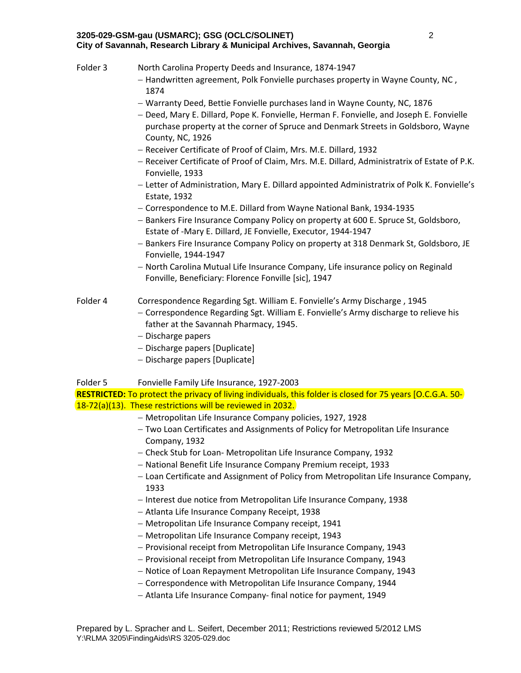- Folder 3 North Carolina Property Deeds and Insurance, 1874-1947 - Handwritten agreement, Polk Fonvielle purchases property in Wayne County, NC,
	- 1874
	- Warranty Deed, Bettie Fonvielle purchases land in Wayne County, NC, 1876
	- $-$  Deed, Mary E. Dillard, Pope K. Fonvielle, Herman F. Fonvielle, and Joseph E. Fonvielle purchase property at the corner of Spruce and Denmark Streets in Goldsboro, Wayne County, NC, 1926
	- Receiver Certificate of Proof of Claim, Mrs. M.E. Dillard, 1932
	- Receiver Certificate of Proof of Claim, Mrs. M.E. Dillard, Administratrix of Estate of P.K. Fonvielle, 1933
	- Letter of Administration, Mary E. Dillard appointed Administratrix of Polk K. Fonvielle's Estate, 1932
	- Correspondence to M.E. Dillard from Wayne National Bank, 1934‐1935
	- Bankers Fire Insurance Company Policy on property at 600 E. Spruce St, Goldsboro, Estate of ‐Mary E. Dillard, JE Fonvielle, Executor, 1944‐1947
	- Bankers Fire Insurance Company Policy on property at 318 Denmark St, Goldsboro, JE Fonvielle, 1944‐1947
	- North Carolina Mutual Life Insurance Company, Life insurance policy on Reginald Fonville, Beneficiary: Florence Fonville [sic], 1947

# Folder 4 Correspondence Regarding Sgt. William E. Fonvielle's Army Discharge , 1945

- Correspondence Regarding Sgt. William E. Fonvielle's Army discharge to relieve his father at the Savannah Pharmacy, 1945.
- Discharge papers
- $-$  Discharge papers [Duplicate]
- Discharge papers [Duplicate]

# Folder 5 Fonvielle Family Life Insurance, 1927‐2003

**RESTRICTED:** To protect the privacy of living individuals, this folder is closed for 75 years [O.C.G.A. 50‐ 18‐72(a)(13). These restrictions will be reviewed in 2032.

- Metropolitan Life Insurance Company policies, 1927, 1928
- Two Loan Certificates and Assignments of Policy for Metropolitan Life Insurance Company, 1932
- Check Stub for Loan‐ Metropolitan Life Insurance Company, 1932
- National Benefit Life Insurance Company Premium receipt, 1933
- Loan Certificate and Assignment of Policy from Metropolitan Life Insurance Company, 1933
- Interest due notice from Metropolitan Life Insurance Company, 1938
- Atlanta Life Insurance Company Receipt, 1938
- Metropolitan Life Insurance Company receipt, 1941
- Metropolitan Life Insurance Company receipt, 1943
- Provisional receipt from Metropolitan Life Insurance Company, 1943
- Provisional receipt from Metropolitan Life Insurance Company, 1943
- Notice of Loan Repayment Metropolitan Life Insurance Company, 1943
- Correspondence with Metropolitan Life Insurance Company, 1944
- Atlanta Life Insurance Company‐ final notice for payment, 1949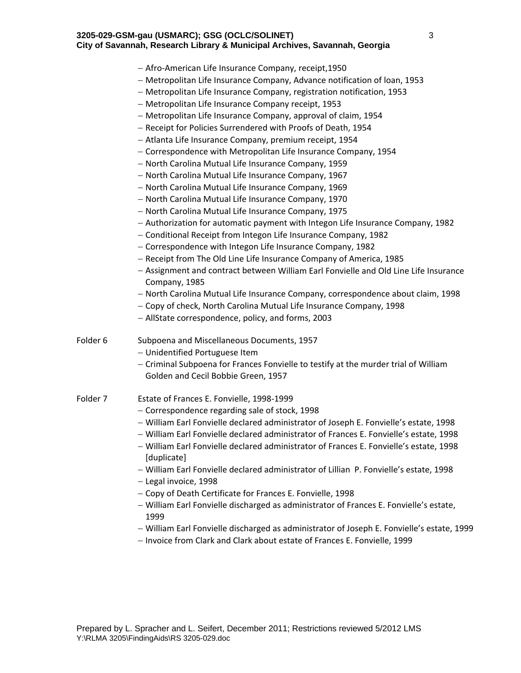|          | - Afro-American Life Insurance Company, receipt, 1950                                      |
|----------|--------------------------------------------------------------------------------------------|
|          | - Metropolitan Life Insurance Company, Advance notification of loan, 1953                  |
|          | - Metropolitan Life Insurance Company, registration notification, 1953                     |
|          | - Metropolitan Life Insurance Company receipt, 1953                                        |
|          | - Metropolitan Life Insurance Company, approval of claim, 1954                             |
|          | - Receipt for Policies Surrendered with Proofs of Death, 1954                              |
|          | - Atlanta Life Insurance Company, premium receipt, 1954                                    |
|          | - Correspondence with Metropolitan Life Insurance Company, 1954                            |
|          | - North Carolina Mutual Life Insurance Company, 1959                                       |
|          | - North Carolina Mutual Life Insurance Company, 1967                                       |
|          | - North Carolina Mutual Life Insurance Company, 1969                                       |
|          | - North Carolina Mutual Life Insurance Company, 1970                                       |
|          | - North Carolina Mutual Life Insurance Company, 1975                                       |
|          | - Authorization for automatic payment with Integon Life Insurance Company, 1982            |
|          | - Conditional Receipt from Integon Life Insurance Company, 1982                            |
|          | - Correspondence with Integon Life Insurance Company, 1982                                 |
|          | - Receipt from The Old Line Life Insurance Company of America, 1985                        |
|          | - Assignment and contract between William Earl Fonvielle and Old Line Life Insurance       |
|          | Company, 1985                                                                              |
|          | - North Carolina Mutual Life Insurance Company, correspondence about claim, 1998           |
|          | - Copy of check, North Carolina Mutual Life Insurance Company, 1998                        |
|          | - AllState correspondence, policy, and forms, 2003                                         |
| Folder 6 | Subpoena and Miscellaneous Documents, 1957                                                 |
|          | - Unidentified Portuguese Item                                                             |
|          | - Criminal Subpoena for Frances Fonvielle to testify at the murder trial of William        |
|          | Golden and Cecil Bobbie Green, 1957                                                        |
| Folder 7 | Estate of Frances E. Fonvielle, 1998-1999                                                  |
|          | - Correspondence regarding sale of stock, 1998                                             |
|          | - William Earl Fonvielle declared administrator of Joseph E. Fonvielle's estate, 1998      |
|          | - William Earl Fonvielle declared administrator of Frances E. Fonvielle's estate, 1998     |
|          | - William Earl Fonvielle declared administrator of Frances E. Fonvielle's estate, 1998     |
|          | [duplicate]                                                                                |
|          | - William Earl Fonvielle declared administrator of Lillian P. Fonvielle's estate, 1998     |
|          | - Legal invoice, 1998                                                                      |
|          | - Copy of Death Certificate for Frances E. Fonvielle, 1998                                 |
|          | - William Earl Fonvielle discharged as administrator of Frances E. Fonvielle's estate,     |
|          | 1999                                                                                       |
|          | - William Earl Fonvielle discharged as administrator of Joseph E. Fonvielle's estate, 1999 |
|          | - Invoice from Clark and Clark about estate of Frances E. Fonvielle, 1999                  |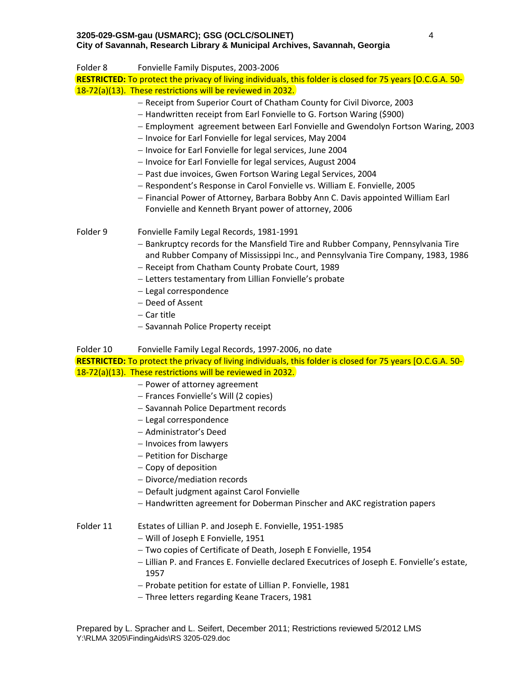Folder 8 Fonvielle Family Disputes, 2003‐2006 **RESTRICTED:** To protect the privacy of living individuals, this folder is closed for 75 years [O.C.G.A. 50‐ 18‐72(a)(13). These restrictions will be reviewed in 2032. - Receipt from Superior Court of Chatham County for Civil Divorce, 2003 - Handwritten receipt from Earl Fonvielle to G. Fortson Waring (\$900) Employment agreement between Earl Fonvielle and Gwendolyn Fortson Waring, 2003 - Invoice for Earl Fonvielle for legal services, May 2004 - Invoice for Earl Fonvielle for legal services, June 2004 - Invoice for Earl Fonvielle for legal services, August 2004 - Past due invoices, Gwen Fortson Waring Legal Services, 2004 Respondent's Response in Carol Fonvielle vs. William E. Fonvielle, 2005 Financial Power of Attorney, Barbara Bobby Ann C. Davis appointed William Earl Fonvielle and Kenneth Bryant power of attorney, 2006 Folder 9 Fonvielle Family Legal Records, 1981‐1991 - Bankruptcy records for the Mansfield Tire and Rubber Company, Pennsylvania Tire and Rubber Company of Mississippi Inc., and Pennsylvania Tire Company, 1983, 1986 - Receipt from Chatham County Probate Court, 1989 - Letters testamentary from Lillian Fonvielle's probate - Legal correspondence - Deed of Assent  $-$  Car title - Savannah Police Property receipt Folder 10 Fonvielle Family Legal Records, 1997‐2006, no date **RESTRICTED:** To protect the privacy of living individuals, this folder is closed for 75 years [O.C.G.A. 50‐ 18‐72(a)(13). These restrictions will be reviewed in 2032. - Power of attorney agreement Frances Fonvielle's Will (2 copies) - Savannah Police Department records

- Legal correspondence
- Administrator's Deed
- Invoices from lawyers
- Petition for Discharge
- Copy of deposition
- Divorce/mediation records
- Default judgment against Carol Fonvielle
- Handwritten agreement for Doberman Pinscher and AKC registration papers

## Folder 11 Estates of Lillian P. and Joseph E. Fonvielle, 1951‐1985

- Will of Joseph E Fonvielle, 1951
- Two copies of Certificate of Death, Joseph E Fonvielle, 1954
- Lillian P. and Frances E. Fonvielle declared Executrices of Joseph E. Fonvielle's estate, 1957
- Probate petition for estate of Lillian P. Fonvielle, 1981
- Three letters regarding Keane Tracers, 1981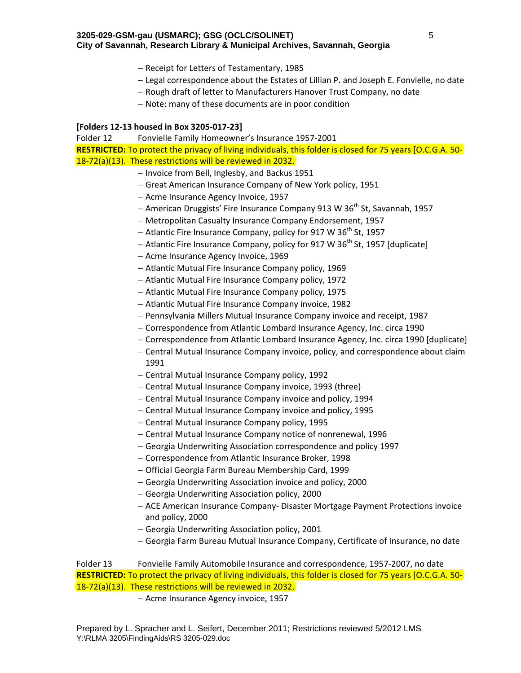- Receipt for Letters of Testamentary, 1985
- Legal correspondence about the Estates of Lillian P. and Joseph E. Fonvielle, no date
- Rough draft of letter to Manufacturers Hanover Trust Company, no date
- Note: many of these documents are in poor condition

#### **[Folders 12‐13 housed in Box 3205‐017‐23]**

Folder 12 Fonvielle Family Homeowner's Insurance 1957‐2001 **RESTRICTED:** To protect the privacy of living individuals, this folder is closed for 75 years [O.C.G.A. 50‐ 18‐72(a)(13). These restrictions will be reviewed in 2032.

- Invoice from Bell, Inglesby, and Backus 1951
- Great American Insurance Company of New York policy, 1951
- Acme Insurance Agency Invoice, 1957
- American Druggists' Fire Insurance Company 913 W  $36<sup>th</sup>$  St, Savannah, 1957
- Metropolitan Casualty Insurance Company Endorsement, 1957
- Atlantic Fire Insurance Company, policy for 917 W  $36<sup>th</sup>$  St, 1957
- Atlantic Fire Insurance Company, policy for 917 W  $36<sup>th</sup>$  St, 1957 [duplicate]
- Acme Insurance Agency Invoice, 1969
- Atlantic Mutual Fire Insurance Company policy, 1969
- Atlantic Mutual Fire Insurance Company policy, 1972
- Atlantic Mutual Fire Insurance Company policy, 1975
- Atlantic Mutual Fire Insurance Company invoice, 1982
- Pennsylvania Millers Mutual Insurance Company invoice and receipt, 1987
- Correspondence from Atlantic Lombard Insurance Agency, Inc. circa 1990
- Correspondence from Atlantic Lombard Insurance Agency, Inc. circa 1990 [duplicate]
- Central Mutual Insurance Company invoice, policy, and correspondence about claim 1991
- Central Mutual Insurance Company policy, 1992
- Central Mutual Insurance Company invoice, 1993 (three)
- Central Mutual Insurance Company invoice and policy, 1994
- Central Mutual Insurance Company invoice and policy, 1995
- Central Mutual Insurance Company policy, 1995
- Central Mutual Insurance Company notice of nonrenewal, 1996
- Georgia Underwriting Association correspondence and policy 1997
- Correspondence from Atlantic Insurance Broker, 1998
- Official Georgia Farm Bureau Membership Card, 1999
- Georgia Underwriting Association invoice and policy, 2000
- Georgia Underwriting Association policy, 2000
- ACE American Insurance Company‐ Disaster Mortgage Payment Protections invoice and policy, 2000
- Georgia Underwriting Association policy, 2001
- Georgia Farm Bureau Mutual Insurance Company, Certificate of Insurance, no date

Folder 13 Fonvielle Family Automobile Insurance and correspondence, 1957-2007, no date **RESTRICTED:** To protect the privacy of living individuals, this folder is closed for 75 years [O.C.G.A. 50‐ 18‐72(a)(13). These restrictions will be reviewed in 2032.

- Acme Insurance Agency invoice, 1957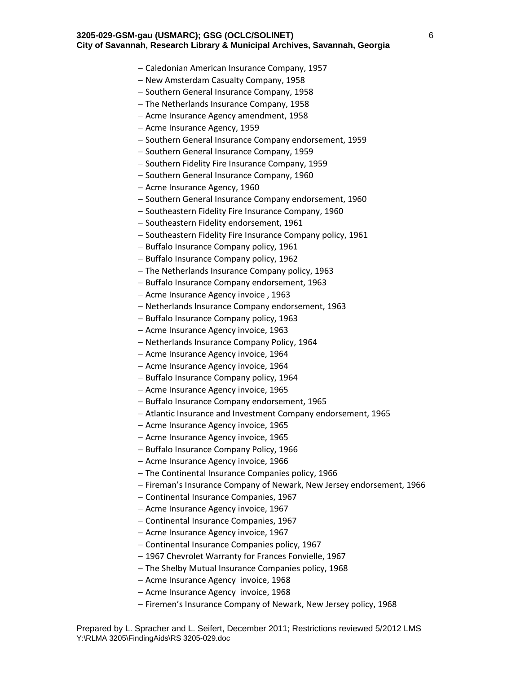- Caledonian American Insurance Company, 1957
- New Amsterdam Casualty Company, 1958
- Southern General Insurance Company, 1958
- The Netherlands Insurance Company, 1958
- Acme Insurance Agency amendment, 1958
- Acme Insurance Agency, 1959
- Southern General Insurance Company endorsement, 1959
- Southern General Insurance Company, 1959
- Southern Fidelity Fire Insurance Company, 1959
- Southern General Insurance Company, 1960
- Acme Insurance Agency, 1960
- Southern General Insurance Company endorsement, 1960
- Southeastern Fidelity Fire Insurance Company, 1960
- Southeastern Fidelity endorsement, 1961
- Southeastern Fidelity Fire Insurance Company policy, 1961
- Buffalo Insurance Company policy, 1961
- Buffalo Insurance Company policy, 1962
- The Netherlands Insurance Company policy, 1963
- Buffalo Insurance Company endorsement, 1963
- Acme Insurance Agency invoice, 1963
- Netherlands Insurance Company endorsement, 1963
- Buffalo Insurance Company policy, 1963
- Acme Insurance Agency invoice, 1963
- Netherlands Insurance Company Policy, 1964
- Acme Insurance Agency invoice, 1964
- Acme Insurance Agency invoice, 1964
- Buffalo Insurance Company policy, 1964
- Acme Insurance Agency invoice, 1965
- Buffalo Insurance Company endorsement, 1965
- Atlantic Insurance and Investment Company endorsement, 1965
- Acme Insurance Agency invoice, 1965
- Acme Insurance Agency invoice, 1965
- Buffalo Insurance Company Policy, 1966
- Acme Insurance Agency invoice, 1966
- $-$  The Continental Insurance Companies policy, 1966
- Fireman's Insurance Company of Newark, New Jersey endorsement, 1966
- Continental Insurance Companies, 1967
- Acme Insurance Agency invoice, 1967
- Continental Insurance Companies, 1967
- Acme Insurance Agency invoice, 1967
- Continental Insurance Companies policy, 1967
- 1967 Chevrolet Warranty for Frances Fonvielle, 1967
- The Shelby Mutual Insurance Companies policy, 1968
- Acme Insurance Agency invoice, 1968
- Acme Insurance Agency invoice, 1968
- Firemen's Insurance Company of Newark, New Jersey policy, 1968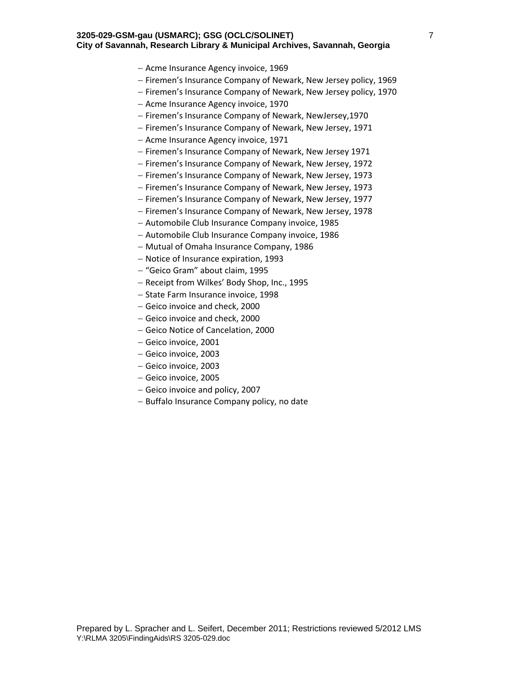- Acme Insurance Agency invoice, 1969
- Firemen's Insurance Company of Newark, New Jersey policy, 1969
- Firemen's Insurance Company of Newark, New Jersey policy, 1970
- Acme Insurance Agency invoice, 1970
- Firemen's Insurance Company of Newark, NewJersey, 1970
- Firemen's Insurance Company of Newark, New Jersey, 1971
- Acme Insurance Agency invoice, 1971
- Firemen's Insurance Company of Newark, New Jersey 1971
- Firemen's Insurance Company of Newark, New Jersey, 1972
- Firemen's Insurance Company of Newark, New Jersey, 1973
- Firemen's Insurance Company of Newark, New Jersey, 1973
- Firemen's Insurance Company of Newark, New Jersey, 1977
- Firemen's Insurance Company of Newark, New Jersey, 1978
- Automobile Club Insurance Company invoice, 1985
- Automobile Club Insurance Company invoice, 1986
- Mutual of Omaha Insurance Company, 1986
- Notice of Insurance expiration, 1993
- "Geico Gram" about claim, 1995
- Receipt from Wilkes' Body Shop, Inc., 1995
- State Farm Insurance invoice, 1998
- Geico invoice and check, 2000
- Geico invoice and check, 2000
- Geico Notice of Cancelation, 2000
- Geico invoice, 2001
- Geico invoice, 2003
- Geico invoice, 2003
- Geico invoice, 2005
- Geico invoice and policy, 2007
- Buffalo Insurance Company policy, no date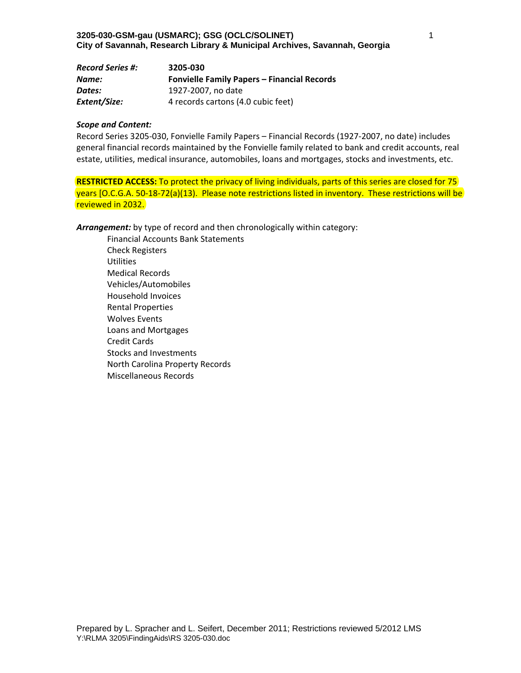| <b>Record Series #:</b> | 3205-030                                           |
|-------------------------|----------------------------------------------------|
| Name:                   | <b>Fonvielle Family Papers - Financial Records</b> |
| Dates:                  | 1927-2007, no date                                 |
| Extent/Size:            | 4 records cartons (4.0 cubic feet)                 |

Record Series 3205‐030, Fonvielle Family Papers – Financial Records (1927‐2007, no date) includes general financial records maintained by the Fonvielle family related to bank and credit accounts, real estate, utilities, medical insurance, automobiles, loans and mortgages, stocks and investments, etc.

**RESTRICTED ACCESS:** To protect the privacy of living individuals, parts of this series are closed for 75 years [O.C.G.A. 50‐18‐72(a)(13). Please note restrictions listed in inventory. These restrictions will be reviewed in 2032.

*Arrangement:* by type of record and then chronologically within category:

Financial Accounts Bank Statements Check Registers **Utilities** Medical Records Vehicles/Automobiles Household Invoices Rental Properties Wolves Events Loans and Mortgages Credit Cards Stocks and Investments North Carolina Property Records Miscellaneous Records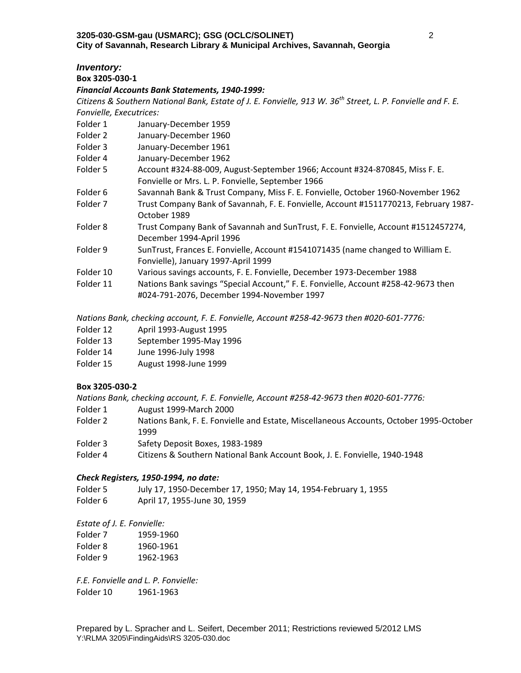# *Inventory:*

**Box 3205‐030‐1**

## *Financial Accounts Bank Statements, 1940‐1999:*

Citizens & Southern National Bank, Estate of J. E. Fonvielle, 913 W. 36<sup>th</sup> Street, L. P. Fonvielle and F. E. *Fonvielle, Executrices:*

- Folder 1 January-December 1959
- Folder 2 January-December 1960
- Folder 3 January‐December 1961
- Folder 4 January-December 1962
- Folder 5 Account #324-88-009, August-September 1966; Account #324-870845, Miss F. E. Fonvielle or Mrs. L. P. Fonvielle, September 1966
- Folder 6 Savannah Bank & Trust Company, Miss F. E. Fonvielle, October 1960-November 1962
- Folder 7 Trust Company Bank of Savannah, F. E. Fonvielle, Account #1511770213, February 1987-October 1989
- Folder 8 Trust Company Bank of Savannah and SunTrust, F. E. Fonvielle, Account #1512457274, December 1994‐April 1996
- Folder 9 SunTrust, Frances E. Fonvielle, Account #1541071435 (name changed to William E. Fonvielle), January 1997‐April 1999
- Folder 10 Various savings accounts, F. E. Fonvielle, December 1973‐December 1988
- Folder 11 Nations Bank savings "Special Account," F. E. Fonvielle, Account #258‐42‐9673 then #024‐791‐2076, December 1994‐November 1997

*Nations Bank, checking account, F. E. Fonvielle, Account #258‐42‐9673 then #020‐601‐7776:*

- Folder 12 April 1993‐August 1995
- Folder 13 September 1995‐May 1996
- Folder 14 June 1996‐July 1998
- Folder 15 August 1998‐June 1999

## **Box 3205‐030‐2**

*Nations Bank, checking account, F. E. Fonvielle, Account #258‐42‐9673 then #020‐601‐7776:*

- Folder 1 August 1999-March 2000
- Folder 2 Nations Bank, F. E. Fonvielle and Estate, Miscellaneous Accounts, October 1995-October 1999
- Folder 3 Safety Deposit Boxes, 1983-1989
- Folder 4 Citizens & Southern National Bank Account Book, J. E. Fonvielle, 1940‐1948

## *Check Registers, 1950‐1994, no date:*

- Folder 5 July 17, 1950‐December 17, 1950; May 14, 1954‐February 1, 1955
- Folder 6 April 17, 1955‐June 30, 1959

*Estate of J. E. Fonvielle:*

| Folder 7 | 1959-1960 |
|----------|-----------|
| Folder 8 | 1960-1961 |
| Folder 9 | 1962-1963 |

*F.E. Fonvielle and L. P. Fonvielle:* Folder 10 1961‐1963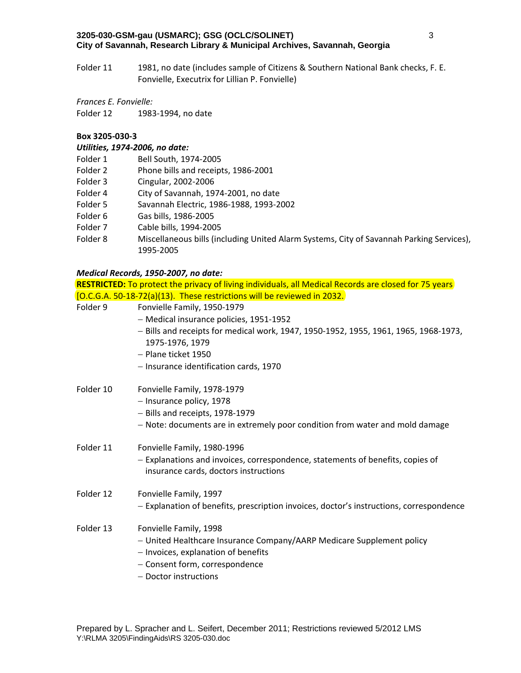Folder 11 1981, no date (includes sample of Citizens & Southern National Bank checks, F. E. Fonvielle, Executrix for Lillian P. Fonvielle)

*Frances E. Fonvielle:*

Folder 12 1983‐1994, no date

### **Box 3205‐030‐3**

### *Utilities, 1974‐2006, no date:*

- Folder 1 Bell South, 1974‐2005
- Folder 2 Phone bills and receipts, 1986-2001
- Folder 3 Cingular, 2002‐2006
- Folder 4 City of Savannah, 1974‐2001, no date
- Folder 5 Savannah Electric, 1986‐1988, 1993‐2002
- Folder 6 Gas bills, 1986‐2005
- Folder 7 Cable bills, 1994-2005
- Folder 8 Miscellaneous bills (including United Alarm Systems, City of Savannah Parking Services), 1995‐2005

### *Medical Records, 1950‐2007, no date:*

|           | <b>RESTRICTED:</b> To protect the privacy of living individuals, all Medical Records are closed for 75 years            |
|-----------|-------------------------------------------------------------------------------------------------------------------------|
|           | [O.C.G.A. 50-18-72(a)(13). These restrictions will be reviewed in 2032.                                                 |
| Folder 9  | Fonvielle Family, 1950-1979                                                                                             |
|           | - Medical insurance policies, 1951-1952                                                                                 |
|           | - Bills and receipts for medical work, 1947, 1950-1952, 1955, 1961, 1965, 1968-1973,<br>1975-1976, 1979                 |
|           | - Plane ticket 1950                                                                                                     |
|           | - Insurance identification cards, 1970                                                                                  |
| Folder 10 | Fonvielle Family, 1978-1979                                                                                             |
|           | - Insurance policy, 1978                                                                                                |
|           | - Bills and receipts, 1978-1979                                                                                         |
|           | - Note: documents are in extremely poor condition from water and mold damage                                            |
| Folder 11 | Fonvielle Family, 1980-1996                                                                                             |
|           | - Explanations and invoices, correspondence, statements of benefits, copies of<br>insurance cards, doctors instructions |
| Folder 12 | Fonvielle Family, 1997                                                                                                  |
|           | - Explanation of benefits, prescription invoices, doctor's instructions, correspondence                                 |
| Folder 13 | Fonvielle Family, 1998                                                                                                  |
|           | - United Healthcare Insurance Company/AARP Medicare Supplement policy                                                   |
|           | - Invoices, explanation of benefits                                                                                     |
|           | - Consent form, correspondence                                                                                          |
|           | - Doctor instructions                                                                                                   |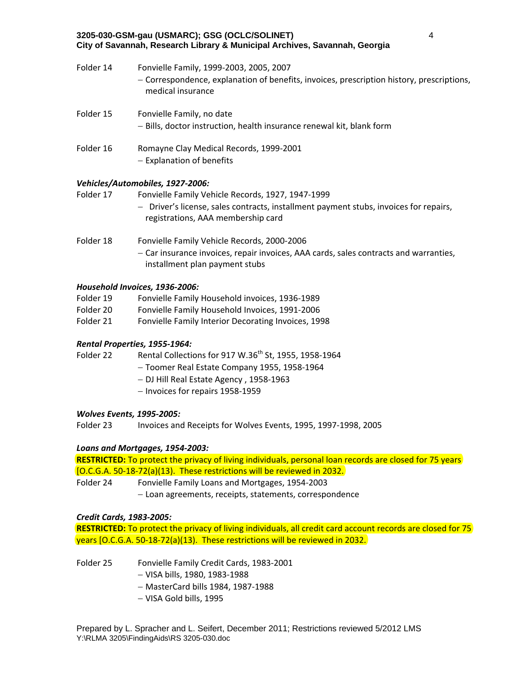| Folder 14 | Fonvielle Family, 1999-2003, 2005, 2007<br>- Correspondence, explanation of benefits, invoices, prescription history, prescriptions,<br>medical insurance |
|-----------|-----------------------------------------------------------------------------------------------------------------------------------------------------------|
| Folder 15 | Fonvielle Family, no date<br>- Bills, doctor instruction, health insurance renewal kit, blank form                                                        |
| Folder 16 | Romayne Clay Medical Records, 1999-2001<br>$-$ Explanation of benefits                                                                                    |

## *Vehicles/Automobiles, 1927‐2006:*

Folder 17 Fonvielle Family Vehicle Records, 1927, 1947‐1999

- Driver's license, sales contracts, installment payment stubs, invoices for repairs, registrations, AAA membership card
- Folder 18 Fonvielle Family Vehicle Records, 2000‐2006 Car insurance invoices, repair invoices, AAA cards, sales contracts and warranties, installment plan payment stubs

## *Household Invoices, 1936‐2006:*

| Folder 19 | Fonvielle Family Household invoices, 1936-1989      |
|-----------|-----------------------------------------------------|
| Folder 20 | Fonvielle Family Household Invoices, 1991-2006      |
| Folder 21 | Fonvielle Family Interior Decorating Invoices, 1998 |

## *Rental Properties, 1955‐1964:*

Folder 22 Rental Collections for 917 W.36<sup>th</sup> St, 1955, 1958-1964

- Toomer Real Estate Company 1955, 1958‐1964
- DJ Hill Real Estate Agency , 1958‐1963
- Invoices for repairs 1958-1959

## *Wolves Events, 1995‐2005:*

Folder 23 Invoices and Receipts for Wolves Events, 1995, 1997-1998, 2005

## *Loans and Mortgages, 1954‐2003:*

**RESTRICTED:** To protect the privacy of living individuals, personal loan records are closed for 75 years [O.C.G.A. 50‐18‐72(a)(13). These restrictions will be reviewed in 2032.

Folder 24 Fonvielle Family Loans and Mortgages, 1954‐2003

- Loan agreements, receipts, statements, correspondence

## *Credit Cards, 1983‐2005:*

**RESTRICTED:** To protect the privacy of living individuals, all credit card account records are closed for 75 years [O.C.G.A. 50‐18‐72(a)(13). These restrictions will be reviewed in 2032.

Folder 25 Fonvielle Family Credit Cards, 1983‐2001

- VISA bills, 1980, 1983‐1988
- MasterCard bills 1984, 1987‐1988
- VISA Gold bills, 1995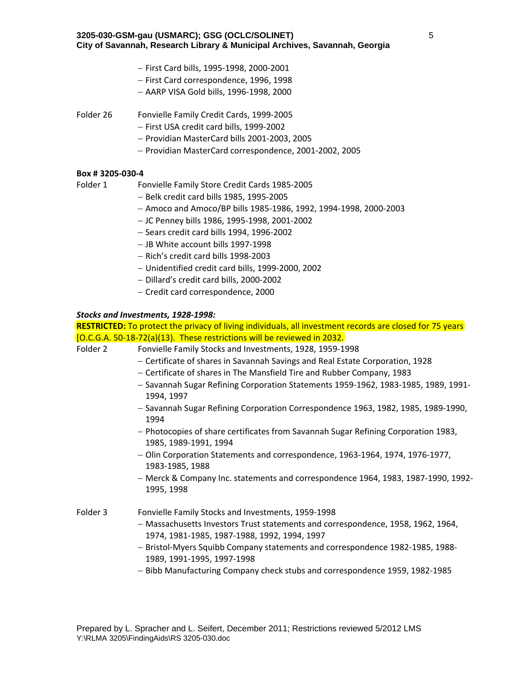- First Card bills, 1995‐1998, 2000‐2001
- First Card correspondence, 1996, 1998
- AARP VISA Gold bills, 1996‐1998, 2000
- Folder 26 Fonvielle Family Credit Cards, 1999‐2005
	- First USA credit card bills, 1999‐2002
	- Providian MasterCard bills 2001‐2003, 2005
	- Providian MasterCard correspondence, 2001-2002, 2005

## **Box # 3205‐030‐4**

Folder 1 Fonvielle Family Store Credit Cards 1985‐2005

- Belk credit card bills 1985, 1995‐2005
- Amoco and Amoco/BP bills 1985‐1986, 1992, 1994‐1998, 2000‐2003
- JC Penney bills 1986, 1995‐1998, 2001‐2002
- Sears credit card bills 1994, 1996‐2002
- JB White account bills 1997‐1998
- Rich's credit card bills 1998‐2003
- Unidentified credit card bills, 1999‐2000, 2002
- Dillard's credit card bills, 2000‐2002
- Credit card correspondence, 2000

## *Stocks and Investments, 1928‐1998:*

**RESTRICTED:** To protect the privacy of living individuals, all investment records are closed for 75 years [O.C.G.A. 50‐18‐72(a)(13). These restrictions will be reviewed in 2032.

Folder 2 Fonvielle Family Stocks and Investments, 1928, 1959‐1998

- Certificate of shares in Savannah Savings and Real Estate Corporation, 1928
- Certificate of shares in The Mansfield Tire and Rubber Company, 1983
- $-$  Savannah Sugar Refining Corporation Statements 1959-1962, 1983-1985, 1989, 1991-1994, 1997
- Savannah Sugar Refining Corporation Correspondence 1963, 1982, 1985, 1989‐1990, 1994
- Photocopies of share certificates from Savannah Sugar Refining Corporation 1983, 1985, 1989‐1991, 1994
- Olin Corporation Statements and correspondence, 1963‐1964, 1974, 1976‐1977, 1983‐1985, 1988
- Merck & Company Inc. statements and correspondence 1964, 1983, 1987-1990, 1992-1995, 1998

## Folder 3 Fonvielle Family Stocks and Investments, 1959‐1998

- $-$  Massachusetts Investors Trust statements and correspondence, 1958, 1962, 1964, 1974, 1981‐1985, 1987‐1988, 1992, 1994, 1997
- $-$  Bristol-Myers Squibb Company statements and correspondence 1982-1985, 1988-1989, 1991‐1995, 1997‐1998
- Bibb Manufacturing Company check stubs and correspondence 1959, 1982-1985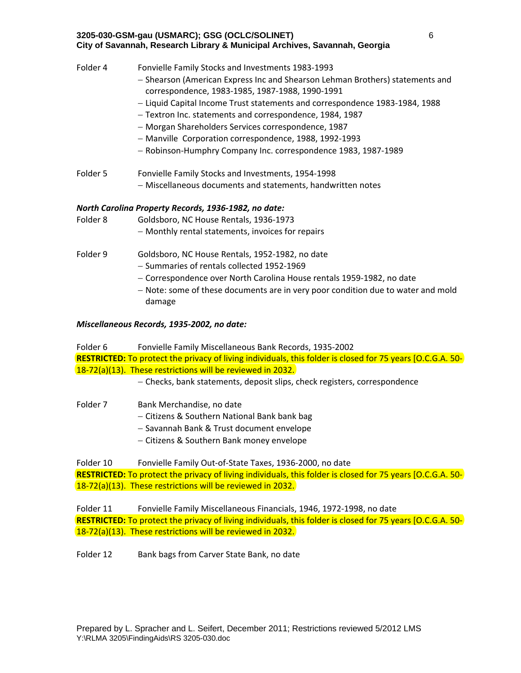| Folder 4 | Fonvielle Family Stocks and Investments 1983-1993<br>- Shearson (American Express Inc and Shearson Lehman Brothers) statements and<br>correspondence, 1983-1985, 1987-1988, 1990-1991<br>- Liquid Capital Income Trust statements and correspondence 1983-1984, 1988<br>- Textron Inc. statements and correspondence, 1984, 1987<br>- Morgan Shareholders Services correspondence, 1987<br>- Manville Corporation correspondence, 1988, 1992-1993<br>- Robinson-Humphry Company Inc. correspondence 1983, 1987-1989 |
|----------|---------------------------------------------------------------------------------------------------------------------------------------------------------------------------------------------------------------------------------------------------------------------------------------------------------------------------------------------------------------------------------------------------------------------------------------------------------------------------------------------------------------------|
| Folder 5 | Fonvielle Family Stocks and Investments, 1954-1998<br>- Miscellaneous documents and statements, handwritten notes                                                                                                                                                                                                                                                                                                                                                                                                   |
| Folder 8 | North Carolina Property Records, 1936-1982, no date:<br>Goldsboro, NC House Rentals, 1936-1973<br>- Monthly rental statements, invoices for repairs                                                                                                                                                                                                                                                                                                                                                                 |
| Folder 9 | Goldsboro, NC House Rentals, 1952-1982, no date<br>- Summaries of rentals collected 1952-1969<br>- Correspondence over North Carolina House rentals 1959-1982, no date<br>- Note: some of these documents are in very poor condition due to water and mold<br>damage                                                                                                                                                                                                                                                |

### *Miscellaneous Records, 1935‐2002, no date:*

Folder 6 Fonvielle Family Miscellaneous Bank Records, 1935‐2002 **RESTRICTED:** To protect the privacy of living individuals, this folder is closed for 75 years [O.C.G.A. 50‐ 18‐72(a)(13). These restrictions will be reviewed in 2032.

- Checks, bank statements, deposit slips, check registers, correspondence

Folder 7 Bank Merchandise, no date

- Citizens & Southern National Bank bank bag

 $-$  Savannah Bank & Trust document envelope

Citizens & Southern Bank money envelope

Folder 10 Fonvielle Family Out-of-State Taxes, 1936-2000, no date **RESTRICTED:** To protect the privacy of living individuals, this folder is closed for 75 years [O.C.G.A. 50‐ 18‐72(a)(13). These restrictions will be reviewed in 2032.

Folder 11 Fonvielle Family Miscellaneous Financials, 1946, 1972‐1998, no date **RESTRICTED:** To protect the privacy of living individuals, this folder is closed for 75 years [O.C.G.A. 50‐ 18‐72(a)(13). These restrictions will be reviewed in 2032.

Folder 12 Bank bags from Carver State Bank, no date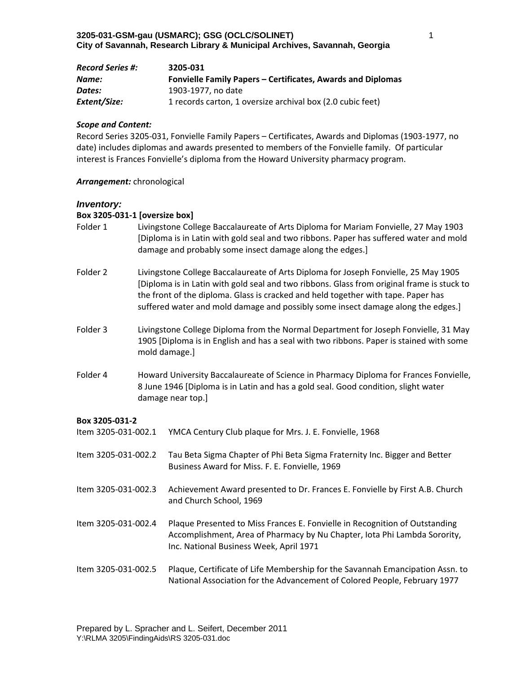| <b>Record Series #:</b> | 3205-031                                                    |
|-------------------------|-------------------------------------------------------------|
| Name:                   | Fonvielle Family Papers – Certificates, Awards and Diplomas |
| Dates:                  | 1903-1977. no date                                          |
| Extent/Size:            | 1 records carton, 1 oversize archival box (2.0 cubic feet)  |

Record Series 3205‐031, Fonvielle Family Papers – Certificates, Awards and Diplomas (1903‐1977, no date) includes diplomas and awards presented to members of the Fonvielle family. Of particular interest is Frances Fonvielle's diploma from the Howard University pharmacy program.

#### *Arrangement:* chronological

### *Inventory:*

### **Box 3205‐031‐1 [oversize box]**

- Folder 1 Livingstone College Baccalaureate of Arts Diploma for Mariam Fonvielle, 27 May 1903 [Diploma is in Latin with gold seal and two ribbons. Paper has suffered water and mold damage and probably some insect damage along the edges.]
- Folder 2 Livingstone College Baccalaureate of Arts Diploma for Joseph Fonvielle, 25 May 1905 [Diploma is in Latin with gold seal and two ribbons. Glass from original frame is stuck to the front of the diploma. Glass is cracked and held together with tape. Paper has suffered water and mold damage and possibly some insect damage along the edges.]
- Folder 3 Livingstone College Diploma from the Normal Department for Joseph Fonvielle, 31 May 1905 [Diploma is in English and has a seal with two ribbons. Paper is stained with some mold damage.]
- Folder 4 Howard University Baccalaureate of Science in Pharmacy Diploma for Frances Fonvielle, 8 June 1946 [Diploma is in Latin and has a gold seal. Good condition, slight water damage near top.]

### **Box 3205‐031‐2**

| Item 3205-031-002.1 | YMCA Century Club plaque for Mrs. J. E. Fonvielle, 1968                                                                                                                                             |
|---------------------|-----------------------------------------------------------------------------------------------------------------------------------------------------------------------------------------------------|
| Item 3205-031-002.2 | Tau Beta Sigma Chapter of Phi Beta Sigma Fraternity Inc. Bigger and Better<br>Business Award for Miss. F. E. Fonvielle, 1969                                                                        |
| Item 3205-031-002.3 | Achievement Award presented to Dr. Frances E. Fonvielle by First A.B. Church<br>and Church School, 1969                                                                                             |
| Item 3205-031-002.4 | Plaque Presented to Miss Frances E. Fonvielle in Recognition of Outstanding<br>Accomplishment, Area of Pharmacy by Nu Chapter, Iota Phi Lambda Sorority,<br>Inc. National Business Week, April 1971 |
| Item 3205-031-002.5 | Plaque, Certificate of Life Membership for the Savannah Emancipation Assn. to<br>National Association for the Advancement of Colored People, February 1977                                          |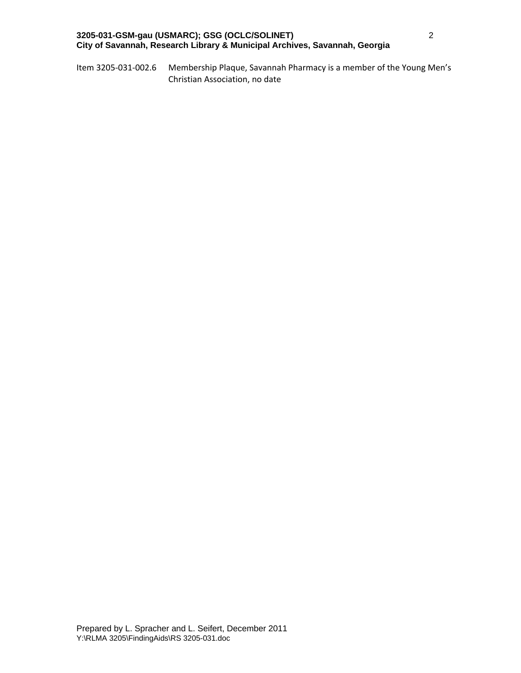Item 3205‐031‐002.6 Membership Plaque, Savannah Pharmacy is a member of the Young Men's Christian Association, no date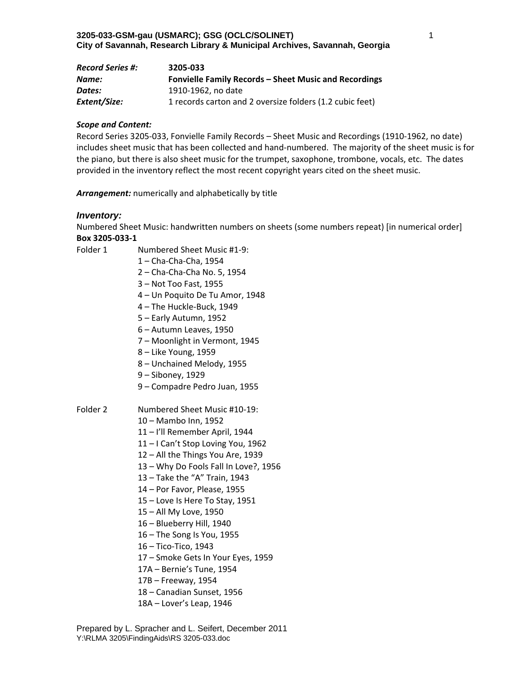| <b>Record Series #:</b> | 3205-033                                                     |
|-------------------------|--------------------------------------------------------------|
| Name:                   | <b>Fonvielle Family Records - Sheet Music and Recordings</b> |
| Dates:                  | 1910-1962, no date                                           |
| Extent/Size:            | 1 records carton and 2 oversize folders (1.2 cubic feet)     |

Record Series 3205‐033, Fonvielle Family Records – Sheet Music and Recordings (1910‐1962, no date) includes sheet music that has been collected and hand‐numbered. The majority of the sheet music is for the piano, but there is also sheet music for the trumpet, saxophone, trombone, vocals, etc. The dates provided in the inventory reflect the most recent copyright years cited on the sheet music.

*Arrangement:* numerically and alphabetically by title

#### *Inventory:*

Numbered Sheet Music: handwritten numbers on sheets (some numbers repeat) [in numerical order] **Box 3205‐033‐1**

Folder 1 Numbered Sheet Music #1-9:

1 – Cha‐Cha‐Cha, 1954

- 2 Cha‐Cha‐Cha No. 5, 1954
- 3 Not Too Fast, 1955
- 4 Un Poquito De Tu Amor, 1948
- 4 The Huckle‐Buck, 1949
- 5 Early Autumn, 1952
- 6 Autumn Leaves, 1950
- 7 Moonlight in Vermont, 1945
- 8 Like Young, 1959
- 8 Unchained Melody, 1955
- 9 Siboney, 1929
- 9 Compadre Pedro Juan, 1955

## Folder 2 Numbered Sheet Music #10-19:

10 – Mambo Inn, 1952

- 11 I'll Remember April, 1944
- 11 I Can't Stop Loving You, 1962
- 12 All the Things You Are, 1939
- 13 Why Do Fools Fall In Love?, 1956
- 13 Take the "A" Train, 1943
- 14 Por Favor, Please, 1955
- 15 Love Is Here To Stay, 1951
- 15 All My Love, 1950
- 16 Blueberry Hill, 1940
- 16 The Song Is You, 1955
- 16 Tico‐Tico, 1943
- 17 Smoke Gets In Your Eyes, 1959
- 17A Bernie's Tune, 1954
- 17B Freeway, 1954
- 18 Canadian Sunset, 1956
- 18A Lover's Leap, 1946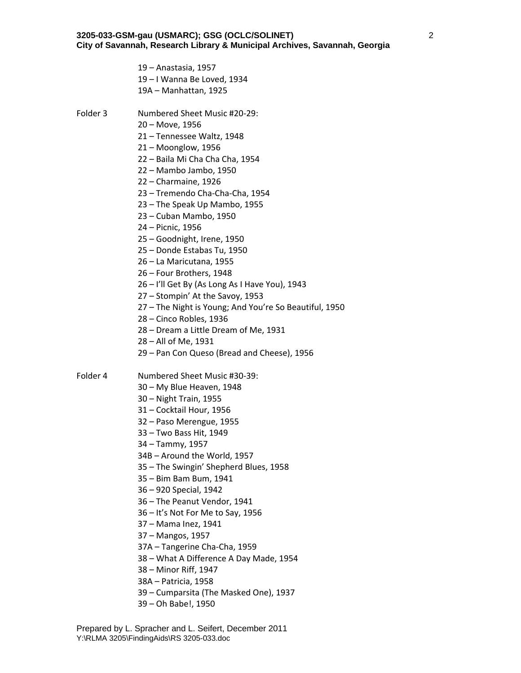– Anastasia, 1957 – I Wanna Be Loved, 1934 19A – Manhattan, 1925

- Folder 3 Numbered Sheet Music #20-29:
	- Move, 1956
	- Tennessee Waltz, 1948
	- Moonglow, 1956
	- Baila Mi Cha Cha Cha, 1954
	- Mambo Jambo, 1950
	- Charmaine, 1926
	- Tremendo Cha‐Cha‐Cha, 1954
	- The Speak Up Mambo, 1955
	- Cuban Mambo, 1950
	- Picnic, 1956
	- Goodnight, Irene, 1950
	- Donde Estabas Tu, 1950
	- La Maricutana, 1955
	- Four Brothers, 1948
	- I'll Get By (As Long As I Have You), 1943
	- Stompin' At the Savoy, 1953
	- The Night is Young; And You're So Beautiful, 1950
	- Cinco Robles, 1936
	- Dream a Little Dream of Me, 1931
	- All of Me, 1931
	- Pan Con Queso (Bread and Cheese), 1956

Folder 4 Numbered Sheet Music #30-39:

- My Blue Heaven, 1948
- Night Train, 1955
- Cocktail Hour, 1956
- Paso Merengue, 1955
- Two Bass Hit, 1949
- Tammy, 1957
- 34B Around the World, 1957
- The Swingin' Shepherd Blues, 1958
- Bim Bam Bum, 1941
- 920 Special, 1942
- The Peanut Vendor, 1941
- It's Not For Me to Say, 1956
- Mama Inez, 1941
- Mangos, 1957
- 37A Tangerine Cha‐Cha, 1959
- What A Difference A Day Made, 1954
- Minor Riff, 1947
- 38A Patricia, 1958
- Cumparsita (The Masked One), 1937
- Oh Babe!, 1950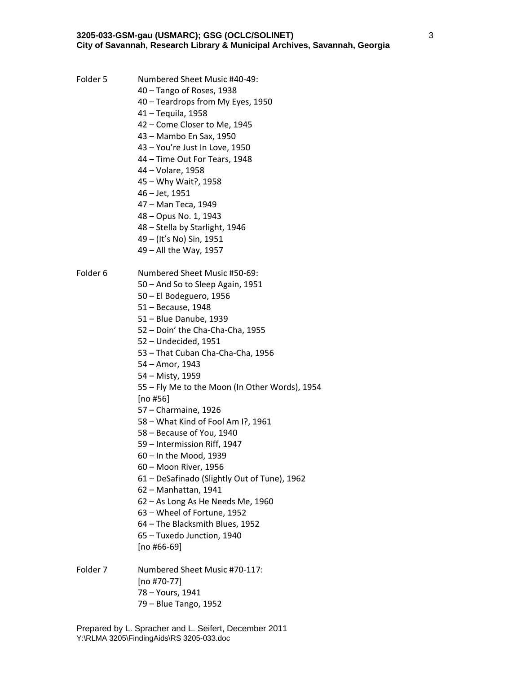- Folder 5 Numbered Sheet Music #40-49:
	- Tango of Roses, 1938
	- Teardrops from My Eyes, 1950
	- Tequila, 1958
	- Come Closer to Me, 1945
	- Mambo En Sax, 1950
	- You're Just In Love, 1950
	- Time Out For Tears, 1948
	- Volare, 1958
	- Why Wait?, 1958
	- Jet, 1951
	- Man Teca, 1949
	- Opus No. 1, 1943
	- Stella by Starlight, 1946
	- (It's No) Sin, 1951
	- All the Way, 1957
- Folder 6 Numbered Sheet Music #50-69:
	- And So to Sleep Again, 1951
	- El Bodeguero, 1956
	- Because, 1948
	- Blue Danube, 1939
	- Doin' the Cha‐Cha‐Cha, 1955
	- Undecided, 1951
	- That Cuban Cha‐Cha‐Cha, 1956
	- Amor, 1943
	- Misty, 1959
	- Fly Me to the Moon (In Other Words), 1954
	- [no #56]
	- Charmaine, 1926
	- What Kind of Fool Am I?, 1961
	- Because of You, 1940
	- Intermission Riff, 1947
	- In the Mood, 1939
	- Moon River, 1956
	- DeSafinado (Slightly Out of Tune), 1962
	- Manhattan, 1941
	- As Long As He Needs Me, 1960
	- Wheel of Fortune, 1952
	- The Blacksmith Blues, 1952
	- Tuxedo Junction, 1940
	- [no #66‐69]
- Folder 7 Numbered Sheet Music #70-117: [no #70‐77] – Yours, 1941 – Blue Tango, 1952

Prepared by L. Spracher and L. Seifert, December 2011 Y:\RLMA 3205\FindingAids\RS 3205-033.doc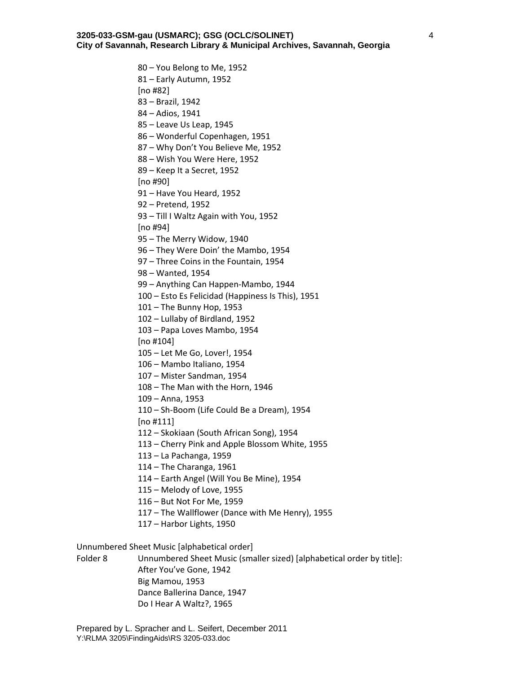– You Belong to Me, 1952 – Early Autumn, 1952 [no #82] – Brazil, 1942 – Adios, 1941 – Leave Us Leap, 1945 – Wonderful Copenhagen, 1951 – Why Don't You Believe Me, 1952 – Wish You Were Here, 1952 – Keep It a Secret, 1952 [no #90] – Have You Heard, 1952 – Pretend, 1952 – Till I Waltz Again with You, 1952 [no #94] – The Merry Widow, 1940 – They Were Doin' the Mambo, 1954 – Three Coins in the Fountain, 1954 – Wanted, 1954 – Anything Can Happen‐Mambo, 1944 – Esto Es Felicidad (Happiness Is This), 1951 – The Bunny Hop, 1953 – Lullaby of Birdland, 1952 – Papa Loves Mambo, 1954 [no #104] – Let Me Go, Lover!, 1954 – Mambo Italiano, 1954 – Mister Sandman, 1954 – The Man with the Horn, 1946 – Anna, 1953 – Sh‐Boom (Life Could Be a Dream), 1954 [no #111] – Skokiaan (South African Song), 1954 – Cherry Pink and Apple Blossom White, 1955 – La Pachanga, 1959 – The Charanga, 1961 – Earth Angel (Will You Be Mine), 1954 – Melody of Love, 1955 – But Not For Me, 1959 – The Wallflower (Dance with Me Henry), 1955 – Harbor Lights, 1950

Unnumbered Sheet Music [alphabetical order]

Folder 8 Unnumbered Sheet Music (smaller sized) [alphabetical order by title]: After You've Gone, 1942 Big Mamou, 1953 Dance Ballerina Dance, 1947 Do I Hear A Waltz?, 1965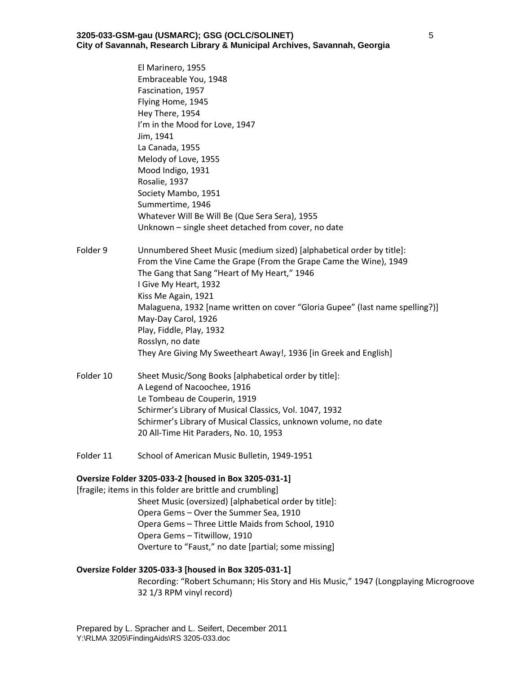### **3205-033-GSM-gau (USMARC); GSG (OCLC/SOLINET) City of Savannah, Research Library & Municipal Archives, Savannah, Georgia**

El Marinero, 1955 Embraceable You, 1948 Fascination, 1957 Flying Home, 1945 Hey There, 1954 I'm in the Mood for Love, 1947 Jim, 1941 La Canada, 1955 Melody of Love, 1955 Mood Indigo, 1931 Rosalie, 1937 Society Mambo, 1951 Summertime, 1946 Whatever Will Be Will Be (Que Sera Sera), 1955 Unknown – single sheet detached from cover, no date Folder 9 Unnumbered Sheet Music (medium sized) [alphabetical order by title]: From the Vine Came the Grape (From the Grape Came the Wine), 1949 The Gang that Sang "Heart of My Heart," 1946 I Give My Heart, 1932 Kiss Me Again, 1921 Malaguena, 1932 [name written on cover "Gloria Gupee" (last name spelling?)] May‐Day Carol, 1926 Play, Fiddle, Play, 1932 Rosslyn, no date They Are Giving My Sweetheart Away!, 1936 [in Greek and English] Folder 10 Sheet Music/Song Books [alphabetical order by title]: A Legend of Nacoochee, 1916 Le Tombeau de Couperin, 1919 Schirmer's Library of Musical Classics, Vol. 1047, 1932 Schirmer's Library of Musical Classics, unknown volume, no date 20 All‐Time Hit Paraders, No. 10, 1953

Folder 11 School of American Music Bulletin, 1949-1951

#### **Oversize Folder 3205‐033‐2 [housed in Box 3205‐031‐1]**

[fragile; items in this folder are brittle and crumbling] Sheet Music (oversized) [alphabetical order by title]: Opera Gems – Over the Summer Sea, 1910 Opera Gems – Three Little Maids from School, 1910 Opera Gems – Titwillow, 1910 Overture to "Faust," no date [partial; some missing]

#### **Oversize Folder 3205‐033‐3 [housed in Box 3205‐031‐1]**

Recording: "Robert Schumann; His Story and His Music," 1947 (Longplaying Microgroove 32 1/3 RPM vinyl record)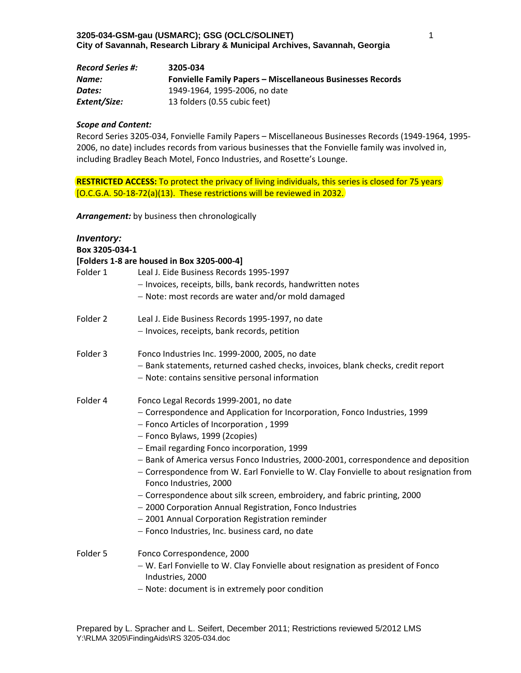| <b>Record Series #:</b> | 3205-034                                                          |
|-------------------------|-------------------------------------------------------------------|
| Name:                   | <b>Fonvielle Family Papers - Miscellaneous Businesses Records</b> |
| Dates:                  | 1949-1964, 1995-2006, no date                                     |
| Extent/Size:            | 13 folders (0.55 cubic feet)                                      |

Record Series 3205‐034, Fonvielle Family Papers – Miscellaneous Businesses Records (1949‐1964, 1995‐ 2006, no date) includes records from various businesses that the Fonvielle family was involved in, including Bradley Beach Motel, Fonco Industries, and Rosette's Lounge.

**RESTRICTED ACCESS:** To protect the privacy of living individuals, this series is closed for 75 years [O.C.G.A. 50‐18‐72(a)(13). These restrictions will be reviewed in 2032.

*Arrangement:* by business then chronologically

| <b>Inventory:</b><br>Box 3205-034-1 |                                                                                                                                                                                                         |
|-------------------------------------|---------------------------------------------------------------------------------------------------------------------------------------------------------------------------------------------------------|
|                                     | [Folders 1-8 are housed in Box 3205-000-4]                                                                                                                                                              |
| Folder 1                            | Leal J. Eide Business Records 1995-1997                                                                                                                                                                 |
|                                     | - Invoices, receipts, bills, bank records, handwritten notes                                                                                                                                            |
|                                     | - Note: most records are water and/or mold damaged                                                                                                                                                      |
| Folder 2                            | Leal J. Eide Business Records 1995-1997, no date                                                                                                                                                        |
|                                     | - Invoices, receipts, bank records, petition                                                                                                                                                            |
| Folder 3                            | Fonco Industries Inc. 1999-2000, 2005, no date                                                                                                                                                          |
|                                     | - Bank statements, returned cashed checks, invoices, blank checks, credit report                                                                                                                        |
|                                     | - Note: contains sensitive personal information                                                                                                                                                         |
| Folder 4                            | Fonco Legal Records 1999-2001, no date                                                                                                                                                                  |
|                                     | - Correspondence and Application for Incorporation, Fonco Industries, 1999                                                                                                                              |
|                                     | - Fonco Articles of Incorporation, 1999                                                                                                                                                                 |
|                                     | - Fonco Bylaws, 1999 (2copies)                                                                                                                                                                          |
|                                     | - Email regarding Fonco incorporation, 1999                                                                                                                                                             |
|                                     | - Bank of America versus Fonco Industries, 2000-2001, correspondence and deposition<br>- Correspondence from W. Earl Fonvielle to W. Clay Fonvielle to about resignation from<br>Fonco Industries, 2000 |
|                                     | - Correspondence about silk screen, embroidery, and fabric printing, 2000                                                                                                                               |
|                                     | - 2000 Corporation Annual Registration, Fonco Industries                                                                                                                                                |
|                                     | - 2001 Annual Corporation Registration reminder                                                                                                                                                         |
|                                     | - Fonco Industries, Inc. business card, no date                                                                                                                                                         |
| Folder 5                            | Fonco Correspondence, 2000                                                                                                                                                                              |
|                                     | - W. Earl Fonvielle to W. Clay Fonvielle about resignation as president of Fonco<br>Industries, 2000                                                                                                    |
|                                     | - Note: document is in extremely poor condition                                                                                                                                                         |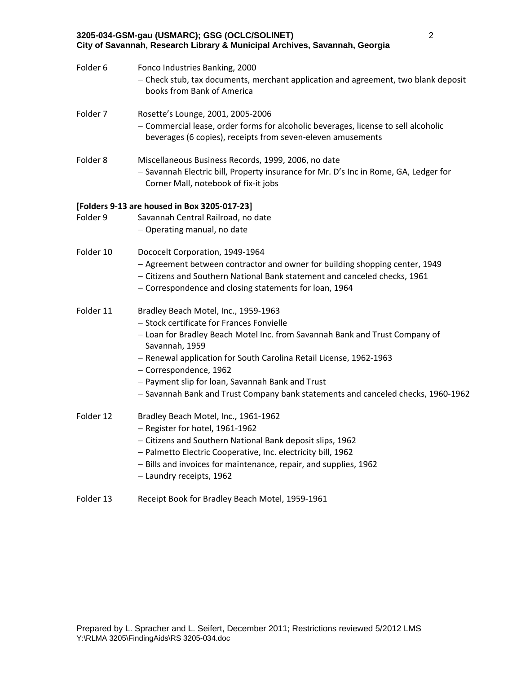| City of Savannah, Research Library & Municipal Archives, Savannah, Georgia |                                                                                                                                                                                                                                                                                                                                                                                                                            |
|----------------------------------------------------------------------------|----------------------------------------------------------------------------------------------------------------------------------------------------------------------------------------------------------------------------------------------------------------------------------------------------------------------------------------------------------------------------------------------------------------------------|
| Folder 6                                                                   | Fonco Industries Banking, 2000<br>- Check stub, tax documents, merchant application and agreement, two blank deposit<br>books from Bank of America                                                                                                                                                                                                                                                                         |
| Folder 7                                                                   | Rosette's Lounge, 2001, 2005-2006<br>- Commercial lease, order forms for alcoholic beverages, license to sell alcoholic<br>beverages (6 copies), receipts from seven-eleven amusements                                                                                                                                                                                                                                     |
| Folder 8                                                                   | Miscellaneous Business Records, 1999, 2006, no date<br>- Savannah Electric bill, Property insurance for Mr. D's Inc in Rome, GA, Ledger for<br>Corner Mall, notebook of fix-it jobs                                                                                                                                                                                                                                        |
|                                                                            | [Folders 9-13 are housed in Box 3205-017-23]                                                                                                                                                                                                                                                                                                                                                                               |
| Folder 9                                                                   | Savannah Central Railroad, no date                                                                                                                                                                                                                                                                                                                                                                                         |
|                                                                            | - Operating manual, no date                                                                                                                                                                                                                                                                                                                                                                                                |
| Folder 10                                                                  | Dococelt Corporation, 1949-1964<br>- Agreement between contractor and owner for building shopping center, 1949<br>- Citizens and Southern National Bank statement and canceled checks, 1961<br>- Correspondence and closing statements for loan, 1964                                                                                                                                                                      |
| Folder 11                                                                  | Bradley Beach Motel, Inc., 1959-1963<br>- Stock certificate for Frances Fonvielle<br>- Loan for Bradley Beach Motel Inc. from Savannah Bank and Trust Company of<br>Savannah, 1959<br>- Renewal application for South Carolina Retail License, 1962-1963<br>- Correspondence, 1962<br>- Payment slip for loan, Savannah Bank and Trust<br>- Savannah Bank and Trust Company bank statements and canceled checks, 1960-1962 |
| Folder 12                                                                  | Bradley Beach Motel, Inc., 1961-1962<br>- Register for hotel, 1961-1962<br>- Citizens and Southern National Bank deposit slips, 1962<br>- Palmetto Electric Cooperative, Inc. electricity bill, 1962<br>- Bills and invoices for maintenance, repair, and supplies, 1962<br>- Laundry receipts, 1962                                                                                                                       |

2

Folder 13 Receipt Book for Bradley Beach Motel, 1959-1961

**3205-034-GSM-gau (USMARC); GSG (OCLC/SOLINET)**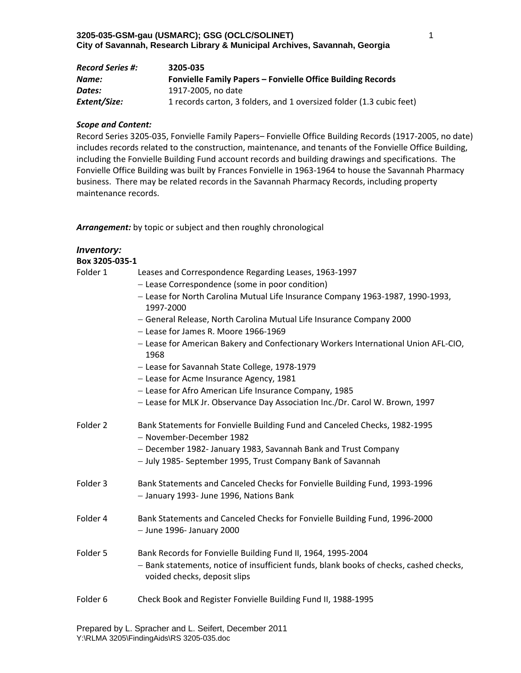| <b>Record Series #:</b> | 3205-035                                                             |
|-------------------------|----------------------------------------------------------------------|
| Name:                   | <b>Fonvielle Family Papers - Fonvielle Office Building Records</b>   |
| Dates:                  | 1917-2005, no date                                                   |
| Extent/Size:            | 1 records carton, 3 folders, and 1 oversized folder (1.3 cubic feet) |

Record Series 3205‐035, Fonvielle Family Papers– Fonvielle Office Building Records (1917‐2005, no date) includes records related to the construction, maintenance, and tenants of the Fonvielle Office Building, including the Fonvielle Building Fund account records and building drawings and specifications. The Fonvielle Office Building was built by Frances Fonvielle in 1963‐1964 to house the Savannah Pharmacy business. There may be related records in the Savannah Pharmacy Records, including property maintenance records.

*Arrangement:* by topic or subject and then roughly chronological

| <b>Inventory:</b>   |                                                                                                                                                                                        |
|---------------------|----------------------------------------------------------------------------------------------------------------------------------------------------------------------------------------|
| Box 3205-035-1      |                                                                                                                                                                                        |
| Folder 1            | Leases and Correspondence Regarding Leases, 1963-1997                                                                                                                                  |
|                     | - Lease Correspondence (some in poor condition)                                                                                                                                        |
|                     | - Lease for North Carolina Mutual Life Insurance Company 1963-1987, 1990-1993,                                                                                                         |
|                     | 1997-2000                                                                                                                                                                              |
|                     | - General Release, North Carolina Mutual Life Insurance Company 2000                                                                                                                   |
|                     | - Lease for James R. Moore 1966-1969                                                                                                                                                   |
|                     | - Lease for American Bakery and Confectionary Workers International Union AFL-CIO,<br>1968                                                                                             |
|                     | - Lease for Savannah State College, 1978-1979                                                                                                                                          |
|                     | - Lease for Acme Insurance Agency, 1981                                                                                                                                                |
|                     | - Lease for Afro American Life Insurance Company, 1985                                                                                                                                 |
|                     | - Lease for MLK Jr. Observance Day Association Inc./Dr. Carol W. Brown, 1997                                                                                                           |
| Folder 2            | Bank Statements for Fonvielle Building Fund and Canceled Checks, 1982-1995<br>- November-December 1982                                                                                 |
|                     | - December 1982- January 1983, Savannah Bank and Trust Company                                                                                                                         |
|                     | - July 1985- September 1995, Trust Company Bank of Savannah                                                                                                                            |
| Folder 3            | Bank Statements and Canceled Checks for Fonvielle Building Fund, 1993-1996                                                                                                             |
|                     | - January 1993- June 1996, Nations Bank                                                                                                                                                |
|                     |                                                                                                                                                                                        |
| Folder 4            | Bank Statements and Canceled Checks for Fonvielle Building Fund, 1996-2000<br>$-$ June 1996- January 2000                                                                              |
| Folder 5            | Bank Records for Fonvielle Building Fund II, 1964, 1995-2004<br>- Bank statements, notice of insufficient funds, blank books of checks, cashed checks,<br>voided checks, deposit slips |
| Folder <sub>6</sub> | Check Book and Register Fonvielle Building Fund II, 1988-1995                                                                                                                          |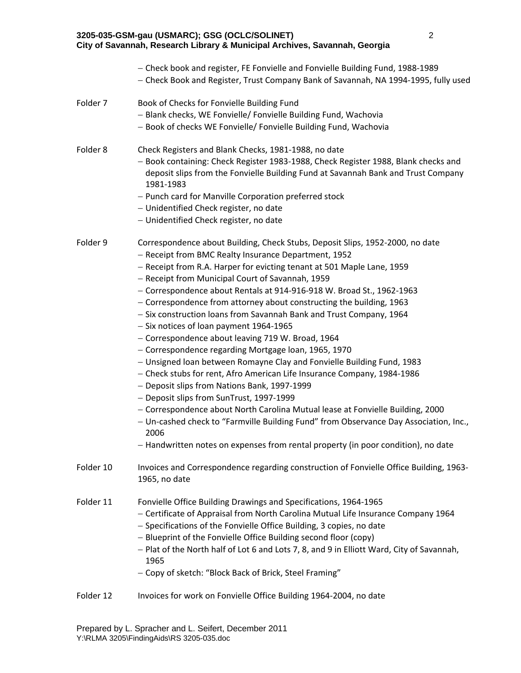|                     | 3205-035-GSM-gau (USMARC); GSG (OCLC/SOLINET)<br>City of Savannah, Research Library & Municipal Archives, Savannah, Georgia                                                                                                                                                                                                                                                                                                                                                                                                                                                                                                                                                                                                                                                                                                                                                                                                                                                                                                                                                                                                                                                  | $\overline{2}$ |
|---------------------|------------------------------------------------------------------------------------------------------------------------------------------------------------------------------------------------------------------------------------------------------------------------------------------------------------------------------------------------------------------------------------------------------------------------------------------------------------------------------------------------------------------------------------------------------------------------------------------------------------------------------------------------------------------------------------------------------------------------------------------------------------------------------------------------------------------------------------------------------------------------------------------------------------------------------------------------------------------------------------------------------------------------------------------------------------------------------------------------------------------------------------------------------------------------------|----------------|
|                     | - Check book and register, FE Fonvielle and Fonvielle Building Fund, 1988-1989<br>- Check Book and Register, Trust Company Bank of Savannah, NA 1994-1995, fully used                                                                                                                                                                                                                                                                                                                                                                                                                                                                                                                                                                                                                                                                                                                                                                                                                                                                                                                                                                                                        |                |
| Folder 7            | Book of Checks for Fonvielle Building Fund<br>- Blank checks, WE Fonvielle/ Fonvielle Building Fund, Wachovia<br>- Book of checks WE Fonvielle/ Fonvielle Building Fund, Wachovia                                                                                                                                                                                                                                                                                                                                                                                                                                                                                                                                                                                                                                                                                                                                                                                                                                                                                                                                                                                            |                |
| Folder <sub>8</sub> | Check Registers and Blank Checks, 1981-1988, no date<br>- Book containing: Check Register 1983-1988, Check Register 1988, Blank checks and<br>deposit slips from the Fonvielle Building Fund at Savannah Bank and Trust Company<br>1981-1983<br>- Punch card for Manville Corporation preferred stock<br>- Unidentified Check register, no date<br>- Unidentified Check register, no date                                                                                                                                                                                                                                                                                                                                                                                                                                                                                                                                                                                                                                                                                                                                                                                    |                |
| Folder 9            | Correspondence about Building, Check Stubs, Deposit Slips, 1952-2000, no date<br>- Receipt from BMC Realty Insurance Department, 1952<br>- Receipt from R.A. Harper for evicting tenant at 501 Maple Lane, 1959<br>- Receipt from Municipal Court of Savannah, 1959<br>- Correspondence about Rentals at 914-916-918 W. Broad St., 1962-1963<br>- Correspondence from attorney about constructing the building, 1963<br>- Six construction loans from Savannah Bank and Trust Company, 1964<br>- Six notices of loan payment 1964-1965<br>- Correspondence about leaving 719 W. Broad, 1964<br>- Correspondence regarding Mortgage loan, 1965, 1970<br>- Unsigned loan between Romayne Clay and Fonvielle Building Fund, 1983<br>- Check stubs for rent, Afro American Life Insurance Company, 1984-1986<br>- Deposit slips from Nations Bank, 1997-1999<br>- Deposit slips from SunTrust, 1997-1999<br>- Correspondence about North Carolina Mutual lease at Fonvielle Building. 2000<br>- Un-cashed check to "Farmville Building Fund" from Observance Day Association, Inc.,<br>2006<br>- Handwritten notes on expenses from rental property (in poor condition), no date |                |
| Folder 10           | Invoices and Correspondence regarding construction of Fonvielle Office Building, 1963-<br>1965, no date                                                                                                                                                                                                                                                                                                                                                                                                                                                                                                                                                                                                                                                                                                                                                                                                                                                                                                                                                                                                                                                                      |                |
| Folder 11           | Fonvielle Office Building Drawings and Specifications, 1964-1965<br>- Certificate of Appraisal from North Carolina Mutual Life Insurance Company 1964<br>- Specifications of the Fonvielle Office Building, 3 copies, no date<br>- Blueprint of the Fonvielle Office Building second floor (copy)<br>- Plat of the North half of Lot 6 and Lots 7, 8, and 9 in Elliott Ward, City of Savannah,<br>1965<br>- Copy of sketch: "Block Back of Brick, Steel Framing"                                                                                                                                                                                                                                                                                                                                                                                                                                                                                                                                                                                                                                                                                                             |                |

2

Folder 12 Invoices for work on Fonvielle Office Building 1964-2004, no date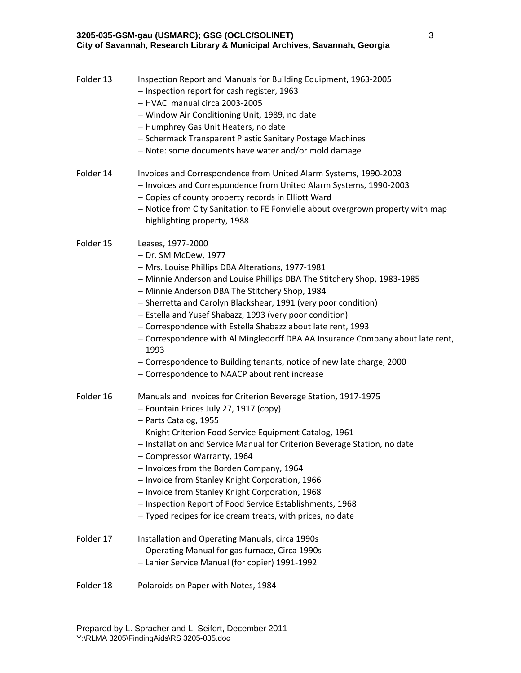## **3205-035-GSM-gau (USMARC); GSG (OCLC/SOLINET) City of Savannah, Research Library & Municipal Archives, Savannah, Georgia**

| Folder 13 | Inspection Report and Manuals for Building Equipment, 1963-2005<br>- Inspection report for cash register, 1963<br>- HVAC manual circa 2003-2005<br>- Window Air Conditioning Unit, 1989, no date<br>- Humphrey Gas Unit Heaters, no date<br>- Schermack Transparent Plastic Sanitary Postage Machines<br>- Note: some documents have water and/or mold damage                                                                                                                                                                                                                                                                               |
|-----------|---------------------------------------------------------------------------------------------------------------------------------------------------------------------------------------------------------------------------------------------------------------------------------------------------------------------------------------------------------------------------------------------------------------------------------------------------------------------------------------------------------------------------------------------------------------------------------------------------------------------------------------------|
| Folder 14 | Invoices and Correspondence from United Alarm Systems, 1990-2003<br>- Invoices and Correspondence from United Alarm Systems, 1990-2003<br>- Copies of county property records in Elliott Ward<br>- Notice from City Sanitation to FE Fonvielle about overgrown property with map<br>highlighting property, 1988                                                                                                                                                                                                                                                                                                                             |
| Folder 15 | Leases, 1977-2000<br>- Dr. SM McDew, 1977<br>- Mrs. Louise Phillips DBA Alterations, 1977-1981<br>- Minnie Anderson and Louise Phillips DBA The Stitchery Shop, 1983-1985<br>- Minnie Anderson DBA The Stitchery Shop, 1984<br>- Sherretta and Carolyn Blackshear, 1991 (very poor condition)<br>- Estella and Yusef Shabazz, 1993 (very poor condition)<br>- Correspondence with Estella Shabazz about late rent, 1993<br>- Correspondence with Al Mingledorff DBA AA Insurance Company about late rent,<br>1993<br>- Correspondence to Building tenants, notice of new late charge, 2000<br>- Correspondence to NAACP about rent increase |
| Folder 16 | Manuals and Invoices for Criterion Beverage Station, 1917-1975<br>- Fountain Prices July 27, 1917 (copy)<br>- Parts Catalog, 1955<br>- Knight Criterion Food Service Equipment Catalog, 1961<br>- Installation and Service Manual for Criterion Beverage Station, no date<br>- Compressor Warranty, 1964<br>- Invoices from the Borden Company, 1964<br>- Invoice from Stanley Knight Corporation, 1966<br>- Invoice from Stanley Knight Corporation, 1968<br>- Inspection Report of Food Service Establishments, 1968<br>- Typed recipes for ice cream treats, with prices, no date                                                        |
| Folder 17 | Installation and Operating Manuals, circa 1990s<br>- Operating Manual for gas furnace, Circa 1990s<br>- Lanier Service Manual (for copier) 1991-1992                                                                                                                                                                                                                                                                                                                                                                                                                                                                                        |
| Folder 18 | Polaroids on Paper with Notes, 1984                                                                                                                                                                                                                                                                                                                                                                                                                                                                                                                                                                                                         |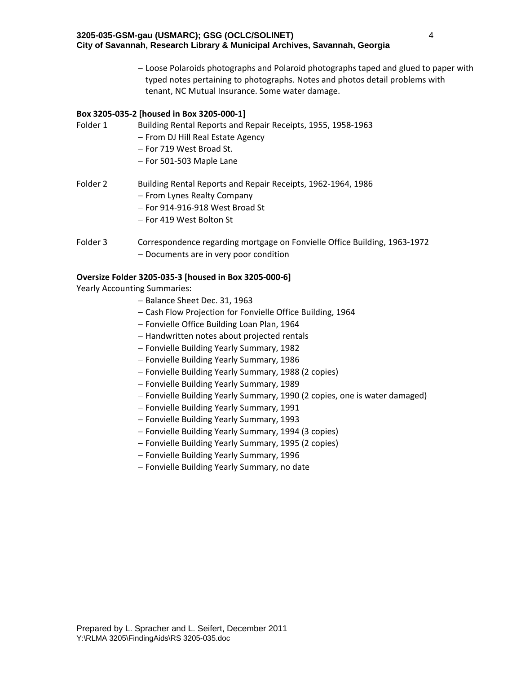Loose Polaroids photographs and Polaroid photographs taped and glued to paper with typed notes pertaining to photographs. Notes and photos detail problems with tenant, NC Mutual Insurance. Some water damage.

### **Box 3205‐035‐2 [housed in Box 3205‐000‐1]**

Folder 1 Building Rental Reports and Repair Receipts, 1955, 1958‐1963

- From DJ Hill Real Estate Agency
- For 719 West Broad St.
- $-$  For 501-503 Maple Lane
- Folder 2 Building Rental Reports and Repair Receipts, 1962-1964, 1986
	- From Lynes Realty Company
	- For 914‐916‐918 West Broad St
	- For 419 West Bolton St
- Folder 3 Correspondence regarding mortgage on Fonvielle Office Building, 1963-1972 - Documents are in very poor condition

## **Oversize Folder 3205‐035‐3 [housed in Box 3205‐000‐6]**

Yearly Accounting Summaries:

- Balance Sheet Dec. 31, 1963
- Cash Flow Projection for Fonvielle Office Building, 1964
- Fonvielle Office Building Loan Plan, 1964
- Handwritten notes about projected rentals
- Fonvielle Building Yearly Summary, 1982
- Fonvielle Building Yearly Summary, 1986
- Fonvielle Building Yearly Summary, 1988 (2 copies)
- Fonvielle Building Yearly Summary, 1989
- Fonvielle Building Yearly Summary, 1990 (2 copies, one is water damaged)
- Fonvielle Building Yearly Summary, 1991
- Fonvielle Building Yearly Summary, 1993
- Fonvielle Building Yearly Summary, 1994 (3 copies)
- Fonvielle Building Yearly Summary, 1995 (2 copies)
- Fonvielle Building Yearly Summary, 1996
- Fonvielle Building Yearly Summary, no date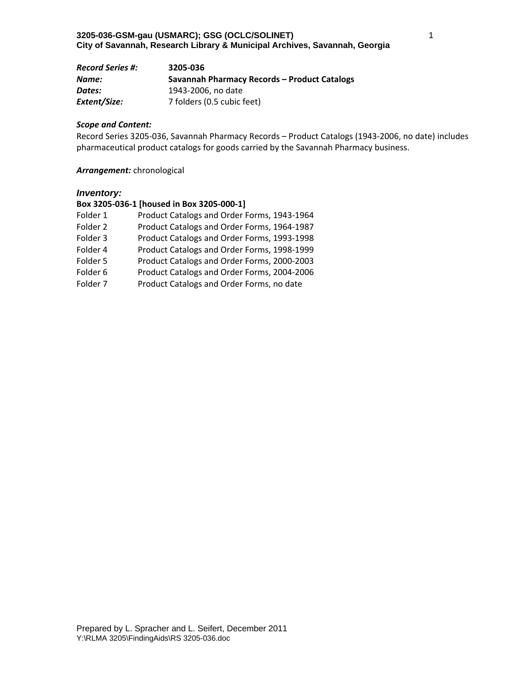| <b>Record Series #:</b> | 3205-036                                     |
|-------------------------|----------------------------------------------|
| Name:                   | Savannah Pharmacy Records – Product Catalogs |
| Dates:                  | 1943-2006, no date                           |
| Extent/Size:            | 7 folders (0.5 cubic feet)                   |

Record Series 3205‐036, Savannah Pharmacy Records – Product Catalogs (1943‐2006, no date) includes pharmaceutical product catalogs for goods carried by the Savannah Pharmacy business.

### *Arrangement:* chronological

#### *Inventory:*

# **Box 3205‐036‐1 [housed in Box 3205‐000‐1]**

| Folder 1 | Product Catalogs and Order Forms, 1943-1964 |
|----------|---------------------------------------------|
| Folder 2 | Product Catalogs and Order Forms, 1964-1987 |
| Folder 3 | Product Catalogs and Order Forms, 1993-1998 |
| Folder 4 | Product Catalogs and Order Forms, 1998-1999 |
| Folder 5 | Product Catalogs and Order Forms, 2000-2003 |
| Folder 6 | Product Catalogs and Order Forms, 2004-2006 |
| Folder 7 | Product Catalogs and Order Forms, no date   |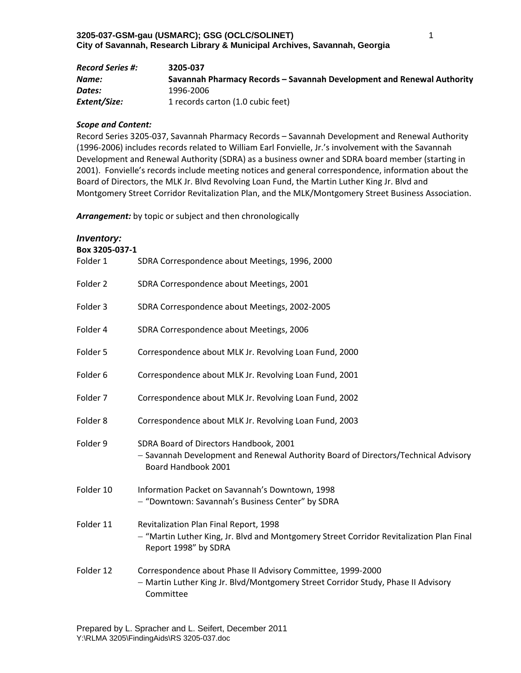| <b>Record Series #:</b> | 3205-037                                                               |
|-------------------------|------------------------------------------------------------------------|
| Name:                   | Savannah Pharmacy Records – Savannah Development and Renewal Authority |
| Dates:                  | 1996-2006                                                              |
| Extent/Size:            | 1 records carton (1.0 cubic feet)                                      |

Record Series 3205‐037, Savannah Pharmacy Records – Savannah Development and Renewal Authority (1996‐2006) includes records related to William Earl Fonvielle, Jr.'s involvement with the Savannah Development and Renewal Authority (SDRA) as a business owner and SDRA board member (starting in 2001). Fonvielle's records include meeting notices and general correspondence, information about the Board of Directors, the MLK Jr. Blvd Revolving Loan Fund, the Martin Luther King Jr. Blvd and Montgomery Street Corridor Revitalization Plan, and the MLK/Montgomery Street Business Association.

*Arrangement:* by topic or subject and then chronologically

| <b>Inventory:</b><br>Box 3205-037-1 |                                                                                                                                                               |
|-------------------------------------|---------------------------------------------------------------------------------------------------------------------------------------------------------------|
| Folder 1                            | SDRA Correspondence about Meetings, 1996, 2000                                                                                                                |
| Folder 2                            | SDRA Correspondence about Meetings, 2001                                                                                                                      |
| Folder 3                            | SDRA Correspondence about Meetings, 2002-2005                                                                                                                 |
| Folder 4                            | SDRA Correspondence about Meetings, 2006                                                                                                                      |
| Folder 5                            | Correspondence about MLK Jr. Revolving Loan Fund, 2000                                                                                                        |
| Folder 6                            | Correspondence about MLK Jr. Revolving Loan Fund, 2001                                                                                                        |
| Folder 7                            | Correspondence about MLK Jr. Revolving Loan Fund, 2002                                                                                                        |
| Folder 8                            | Correspondence about MLK Jr. Revolving Loan Fund, 2003                                                                                                        |
| Folder 9                            | SDRA Board of Directors Handbook, 2001<br>- Savannah Development and Renewal Authority Board of Directors/Technical Advisory<br>Board Handbook 2001           |
| Folder 10                           | Information Packet on Savannah's Downtown, 1998<br>- "Downtown: Savannah's Business Center" by SDRA                                                           |
| Folder 11                           | Revitalization Plan Final Report, 1998<br>- "Martin Luther King, Jr. Blvd and Montgomery Street Corridor Revitalization Plan Final<br>Report 1998" by SDRA    |
| Folder 12                           | Correspondence about Phase II Advisory Committee, 1999-2000<br>- Martin Luther King Jr. Blvd/Montgomery Street Corridor Study, Phase II Advisory<br>Committee |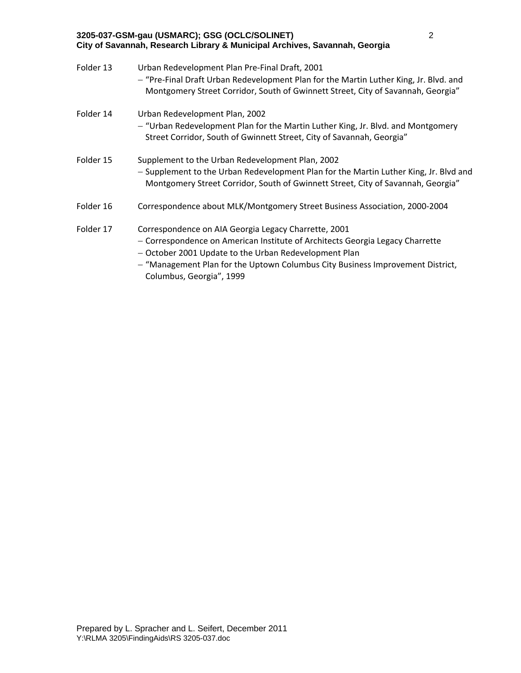| Folder 13 | Urban Redevelopment Plan Pre-Final Draft, 2001<br>- "Pre-Final Draft Urban Redevelopment Plan for the Martin Luther King, Jr. Blvd. and<br>Montgomery Street Corridor, South of Gwinnett Street, City of Savannah, Georgia"                                                                                  |
|-----------|--------------------------------------------------------------------------------------------------------------------------------------------------------------------------------------------------------------------------------------------------------------------------------------------------------------|
| Folder 14 | Urban Redevelopment Plan, 2002<br>- "Urban Redevelopment Plan for the Martin Luther King, Jr. Blvd. and Montgomery<br>Street Corridor, South of Gwinnett Street, City of Savannah, Georgia"                                                                                                                  |
| Folder 15 | Supplement to the Urban Redevelopment Plan, 2002<br>- Supplement to the Urban Redevelopment Plan for the Martin Luther King, Jr. Blvd and<br>Montgomery Street Corridor, South of Gwinnett Street, City of Savannah, Georgia"                                                                                |
| Folder 16 | Correspondence about MLK/Montgomery Street Business Association, 2000-2004                                                                                                                                                                                                                                   |
| Folder 17 | Correspondence on AIA Georgia Legacy Charrette, 2001<br>- Correspondence on American Institute of Architects Georgia Legacy Charrette<br>- October 2001 Update to the Urban Redevelopment Plan<br>- "Management Plan for the Uptown Columbus City Business Improvement District,<br>Columbus, Georgia", 1999 |

**3205-037-GSM-gau (USMARC); GSG (OCLC/SOLINET)** 

**City of Savannah, Research Library & Municipal Archives, Savannah, Georgia**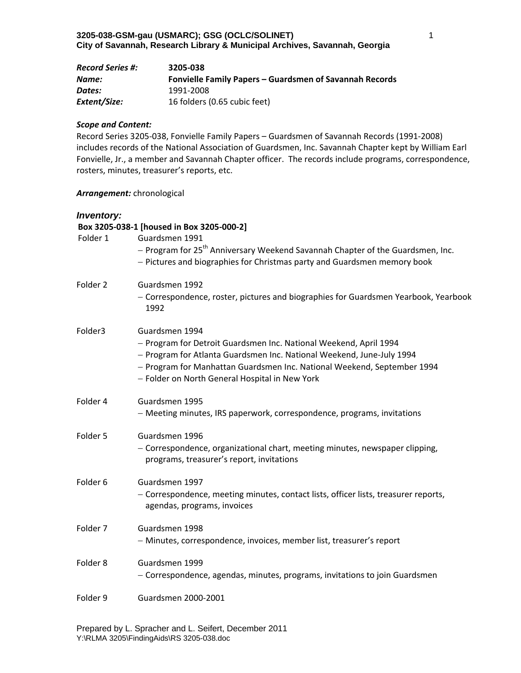| <b>Record Series #:</b> | 3205-038                                                |
|-------------------------|---------------------------------------------------------|
| Name:                   | Fonvielle Family Papers – Guardsmen of Savannah Records |
| Dates:                  | 1991-2008                                               |
| Extent/Size:            | 16 folders (0.65 cubic feet)                            |

Record Series 3205‐038, Fonvielle Family Papers – Guardsmen of Savannah Records (1991‐2008) includes records of the National Association of Guardsmen, Inc. Savannah Chapter kept by William Earl Fonvielle, Jr., a member and Savannah Chapter officer. The records include programs, correspondence, rosters, minutes, treasurer's reports, etc.

## *Arrangement:* chronological

## *Inventory:*

### **Box 3205‐038‐1 [housed in Box 3205‐000‐2]**

| Folder 1 | Guardsmen 1991<br>- Program for 25 <sup>th</sup> Anniversary Weekend Savannah Chapter of the Guardsmen, Inc.<br>- Pictures and biographies for Christmas party and Guardsmen memory book                                                                                                  |
|----------|-------------------------------------------------------------------------------------------------------------------------------------------------------------------------------------------------------------------------------------------------------------------------------------------|
| Folder 2 | Guardsmen 1992<br>- Correspondence, roster, pictures and biographies for Guardsmen Yearbook, Yearbook<br>1992                                                                                                                                                                             |
| Folder3  | Guardsmen 1994<br>- Program for Detroit Guardsmen Inc. National Weekend, April 1994<br>- Program for Atlanta Guardsmen Inc. National Weekend, June-July 1994<br>- Program for Manhattan Guardsmen Inc. National Weekend, September 1994<br>- Folder on North General Hospital in New York |
| Folder 4 | Guardsmen 1995<br>- Meeting minutes, IRS paperwork, correspondence, programs, invitations                                                                                                                                                                                                 |
| Folder 5 | Guardsmen 1996<br>- Correspondence, organizational chart, meeting minutes, newspaper clipping,<br>programs, treasurer's report, invitations                                                                                                                                               |
| Folder 6 | Guardsmen 1997<br>- Correspondence, meeting minutes, contact lists, officer lists, treasurer reports,<br>agendas, programs, invoices                                                                                                                                                      |
| Folder 7 | Guardsmen 1998<br>- Minutes, correspondence, invoices, member list, treasurer's report                                                                                                                                                                                                    |
| Folder 8 | Guardsmen 1999<br>- Correspondence, agendas, minutes, programs, invitations to join Guardsmen                                                                                                                                                                                             |
| Folder 9 | Guardsmen 2000-2001                                                                                                                                                                                                                                                                       |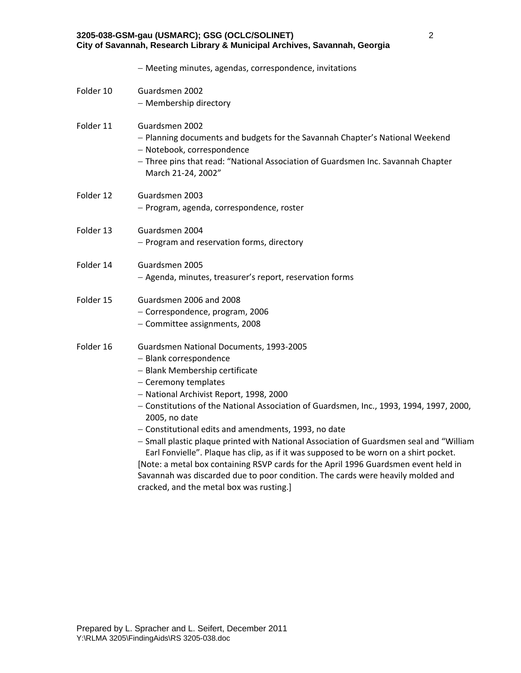| City of Savannah, Research Library & Municipal Archives, Savannah, Georgia |                                                                                                                                                                                                                                                                                                                                                                                                                                                                                                                                                                                                                                                                                                          |  |
|----------------------------------------------------------------------------|----------------------------------------------------------------------------------------------------------------------------------------------------------------------------------------------------------------------------------------------------------------------------------------------------------------------------------------------------------------------------------------------------------------------------------------------------------------------------------------------------------------------------------------------------------------------------------------------------------------------------------------------------------------------------------------------------------|--|
|                                                                            | - Meeting minutes, agendas, correspondence, invitations                                                                                                                                                                                                                                                                                                                                                                                                                                                                                                                                                                                                                                                  |  |
| Folder 10                                                                  | Guardsmen 2002<br>- Membership directory                                                                                                                                                                                                                                                                                                                                                                                                                                                                                                                                                                                                                                                                 |  |
| Folder 11                                                                  | Guardsmen 2002<br>- Planning documents and budgets for the Savannah Chapter's National Weekend<br>- Notebook, correspondence<br>- Three pins that read: "National Association of Guardsmen Inc. Savannah Chapter<br>March 21-24, 2002"                                                                                                                                                                                                                                                                                                                                                                                                                                                                   |  |
| Folder 12                                                                  | Guardsmen 2003<br>- Program, agenda, correspondence, roster                                                                                                                                                                                                                                                                                                                                                                                                                                                                                                                                                                                                                                              |  |
| Folder 13                                                                  | Guardsmen 2004<br>- Program and reservation forms, directory                                                                                                                                                                                                                                                                                                                                                                                                                                                                                                                                                                                                                                             |  |
| Folder 14                                                                  | Guardsmen 2005<br>- Agenda, minutes, treasurer's report, reservation forms                                                                                                                                                                                                                                                                                                                                                                                                                                                                                                                                                                                                                               |  |
| Folder 15                                                                  | Guardsmen 2006 and 2008<br>- Correspondence, program, 2006<br>- Committee assignments, 2008                                                                                                                                                                                                                                                                                                                                                                                                                                                                                                                                                                                                              |  |
| Folder 16                                                                  | Guardsmen National Documents, 1993-2005<br>- Blank correspondence<br>- Blank Membership certificate<br>- Ceremony templates<br>- National Archivist Report, 1998, 2000<br>- Constitutions of the National Association of Guardsmen, Inc., 1993, 1994, 1997, 2000,<br>2005, no date<br>- Constitutional edits and amendments, 1993, no date<br>- Small plastic plaque printed with National Association of Guardsmen seal and "William<br>Earl Fonvielle". Plaque has clip, as if it was supposed to be worn on a shirt pocket.<br>[Note: a metal box containing RSVP cards for the April 1996 Guardsmen event held in<br>Savannah was discarded due to poor condition. The cards were heavily molded and |  |

cracked, and the metal box was rusting.]

**3205-038-GSM-gau (USMARC); GSG (OCLC/SOLINET)**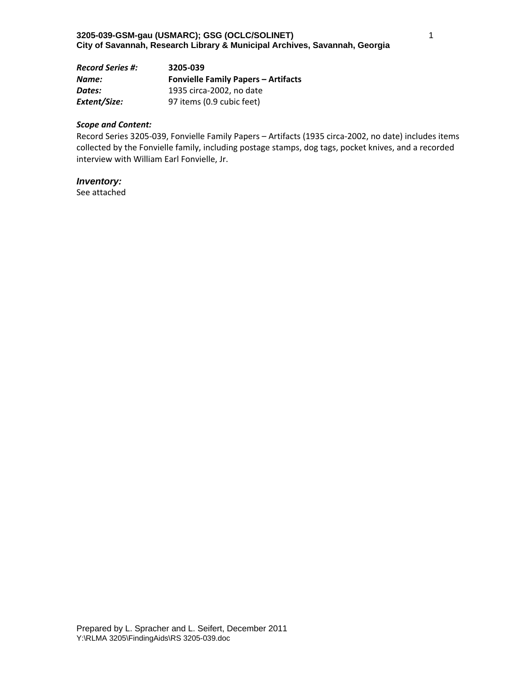| <b>Record Series #:</b> | 3205-039                                   |
|-------------------------|--------------------------------------------|
| Name:                   | <b>Fonvielle Family Papers - Artifacts</b> |
| Dates:                  | 1935 circa-2002, no date                   |
| Extent/Size:            | 97 items (0.9 cubic feet)                  |

Record Series 3205‐039, Fonvielle Family Papers – Artifacts (1935 circa‐2002, no date) includes items collected by the Fonvielle family, including postage stamps, dog tags, pocket knives, and a recorded interview with William Earl Fonvielle, Jr.

## *Inventory:*

See attached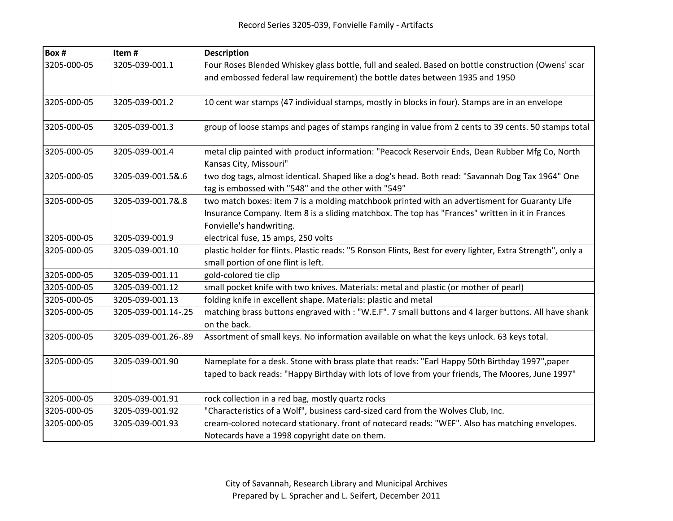| Box #       | Item#               | <b>Description</b>                                                                                                                                                                                                           |
|-------------|---------------------|------------------------------------------------------------------------------------------------------------------------------------------------------------------------------------------------------------------------------|
| 3205-000-05 | 3205-039-001.1      | Four Roses Blended Whiskey glass bottle, full and sealed. Based on bottle construction (Owens' scar                                                                                                                          |
|             |                     | and embossed federal law requirement) the bottle dates between 1935 and 1950                                                                                                                                                 |
| 3205-000-05 | 3205-039-001.2      | 10 cent war stamps (47 individual stamps, mostly in blocks in four). Stamps are in an envelope                                                                                                                               |
| 3205-000-05 | 3205-039-001.3      | group of loose stamps and pages of stamps ranging in value from 2 cents to 39 cents. 50 stamps total                                                                                                                         |
| 3205-000-05 | 3205-039-001.4      | metal clip painted with product information: "Peacock Reservoir Ends, Dean Rubber Mfg Co, North<br>Kansas City, Missouri"                                                                                                    |
| 3205-000-05 | 3205-039-001.5&.6   | two dog tags, almost identical. Shaped like a dog's head. Both read: "Savannah Dog Tax 1964" One<br>tag is embossed with "548" and the other with "549"                                                                      |
| 3205-000-05 | 3205-039-001.7&.8   | two match boxes: item 7 is a molding matchbook printed with an advertisment for Guaranty Life<br>Insurance Company. Item 8 is a sliding matchbox. The top has "Frances" written in it in Frances<br>Fonvielle's handwriting. |
| 3205-000-05 | 3205-039-001.9      | electrical fuse, 15 amps, 250 volts                                                                                                                                                                                          |
| 3205-000-05 | 3205-039-001.10     | plastic holder for flints. Plastic reads: "5 Ronson Flints, Best for every lighter, Extra Strength", only a<br>small portion of one flint is left.                                                                           |
| 3205-000-05 | 3205-039-001.11     | gold-colored tie clip                                                                                                                                                                                                        |
| 3205-000-05 | 3205-039-001.12     | small pocket knife with two knives. Materials: metal and plastic (or mother of pearl)                                                                                                                                        |
| 3205-000-05 | 3205-039-001.13     | folding knife in excellent shape. Materials: plastic and metal                                                                                                                                                               |
| 3205-000-05 | 3205-039-001.14-.25 | matching brass buttons engraved with : "W.E.F". 7 small buttons and 4 larger buttons. All have shank<br>on the back.                                                                                                         |
| 3205-000-05 | 3205-039-001.26-.89 | Assortment of small keys. No information available on what the keys unlock. 63 keys total.                                                                                                                                   |
| 3205-000-05 | 3205-039-001.90     | Nameplate for a desk. Stone with brass plate that reads: "Earl Happy 50th Birthday 1997", paper<br>taped to back reads: "Happy Birthday with lots of love from your friends, The Moores, June 1997"                          |
| 3205-000-05 | 3205-039-001.91     | rock collection in a red bag, mostly quartz rocks                                                                                                                                                                            |
| 3205-000-05 | 3205-039-001.92     | "Characteristics of a Wolf", business card-sized card from the Wolves Club, Inc.                                                                                                                                             |
| 3205-000-05 | 3205-039-001.93     | cream-colored notecard stationary. front of notecard reads: "WEF". Also has matching envelopes.                                                                                                                              |
|             |                     | Notecards have a 1998 copyright date on them.                                                                                                                                                                                |